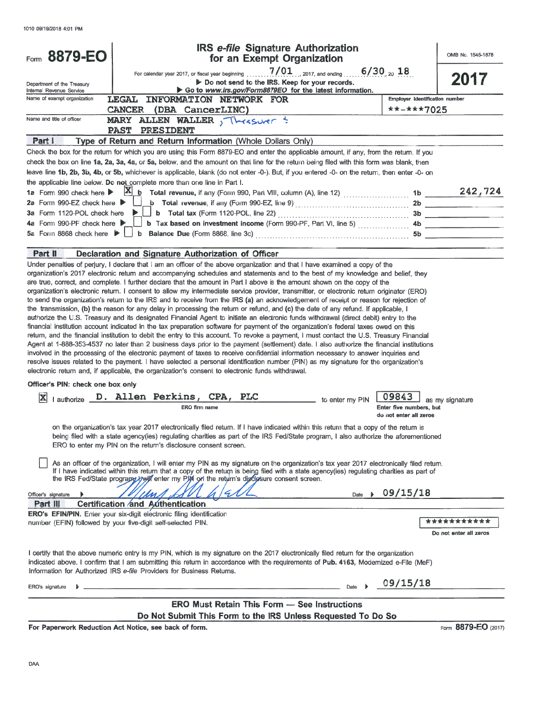|                                                                                                                                                                                                                                                                                                                                                                                                                                                                                                                                                                                                                                                                                                                                                                                                                                                                                                                                                                                                                                                                                                                                                                                                                                                                                                                                                                                                                                                                                                                                                                                                                                                                                                                                                                                                                                                                                                                                                                                                                                                                                                                                                                                                                                                                                                                                                                                                                                                                                                                                                                                                                                                                                                                                                                                                                                                                                                                                                                                                                                                                                                                                                                                                                                                                                                                                                                                                                                                                                                                                                                                                                                                                                                                                                                                                                                                                                                                                                                                                                                                                                                                                                                                                                                                                                                                                                                                                                                                                                                                                                                           | <b>IRS e-file Signature Authorization</b>                                                                                                                                                                                                                                                                            |  | OMB No. 1545-1878 |  |
|---------------------------------------------------------------------------------------------------------------------------------------------------------------------------------------------------------------------------------------------------------------------------------------------------------------------------------------------------------------------------------------------------------------------------------------------------------------------------------------------------------------------------------------------------------------------------------------------------------------------------------------------------------------------------------------------------------------------------------------------------------------------------------------------------------------------------------------------------------------------------------------------------------------------------------------------------------------------------------------------------------------------------------------------------------------------------------------------------------------------------------------------------------------------------------------------------------------------------------------------------------------------------------------------------------------------------------------------------------------------------------------------------------------------------------------------------------------------------------------------------------------------------------------------------------------------------------------------------------------------------------------------------------------------------------------------------------------------------------------------------------------------------------------------------------------------------------------------------------------------------------------------------------------------------------------------------------------------------------------------------------------------------------------------------------------------------------------------------------------------------------------------------------------------------------------------------------------------------------------------------------------------------------------------------------------------------------------------------------------------------------------------------------------------------------------------------------------------------------------------------------------------------------------------------------------------------------------------------------------------------------------------------------------------------------------------------------------------------------------------------------------------------------------------------------------------------------------------------------------------------------------------------------------------------------------------------------------------------------------------------------------------------------------------------------------------------------------------------------------------------------------------------------------------------------------------------------------------------------------------------------------------------------------------------------------------------------------------------------------------------------------------------------------------------------------------------------------------------------------------------------------------------------------------------------------------------------------------------------------------------------------------------------------------------------------------------------------------------------------------------------------------------------------------------------------------------------------------------------------------------------------------------------------------------------------------------------------------------------------------------------------------------------------------------------------------------------------------------------------------------------------------------------------------------------------------------------------------------------------------------------------------------------------------------------------------------------------------------------------------------------------------------------------------------------------------------------------------------------------------------------------------------------------------------------------------------|----------------------------------------------------------------------------------------------------------------------------------------------------------------------------------------------------------------------------------------------------------------------------------------------------------------------|--|-------------------|--|
| ו טוט שאו שגעו שט טוטו<br>Form 8879-EO<br>for an Exempt Organization<br>$7/01$ , 2017, and ending 6/30 20 18<br>For calendar year 2017, or fiscal year beginning<br>Do not send to the IRS. Keep for your records.<br>Department of the Treasury<br>Go to www.irs.gov/Form8879EO for the latest information.<br>Internal Revenue Service<br>Name of exempt organization<br>INFORMATION NETWORK FOR<br><b>LEGAL</b><br><b>CANCER</b><br>(DBA CancerLINC)<br>Name and title of officer<br>MARY ALLEN WALLER, Thessurer !<br><b>PAST</b><br>PRESIDENT<br>Type of Return and Return Information (Whole Dollars Only)<br>Part I<br>Check the box for the return for which you are using this Form 8879-EO and enter the applicable amount, if any, from the return. If you<br>check the box on line 1a, 2a, 3a, 4a, or 5a, below, and the amount on that line for the return being filed with this form was blank, then<br>leave line 1b, 2b, 3b, 4b, or 5b, whichever is applicable, blank (do not enter -0-). But, if you entered -0- on the return, then enter -0- on<br>the applicable line below. Do not complete more than one line in Part I.<br>1a Form 990 check here $\blacktriangleright$<br>2a Form 990-EZ check here ▶<br>4a Form 990-PF check here ▶<br>Part II<br>Declaration and Signature Authorization of Officer<br>Under penalties of perjury, I declare that I am an officer of the above organization and that I have examined a copy of the<br>organization's 2017 electronic return and accompanying schedules and statements and to the best of my knowledge and belief, they<br>are true, correct, and complete. I further declare that the amount in Part I above is the amount shown on the copy of the<br>organization's electronic return. I consent to allow my intermediate service provider, transmitter, or electronic return originator (ERO)<br>to send the organization's return to the IRS and to receive from the IRS (a) an acknowledgement of receipt or reason for rejection of<br>the transmission, (b) the reason for any delay in processing the retum or refund, and (c) the date of any refund. If applicable, I<br>authorize the U.S. Treasury and its designated Financial Agent to initiate an electronic funds withdrawal (direct debit) entry to the<br>financial institution account indicated in the tax preparation software for payment of the organization's federal taxes owed on this<br>return, and the financial institution to debit the entry to this account. To revoke a payment, I must contact the U.S. Treasury Financial<br>Agent at 1-888-353-4537 no later than 2 business days prior to the payment (settlement) date. I also authorize the financial institutions<br>involved in the processing of the electronic payment of taxes to receive confidential information necessary to answer inquiries and<br>resolve issues related to the payment. I have selected a personal identification number (PIN) as my signature for the organization's<br>electronic return and, if applicable, the organization's consent to electronic funds withdrawal.<br>Officer's PIN: check one box only<br>lauthorize D. Allen Perkins, CPA, PLC<br>09843<br>$ {\bf X} $<br>to enter my PIN<br><b>ERO</b> firm name<br>Enter five numbers, but<br>do not enter all zeros<br>on the organization's tax year 2017 electronically filed return. If I have indicated within this return that a copy of the return is<br>being filed with a state agency(ies) regulating charities as part of the IRS Fed/State program, I also authorize the aforementioned<br>ERO to enter my PIN on the return's disclosure consent screen.<br>If I have indicated within this return that a copy of the return is being filed with a state agency(ies) regulating charities as part of<br>the IRS Fed/State program Uwill enter my PIM on the return's disclasure consent screen.<br>$\rightarrow$ 09/15/18<br>Date<br>Officer's signature<br>Certification and Authentication<br>Part III<br>ERO's EFIN/PIN. Enter your six-digit electronic filing identification<br>number (EFIN) followed by your five-digit self-selected PIN.<br>I certify that the above numeric entry is my PIN, which is my signature on the 2017 electronically filed return for the organization<br>indicated above. I confirm that I am submitting this return in accordance with the requirements of Pub. 4163, Modernized e-File (MeF)<br>Information for Authorized IRS e-file Providers for Business Returns.<br>09/15/18<br>ERO's signature<br>Date | 2017                                                                                                                                                                                                                                                                                                                 |  |                   |  |
|                                                                                                                                                                                                                                                                                                                                                                                                                                                                                                                                                                                                                                                                                                                                                                                                                                                                                                                                                                                                                                                                                                                                                                                                                                                                                                                                                                                                                                                                                                                                                                                                                                                                                                                                                                                                                                                                                                                                                                                                                                                                                                                                                                                                                                                                                                                                                                                                                                                                                                                                                                                                                                                                                                                                                                                                                                                                                                                                                                                                                                                                                                                                                                                                                                                                                                                                                                                                                                                                                                                                                                                                                                                                                                                                                                                                                                                                                                                                                                                                                                                                                                                                                                                                                                                                                                                                                                                                                                                                                                                                                                           |                                                                                                                                                                                                                                                                                                                      |  |                   |  |
|                                                                                                                                                                                                                                                                                                                                                                                                                                                                                                                                                                                                                                                                                                                                                                                                                                                                                                                                                                                                                                                                                                                                                                                                                                                                                                                                                                                                                                                                                                                                                                                                                                                                                                                                                                                                                                                                                                                                                                                                                                                                                                                                                                                                                                                                                                                                                                                                                                                                                                                                                                                                                                                                                                                                                                                                                                                                                                                                                                                                                                                                                                                                                                                                                                                                                                                                                                                                                                                                                                                                                                                                                                                                                                                                                                                                                                                                                                                                                                                                                                                                                                                                                                                                                                                                                                                                                                                                                                                                                                                                                                           |                                                                                                                                                                                                                                                                                                                      |  |                   |  |
|                                                                                                                                                                                                                                                                                                                                                                                                                                                                                                                                                                                                                                                                                                                                                                                                                                                                                                                                                                                                                                                                                                                                                                                                                                                                                                                                                                                                                                                                                                                                                                                                                                                                                                                                                                                                                                                                                                                                                                                                                                                                                                                                                                                                                                                                                                                                                                                                                                                                                                                                                                                                                                                                                                                                                                                                                                                                                                                                                                                                                                                                                                                                                                                                                                                                                                                                                                                                                                                                                                                                                                                                                                                                                                                                                                                                                                                                                                                                                                                                                                                                                                                                                                                                                                                                                                                                                                                                                                                                                                                                                                           |                                                                                                                                                                                                                                                                                                                      |  |                   |  |
|                                                                                                                                                                                                                                                                                                                                                                                                                                                                                                                                                                                                                                                                                                                                                                                                                                                                                                                                                                                                                                                                                                                                                                                                                                                                                                                                                                                                                                                                                                                                                                                                                                                                                                                                                                                                                                                                                                                                                                                                                                                                                                                                                                                                                                                                                                                                                                                                                                                                                                                                                                                                                                                                                                                                                                                                                                                                                                                                                                                                                                                                                                                                                                                                                                                                                                                                                                                                                                                                                                                                                                                                                                                                                                                                                                                                                                                                                                                                                                                                                                                                                                                                                                                                                                                                                                                                                                                                                                                                                                                                                                           |                                                                                                                                                                                                                                                                                                                      |  |                   |  |
|                                                                                                                                                                                                                                                                                                                                                                                                                                                                                                                                                                                                                                                                                                                                                                                                                                                                                                                                                                                                                                                                                                                                                                                                                                                                                                                                                                                                                                                                                                                                                                                                                                                                                                                                                                                                                                                                                                                                                                                                                                                                                                                                                                                                                                                                                                                                                                                                                                                                                                                                                                                                                                                                                                                                                                                                                                                                                                                                                                                                                                                                                                                                                                                                                                                                                                                                                                                                                                                                                                                                                                                                                                                                                                                                                                                                                                                                                                                                                                                                                                                                                                                                                                                                                                                                                                                                                                                                                                                                                                                                                                           |                                                                                                                                                                                                                                                                                                                      |  |                   |  |
|                                                                                                                                                                                                                                                                                                                                                                                                                                                                                                                                                                                                                                                                                                                                                                                                                                                                                                                                                                                                                                                                                                                                                                                                                                                                                                                                                                                                                                                                                                                                                                                                                                                                                                                                                                                                                                                                                                                                                                                                                                                                                                                                                                                                                                                                                                                                                                                                                                                                                                                                                                                                                                                                                                                                                                                                                                                                                                                                                                                                                                                                                                                                                                                                                                                                                                                                                                                                                                                                                                                                                                                                                                                                                                                                                                                                                                                                                                                                                                                                                                                                                                                                                                                                                                                                                                                                                                                                                                                                                                                                                                           |                                                                                                                                                                                                                                                                                                                      |  |                   |  |
|                                                                                                                                                                                                                                                                                                                                                                                                                                                                                                                                                                                                                                                                                                                                                                                                                                                                                                                                                                                                                                                                                                                                                                                                                                                                                                                                                                                                                                                                                                                                                                                                                                                                                                                                                                                                                                                                                                                                                                                                                                                                                                                                                                                                                                                                                                                                                                                                                                                                                                                                                                                                                                                                                                                                                                                                                                                                                                                                                                                                                                                                                                                                                                                                                                                                                                                                                                                                                                                                                                                                                                                                                                                                                                                                                                                                                                                                                                                                                                                                                                                                                                                                                                                                                                                                                                                                                                                                                                                                                                                                                                           |                                                                                                                                                                                                                                                                                                                      |  |                   |  |
|                                                                                                                                                                                                                                                                                                                                                                                                                                                                                                                                                                                                                                                                                                                                                                                                                                                                                                                                                                                                                                                                                                                                                                                                                                                                                                                                                                                                                                                                                                                                                                                                                                                                                                                                                                                                                                                                                                                                                                                                                                                                                                                                                                                                                                                                                                                                                                                                                                                                                                                                                                                                                                                                                                                                                                                                                                                                                                                                                                                                                                                                                                                                                                                                                                                                                                                                                                                                                                                                                                                                                                                                                                                                                                                                                                                                                                                                                                                                                                                                                                                                                                                                                                                                                                                                                                                                                                                                                                                                                                                                                                           |                                                                                                                                                                                                                                                                                                                      |  |                   |  |
|                                                                                                                                                                                                                                                                                                                                                                                                                                                                                                                                                                                                                                                                                                                                                                                                                                                                                                                                                                                                                                                                                                                                                                                                                                                                                                                                                                                                                                                                                                                                                                                                                                                                                                                                                                                                                                                                                                                                                                                                                                                                                                                                                                                                                                                                                                                                                                                                                                                                                                                                                                                                                                                                                                                                                                                                                                                                                                                                                                                                                                                                                                                                                                                                                                                                                                                                                                                                                                                                                                                                                                                                                                                                                                                                                                                                                                                                                                                                                                                                                                                                                                                                                                                                                                                                                                                                                                                                                                                                                                                                                                           |                                                                                                                                                                                                                                                                                                                      |  |                   |  |
|                                                                                                                                                                                                                                                                                                                                                                                                                                                                                                                                                                                                                                                                                                                                                                                                                                                                                                                                                                                                                                                                                                                                                                                                                                                                                                                                                                                                                                                                                                                                                                                                                                                                                                                                                                                                                                                                                                                                                                                                                                                                                                                                                                                                                                                                                                                                                                                                                                                                                                                                                                                                                                                                                                                                                                                                                                                                                                                                                                                                                                                                                                                                                                                                                                                                                                                                                                                                                                                                                                                                                                                                                                                                                                                                                                                                                                                                                                                                                                                                                                                                                                                                                                                                                                                                                                                                                                                                                                                                                                                                                                           |                                                                                                                                                                                                                                                                                                                      |  |                   |  |
|                                                                                                                                                                                                                                                                                                                                                                                                                                                                                                                                                                                                                                                                                                                                                                                                                                                                                                                                                                                                                                                                                                                                                                                                                                                                                                                                                                                                                                                                                                                                                                                                                                                                                                                                                                                                                                                                                                                                                                                                                                                                                                                                                                                                                                                                                                                                                                                                                                                                                                                                                                                                                                                                                                                                                                                                                                                                                                                                                                                                                                                                                                                                                                                                                                                                                                                                                                                                                                                                                                                                                                                                                                                                                                                                                                                                                                                                                                                                                                                                                                                                                                                                                                                                                                                                                                                                                                                                                                                                                                                                                                           |                                                                                                                                                                                                                                                                                                                      |  |                   |  |
|                                                                                                                                                                                                                                                                                                                                                                                                                                                                                                                                                                                                                                                                                                                                                                                                                                                                                                                                                                                                                                                                                                                                                                                                                                                                                                                                                                                                                                                                                                                                                                                                                                                                                                                                                                                                                                                                                                                                                                                                                                                                                                                                                                                                                                                                                                                                                                                                                                                                                                                                                                                                                                                                                                                                                                                                                                                                                                                                                                                                                                                                                                                                                                                                                                                                                                                                                                                                                                                                                                                                                                                                                                                                                                                                                                                                                                                                                                                                                                                                                                                                                                                                                                                                                                                                                                                                                                                                                                                                                                                                                                           |                                                                                                                                                                                                                                                                                                                      |  |                   |  |
|                                                                                                                                                                                                                                                                                                                                                                                                                                                                                                                                                                                                                                                                                                                                                                                                                                                                                                                                                                                                                                                                                                                                                                                                                                                                                                                                                                                                                                                                                                                                                                                                                                                                                                                                                                                                                                                                                                                                                                                                                                                                                                                                                                                                                                                                                                                                                                                                                                                                                                                                                                                                                                                                                                                                                                                                                                                                                                                                                                                                                                                                                                                                                                                                                                                                                                                                                                                                                                                                                                                                                                                                                                                                                                                                                                                                                                                                                                                                                                                                                                                                                                                                                                                                                                                                                                                                                                                                                                                                                                                                                                           |                                                                                                                                                                                                                                                                                                                      |  |                   |  |
|                                                                                                                                                                                                                                                                                                                                                                                                                                                                                                                                                                                                                                                                                                                                                                                                                                                                                                                                                                                                                                                                                                                                                                                                                                                                                                                                                                                                                                                                                                                                                                                                                                                                                                                                                                                                                                                                                                                                                                                                                                                                                                                                                                                                                                                                                                                                                                                                                                                                                                                                                                                                                                                                                                                                                                                                                                                                                                                                                                                                                                                                                                                                                                                                                                                                                                                                                                                                                                                                                                                                                                                                                                                                                                                                                                                                                                                                                                                                                                                                                                                                                                                                                                                                                                                                                                                                                                                                                                                                                                                                                                           | Employer identification number<br>**-***7025<br>242,724<br>as my signature<br>As an officer of the organization, I will enter my PIN as my signature on the organization's tax year 2017 electronically filed retum.<br>***********<br>Do not enter all zeros<br><b>ERO Must Retain This Form - See Instructions</b> |  |                   |  |
|                                                                                                                                                                                                                                                                                                                                                                                                                                                                                                                                                                                                                                                                                                                                                                                                                                                                                                                                                                                                                                                                                                                                                                                                                                                                                                                                                                                                                                                                                                                                                                                                                                                                                                                                                                                                                                                                                                                                                                                                                                                                                                                                                                                                                                                                                                                                                                                                                                                                                                                                                                                                                                                                                                                                                                                                                                                                                                                                                                                                                                                                                                                                                                                                                                                                                                                                                                                                                                                                                                                                                                                                                                                                                                                                                                                                                                                                                                                                                                                                                                                                                                                                                                                                                                                                                                                                                                                                                                                                                                                                                                           |                                                                                                                                                                                                                                                                                                                      |  |                   |  |
|                                                                                                                                                                                                                                                                                                                                                                                                                                                                                                                                                                                                                                                                                                                                                                                                                                                                                                                                                                                                                                                                                                                                                                                                                                                                                                                                                                                                                                                                                                                                                                                                                                                                                                                                                                                                                                                                                                                                                                                                                                                                                                                                                                                                                                                                                                                                                                                                                                                                                                                                                                                                                                                                                                                                                                                                                                                                                                                                                                                                                                                                                                                                                                                                                                                                                                                                                                                                                                                                                                                                                                                                                                                                                                                                                                                                                                                                                                                                                                                                                                                                                                                                                                                                                                                                                                                                                                                                                                                                                                                                                                           |                                                                                                                                                                                                                                                                                                                      |  |                   |  |
|                                                                                                                                                                                                                                                                                                                                                                                                                                                                                                                                                                                                                                                                                                                                                                                                                                                                                                                                                                                                                                                                                                                                                                                                                                                                                                                                                                                                                                                                                                                                                                                                                                                                                                                                                                                                                                                                                                                                                                                                                                                                                                                                                                                                                                                                                                                                                                                                                                                                                                                                                                                                                                                                                                                                                                                                                                                                                                                                                                                                                                                                                                                                                                                                                                                                                                                                                                                                                                                                                                                                                                                                                                                                                                                                                                                                                                                                                                                                                                                                                                                                                                                                                                                                                                                                                                                                                                                                                                                                                                                                                                           |                                                                                                                                                                                                                                                                                                                      |  |                   |  |
|                                                                                                                                                                                                                                                                                                                                                                                                                                                                                                                                                                                                                                                                                                                                                                                                                                                                                                                                                                                                                                                                                                                                                                                                                                                                                                                                                                                                                                                                                                                                                                                                                                                                                                                                                                                                                                                                                                                                                                                                                                                                                                                                                                                                                                                                                                                                                                                                                                                                                                                                                                                                                                                                                                                                                                                                                                                                                                                                                                                                                                                                                                                                                                                                                                                                                                                                                                                                                                                                                                                                                                                                                                                                                                                                                                                                                                                                                                                                                                                                                                                                                                                                                                                                                                                                                                                                                                                                                                                                                                                                                                           |                                                                                                                                                                                                                                                                                                                      |  |                   |  |
|                                                                                                                                                                                                                                                                                                                                                                                                                                                                                                                                                                                                                                                                                                                                                                                                                                                                                                                                                                                                                                                                                                                                                                                                                                                                                                                                                                                                                                                                                                                                                                                                                                                                                                                                                                                                                                                                                                                                                                                                                                                                                                                                                                                                                                                                                                                                                                                                                                                                                                                                                                                                                                                                                                                                                                                                                                                                                                                                                                                                                                                                                                                                                                                                                                                                                                                                                                                                                                                                                                                                                                                                                                                                                                                                                                                                                                                                                                                                                                                                                                                                                                                                                                                                                                                                                                                                                                                                                                                                                                                                                                           |                                                                                                                                                                                                                                                                                                                      |  |                   |  |
|                                                                                                                                                                                                                                                                                                                                                                                                                                                                                                                                                                                                                                                                                                                                                                                                                                                                                                                                                                                                                                                                                                                                                                                                                                                                                                                                                                                                                                                                                                                                                                                                                                                                                                                                                                                                                                                                                                                                                                                                                                                                                                                                                                                                                                                                                                                                                                                                                                                                                                                                                                                                                                                                                                                                                                                                                                                                                                                                                                                                                                                                                                                                                                                                                                                                                                                                                                                                                                                                                                                                                                                                                                                                                                                                                                                                                                                                                                                                                                                                                                                                                                                                                                                                                                                                                                                                                                                                                                                                                                                                                                           |                                                                                                                                                                                                                                                                                                                      |  |                   |  |
|                                                                                                                                                                                                                                                                                                                                                                                                                                                                                                                                                                                                                                                                                                                                                                                                                                                                                                                                                                                                                                                                                                                                                                                                                                                                                                                                                                                                                                                                                                                                                                                                                                                                                                                                                                                                                                                                                                                                                                                                                                                                                                                                                                                                                                                                                                                                                                                                                                                                                                                                                                                                                                                                                                                                                                                                                                                                                                                                                                                                                                                                                                                                                                                                                                                                                                                                                                                                                                                                                                                                                                                                                                                                                                                                                                                                                                                                                                                                                                                                                                                                                                                                                                                                                                                                                                                                                                                                                                                                                                                                                                           |                                                                                                                                                                                                                                                                                                                      |  |                   |  |
|                                                                                                                                                                                                                                                                                                                                                                                                                                                                                                                                                                                                                                                                                                                                                                                                                                                                                                                                                                                                                                                                                                                                                                                                                                                                                                                                                                                                                                                                                                                                                                                                                                                                                                                                                                                                                                                                                                                                                                                                                                                                                                                                                                                                                                                                                                                                                                                                                                                                                                                                                                                                                                                                                                                                                                                                                                                                                                                                                                                                                                                                                                                                                                                                                                                                                                                                                                                                                                                                                                                                                                                                                                                                                                                                                                                                                                                                                                                                                                                                                                                                                                                                                                                                                                                                                                                                                                                                                                                                                                                                                                           |                                                                                                                                                                                                                                                                                                                      |  |                   |  |
|                                                                                                                                                                                                                                                                                                                                                                                                                                                                                                                                                                                                                                                                                                                                                                                                                                                                                                                                                                                                                                                                                                                                                                                                                                                                                                                                                                                                                                                                                                                                                                                                                                                                                                                                                                                                                                                                                                                                                                                                                                                                                                                                                                                                                                                                                                                                                                                                                                                                                                                                                                                                                                                                                                                                                                                                                                                                                                                                                                                                                                                                                                                                                                                                                                                                                                                                                                                                                                                                                                                                                                                                                                                                                                                                                                                                                                                                                                                                                                                                                                                                                                                                                                                                                                                                                                                                                                                                                                                                                                                                                                           |                                                                                                                                                                                                                                                                                                                      |  |                   |  |
|                                                                                                                                                                                                                                                                                                                                                                                                                                                                                                                                                                                                                                                                                                                                                                                                                                                                                                                                                                                                                                                                                                                                                                                                                                                                                                                                                                                                                                                                                                                                                                                                                                                                                                                                                                                                                                                                                                                                                                                                                                                                                                                                                                                                                                                                                                                                                                                                                                                                                                                                                                                                                                                                                                                                                                                                                                                                                                                                                                                                                                                                                                                                                                                                                                                                                                                                                                                                                                                                                                                                                                                                                                                                                                                                                                                                                                                                                                                                                                                                                                                                                                                                                                                                                                                                                                                                                                                                                                                                                                                                                                           | Do Not Submit This Form to the IRS Unless Requested To Do So                                                                                                                                                                                                                                                         |  |                   |  |

For Paperwork Reduction Act Notice, see back of form.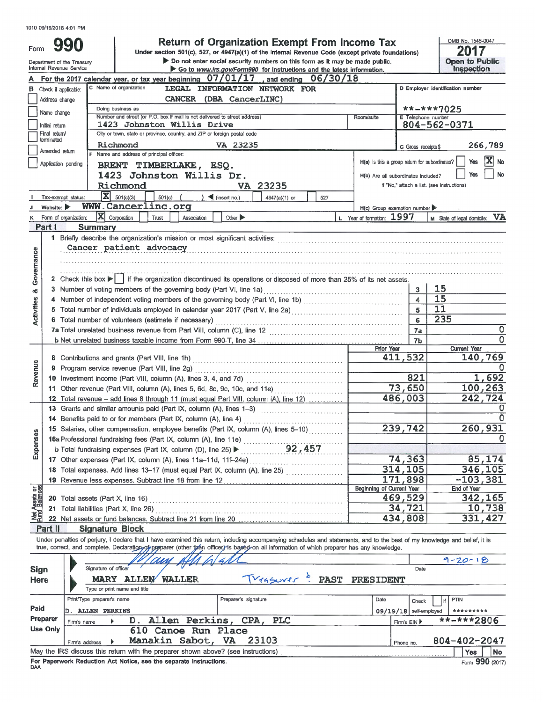|                                                                                                                                                                                                                                                                                                                                                                                                                                                                                                                                                                                                                                                                                                                                                                                                                                                                                                                                                                                                                                                                                                                                                                                                                                                                                                                                                                                                                                                                                                                                                                                                                                                                                                                                                                                                                                                                                                                                                                                                                                                                                                                                                                                                                                                                                                                                                                                                                                                                                                                                                                                                                                                                                                                                                                                                                                                                                                                                                                                                                                                                                                                                                                                                                                                                                                                                                                                                                                                                                                                                                                                                                                                           |                                                                                                                                                                                                                           |                                                                                   |  |  | OMB No. 1545-0047 |
|-----------------------------------------------------------------------------------------------------------------------------------------------------------------------------------------------------------------------------------------------------------------------------------------------------------------------------------------------------------------------------------------------------------------------------------------------------------------------------------------------------------------------------------------------------------------------------------------------------------------------------------------------------------------------------------------------------------------------------------------------------------------------------------------------------------------------------------------------------------------------------------------------------------------------------------------------------------------------------------------------------------------------------------------------------------------------------------------------------------------------------------------------------------------------------------------------------------------------------------------------------------------------------------------------------------------------------------------------------------------------------------------------------------------------------------------------------------------------------------------------------------------------------------------------------------------------------------------------------------------------------------------------------------------------------------------------------------------------------------------------------------------------------------------------------------------------------------------------------------------------------------------------------------------------------------------------------------------------------------------------------------------------------------------------------------------------------------------------------------------------------------------------------------------------------------------------------------------------------------------------------------------------------------------------------------------------------------------------------------------------------------------------------------------------------------------------------------------------------------------------------------------------------------------------------------------------------------------------------------------------------------------------------------------------------------------------------------------------------------------------------------------------------------------------------------------------------------------------------------------------------------------------------------------------------------------------------------------------------------------------------------------------------------------------------------------------------------------------------------------------------------------------------------------------------------------------------------------------------------------------------------------------------------------------------------------------------------------------------------------------------------------------------------------------------------------------------------------------------------------------------------------------------------------------------------------------------------------------------------------------------------------------------------|---------------------------------------------------------------------------------------------------------------------------------------------------------------------------------------------------------------------------|-----------------------------------------------------------------------------------|--|--|-------------------|
|                                                                                                                                                                                                                                                                                                                                                                                                                                                                                                                                                                                                                                                                                                                                                                                                                                                                                                                                                                                                                                                                                                                                                                                                                                                                                                                                                                                                                                                                                                                                                                                                                                                                                                                                                                                                                                                                                                                                                                                                                                                                                                                                                                                                                                                                                                                                                                                                                                                                                                                                                                                                                                                                                                                                                                                                                                                                                                                                                                                                                                                                                                                                                                                                                                                                                                                                                                                                                                                                                                                                                                                                                                                           |                                                                                                                                                                                                                           |                                                                                   |  |  |                   |
| 1010 09/19/2018 4:01 PM<br><b>Return of Organization Exempt From Income Tax</b><br>990<br>Form<br>201<br>Under section 501(c), 527, or 4947(a)(1) of the Internal Revenue Code (except private foundations)<br>Do not enter social security numbers on this form as it may be made public.<br>Department of the Treasury<br>Internal Revenue Service<br><b>Inspection</b><br>Go to www.irs.gov/Form990 for instructions and the latest information.<br>For the 2017 calendar year, or tax year beginning $07/01/17$ , and ending $06/30/18$<br>C Name of organization<br>LEGAL INFORMATION NETWORK FOR<br>D Employer identification number<br><b>B</b> Check if applicable:<br>(DBA CancerLINC)<br><b>CANCER</b><br>Address change<br>**-***7025<br>Doing business as<br>Name change<br>Number and street (or P.O. box if mail is not delivered to street address)<br><b>E</b> Telephone number<br>Room/suite<br>1423 Johnston Willis Drive<br>804-562-0371<br>Initial return<br>City or town, state or province, country, and ZIP or foreign postal code<br>Final return/<br>terminated<br>VA 23235<br>Richmond<br>G Gross receipts \$<br>Amended retum<br>F Name and address of principal officer:<br>H(a) Is this a group return for subordinates?<br>Yes<br>Application pending<br>BRENT TIMBERLAKE, ESQ.<br>Yes<br>1423 Johnston Willis Dr.<br>H(b) Are all subordinates included?<br><b>Richmond</b><br>VA 23235<br>If "No," attach a list. (see instructions)<br><b>X</b><br>$501(c)$ (<br>501(c)(3)<br>$\bigcup$ (insert no.)<br>Tax-exempt status:<br>4947(a)(1) or<br>527<br>WWW.Cancerlinc.org<br>Website:<br>$H(c)$ Group exemption number<br>$ \mathbf{X} $ Corporation<br>L Year of formation: 1997<br>Trust<br>Other $\blacktriangleright$<br>Form of organization:<br>Association<br>Part I<br>Summary<br>Cancer patient advocacy<br>Governance<br>2 Check this box $\blacktriangleright$   if the organization discontinued its operations or disposed of more than 25% of its net assets.<br>15<br>$\overline{\mathbf{3}}$<br>oð<br>15<br>Activities<br>4<br>11<br>235<br>6<br>7a<br>7b<br><b>Current Year</b><br><b>Prior Year</b><br>411,532<br>Revenue<br>821<br>73,650<br>11 Other revenue (Part VIII, column (A), lines 5, 6d, 8c, 9c, 10c, and 11e)<br>486,003<br>12 Total revenue - add lines 8 through 11 (must equal Part VIII, column (A), line 12)<br>13 Grants and similar amounts paid (Part IX, column (A), lines 1-3)<br>14 Benefits paid to or for members (Part IX, column (A), line 4)<br>239,742<br>15 Salaries, other compensation, employee benefits (Part IX, column (A), lines 5-10)<br>Expenses<br>15 Salaries, other components of the Carl IX, column (A), line 11e)<br>16a Professional fundraising fees (Part IX, column (A), line 251<br>74,363<br>17 Other expenses (Part IX, column (A), lines 11a-11d, 11f-24e)<br>314, 105<br>18 Total expenses. Add lines 13-17 (must equal Part IX, column (A), line 25)<br>171,898<br>19 Revenue less expenses. Subtract line 18 from line 12<br>Assets or<br><b>Beginning of Current Year</b><br>End of Year<br>469,529<br>20 Total assets (Part X, line 16)<br>34,721<br>21 Total liabilities (Part X, line 26)<br>望<br>434,808<br>Part II<br><b>Signature Block</b><br>Under penalties of perjury, I declare that I have examined this return, including accompanying schedules and statements, and to the best of my knowledge and belief, it is<br>true, correct, and complete. Declaration, of proparer (other than officer) is based on all information of which preparer has any knowledge.<br>$9 - 20 - 18$<br>Signature of officer<br>Date<br><b>Sign</b> |                                                                                                                                                                                                                           |                                                                                   |  |  |                   |
| TVIASUVER ? PAST<br><b>MARY ALLEN</b><br><b>WALLER</b><br>PRESIDENT<br><b>Here</b><br>Type or print name and title<br>Print/Type preparer's name<br>Preparer's signature<br>Date<br>PTIN<br>Check<br>Paid<br><b>D. ALLEN PERKINS</b><br>$09/19/18$ self-employed<br>*********                                                                                                                                                                                                                                                                                                                                                                                                                                                                                                                                                                                                                                                                                                                                                                                                                                                                                                                                                                                                                                                                                                                                                                                                                                                                                                                                                                                                                                                                                                                                                                                                                                                                                                                                                                                                                                                                                                                                                                                                                                                                                                                                                                                                                                                                                                                                                                                                                                                                                                                                                                                                                                                                                                                                                                                                                                                                                                                                                                                                                                                                                                                                                                                                                                                                                                                                                                             |                                                                                                                                                                                                                           |                                                                                   |  |  |                   |
|                                                                                                                                                                                                                                                                                                                                                                                                                                                                                                                                                                                                                                                                                                                                                                                                                                                                                                                                                                                                                                                                                                                                                                                                                                                                                                                                                                                                                                                                                                                                                                                                                                                                                                                                                                                                                                                                                                                                                                                                                                                                                                                                                                                                                                                                                                                                                                                                                                                                                                                                                                                                                                                                                                                                                                                                                                                                                                                                                                                                                                                                                                                                                                                                                                                                                                                                                                                                                                                                                                                                                                                                                                                           |                                                                                                                                                                                                                           |                                                                                   |  |  |                   |
|                                                                                                                                                                                                                                                                                                                                                                                                                                                                                                                                                                                                                                                                                                                                                                                                                                                                                                                                                                                                                                                                                                                                                                                                                                                                                                                                                                                                                                                                                                                                                                                                                                                                                                                                                                                                                                                                                                                                                                                                                                                                                                                                                                                                                                                                                                                                                                                                                                                                                                                                                                                                                                                                                                                                                                                                                                                                                                                                                                                                                                                                                                                                                                                                                                                                                                                                                                                                                                                                                                                                                                                                                                                           |                                                                                                                                                                                                                           |                                                                                   |  |  |                   |
|                                                                                                                                                                                                                                                                                                                                                                                                                                                                                                                                                                                                                                                                                                                                                                                                                                                                                                                                                                                                                                                                                                                                                                                                                                                                                                                                                                                                                                                                                                                                                                                                                                                                                                                                                                                                                                                                                                                                                                                                                                                                                                                                                                                                                                                                                                                                                                                                                                                                                                                                                                                                                                                                                                                                                                                                                                                                                                                                                                                                                                                                                                                                                                                                                                                                                                                                                                                                                                                                                                                                                                                                                                                           |                                                                                                                                                                                                                           |                                                                                   |  |  |                   |
|                                                                                                                                                                                                                                                                                                                                                                                                                                                                                                                                                                                                                                                                                                                                                                                                                                                                                                                                                                                                                                                                                                                                                                                                                                                                                                                                                                                                                                                                                                                                                                                                                                                                                                                                                                                                                                                                                                                                                                                                                                                                                                                                                                                                                                                                                                                                                                                                                                                                                                                                                                                                                                                                                                                                                                                                                                                                                                                                                                                                                                                                                                                                                                                                                                                                                                                                                                                                                                                                                                                                                                                                                                                           |                                                                                                                                                                                                                           |                                                                                   |  |  |                   |
| <b>Open to Public</b><br><b>Preparer</b><br>Allen Perkins, CPA,<br><b>PLC</b><br>**-***2806<br>D.<br>Firm's name<br>Firm's EIN ▶<br><b>Use Only</b><br>610 Canoe Run Place                                                                                                                                                                                                                                                                                                                                                                                                                                                                                                                                                                                                                                                                                                                                                                                                                                                                                                                                                                                                                                                                                                                                                                                                                                                                                                                                                                                                                                                                                                                                                                                                                                                                                                                                                                                                                                                                                                                                                                                                                                                                                                                                                                                                                                                                                                                                                                                                                                                                                                                                                                                                                                                                                                                                                                                                                                                                                                                                                                                                                                                                                                                                                                                                                                                                                                                                                                                                                                                                                |                                                                                                                                                                                                                           |                                                                                   |  |  |                   |
| Manakin Sabot, VA<br>23103<br>804-402-2047<br>Firm's address<br>Phone no.                                                                                                                                                                                                                                                                                                                                                                                                                                                                                                                                                                                                                                                                                                                                                                                                                                                                                                                                                                                                                                                                                                                                                                                                                                                                                                                                                                                                                                                                                                                                                                                                                                                                                                                                                                                                                                                                                                                                                                                                                                                                                                                                                                                                                                                                                                                                                                                                                                                                                                                                                                                                                                                                                                                                                                                                                                                                                                                                                                                                                                                                                                                                                                                                                                                                                                                                                                                                                                                                                                                                                                                 |                                                                                                                                                                                                                           |                                                                                   |  |  |                   |
|                                                                                                                                                                                                                                                                                                                                                                                                                                                                                                                                                                                                                                                                                                                                                                                                                                                                                                                                                                                                                                                                                                                                                                                                                                                                                                                                                                                                                                                                                                                                                                                                                                                                                                                                                                                                                                                                                                                                                                                                                                                                                                                                                                                                                                                                                                                                                                                                                                                                                                                                                                                                                                                                                                                                                                                                                                                                                                                                                                                                                                                                                                                                                                                                                                                                                                                                                                                                                                                                                                                                                                                                                                                           | 266,789<br><b>No</b><br>No<br>M State of legal domicile: VA<br>$\mathbf 0$<br>0<br>140,769<br>1,692<br>100, 263<br>242,724<br>$\Omega$<br>260,931<br>0<br>85,174<br>346,105<br>$-103,381$<br>342,165<br>10,738<br>331,427 |                                                                                   |  |  |                   |
|                                                                                                                                                                                                                                                                                                                                                                                                                                                                                                                                                                                                                                                                                                                                                                                                                                                                                                                                                                                                                                                                                                                                                                                                                                                                                                                                                                                                                                                                                                                                                                                                                                                                                                                                                                                                                                                                                                                                                                                                                                                                                                                                                                                                                                                                                                                                                                                                                                                                                                                                                                                                                                                                                                                                                                                                                                                                                                                                                                                                                                                                                                                                                                                                                                                                                                                                                                                                                                                                                                                                                                                                                                                           |                                                                                                                                                                                                                           |                                                                                   |  |  |                   |
|                                                                                                                                                                                                                                                                                                                                                                                                                                                                                                                                                                                                                                                                                                                                                                                                                                                                                                                                                                                                                                                                                                                                                                                                                                                                                                                                                                                                                                                                                                                                                                                                                                                                                                                                                                                                                                                                                                                                                                                                                                                                                                                                                                                                                                                                                                                                                                                                                                                                                                                                                                                                                                                                                                                                                                                                                                                                                                                                                                                                                                                                                                                                                                                                                                                                                                                                                                                                                                                                                                                                                                                                                                                           |                                                                                                                                                                                                                           |                                                                                   |  |  |                   |
|                                                                                                                                                                                                                                                                                                                                                                                                                                                                                                                                                                                                                                                                                                                                                                                                                                                                                                                                                                                                                                                                                                                                                                                                                                                                                                                                                                                                                                                                                                                                                                                                                                                                                                                                                                                                                                                                                                                                                                                                                                                                                                                                                                                                                                                                                                                                                                                                                                                                                                                                                                                                                                                                                                                                                                                                                                                                                                                                                                                                                                                                                                                                                                                                                                                                                                                                                                                                                                                                                                                                                                                                                                                           |                                                                                                                                                                                                                           |                                                                                   |  |  |                   |
|                                                                                                                                                                                                                                                                                                                                                                                                                                                                                                                                                                                                                                                                                                                                                                                                                                                                                                                                                                                                                                                                                                                                                                                                                                                                                                                                                                                                                                                                                                                                                                                                                                                                                                                                                                                                                                                                                                                                                                                                                                                                                                                                                                                                                                                                                                                                                                                                                                                                                                                                                                                                                                                                                                                                                                                                                                                                                                                                                                                                                                                                                                                                                                                                                                                                                                                                                                                                                                                                                                                                                                                                                                                           |                                                                                                                                                                                                                           |                                                                                   |  |  |                   |
|                                                                                                                                                                                                                                                                                                                                                                                                                                                                                                                                                                                                                                                                                                                                                                                                                                                                                                                                                                                                                                                                                                                                                                                                                                                                                                                                                                                                                                                                                                                                                                                                                                                                                                                                                                                                                                                                                                                                                                                                                                                                                                                                                                                                                                                                                                                                                                                                                                                                                                                                                                                                                                                                                                                                                                                                                                                                                                                                                                                                                                                                                                                                                                                                                                                                                                                                                                                                                                                                                                                                                                                                                                                           |                                                                                                                                                                                                                           |                                                                                   |  |  |                   |
|                                                                                                                                                                                                                                                                                                                                                                                                                                                                                                                                                                                                                                                                                                                                                                                                                                                                                                                                                                                                                                                                                                                                                                                                                                                                                                                                                                                                                                                                                                                                                                                                                                                                                                                                                                                                                                                                                                                                                                                                                                                                                                                                                                                                                                                                                                                                                                                                                                                                                                                                                                                                                                                                                                                                                                                                                                                                                                                                                                                                                                                                                                                                                                                                                                                                                                                                                                                                                                                                                                                                                                                                                                                           |                                                                                                                                                                                                                           |                                                                                   |  |  |                   |
|                                                                                                                                                                                                                                                                                                                                                                                                                                                                                                                                                                                                                                                                                                                                                                                                                                                                                                                                                                                                                                                                                                                                                                                                                                                                                                                                                                                                                                                                                                                                                                                                                                                                                                                                                                                                                                                                                                                                                                                                                                                                                                                                                                                                                                                                                                                                                                                                                                                                                                                                                                                                                                                                                                                                                                                                                                                                                                                                                                                                                                                                                                                                                                                                                                                                                                                                                                                                                                                                                                                                                                                                                                                           |                                                                                                                                                                                                                           |                                                                                   |  |  |                   |
|                                                                                                                                                                                                                                                                                                                                                                                                                                                                                                                                                                                                                                                                                                                                                                                                                                                                                                                                                                                                                                                                                                                                                                                                                                                                                                                                                                                                                                                                                                                                                                                                                                                                                                                                                                                                                                                                                                                                                                                                                                                                                                                                                                                                                                                                                                                                                                                                                                                                                                                                                                                                                                                                                                                                                                                                                                                                                                                                                                                                                                                                                                                                                                                                                                                                                                                                                                                                                                                                                                                                                                                                                                                           |                                                                                                                                                                                                                           |                                                                                   |  |  |                   |
|                                                                                                                                                                                                                                                                                                                                                                                                                                                                                                                                                                                                                                                                                                                                                                                                                                                                                                                                                                                                                                                                                                                                                                                                                                                                                                                                                                                                                                                                                                                                                                                                                                                                                                                                                                                                                                                                                                                                                                                                                                                                                                                                                                                                                                                                                                                                                                                                                                                                                                                                                                                                                                                                                                                                                                                                                                                                                                                                                                                                                                                                                                                                                                                                                                                                                                                                                                                                                                                                                                                                                                                                                                                           |                                                                                                                                                                                                                           |                                                                                   |  |  |                   |
|                                                                                                                                                                                                                                                                                                                                                                                                                                                                                                                                                                                                                                                                                                                                                                                                                                                                                                                                                                                                                                                                                                                                                                                                                                                                                                                                                                                                                                                                                                                                                                                                                                                                                                                                                                                                                                                                                                                                                                                                                                                                                                                                                                                                                                                                                                                                                                                                                                                                                                                                                                                                                                                                                                                                                                                                                                                                                                                                                                                                                                                                                                                                                                                                                                                                                                                                                                                                                                                                                                                                                                                                                                                           |                                                                                                                                                                                                                           |                                                                                   |  |  |                   |
|                                                                                                                                                                                                                                                                                                                                                                                                                                                                                                                                                                                                                                                                                                                                                                                                                                                                                                                                                                                                                                                                                                                                                                                                                                                                                                                                                                                                                                                                                                                                                                                                                                                                                                                                                                                                                                                                                                                                                                                                                                                                                                                                                                                                                                                                                                                                                                                                                                                                                                                                                                                                                                                                                                                                                                                                                                                                                                                                                                                                                                                                                                                                                                                                                                                                                                                                                                                                                                                                                                                                                                                                                                                           |                                                                                                                                                                                                                           |                                                                                   |  |  |                   |
|                                                                                                                                                                                                                                                                                                                                                                                                                                                                                                                                                                                                                                                                                                                                                                                                                                                                                                                                                                                                                                                                                                                                                                                                                                                                                                                                                                                                                                                                                                                                                                                                                                                                                                                                                                                                                                                                                                                                                                                                                                                                                                                                                                                                                                                                                                                                                                                                                                                                                                                                                                                                                                                                                                                                                                                                                                                                                                                                                                                                                                                                                                                                                                                                                                                                                                                                                                                                                                                                                                                                                                                                                                                           |                                                                                                                                                                                                                           |                                                                                   |  |  |                   |
|                                                                                                                                                                                                                                                                                                                                                                                                                                                                                                                                                                                                                                                                                                                                                                                                                                                                                                                                                                                                                                                                                                                                                                                                                                                                                                                                                                                                                                                                                                                                                                                                                                                                                                                                                                                                                                                                                                                                                                                                                                                                                                                                                                                                                                                                                                                                                                                                                                                                                                                                                                                                                                                                                                                                                                                                                                                                                                                                                                                                                                                                                                                                                                                                                                                                                                                                                                                                                                                                                                                                                                                                                                                           |                                                                                                                                                                                                                           |                                                                                   |  |  |                   |
|                                                                                                                                                                                                                                                                                                                                                                                                                                                                                                                                                                                                                                                                                                                                                                                                                                                                                                                                                                                                                                                                                                                                                                                                                                                                                                                                                                                                                                                                                                                                                                                                                                                                                                                                                                                                                                                                                                                                                                                                                                                                                                                                                                                                                                                                                                                                                                                                                                                                                                                                                                                                                                                                                                                                                                                                                                                                                                                                                                                                                                                                                                                                                                                                                                                                                                                                                                                                                                                                                                                                                                                                                                                           |                                                                                                                                                                                                                           |                                                                                   |  |  |                   |
|                                                                                                                                                                                                                                                                                                                                                                                                                                                                                                                                                                                                                                                                                                                                                                                                                                                                                                                                                                                                                                                                                                                                                                                                                                                                                                                                                                                                                                                                                                                                                                                                                                                                                                                                                                                                                                                                                                                                                                                                                                                                                                                                                                                                                                                                                                                                                                                                                                                                                                                                                                                                                                                                                                                                                                                                                                                                                                                                                                                                                                                                                                                                                                                                                                                                                                                                                                                                                                                                                                                                                                                                                                                           |                                                                                                                                                                                                                           |                                                                                   |  |  |                   |
|                                                                                                                                                                                                                                                                                                                                                                                                                                                                                                                                                                                                                                                                                                                                                                                                                                                                                                                                                                                                                                                                                                                                                                                                                                                                                                                                                                                                                                                                                                                                                                                                                                                                                                                                                                                                                                                                                                                                                                                                                                                                                                                                                                                                                                                                                                                                                                                                                                                                                                                                                                                                                                                                                                                                                                                                                                                                                                                                                                                                                                                                                                                                                                                                                                                                                                                                                                                                                                                                                                                                                                                                                                                           |                                                                                                                                                                                                                           |                                                                                   |  |  |                   |
|                                                                                                                                                                                                                                                                                                                                                                                                                                                                                                                                                                                                                                                                                                                                                                                                                                                                                                                                                                                                                                                                                                                                                                                                                                                                                                                                                                                                                                                                                                                                                                                                                                                                                                                                                                                                                                                                                                                                                                                                                                                                                                                                                                                                                                                                                                                                                                                                                                                                                                                                                                                                                                                                                                                                                                                                                                                                                                                                                                                                                                                                                                                                                                                                                                                                                                                                                                                                                                                                                                                                                                                                                                                           |                                                                                                                                                                                                                           |                                                                                   |  |  |                   |
|                                                                                                                                                                                                                                                                                                                                                                                                                                                                                                                                                                                                                                                                                                                                                                                                                                                                                                                                                                                                                                                                                                                                                                                                                                                                                                                                                                                                                                                                                                                                                                                                                                                                                                                                                                                                                                                                                                                                                                                                                                                                                                                                                                                                                                                                                                                                                                                                                                                                                                                                                                                                                                                                                                                                                                                                                                                                                                                                                                                                                                                                                                                                                                                                                                                                                                                                                                                                                                                                                                                                                                                                                                                           |                                                                                                                                                                                                                           |                                                                                   |  |  |                   |
|                                                                                                                                                                                                                                                                                                                                                                                                                                                                                                                                                                                                                                                                                                                                                                                                                                                                                                                                                                                                                                                                                                                                                                                                                                                                                                                                                                                                                                                                                                                                                                                                                                                                                                                                                                                                                                                                                                                                                                                                                                                                                                                                                                                                                                                                                                                                                                                                                                                                                                                                                                                                                                                                                                                                                                                                                                                                                                                                                                                                                                                                                                                                                                                                                                                                                                                                                                                                                                                                                                                                                                                                                                                           |                                                                                                                                                                                                                           |                                                                                   |  |  |                   |
|                                                                                                                                                                                                                                                                                                                                                                                                                                                                                                                                                                                                                                                                                                                                                                                                                                                                                                                                                                                                                                                                                                                                                                                                                                                                                                                                                                                                                                                                                                                                                                                                                                                                                                                                                                                                                                                                                                                                                                                                                                                                                                                                                                                                                                                                                                                                                                                                                                                                                                                                                                                                                                                                                                                                                                                                                                                                                                                                                                                                                                                                                                                                                                                                                                                                                                                                                                                                                                                                                                                                                                                                                                                           |                                                                                                                                                                                                                           |                                                                                   |  |  |                   |
|                                                                                                                                                                                                                                                                                                                                                                                                                                                                                                                                                                                                                                                                                                                                                                                                                                                                                                                                                                                                                                                                                                                                                                                                                                                                                                                                                                                                                                                                                                                                                                                                                                                                                                                                                                                                                                                                                                                                                                                                                                                                                                                                                                                                                                                                                                                                                                                                                                                                                                                                                                                                                                                                                                                                                                                                                                                                                                                                                                                                                                                                                                                                                                                                                                                                                                                                                                                                                                                                                                                                                                                                                                                           |                                                                                                                                                                                                                           |                                                                                   |  |  |                   |
|                                                                                                                                                                                                                                                                                                                                                                                                                                                                                                                                                                                                                                                                                                                                                                                                                                                                                                                                                                                                                                                                                                                                                                                                                                                                                                                                                                                                                                                                                                                                                                                                                                                                                                                                                                                                                                                                                                                                                                                                                                                                                                                                                                                                                                                                                                                                                                                                                                                                                                                                                                                                                                                                                                                                                                                                                                                                                                                                                                                                                                                                                                                                                                                                                                                                                                                                                                                                                                                                                                                                                                                                                                                           |                                                                                                                                                                                                                           |                                                                                   |  |  |                   |
|                                                                                                                                                                                                                                                                                                                                                                                                                                                                                                                                                                                                                                                                                                                                                                                                                                                                                                                                                                                                                                                                                                                                                                                                                                                                                                                                                                                                                                                                                                                                                                                                                                                                                                                                                                                                                                                                                                                                                                                                                                                                                                                                                                                                                                                                                                                                                                                                                                                                                                                                                                                                                                                                                                                                                                                                                                                                                                                                                                                                                                                                                                                                                                                                                                                                                                                                                                                                                                                                                                                                                                                                                                                           |                                                                                                                                                                                                                           |                                                                                   |  |  |                   |
|                                                                                                                                                                                                                                                                                                                                                                                                                                                                                                                                                                                                                                                                                                                                                                                                                                                                                                                                                                                                                                                                                                                                                                                                                                                                                                                                                                                                                                                                                                                                                                                                                                                                                                                                                                                                                                                                                                                                                                                                                                                                                                                                                                                                                                                                                                                                                                                                                                                                                                                                                                                                                                                                                                                                                                                                                                                                                                                                                                                                                                                                                                                                                                                                                                                                                                                                                                                                                                                                                                                                                                                                                                                           |                                                                                                                                                                                                                           |                                                                                   |  |  |                   |
|                                                                                                                                                                                                                                                                                                                                                                                                                                                                                                                                                                                                                                                                                                                                                                                                                                                                                                                                                                                                                                                                                                                                                                                                                                                                                                                                                                                                                                                                                                                                                                                                                                                                                                                                                                                                                                                                                                                                                                                                                                                                                                                                                                                                                                                                                                                                                                                                                                                                                                                                                                                                                                                                                                                                                                                                                                                                                                                                                                                                                                                                                                                                                                                                                                                                                                                                                                                                                                                                                                                                                                                                                                                           |                                                                                                                                                                                                                           |                                                                                   |  |  |                   |
|                                                                                                                                                                                                                                                                                                                                                                                                                                                                                                                                                                                                                                                                                                                                                                                                                                                                                                                                                                                                                                                                                                                                                                                                                                                                                                                                                                                                                                                                                                                                                                                                                                                                                                                                                                                                                                                                                                                                                                                                                                                                                                                                                                                                                                                                                                                                                                                                                                                                                                                                                                                                                                                                                                                                                                                                                                                                                                                                                                                                                                                                                                                                                                                                                                                                                                                                                                                                                                                                                                                                                                                                                                                           |                                                                                                                                                                                                                           |                                                                                   |  |  |                   |
|                                                                                                                                                                                                                                                                                                                                                                                                                                                                                                                                                                                                                                                                                                                                                                                                                                                                                                                                                                                                                                                                                                                                                                                                                                                                                                                                                                                                                                                                                                                                                                                                                                                                                                                                                                                                                                                                                                                                                                                                                                                                                                                                                                                                                                                                                                                                                                                                                                                                                                                                                                                                                                                                                                                                                                                                                                                                                                                                                                                                                                                                                                                                                                                                                                                                                                                                                                                                                                                                                                                                                                                                                                                           |                                                                                                                                                                                                                           |                                                                                   |  |  |                   |
|                                                                                                                                                                                                                                                                                                                                                                                                                                                                                                                                                                                                                                                                                                                                                                                                                                                                                                                                                                                                                                                                                                                                                                                                                                                                                                                                                                                                                                                                                                                                                                                                                                                                                                                                                                                                                                                                                                                                                                                                                                                                                                                                                                                                                                                                                                                                                                                                                                                                                                                                                                                                                                                                                                                                                                                                                                                                                                                                                                                                                                                                                                                                                                                                                                                                                                                                                                                                                                                                                                                                                                                                                                                           |                                                                                                                                                                                                                           |                                                                                   |  |  |                   |
|                                                                                                                                                                                                                                                                                                                                                                                                                                                                                                                                                                                                                                                                                                                                                                                                                                                                                                                                                                                                                                                                                                                                                                                                                                                                                                                                                                                                                                                                                                                                                                                                                                                                                                                                                                                                                                                                                                                                                                                                                                                                                                                                                                                                                                                                                                                                                                                                                                                                                                                                                                                                                                                                                                                                                                                                                                                                                                                                                                                                                                                                                                                                                                                                                                                                                                                                                                                                                                                                                                                                                                                                                                                           |                                                                                                                                                                                                                           |                                                                                   |  |  |                   |
|                                                                                                                                                                                                                                                                                                                                                                                                                                                                                                                                                                                                                                                                                                                                                                                                                                                                                                                                                                                                                                                                                                                                                                                                                                                                                                                                                                                                                                                                                                                                                                                                                                                                                                                                                                                                                                                                                                                                                                                                                                                                                                                                                                                                                                                                                                                                                                                                                                                                                                                                                                                                                                                                                                                                                                                                                                                                                                                                                                                                                                                                                                                                                                                                                                                                                                                                                                                                                                                                                                                                                                                                                                                           |                                                                                                                                                                                                                           |                                                                                   |  |  |                   |
|                                                                                                                                                                                                                                                                                                                                                                                                                                                                                                                                                                                                                                                                                                                                                                                                                                                                                                                                                                                                                                                                                                                                                                                                                                                                                                                                                                                                                                                                                                                                                                                                                                                                                                                                                                                                                                                                                                                                                                                                                                                                                                                                                                                                                                                                                                                                                                                                                                                                                                                                                                                                                                                                                                                                                                                                                                                                                                                                                                                                                                                                                                                                                                                                                                                                                                                                                                                                                                                                                                                                                                                                                                                           |                                                                                                                                                                                                                           |                                                                                   |  |  |                   |
|                                                                                                                                                                                                                                                                                                                                                                                                                                                                                                                                                                                                                                                                                                                                                                                                                                                                                                                                                                                                                                                                                                                                                                                                                                                                                                                                                                                                                                                                                                                                                                                                                                                                                                                                                                                                                                                                                                                                                                                                                                                                                                                                                                                                                                                                                                                                                                                                                                                                                                                                                                                                                                                                                                                                                                                                                                                                                                                                                                                                                                                                                                                                                                                                                                                                                                                                                                                                                                                                                                                                                                                                                                                           |                                                                                                                                                                                                                           |                                                                                   |  |  |                   |
|                                                                                                                                                                                                                                                                                                                                                                                                                                                                                                                                                                                                                                                                                                                                                                                                                                                                                                                                                                                                                                                                                                                                                                                                                                                                                                                                                                                                                                                                                                                                                                                                                                                                                                                                                                                                                                                                                                                                                                                                                                                                                                                                                                                                                                                                                                                                                                                                                                                                                                                                                                                                                                                                                                                                                                                                                                                                                                                                                                                                                                                                                                                                                                                                                                                                                                                                                                                                                                                                                                                                                                                                                                                           |                                                                                                                                                                                                                           |                                                                                   |  |  |                   |
|                                                                                                                                                                                                                                                                                                                                                                                                                                                                                                                                                                                                                                                                                                                                                                                                                                                                                                                                                                                                                                                                                                                                                                                                                                                                                                                                                                                                                                                                                                                                                                                                                                                                                                                                                                                                                                                                                                                                                                                                                                                                                                                                                                                                                                                                                                                                                                                                                                                                                                                                                                                                                                                                                                                                                                                                                                                                                                                                                                                                                                                                                                                                                                                                                                                                                                                                                                                                                                                                                                                                                                                                                                                           |                                                                                                                                                                                                                           |                                                                                   |  |  |                   |
|                                                                                                                                                                                                                                                                                                                                                                                                                                                                                                                                                                                                                                                                                                                                                                                                                                                                                                                                                                                                                                                                                                                                                                                                                                                                                                                                                                                                                                                                                                                                                                                                                                                                                                                                                                                                                                                                                                                                                                                                                                                                                                                                                                                                                                                                                                                                                                                                                                                                                                                                                                                                                                                                                                                                                                                                                                                                                                                                                                                                                                                                                                                                                                                                                                                                                                                                                                                                                                                                                                                                                                                                                                                           |                                                                                                                                                                                                                           |                                                                                   |  |  |                   |
|                                                                                                                                                                                                                                                                                                                                                                                                                                                                                                                                                                                                                                                                                                                                                                                                                                                                                                                                                                                                                                                                                                                                                                                                                                                                                                                                                                                                                                                                                                                                                                                                                                                                                                                                                                                                                                                                                                                                                                                                                                                                                                                                                                                                                                                                                                                                                                                                                                                                                                                                                                                                                                                                                                                                                                                                                                                                                                                                                                                                                                                                                                                                                                                                                                                                                                                                                                                                                                                                                                                                                                                                                                                           |                                                                                                                                                                                                                           |                                                                                   |  |  |                   |
|                                                                                                                                                                                                                                                                                                                                                                                                                                                                                                                                                                                                                                                                                                                                                                                                                                                                                                                                                                                                                                                                                                                                                                                                                                                                                                                                                                                                                                                                                                                                                                                                                                                                                                                                                                                                                                                                                                                                                                                                                                                                                                                                                                                                                                                                                                                                                                                                                                                                                                                                                                                                                                                                                                                                                                                                                                                                                                                                                                                                                                                                                                                                                                                                                                                                                                                                                                                                                                                                                                                                                                                                                                                           |                                                                                                                                                                                                                           |                                                                                   |  |  |                   |
|                                                                                                                                                                                                                                                                                                                                                                                                                                                                                                                                                                                                                                                                                                                                                                                                                                                                                                                                                                                                                                                                                                                                                                                                                                                                                                                                                                                                                                                                                                                                                                                                                                                                                                                                                                                                                                                                                                                                                                                                                                                                                                                                                                                                                                                                                                                                                                                                                                                                                                                                                                                                                                                                                                                                                                                                                                                                                                                                                                                                                                                                                                                                                                                                                                                                                                                                                                                                                                                                                                                                                                                                                                                           |                                                                                                                                                                                                                           |                                                                                   |  |  |                   |
|                                                                                                                                                                                                                                                                                                                                                                                                                                                                                                                                                                                                                                                                                                                                                                                                                                                                                                                                                                                                                                                                                                                                                                                                                                                                                                                                                                                                                                                                                                                                                                                                                                                                                                                                                                                                                                                                                                                                                                                                                                                                                                                                                                                                                                                                                                                                                                                                                                                                                                                                                                                                                                                                                                                                                                                                                                                                                                                                                                                                                                                                                                                                                                                                                                                                                                                                                                                                                                                                                                                                                                                                                                                           |                                                                                                                                                                                                                           |                                                                                   |  |  |                   |
|                                                                                                                                                                                                                                                                                                                                                                                                                                                                                                                                                                                                                                                                                                                                                                                                                                                                                                                                                                                                                                                                                                                                                                                                                                                                                                                                                                                                                                                                                                                                                                                                                                                                                                                                                                                                                                                                                                                                                                                                                                                                                                                                                                                                                                                                                                                                                                                                                                                                                                                                                                                                                                                                                                                                                                                                                                                                                                                                                                                                                                                                                                                                                                                                                                                                                                                                                                                                                                                                                                                                                                                                                                                           |                                                                                                                                                                                                                           |                                                                                   |  |  |                   |
|                                                                                                                                                                                                                                                                                                                                                                                                                                                                                                                                                                                                                                                                                                                                                                                                                                                                                                                                                                                                                                                                                                                                                                                                                                                                                                                                                                                                                                                                                                                                                                                                                                                                                                                                                                                                                                                                                                                                                                                                                                                                                                                                                                                                                                                                                                                                                                                                                                                                                                                                                                                                                                                                                                                                                                                                                                                                                                                                                                                                                                                                                                                                                                                                                                                                                                                                                                                                                                                                                                                                                                                                                                                           |                                                                                                                                                                                                                           |                                                                                   |  |  |                   |
|                                                                                                                                                                                                                                                                                                                                                                                                                                                                                                                                                                                                                                                                                                                                                                                                                                                                                                                                                                                                                                                                                                                                                                                                                                                                                                                                                                                                                                                                                                                                                                                                                                                                                                                                                                                                                                                                                                                                                                                                                                                                                                                                                                                                                                                                                                                                                                                                                                                                                                                                                                                                                                                                                                                                                                                                                                                                                                                                                                                                                                                                                                                                                                                                                                                                                                                                                                                                                                                                                                                                                                                                                                                           |                                                                                                                                                                                                                           |                                                                                   |  |  |                   |
|                                                                                                                                                                                                                                                                                                                                                                                                                                                                                                                                                                                                                                                                                                                                                                                                                                                                                                                                                                                                                                                                                                                                                                                                                                                                                                                                                                                                                                                                                                                                                                                                                                                                                                                                                                                                                                                                                                                                                                                                                                                                                                                                                                                                                                                                                                                                                                                                                                                                                                                                                                                                                                                                                                                                                                                                                                                                                                                                                                                                                                                                                                                                                                                                                                                                                                                                                                                                                                                                                                                                                                                                                                                           |                                                                                                                                                                                                                           |                                                                                   |  |  |                   |
|                                                                                                                                                                                                                                                                                                                                                                                                                                                                                                                                                                                                                                                                                                                                                                                                                                                                                                                                                                                                                                                                                                                                                                                                                                                                                                                                                                                                                                                                                                                                                                                                                                                                                                                                                                                                                                                                                                                                                                                                                                                                                                                                                                                                                                                                                                                                                                                                                                                                                                                                                                                                                                                                                                                                                                                                                                                                                                                                                                                                                                                                                                                                                                                                                                                                                                                                                                                                                                                                                                                                                                                                                                                           |                                                                                                                                                                                                                           |                                                                                   |  |  |                   |
|                                                                                                                                                                                                                                                                                                                                                                                                                                                                                                                                                                                                                                                                                                                                                                                                                                                                                                                                                                                                                                                                                                                                                                                                                                                                                                                                                                                                                                                                                                                                                                                                                                                                                                                                                                                                                                                                                                                                                                                                                                                                                                                                                                                                                                                                                                                                                                                                                                                                                                                                                                                                                                                                                                                                                                                                                                                                                                                                                                                                                                                                                                                                                                                                                                                                                                                                                                                                                                                                                                                                                                                                                                                           |                                                                                                                                                                                                                           |                                                                                   |  |  |                   |
|                                                                                                                                                                                                                                                                                                                                                                                                                                                                                                                                                                                                                                                                                                                                                                                                                                                                                                                                                                                                                                                                                                                                                                                                                                                                                                                                                                                                                                                                                                                                                                                                                                                                                                                                                                                                                                                                                                                                                                                                                                                                                                                                                                                                                                                                                                                                                                                                                                                                                                                                                                                                                                                                                                                                                                                                                                                                                                                                                                                                                                                                                                                                                                                                                                                                                                                                                                                                                                                                                                                                                                                                                                                           |                                                                                                                                                                                                                           |                                                                                   |  |  |                   |
|                                                                                                                                                                                                                                                                                                                                                                                                                                                                                                                                                                                                                                                                                                                                                                                                                                                                                                                                                                                                                                                                                                                                                                                                                                                                                                                                                                                                                                                                                                                                                                                                                                                                                                                                                                                                                                                                                                                                                                                                                                                                                                                                                                                                                                                                                                                                                                                                                                                                                                                                                                                                                                                                                                                                                                                                                                                                                                                                                                                                                                                                                                                                                                                                                                                                                                                                                                                                                                                                                                                                                                                                                                                           |                                                                                                                                                                                                                           |                                                                                   |  |  |                   |
|                                                                                                                                                                                                                                                                                                                                                                                                                                                                                                                                                                                                                                                                                                                                                                                                                                                                                                                                                                                                                                                                                                                                                                                                                                                                                                                                                                                                                                                                                                                                                                                                                                                                                                                                                                                                                                                                                                                                                                                                                                                                                                                                                                                                                                                                                                                                                                                                                                                                                                                                                                                                                                                                                                                                                                                                                                                                                                                                                                                                                                                                                                                                                                                                                                                                                                                                                                                                                                                                                                                                                                                                                                                           |                                                                                                                                                                                                                           |                                                                                   |  |  |                   |
|                                                                                                                                                                                                                                                                                                                                                                                                                                                                                                                                                                                                                                                                                                                                                                                                                                                                                                                                                                                                                                                                                                                                                                                                                                                                                                                                                                                                                                                                                                                                                                                                                                                                                                                                                                                                                                                                                                                                                                                                                                                                                                                                                                                                                                                                                                                                                                                                                                                                                                                                                                                                                                                                                                                                                                                                                                                                                                                                                                                                                                                                                                                                                                                                                                                                                                                                                                                                                                                                                                                                                                                                                                                           |                                                                                                                                                                                                                           | May the IRS discuss this return with the preparer shown above? (see instructions) |  |  | No<br>Yes         |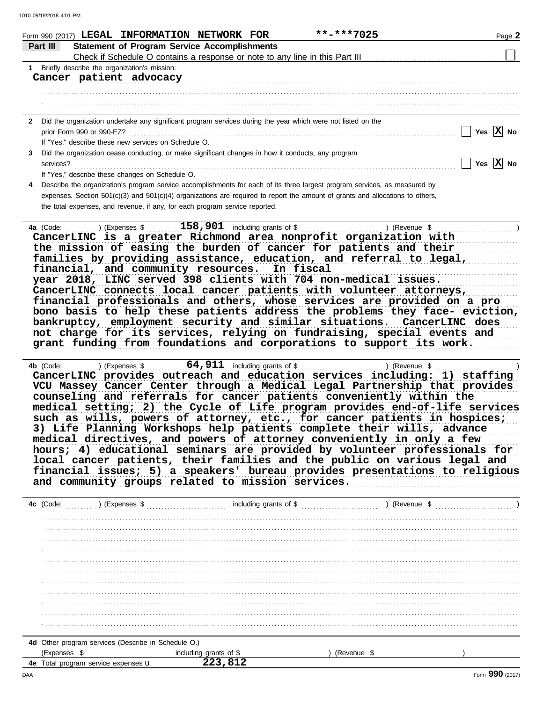|                                                                                                                                                                                                                                                                                                                                                                                                                                                                                                                                                                                                                                                                                                                                                                                                                                                                                                                                                                                                                                                                                                                                                                                                                                                                                                                                                                                                                                                                                                                            | **-***7025<br>Page 2                                                        |
|----------------------------------------------------------------------------------------------------------------------------------------------------------------------------------------------------------------------------------------------------------------------------------------------------------------------------------------------------------------------------------------------------------------------------------------------------------------------------------------------------------------------------------------------------------------------------------------------------------------------------------------------------------------------------------------------------------------------------------------------------------------------------------------------------------------------------------------------------------------------------------------------------------------------------------------------------------------------------------------------------------------------------------------------------------------------------------------------------------------------------------------------------------------------------------------------------------------------------------------------------------------------------------------------------------------------------------------------------------------------------------------------------------------------------------------------------------------------------------------------------------------------------|-----------------------------------------------------------------------------|
| Form 990 (2017) LEGAL INFORMATION NETWORK FOR<br>Part III<br><b>Statement of Program Service Accomplishments</b><br>Briefly describe the organization's mission:<br>$\mathbf 1$<br>Cancer patient advocacy<br>Did the organization undertake any significant program services during the year which were not listed on the<br>$\mathbf{2}$<br>prior Form 990 or 990-EZ?<br>If "Yes," describe these new services on Schedule O.<br>Did the organization cease conducting, or make significant changes in how it conducts, any program<br>3<br>services?<br>If "Yes," describe these changes on Schedule O.<br>Describe the organization's program service accomplishments for each of its three largest program services, as measured by<br>4<br>expenses. Section 501(c)(3) and 501(c)(4) organizations are required to report the amount of grants and allocations to others,<br>the total expenses, and revenue, if any, for each program service reported.<br>$(158, 901)$ including grants of \$<br>) (Revenue \$<br>4a (Code:<br>CancerLINC is a greater Richmond area nonprofit organization with<br>the mission of easing the burden of cancer for patients and their<br>families by providing assistance, education, and referral to legal,<br>financial, and community resources.<br>In fiscal<br>year 2018, LINC served 398 clients with 704 non-medical issues.<br>CancerLINC connects local cancer patients with volunteer attorneys,<br>grant funding from foundations and corporations to support its work. |                                                                             |
|                                                                                                                                                                                                                                                                                                                                                                                                                                                                                                                                                                                                                                                                                                                                                                                                                                                                                                                                                                                                                                                                                                                                                                                                                                                                                                                                                                                                                                                                                                                            |                                                                             |
|                                                                                                                                                                                                                                                                                                                                                                                                                                                                                                                                                                                                                                                                                                                                                                                                                                                                                                                                                                                                                                                                                                                                                                                                                                                                                                                                                                                                                                                                                                                            |                                                                             |
|                                                                                                                                                                                                                                                                                                                                                                                                                                                                                                                                                                                                                                                                                                                                                                                                                                                                                                                                                                                                                                                                                                                                                                                                                                                                                                                                                                                                                                                                                                                            |                                                                             |
|                                                                                                                                                                                                                                                                                                                                                                                                                                                                                                                                                                                                                                                                                                                                                                                                                                                                                                                                                                                                                                                                                                                                                                                                                                                                                                                                                                                                                                                                                                                            |                                                                             |
|                                                                                                                                                                                                                                                                                                                                                                                                                                                                                                                                                                                                                                                                                                                                                                                                                                                                                                                                                                                                                                                                                                                                                                                                                                                                                                                                                                                                                                                                                                                            |                                                                             |
|                                                                                                                                                                                                                                                                                                                                                                                                                                                                                                                                                                                                                                                                                                                                                                                                                                                                                                                                                                                                                                                                                                                                                                                                                                                                                                                                                                                                                                                                                                                            |                                                                             |
|                                                                                                                                                                                                                                                                                                                                                                                                                                                                                                                                                                                                                                                                                                                                                                                                                                                                                                                                                                                                                                                                                                                                                                                                                                                                                                                                                                                                                                                                                                                            | Yes $\overline{X}$ No                                                       |
|                                                                                                                                                                                                                                                                                                                                                                                                                                                                                                                                                                                                                                                                                                                                                                                                                                                                                                                                                                                                                                                                                                                                                                                                                                                                                                                                                                                                                                                                                                                            |                                                                             |
|                                                                                                                                                                                                                                                                                                                                                                                                                                                                                                                                                                                                                                                                                                                                                                                                                                                                                                                                                                                                                                                                                                                                                                                                                                                                                                                                                                                                                                                                                                                            |                                                                             |
|                                                                                                                                                                                                                                                                                                                                                                                                                                                                                                                                                                                                                                                                                                                                                                                                                                                                                                                                                                                                                                                                                                                                                                                                                                                                                                                                                                                                                                                                                                                            | Yes $\overline{X}$ No                                                       |
|                                                                                                                                                                                                                                                                                                                                                                                                                                                                                                                                                                                                                                                                                                                                                                                                                                                                                                                                                                                                                                                                                                                                                                                                                                                                                                                                                                                                                                                                                                                            |                                                                             |
|                                                                                                                                                                                                                                                                                                                                                                                                                                                                                                                                                                                                                                                                                                                                                                                                                                                                                                                                                                                                                                                                                                                                                                                                                                                                                                                                                                                                                                                                                                                            |                                                                             |
|                                                                                                                                                                                                                                                                                                                                                                                                                                                                                                                                                                                                                                                                                                                                                                                                                                                                                                                                                                                                                                                                                                                                                                                                                                                                                                                                                                                                                                                                                                                            |                                                                             |
|                                                                                                                                                                                                                                                                                                                                                                                                                                                                                                                                                                                                                                                                                                                                                                                                                                                                                                                                                                                                                                                                                                                                                                                                                                                                                                                                                                                                                                                                                                                            |                                                                             |
|                                                                                                                                                                                                                                                                                                                                                                                                                                                                                                                                                                                                                                                                                                                                                                                                                                                                                                                                                                                                                                                                                                                                                                                                                                                                                                                                                                                                                                                                                                                            |                                                                             |
|                                                                                                                                                                                                                                                                                                                                                                                                                                                                                                                                                                                                                                                                                                                                                                                                                                                                                                                                                                                                                                                                                                                                                                                                                                                                                                                                                                                                                                                                                                                            |                                                                             |
|                                                                                                                                                                                                                                                                                                                                                                                                                                                                                                                                                                                                                                                                                                                                                                                                                                                                                                                                                                                                                                                                                                                                                                                                                                                                                                                                                                                                                                                                                                                            |                                                                             |
|                                                                                                                                                                                                                                                                                                                                                                                                                                                                                                                                                                                                                                                                                                                                                                                                                                                                                                                                                                                                                                                                                                                                                                                                                                                                                                                                                                                                                                                                                                                            | financial professionals and others, whose services are provided on a pro    |
|                                                                                                                                                                                                                                                                                                                                                                                                                                                                                                                                                                                                                                                                                                                                                                                                                                                                                                                                                                                                                                                                                                                                                                                                                                                                                                                                                                                                                                                                                                                            | bono basis to help these patients address the problems they face- eviction, |
|                                                                                                                                                                                                                                                                                                                                                                                                                                                                                                                                                                                                                                                                                                                                                                                                                                                                                                                                                                                                                                                                                                                                                                                                                                                                                                                                                                                                                                                                                                                            | bankruptcy, employment security and similar situations. CancerLINC does     |
|                                                                                                                                                                                                                                                                                                                                                                                                                                                                                                                                                                                                                                                                                                                                                                                                                                                                                                                                                                                                                                                                                                                                                                                                                                                                                                                                                                                                                                                                                                                            | not charge for its services, relying on fundraising, special events and     |
|                                                                                                                                                                                                                                                                                                                                                                                                                                                                                                                                                                                                                                                                                                                                                                                                                                                                                                                                                                                                                                                                                                                                                                                                                                                                                                                                                                                                                                                                                                                            |                                                                             |

4b (Code: ) (Revenue \$  $\lambda$ . CancerLINC provides outreach and education services including: 1) staffing VCU Massey Cancer Center through a Medical Legal Partnership that provides counseling and referrals for cancer patients conveniently within the medical setting; 2) the Cycle of Life program provides end-of-life services such as wills, powers of attorney, etc., for cancer patients in hospices; 3) Life Planning Workshops help patients complete their wills, advance medical directives, and powers of attorney conveniently in only a few hours; 4) educational seminars are provided by volunteer professionals for local cancer patients, their families and the public on various legal and financial issues; 5) a speakers' bureau provides presentations to religious and community groups related to mission services.

| 4c (Code:<br>) (Expenses \$                         | including grants of \$<br>$\ldots \ldots \ldots$ | ) (Revenue \$     |
|-----------------------------------------------------|--------------------------------------------------|-------------------|
|                                                     |                                                  |                   |
|                                                     |                                                  |                   |
|                                                     |                                                  |                   |
|                                                     |                                                  |                   |
|                                                     |                                                  |                   |
|                                                     |                                                  |                   |
|                                                     |                                                  |                   |
|                                                     |                                                  |                   |
|                                                     |                                                  |                   |
|                                                     |                                                  |                   |
|                                                     |                                                  |                   |
| 4d Other program services (Describe in Schedule O.) |                                                  |                   |
| (Expenses \$                                        | including grants of \$                           | (Revenue \$       |
| 4e Total program service expenses u                 | 223,812                                          |                   |
|                                                     |                                                  | $\sim$ 000 $\sim$ |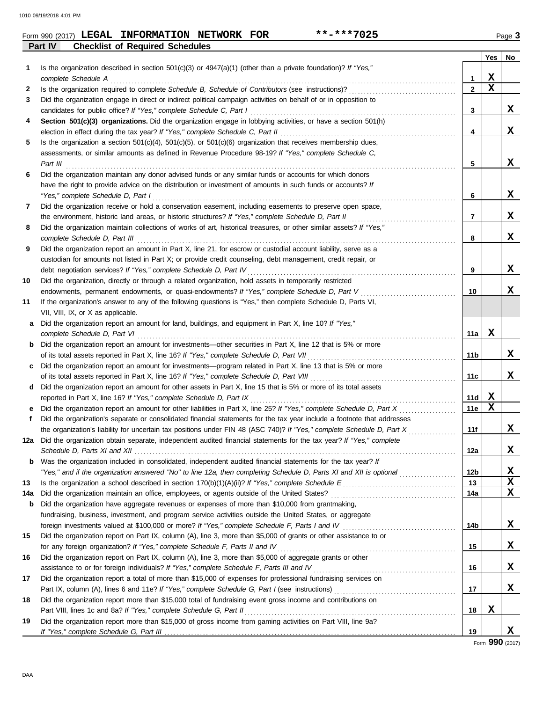1010 09/19/2018 4:01 PM

| Form 990 (2017) | LEGAL | <b>INFORMATION</b>                     | NETWORK | FOR | **-***7025 | $P$ aqe $\ddot{\phantom{2}}$ |
|-----------------|-------|----------------------------------------|---------|-----|------------|------------------------------|
| <b>Part IV</b>  |       | <b>Checklist of Required Schedules</b> |         |     |            |                              |

|     |                                                                                                                                                                                                              |                 | Yes         | No |
|-----|--------------------------------------------------------------------------------------------------------------------------------------------------------------------------------------------------------------|-----------------|-------------|----|
| 1   | Is the organization described in section $501(c)(3)$ or $4947(a)(1)$ (other than a private foundation)? If "Yes,"                                                                                            |                 |             |    |
|     | complete Schedule A                                                                                                                                                                                          | 1               | X           |    |
| 2   | Is the organization required to complete Schedule B, Schedule of Contributors (see instructions)?                                                                                                            | $\mathbf{2}$    | $\mathbf x$ |    |
| 3   | Did the organization engage in direct or indirect political campaign activities on behalf of or in opposition to                                                                                             |                 |             |    |
|     | candidates for public office? If "Yes," complete Schedule C, Part I                                                                                                                                          | 3               |             | x  |
| 4   | Section 501(c)(3) organizations. Did the organization engage in lobbying activities, or have a section 501(h)                                                                                                |                 |             |    |
|     | election in effect during the tax year? If "Yes," complete Schedule C, Part II                                                                                                                               | 4               |             | x  |
| 5   | Is the organization a section $501(c)(4)$ , $501(c)(5)$ , or $501(c)(6)$ organization that receives membership dues,                                                                                         |                 |             |    |
|     | assessments, or similar amounts as defined in Revenue Procedure 98-19? If "Yes," complete Schedule C,                                                                                                        |                 |             |    |
|     | Part III                                                                                                                                                                                                     | 5               |             | x  |
| 6   | Did the organization maintain any donor advised funds or any similar funds or accounts for which donors                                                                                                      |                 |             |    |
|     | have the right to provide advice on the distribution or investment of amounts in such funds or accounts? If                                                                                                  |                 |             |    |
|     | "Yes," complete Schedule D, Part I                                                                                                                                                                           | 6               |             | x  |
| 7   | Did the organization receive or hold a conservation easement, including easements to preserve open space,                                                                                                    |                 |             |    |
|     | the environment, historic land areas, or historic structures? If "Yes," complete Schedule D, Part II                                                                                                         | 7               |             | x  |
| 8   | Did the organization maintain collections of works of art, historical treasures, or other similar assets? If "Yes,"                                                                                          |                 |             |    |
|     | complete Schedule D, Part III                                                                                                                                                                                | 8               |             | x  |
| 9   | Did the organization report an amount in Part X, line 21, for escrow or custodial account liability, serve as a                                                                                              |                 |             |    |
|     | custodian for amounts not listed in Part X; or provide credit counseling, debt management, credit repair, or                                                                                                 |                 |             |    |
|     | debt negotiation services? If "Yes," complete Schedule D, Part IV                                                                                                                                            | 9               |             | x  |
| 10  | Did the organization, directly or through a related organization, hold assets in temporarily restricted                                                                                                      |                 |             | x  |
| 11  | endowments, permanent endowments, or quasi-endowments? If "Yes," complete Schedule D, Part V<br>If the organization's answer to any of the following questions is "Yes," then complete Schedule D, Parts VI, | 10              |             |    |
|     | VII, VIII, IX, or X as applicable.                                                                                                                                                                           |                 |             |    |
| a   | Did the organization report an amount for land, buildings, and equipment in Part X, line 10? If "Yes,"                                                                                                       |                 |             |    |
|     | complete Schedule D, Part VI                                                                                                                                                                                 | 11a             | x           |    |
| b   | Did the organization report an amount for investments—other securities in Part X, line 12 that is 5% or more                                                                                                 |                 |             |    |
|     | of its total assets reported in Part X, line 16? If "Yes," complete Schedule D, Part VII                                                                                                                     | 11 <sub>b</sub> |             | x  |
| c   | Did the organization report an amount for investments—program related in Part X, line 13 that is 5% or more                                                                                                  |                 |             |    |
|     | of its total assets reported in Part X, line 16? If "Yes," complete Schedule D, Part VIII                                                                                                                    | 11c             |             | x  |
| d   | Did the organization report an amount for other assets in Part X, line 15 that is 5% or more of its total assets                                                                                             |                 |             |    |
|     | reported in Part X, line 16? If "Yes," complete Schedule D, Part IX                                                                                                                                          | 11d             | x           |    |
| е   | Did the organization report an amount for other liabilities in Part X, line 25? If "Yes," complete Schedule D, Part X                                                                                        | 11e             | X           |    |
| f   | Did the organization's separate or consolidated financial statements for the tax year include a footnote that addresses                                                                                      |                 |             |    |
|     | the organization's liability for uncertain tax positions under FIN 48 (ASC 740)? If "Yes," complete Schedule D, Part X                                                                                       | 11f             |             | x  |
| 12a | Did the organization obtain separate, independent audited financial statements for the tax year? If "Yes," complete                                                                                          |                 |             |    |
|     |                                                                                                                                                                                                              | 12a             |             | x  |
| b   | Was the organization included in consolidated, independent audited financial statements for the tax year? If                                                                                                 |                 |             |    |
|     | "Yes," and if the organization answered "No" to line 12a, then completing Schedule D, Parts XI and XII is optional                                                                                           | 12 <sub>b</sub> |             | X  |
| 13  |                                                                                                                                                                                                              | 13              |             | X  |
| 14a | Did the organization maintain an office, employees, or agents outside of the United States?                                                                                                                  | 14a             |             | X  |
| b   | Did the organization have aggregate revenues or expenses of more than \$10,000 from grantmaking,                                                                                                             |                 |             |    |
|     | fundraising, business, investment, and program service activities outside the United States, or aggregate                                                                                                    |                 |             |    |
|     | foreign investments valued at \$100,000 or more? If "Yes," complete Schedule F, Parts I and IV [[[[[[[[[[[[[[[                                                                                               | 14b             |             | X  |
| 15  | Did the organization report on Part IX, column (A), line 3, more than \$5,000 of grants or other assistance to or                                                                                            |                 |             |    |
|     | for any foreign organization? If "Yes," complete Schedule F, Parts II and IV                                                                                                                                 | 15              |             | x  |
| 16  | Did the organization report on Part IX, column (A), line 3, more than \$5,000 of aggregate grants or other                                                                                                   |                 |             |    |
|     | assistance to or for foreign individuals? If "Yes," complete Schedule F, Parts III and IV                                                                                                                    | 16              |             | x  |
| 17  | Did the organization report a total of more than \$15,000 of expenses for professional fundraising services on                                                                                               |                 |             |    |
|     |                                                                                                                                                                                                              | 17              |             | X. |
| 18  | Did the organization report more than \$15,000 total of fundraising event gross income and contributions on                                                                                                  |                 |             |    |
|     | Part VIII, lines 1c and 8a? If "Yes," complete Schedule G, Part II                                                                                                                                           | 18              | x           |    |
| 19  | Did the organization report more than \$15,000 of gross income from gaming activities on Part VIII, line 9a?                                                                                                 |                 |             |    |
|     |                                                                                                                                                                                                              | 19              |             | X. |

Form **990** (2017)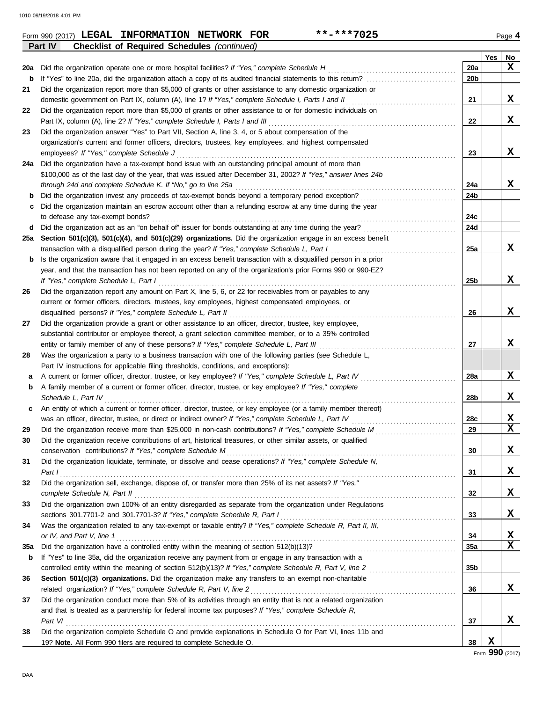1010 09/19/2018 4:01 PM

|     | **-***7025<br>Form 990 (2017) LEGAL INFORMATION NETWORK FOR                                                      |                 |     | Page 4                  |
|-----|------------------------------------------------------------------------------------------------------------------|-----------------|-----|-------------------------|
|     | <b>Checklist of Required Schedules (continued)</b><br>Part IV                                                    |                 |     |                         |
|     |                                                                                                                  |                 | Yes | No                      |
|     | 20a Did the organization operate one or more hospital facilities? If "Yes," complete Schedule H                  | 20a             |     | x                       |
| b   |                                                                                                                  | 20 <sub>b</sub> |     |                         |
| 21  | Did the organization report more than \$5,000 of grants or other assistance to any domestic organization or      |                 |     |                         |
|     | domestic government on Part IX, column (A), line 1? If "Yes," complete Schedule I, Parts I and II                | 21              |     | x                       |
| 22  | Did the organization report more than \$5,000 of grants or other assistance to or for domestic individuals on    |                 |     |                         |
|     | Part IX, column (A), line 2? If "Yes," complete Schedule I, Parts I and III                                      | 22              |     | x                       |
| 23  | Did the organization answer "Yes" to Part VII, Section A, line 3, 4, or 5 about compensation of the              |                 |     |                         |
|     | organization's current and former officers, directors, trustees, key employees, and highest compensated          |                 |     |                         |
|     | employees? If "Yes," complete Schedule J                                                                         | 23              |     | X                       |
|     | 24a Did the organization have a tax-exempt bond issue with an outstanding principal amount of more than          |                 |     |                         |
|     | \$100,000 as of the last day of the year, that was issued after December 31, 2002? If "Yes," answer lines 24b    |                 |     |                         |
|     | through 24d and complete Schedule K. If "No," go to line 25a                                                     | 24a             |     | X                       |
| b   | Did the organization invest any proceeds of tax-exempt bonds beyond a temporary period exception?                | 24b             |     |                         |
| c   | Did the organization maintain an escrow account other than a refunding escrow at any time during the year        |                 |     |                         |
|     | to defease any tax-exempt bonds?                                                                                 | 24c             |     |                         |
|     | d Did the organization act as an "on behalf of" issuer for bonds outstanding at any time during the year?        | 24d             |     |                         |
|     | 25a Section 501(c)(3), 501(c)(4), and 501(c)(29) organizations. Did the organization engage in an excess benefit |                 |     |                         |
|     | transaction with a disqualified person during the year? If "Yes," complete Schedule L, Part I                    | 25a             |     | X                       |
| b   | Is the organization aware that it engaged in an excess benefit transaction with a disqualified person in a prior |                 |     |                         |
|     | year, and that the transaction has not been reported on any of the organization's prior Forms 990 or 990-EZ?     |                 |     |                         |
|     | If "Yes," complete Schedule L, Part I                                                                            | 25 <sub>b</sub> |     | X                       |
| 26  | Did the organization report any amount on Part X, line 5, 6, or 22 for receivables from or payables to any       |                 |     |                         |
|     | current or former officers, directors, trustees, key employees, highest compensated employees, or                |                 |     |                         |
|     | disqualified persons? If "Yes," complete Schedule L, Part II                                                     | 26              |     | X                       |
| 27  | Did the organization provide a grant or other assistance to an officer, director, trustee, key employee,         |                 |     |                         |
|     | substantial contributor or employee thereof, a grant selection committee member, or to a 35% controlled          |                 |     |                         |
|     | entity or family member of any of these persons? If "Yes," complete Schedule L, Part III                         | 27              |     | X                       |
| 28  | Was the organization a party to a business transaction with one of the following parties (see Schedule L,        |                 |     |                         |
|     | Part IV instructions for applicable filing thresholds, conditions, and exceptions):                              |                 |     |                         |
| a   | A current or former officer, director, trustee, or key employee? If "Yes," complete Schedule L, Part IV          | 28a             |     | X                       |
| b   | A family member of a current or former officer, director, trustee, or key employee? If "Yes," complete           |                 |     |                         |
|     | Schedule L, Part IV                                                                                              | 28b             |     | X                       |
| C   | An entity of which a current or former officer, director, trustee, or key employee (or a family member thereof)  |                 |     |                         |
|     | was an officer, director, trustee, or direct or indirect owner? If "Yes," complete Schedule L, Part IV           | 28c             |     | X                       |
| 29  | Did the organization receive more than \$25,000 in non-cash contributions? If "Yes," complete Schedule M         | 29              |     | $\overline{\textbf{X}}$ |
| 30  | Did the organization receive contributions of art, historical treasures, or other similar assets, or qualified   |                 |     |                         |
|     | conservation contributions? If "Yes," complete Schedule M                                                        | 30              |     | X                       |
| 31  | Did the organization liquidate, terminate, or dissolve and cease operations? If "Yes," complete Schedule N,      |                 |     |                         |
|     | Part I                                                                                                           | 31              |     | X                       |
| 32  | Did the organization sell, exchange, dispose of, or transfer more than 25% of its net assets? If "Yes,"          |                 |     |                         |
|     | complete Schedule N, Part II                                                                                     | 32              |     | X                       |
| 33  | Did the organization own 100% of an entity disregarded as separate from the organization under Regulations       |                 |     |                         |
|     | sections 301.7701-2 and 301.7701-3? If "Yes," complete Schedule R, Part I                                        | 33              |     | X                       |
| 34  | Was the organization related to any tax-exempt or taxable entity? If "Yes," complete Schedule R, Part II, III,   |                 |     |                         |
|     | or IV, and Part V, line 1                                                                                        | 34              |     | X                       |
| 35a | Did the organization have a controlled entity within the meaning of section 512(b)(13)?                          | 35a             |     | $\mathbf x$             |
| b   | If "Yes" to line 35a, did the organization receive any payment from or engage in any transaction with a          |                 |     |                         |
|     |                                                                                                                  | 35 <sub>b</sub> |     |                         |
| 36  | Section 501(c)(3) organizations. Did the organization make any transfers to an exempt non-charitable             |                 |     |                         |
|     | related organization? If "Yes," complete Schedule R, Part V, line 2                                              | 36              |     | x                       |
| 37  | Did the organization conduct more than 5% of its activities through an entity that is not a related organization |                 |     |                         |
|     | and that is treated as a partnership for federal income tax purposes? If "Yes," complete Schedule R,             |                 |     |                         |
|     | Part VI                                                                                                          | 37              |     | x                       |
| 38  | Did the organization complete Schedule O and provide explanations in Schedule O for Part VI, lines 11b and       |                 |     |                         |
|     | 19? Note. All Form 990 filers are required to complete Schedule O.                                               | 38              | X   |                         |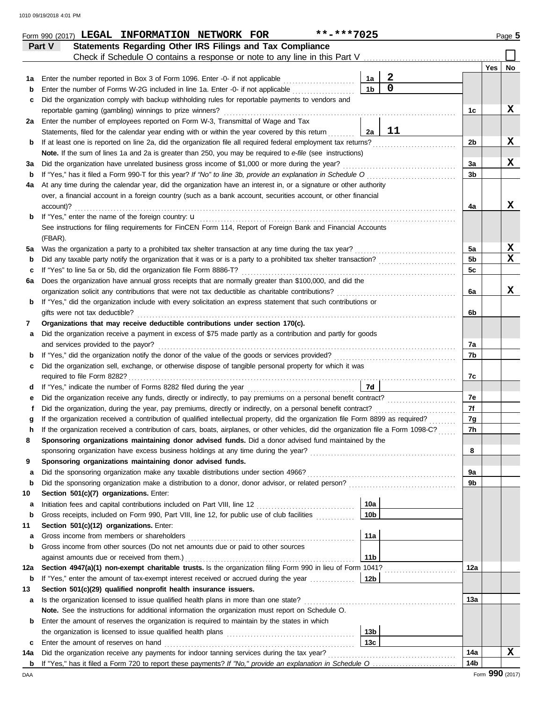| Yes<br>No<br>$\boldsymbol{2}$<br>Enter the number reported in Box 3 of Form 1096. Enter -0- if not applicable<br>1a<br>1а<br>$\overline{0}$<br>1 <sub>b</sub><br>Enter the number of Forms W-2G included in line 1a. Enter -0- if not applicable<br>b<br>Did the organization comply with backup withholding rules for reportable payments to vendors and<br>с<br>x<br>reportable gaming (gambling) winnings to prize winners?<br>1c<br>2a Enter the number of employees reported on Form W-3, Transmittal of Wage and Tax<br>11<br>Statements, filed for the calendar year ending with or within the year covered by this return<br>2a<br>x<br>If at least one is reported on line 2a, did the organization file all required federal employment tax returns?<br>2b<br>b<br>Note. If the sum of lines 1a and 2a is greater than 250, you may be required to e-file (see instructions)<br>x<br>Did the organization have unrelated business gross income of \$1,000 or more during the year?<br>3a<br>За<br>If "Yes," has it filed a Form 990-T for this year? If "No" to line 3b, provide an explanation in Schedule O<br>3b<br>b<br>At any time during the calendar year, did the organization have an interest in, or a signature or other authority<br>4a<br>over, a financial account in a foreign country (such as a bank account, securities account, or other financial<br>x<br>account)?<br>4a<br>b<br>See instructions for filing requirements for FinCEN Form 114, Report of Foreign Bank and Financial Accounts<br>(FBAR).<br>X<br>Was the organization a party to a prohibited tax shelter transaction at any time during the tax year?<br>5a<br>5a<br>x<br>Did any taxable party notify the organization that it was or is a party to a prohibited tax shelter transaction?<br>5b<br>b<br>If "Yes" to line 5a or 5b, did the organization file Form 8886-T?<br>5c<br>c<br>Does the organization have annual gross receipts that are normally greater than \$100,000, and did the<br>6а<br>x<br>organization solicit any contributions that were not tax deductible as charitable contributions?<br>6a<br>If "Yes," did the organization include with every solicitation an express statement that such contributions or<br>b<br>gifts were not tax deductible?<br>6b<br>Organizations that may receive deductible contributions under section 170(c).<br>7<br>Did the organization receive a payment in excess of \$75 made partly as a contribution and partly for goods<br>а<br>and services provided to the payor?<br>7a<br>7b<br>b<br>Did the organization sell, exchange, or otherwise dispose of tangible personal property for which it was<br>с<br>required to file Form 8282?<br>7c<br>7d<br>d<br>7e<br>е<br>Did the organization, during the year, pay premiums, directly or indirectly, on a personal benefit contract?<br>7f<br>f<br>If the organization received a contribution of qualified intellectual property, did the organization file Form 8899 as required?<br>7g<br>a<br>If the organization received a contribution of cars, boats, airplanes, or other vehicles, did the organization file a Form 1098-C?<br>7h<br>h<br>Sponsoring organizations maintaining donor advised funds. Did a donor advised fund maintained by the<br>sponsoring organization have excess business holdings at any time during the year?<br>8<br>Sponsoring organizations maintaining donor advised funds.<br>9<br>9a<br>a<br>9b<br>b<br>10<br>Section 501(c)(7) organizations. Enter:<br>10a<br>Initiation fees and capital contributions included on Part VIII, line 12 [11][11][11][11][11][11][11][11][11][<br>а<br>Gross receipts, included on Form 990, Part VIII, line 12, for public use of club facilities<br>10 <sub>b</sub><br>b<br>11<br>Section 501(c)(12) organizations. Enter:<br>11a<br>Gross income from members or shareholders<br>а<br>Gross income from other sources (Do not net amounts due or paid to other sources<br>b<br>11 <sub>b</sub><br>against amounts due or received from them.)<br>Section 4947(a)(1) non-exempt charitable trusts. Is the organization filing Form 990 in lieu of Form 1041?<br>12a<br>12a<br>If "Yes," enter the amount of tax-exempt interest received or accrued during the year <i>minimizion</i> .<br>  12b<br>b<br>Section 501(c)(29) qualified nonprofit health insurance issuers.<br>13<br>Is the organization licensed to issue qualified health plans in more than one state?<br>13а<br>а<br>Note. See the instructions for additional information the organization must report on Schedule O.<br>Enter the amount of reserves the organization is required to maintain by the states in which<br>b<br>13 <sub>b</sub><br>13 <sub>c</sub><br>Enter the amount of reserves on hand<br>c<br>x<br>Did the organization receive any payments for indoor tanning services during the tax year?<br>14a<br>14a<br>14b<br>b<br>Form 990 (2017)<br>DAA | Part V | Statements Regarding Other IRS Filings and Tax Compliance<br>Check if Schedule O contains a response or note to any line in this Part V |  |  |  |
|-----------------------------------------------------------------------------------------------------------------------------------------------------------------------------------------------------------------------------------------------------------------------------------------------------------------------------------------------------------------------------------------------------------------------------------------------------------------------------------------------------------------------------------------------------------------------------------------------------------------------------------------------------------------------------------------------------------------------------------------------------------------------------------------------------------------------------------------------------------------------------------------------------------------------------------------------------------------------------------------------------------------------------------------------------------------------------------------------------------------------------------------------------------------------------------------------------------------------------------------------------------------------------------------------------------------------------------------------------------------------------------------------------------------------------------------------------------------------------------------------------------------------------------------------------------------------------------------------------------------------------------------------------------------------------------------------------------------------------------------------------------------------------------------------------------------------------------------------------------------------------------------------------------------------------------------------------------------------------------------------------------------------------------------------------------------------------------------------------------------------------------------------------------------------------------------------------------------------------------------------------------------------------------------------------------------------------------------------------------------------------------------------------------------------------------------------------------------------------------------------------------------------------------------------------------------------------------------------------------------------------------------------------------------------------------------------------------------------------------------------------------------------------------------------------------------------------------------------------------------------------------------------------------------------------------------------------------------------------------------------------------------------------------------------------------------------------------------------------------------------------------------------------------------------------------------------------------------------------------------------------------------------------------------------------------------------------------------------------------------------------------------------------------------------------------------------------------------------------------------------------------------------------------------------------------------------------------------------------------------------------------------------------------------------------------------------------------------------------------------------------------------------------------------------------------------------------------------------------------------------------------------------------------------------------------------------------------------------------------------------------------------------------------------------------------------------------------------------------------------------------------------------------------------------------------------------------------------------------------------------------------------------------------------------------------------------------------------------------------------------------------------------------------------------------------------------------------------------------------------------------------------------------------------------------------------------------------------------------------------------------------------------------------------------------------------------------------------------------------------------------------------------------------------------------------------------------------------------------------------------------------------------------------------------------|--------|-----------------------------------------------------------------------------------------------------------------------------------------|--|--|--|
|                                                                                                                                                                                                                                                                                                                                                                                                                                                                                                                                                                                                                                                                                                                                                                                                                                                                                                                                                                                                                                                                                                                                                                                                                                                                                                                                                                                                                                                                                                                                                                                                                                                                                                                                                                                                                                                                                                                                                                                                                                                                                                                                                                                                                                                                                                                                                                                                                                                                                                                                                                                                                                                                                                                                                                                                                                                                                                                                                                                                                                                                                                                                                                                                                                                                                                                                                                                                                                                                                                                                                                                                                                                                                                                                                                                                                                                                                                                                                                                                                                                                                                                                                                                                                                                                                                                                                                                                                                                                                                                                                                                                                                                                                                                                                                                                                                                                                                                             |        |                                                                                                                                         |  |  |  |
|                                                                                                                                                                                                                                                                                                                                                                                                                                                                                                                                                                                                                                                                                                                                                                                                                                                                                                                                                                                                                                                                                                                                                                                                                                                                                                                                                                                                                                                                                                                                                                                                                                                                                                                                                                                                                                                                                                                                                                                                                                                                                                                                                                                                                                                                                                                                                                                                                                                                                                                                                                                                                                                                                                                                                                                                                                                                                                                                                                                                                                                                                                                                                                                                                                                                                                                                                                                                                                                                                                                                                                                                                                                                                                                                                                                                                                                                                                                                                                                                                                                                                                                                                                                                                                                                                                                                                                                                                                                                                                                                                                                                                                                                                                                                                                                                                                                                                                                             |        |                                                                                                                                         |  |  |  |
|                                                                                                                                                                                                                                                                                                                                                                                                                                                                                                                                                                                                                                                                                                                                                                                                                                                                                                                                                                                                                                                                                                                                                                                                                                                                                                                                                                                                                                                                                                                                                                                                                                                                                                                                                                                                                                                                                                                                                                                                                                                                                                                                                                                                                                                                                                                                                                                                                                                                                                                                                                                                                                                                                                                                                                                                                                                                                                                                                                                                                                                                                                                                                                                                                                                                                                                                                                                                                                                                                                                                                                                                                                                                                                                                                                                                                                                                                                                                                                                                                                                                                                                                                                                                                                                                                                                                                                                                                                                                                                                                                                                                                                                                                                                                                                                                                                                                                                                             |        |                                                                                                                                         |  |  |  |
|                                                                                                                                                                                                                                                                                                                                                                                                                                                                                                                                                                                                                                                                                                                                                                                                                                                                                                                                                                                                                                                                                                                                                                                                                                                                                                                                                                                                                                                                                                                                                                                                                                                                                                                                                                                                                                                                                                                                                                                                                                                                                                                                                                                                                                                                                                                                                                                                                                                                                                                                                                                                                                                                                                                                                                                                                                                                                                                                                                                                                                                                                                                                                                                                                                                                                                                                                                                                                                                                                                                                                                                                                                                                                                                                                                                                                                                                                                                                                                                                                                                                                                                                                                                                                                                                                                                                                                                                                                                                                                                                                                                                                                                                                                                                                                                                                                                                                                                             |        |                                                                                                                                         |  |  |  |
|                                                                                                                                                                                                                                                                                                                                                                                                                                                                                                                                                                                                                                                                                                                                                                                                                                                                                                                                                                                                                                                                                                                                                                                                                                                                                                                                                                                                                                                                                                                                                                                                                                                                                                                                                                                                                                                                                                                                                                                                                                                                                                                                                                                                                                                                                                                                                                                                                                                                                                                                                                                                                                                                                                                                                                                                                                                                                                                                                                                                                                                                                                                                                                                                                                                                                                                                                                                                                                                                                                                                                                                                                                                                                                                                                                                                                                                                                                                                                                                                                                                                                                                                                                                                                                                                                                                                                                                                                                                                                                                                                                                                                                                                                                                                                                                                                                                                                                                             |        |                                                                                                                                         |  |  |  |
|                                                                                                                                                                                                                                                                                                                                                                                                                                                                                                                                                                                                                                                                                                                                                                                                                                                                                                                                                                                                                                                                                                                                                                                                                                                                                                                                                                                                                                                                                                                                                                                                                                                                                                                                                                                                                                                                                                                                                                                                                                                                                                                                                                                                                                                                                                                                                                                                                                                                                                                                                                                                                                                                                                                                                                                                                                                                                                                                                                                                                                                                                                                                                                                                                                                                                                                                                                                                                                                                                                                                                                                                                                                                                                                                                                                                                                                                                                                                                                                                                                                                                                                                                                                                                                                                                                                                                                                                                                                                                                                                                                                                                                                                                                                                                                                                                                                                                                                             |        |                                                                                                                                         |  |  |  |
|                                                                                                                                                                                                                                                                                                                                                                                                                                                                                                                                                                                                                                                                                                                                                                                                                                                                                                                                                                                                                                                                                                                                                                                                                                                                                                                                                                                                                                                                                                                                                                                                                                                                                                                                                                                                                                                                                                                                                                                                                                                                                                                                                                                                                                                                                                                                                                                                                                                                                                                                                                                                                                                                                                                                                                                                                                                                                                                                                                                                                                                                                                                                                                                                                                                                                                                                                                                                                                                                                                                                                                                                                                                                                                                                                                                                                                                                                                                                                                                                                                                                                                                                                                                                                                                                                                                                                                                                                                                                                                                                                                                                                                                                                                                                                                                                                                                                                                                             |        |                                                                                                                                         |  |  |  |
|                                                                                                                                                                                                                                                                                                                                                                                                                                                                                                                                                                                                                                                                                                                                                                                                                                                                                                                                                                                                                                                                                                                                                                                                                                                                                                                                                                                                                                                                                                                                                                                                                                                                                                                                                                                                                                                                                                                                                                                                                                                                                                                                                                                                                                                                                                                                                                                                                                                                                                                                                                                                                                                                                                                                                                                                                                                                                                                                                                                                                                                                                                                                                                                                                                                                                                                                                                                                                                                                                                                                                                                                                                                                                                                                                                                                                                                                                                                                                                                                                                                                                                                                                                                                                                                                                                                                                                                                                                                                                                                                                                                                                                                                                                                                                                                                                                                                                                                             |        |                                                                                                                                         |  |  |  |
|                                                                                                                                                                                                                                                                                                                                                                                                                                                                                                                                                                                                                                                                                                                                                                                                                                                                                                                                                                                                                                                                                                                                                                                                                                                                                                                                                                                                                                                                                                                                                                                                                                                                                                                                                                                                                                                                                                                                                                                                                                                                                                                                                                                                                                                                                                                                                                                                                                                                                                                                                                                                                                                                                                                                                                                                                                                                                                                                                                                                                                                                                                                                                                                                                                                                                                                                                                                                                                                                                                                                                                                                                                                                                                                                                                                                                                                                                                                                                                                                                                                                                                                                                                                                                                                                                                                                                                                                                                                                                                                                                                                                                                                                                                                                                                                                                                                                                                                             |        |                                                                                                                                         |  |  |  |
|                                                                                                                                                                                                                                                                                                                                                                                                                                                                                                                                                                                                                                                                                                                                                                                                                                                                                                                                                                                                                                                                                                                                                                                                                                                                                                                                                                                                                                                                                                                                                                                                                                                                                                                                                                                                                                                                                                                                                                                                                                                                                                                                                                                                                                                                                                                                                                                                                                                                                                                                                                                                                                                                                                                                                                                                                                                                                                                                                                                                                                                                                                                                                                                                                                                                                                                                                                                                                                                                                                                                                                                                                                                                                                                                                                                                                                                                                                                                                                                                                                                                                                                                                                                                                                                                                                                                                                                                                                                                                                                                                                                                                                                                                                                                                                                                                                                                                                                             |        |                                                                                                                                         |  |  |  |
|                                                                                                                                                                                                                                                                                                                                                                                                                                                                                                                                                                                                                                                                                                                                                                                                                                                                                                                                                                                                                                                                                                                                                                                                                                                                                                                                                                                                                                                                                                                                                                                                                                                                                                                                                                                                                                                                                                                                                                                                                                                                                                                                                                                                                                                                                                                                                                                                                                                                                                                                                                                                                                                                                                                                                                                                                                                                                                                                                                                                                                                                                                                                                                                                                                                                                                                                                                                                                                                                                                                                                                                                                                                                                                                                                                                                                                                                                                                                                                                                                                                                                                                                                                                                                                                                                                                                                                                                                                                                                                                                                                                                                                                                                                                                                                                                                                                                                                                             |        |                                                                                                                                         |  |  |  |
|                                                                                                                                                                                                                                                                                                                                                                                                                                                                                                                                                                                                                                                                                                                                                                                                                                                                                                                                                                                                                                                                                                                                                                                                                                                                                                                                                                                                                                                                                                                                                                                                                                                                                                                                                                                                                                                                                                                                                                                                                                                                                                                                                                                                                                                                                                                                                                                                                                                                                                                                                                                                                                                                                                                                                                                                                                                                                                                                                                                                                                                                                                                                                                                                                                                                                                                                                                                                                                                                                                                                                                                                                                                                                                                                                                                                                                                                                                                                                                                                                                                                                                                                                                                                                                                                                                                                                                                                                                                                                                                                                                                                                                                                                                                                                                                                                                                                                                                             |        |                                                                                                                                         |  |  |  |
|                                                                                                                                                                                                                                                                                                                                                                                                                                                                                                                                                                                                                                                                                                                                                                                                                                                                                                                                                                                                                                                                                                                                                                                                                                                                                                                                                                                                                                                                                                                                                                                                                                                                                                                                                                                                                                                                                                                                                                                                                                                                                                                                                                                                                                                                                                                                                                                                                                                                                                                                                                                                                                                                                                                                                                                                                                                                                                                                                                                                                                                                                                                                                                                                                                                                                                                                                                                                                                                                                                                                                                                                                                                                                                                                                                                                                                                                                                                                                                                                                                                                                                                                                                                                                                                                                                                                                                                                                                                                                                                                                                                                                                                                                                                                                                                                                                                                                                                             |        |                                                                                                                                         |  |  |  |
|                                                                                                                                                                                                                                                                                                                                                                                                                                                                                                                                                                                                                                                                                                                                                                                                                                                                                                                                                                                                                                                                                                                                                                                                                                                                                                                                                                                                                                                                                                                                                                                                                                                                                                                                                                                                                                                                                                                                                                                                                                                                                                                                                                                                                                                                                                                                                                                                                                                                                                                                                                                                                                                                                                                                                                                                                                                                                                                                                                                                                                                                                                                                                                                                                                                                                                                                                                                                                                                                                                                                                                                                                                                                                                                                                                                                                                                                                                                                                                                                                                                                                                                                                                                                                                                                                                                                                                                                                                                                                                                                                                                                                                                                                                                                                                                                                                                                                                                             |        |                                                                                                                                         |  |  |  |
|                                                                                                                                                                                                                                                                                                                                                                                                                                                                                                                                                                                                                                                                                                                                                                                                                                                                                                                                                                                                                                                                                                                                                                                                                                                                                                                                                                                                                                                                                                                                                                                                                                                                                                                                                                                                                                                                                                                                                                                                                                                                                                                                                                                                                                                                                                                                                                                                                                                                                                                                                                                                                                                                                                                                                                                                                                                                                                                                                                                                                                                                                                                                                                                                                                                                                                                                                                                                                                                                                                                                                                                                                                                                                                                                                                                                                                                                                                                                                                                                                                                                                                                                                                                                                                                                                                                                                                                                                                                                                                                                                                                                                                                                                                                                                                                                                                                                                                                             |        |                                                                                                                                         |  |  |  |
|                                                                                                                                                                                                                                                                                                                                                                                                                                                                                                                                                                                                                                                                                                                                                                                                                                                                                                                                                                                                                                                                                                                                                                                                                                                                                                                                                                                                                                                                                                                                                                                                                                                                                                                                                                                                                                                                                                                                                                                                                                                                                                                                                                                                                                                                                                                                                                                                                                                                                                                                                                                                                                                                                                                                                                                                                                                                                                                                                                                                                                                                                                                                                                                                                                                                                                                                                                                                                                                                                                                                                                                                                                                                                                                                                                                                                                                                                                                                                                                                                                                                                                                                                                                                                                                                                                                                                                                                                                                                                                                                                                                                                                                                                                                                                                                                                                                                                                                             |        |                                                                                                                                         |  |  |  |
|                                                                                                                                                                                                                                                                                                                                                                                                                                                                                                                                                                                                                                                                                                                                                                                                                                                                                                                                                                                                                                                                                                                                                                                                                                                                                                                                                                                                                                                                                                                                                                                                                                                                                                                                                                                                                                                                                                                                                                                                                                                                                                                                                                                                                                                                                                                                                                                                                                                                                                                                                                                                                                                                                                                                                                                                                                                                                                                                                                                                                                                                                                                                                                                                                                                                                                                                                                                                                                                                                                                                                                                                                                                                                                                                                                                                                                                                                                                                                                                                                                                                                                                                                                                                                                                                                                                                                                                                                                                                                                                                                                                                                                                                                                                                                                                                                                                                                                                             |        |                                                                                                                                         |  |  |  |
|                                                                                                                                                                                                                                                                                                                                                                                                                                                                                                                                                                                                                                                                                                                                                                                                                                                                                                                                                                                                                                                                                                                                                                                                                                                                                                                                                                                                                                                                                                                                                                                                                                                                                                                                                                                                                                                                                                                                                                                                                                                                                                                                                                                                                                                                                                                                                                                                                                                                                                                                                                                                                                                                                                                                                                                                                                                                                                                                                                                                                                                                                                                                                                                                                                                                                                                                                                                                                                                                                                                                                                                                                                                                                                                                                                                                                                                                                                                                                                                                                                                                                                                                                                                                                                                                                                                                                                                                                                                                                                                                                                                                                                                                                                                                                                                                                                                                                                                             |        |                                                                                                                                         |  |  |  |
|                                                                                                                                                                                                                                                                                                                                                                                                                                                                                                                                                                                                                                                                                                                                                                                                                                                                                                                                                                                                                                                                                                                                                                                                                                                                                                                                                                                                                                                                                                                                                                                                                                                                                                                                                                                                                                                                                                                                                                                                                                                                                                                                                                                                                                                                                                                                                                                                                                                                                                                                                                                                                                                                                                                                                                                                                                                                                                                                                                                                                                                                                                                                                                                                                                                                                                                                                                                                                                                                                                                                                                                                                                                                                                                                                                                                                                                                                                                                                                                                                                                                                                                                                                                                                                                                                                                                                                                                                                                                                                                                                                                                                                                                                                                                                                                                                                                                                                                             |        |                                                                                                                                         |  |  |  |
|                                                                                                                                                                                                                                                                                                                                                                                                                                                                                                                                                                                                                                                                                                                                                                                                                                                                                                                                                                                                                                                                                                                                                                                                                                                                                                                                                                                                                                                                                                                                                                                                                                                                                                                                                                                                                                                                                                                                                                                                                                                                                                                                                                                                                                                                                                                                                                                                                                                                                                                                                                                                                                                                                                                                                                                                                                                                                                                                                                                                                                                                                                                                                                                                                                                                                                                                                                                                                                                                                                                                                                                                                                                                                                                                                                                                                                                                                                                                                                                                                                                                                                                                                                                                                                                                                                                                                                                                                                                                                                                                                                                                                                                                                                                                                                                                                                                                                                                             |        |                                                                                                                                         |  |  |  |
|                                                                                                                                                                                                                                                                                                                                                                                                                                                                                                                                                                                                                                                                                                                                                                                                                                                                                                                                                                                                                                                                                                                                                                                                                                                                                                                                                                                                                                                                                                                                                                                                                                                                                                                                                                                                                                                                                                                                                                                                                                                                                                                                                                                                                                                                                                                                                                                                                                                                                                                                                                                                                                                                                                                                                                                                                                                                                                                                                                                                                                                                                                                                                                                                                                                                                                                                                                                                                                                                                                                                                                                                                                                                                                                                                                                                                                                                                                                                                                                                                                                                                                                                                                                                                                                                                                                                                                                                                                                                                                                                                                                                                                                                                                                                                                                                                                                                                                                             |        |                                                                                                                                         |  |  |  |
|                                                                                                                                                                                                                                                                                                                                                                                                                                                                                                                                                                                                                                                                                                                                                                                                                                                                                                                                                                                                                                                                                                                                                                                                                                                                                                                                                                                                                                                                                                                                                                                                                                                                                                                                                                                                                                                                                                                                                                                                                                                                                                                                                                                                                                                                                                                                                                                                                                                                                                                                                                                                                                                                                                                                                                                                                                                                                                                                                                                                                                                                                                                                                                                                                                                                                                                                                                                                                                                                                                                                                                                                                                                                                                                                                                                                                                                                                                                                                                                                                                                                                                                                                                                                                                                                                                                                                                                                                                                                                                                                                                                                                                                                                                                                                                                                                                                                                                                             |        |                                                                                                                                         |  |  |  |
|                                                                                                                                                                                                                                                                                                                                                                                                                                                                                                                                                                                                                                                                                                                                                                                                                                                                                                                                                                                                                                                                                                                                                                                                                                                                                                                                                                                                                                                                                                                                                                                                                                                                                                                                                                                                                                                                                                                                                                                                                                                                                                                                                                                                                                                                                                                                                                                                                                                                                                                                                                                                                                                                                                                                                                                                                                                                                                                                                                                                                                                                                                                                                                                                                                                                                                                                                                                                                                                                                                                                                                                                                                                                                                                                                                                                                                                                                                                                                                                                                                                                                                                                                                                                                                                                                                                                                                                                                                                                                                                                                                                                                                                                                                                                                                                                                                                                                                                             |        |                                                                                                                                         |  |  |  |
|                                                                                                                                                                                                                                                                                                                                                                                                                                                                                                                                                                                                                                                                                                                                                                                                                                                                                                                                                                                                                                                                                                                                                                                                                                                                                                                                                                                                                                                                                                                                                                                                                                                                                                                                                                                                                                                                                                                                                                                                                                                                                                                                                                                                                                                                                                                                                                                                                                                                                                                                                                                                                                                                                                                                                                                                                                                                                                                                                                                                                                                                                                                                                                                                                                                                                                                                                                                                                                                                                                                                                                                                                                                                                                                                                                                                                                                                                                                                                                                                                                                                                                                                                                                                                                                                                                                                                                                                                                                                                                                                                                                                                                                                                                                                                                                                                                                                                                                             |        |                                                                                                                                         |  |  |  |
|                                                                                                                                                                                                                                                                                                                                                                                                                                                                                                                                                                                                                                                                                                                                                                                                                                                                                                                                                                                                                                                                                                                                                                                                                                                                                                                                                                                                                                                                                                                                                                                                                                                                                                                                                                                                                                                                                                                                                                                                                                                                                                                                                                                                                                                                                                                                                                                                                                                                                                                                                                                                                                                                                                                                                                                                                                                                                                                                                                                                                                                                                                                                                                                                                                                                                                                                                                                                                                                                                                                                                                                                                                                                                                                                                                                                                                                                                                                                                                                                                                                                                                                                                                                                                                                                                                                                                                                                                                                                                                                                                                                                                                                                                                                                                                                                                                                                                                                             |        |                                                                                                                                         |  |  |  |
|                                                                                                                                                                                                                                                                                                                                                                                                                                                                                                                                                                                                                                                                                                                                                                                                                                                                                                                                                                                                                                                                                                                                                                                                                                                                                                                                                                                                                                                                                                                                                                                                                                                                                                                                                                                                                                                                                                                                                                                                                                                                                                                                                                                                                                                                                                                                                                                                                                                                                                                                                                                                                                                                                                                                                                                                                                                                                                                                                                                                                                                                                                                                                                                                                                                                                                                                                                                                                                                                                                                                                                                                                                                                                                                                                                                                                                                                                                                                                                                                                                                                                                                                                                                                                                                                                                                                                                                                                                                                                                                                                                                                                                                                                                                                                                                                                                                                                                                             |        |                                                                                                                                         |  |  |  |
|                                                                                                                                                                                                                                                                                                                                                                                                                                                                                                                                                                                                                                                                                                                                                                                                                                                                                                                                                                                                                                                                                                                                                                                                                                                                                                                                                                                                                                                                                                                                                                                                                                                                                                                                                                                                                                                                                                                                                                                                                                                                                                                                                                                                                                                                                                                                                                                                                                                                                                                                                                                                                                                                                                                                                                                                                                                                                                                                                                                                                                                                                                                                                                                                                                                                                                                                                                                                                                                                                                                                                                                                                                                                                                                                                                                                                                                                                                                                                                                                                                                                                                                                                                                                                                                                                                                                                                                                                                                                                                                                                                                                                                                                                                                                                                                                                                                                                                                             |        |                                                                                                                                         |  |  |  |
|                                                                                                                                                                                                                                                                                                                                                                                                                                                                                                                                                                                                                                                                                                                                                                                                                                                                                                                                                                                                                                                                                                                                                                                                                                                                                                                                                                                                                                                                                                                                                                                                                                                                                                                                                                                                                                                                                                                                                                                                                                                                                                                                                                                                                                                                                                                                                                                                                                                                                                                                                                                                                                                                                                                                                                                                                                                                                                                                                                                                                                                                                                                                                                                                                                                                                                                                                                                                                                                                                                                                                                                                                                                                                                                                                                                                                                                                                                                                                                                                                                                                                                                                                                                                                                                                                                                                                                                                                                                                                                                                                                                                                                                                                                                                                                                                                                                                                                                             |        |                                                                                                                                         |  |  |  |
|                                                                                                                                                                                                                                                                                                                                                                                                                                                                                                                                                                                                                                                                                                                                                                                                                                                                                                                                                                                                                                                                                                                                                                                                                                                                                                                                                                                                                                                                                                                                                                                                                                                                                                                                                                                                                                                                                                                                                                                                                                                                                                                                                                                                                                                                                                                                                                                                                                                                                                                                                                                                                                                                                                                                                                                                                                                                                                                                                                                                                                                                                                                                                                                                                                                                                                                                                                                                                                                                                                                                                                                                                                                                                                                                                                                                                                                                                                                                                                                                                                                                                                                                                                                                                                                                                                                                                                                                                                                                                                                                                                                                                                                                                                                                                                                                                                                                                                                             |        |                                                                                                                                         |  |  |  |
|                                                                                                                                                                                                                                                                                                                                                                                                                                                                                                                                                                                                                                                                                                                                                                                                                                                                                                                                                                                                                                                                                                                                                                                                                                                                                                                                                                                                                                                                                                                                                                                                                                                                                                                                                                                                                                                                                                                                                                                                                                                                                                                                                                                                                                                                                                                                                                                                                                                                                                                                                                                                                                                                                                                                                                                                                                                                                                                                                                                                                                                                                                                                                                                                                                                                                                                                                                                                                                                                                                                                                                                                                                                                                                                                                                                                                                                                                                                                                                                                                                                                                                                                                                                                                                                                                                                                                                                                                                                                                                                                                                                                                                                                                                                                                                                                                                                                                                                             |        |                                                                                                                                         |  |  |  |
|                                                                                                                                                                                                                                                                                                                                                                                                                                                                                                                                                                                                                                                                                                                                                                                                                                                                                                                                                                                                                                                                                                                                                                                                                                                                                                                                                                                                                                                                                                                                                                                                                                                                                                                                                                                                                                                                                                                                                                                                                                                                                                                                                                                                                                                                                                                                                                                                                                                                                                                                                                                                                                                                                                                                                                                                                                                                                                                                                                                                                                                                                                                                                                                                                                                                                                                                                                                                                                                                                                                                                                                                                                                                                                                                                                                                                                                                                                                                                                                                                                                                                                                                                                                                                                                                                                                                                                                                                                                                                                                                                                                                                                                                                                                                                                                                                                                                                                                             |        |                                                                                                                                         |  |  |  |
|                                                                                                                                                                                                                                                                                                                                                                                                                                                                                                                                                                                                                                                                                                                                                                                                                                                                                                                                                                                                                                                                                                                                                                                                                                                                                                                                                                                                                                                                                                                                                                                                                                                                                                                                                                                                                                                                                                                                                                                                                                                                                                                                                                                                                                                                                                                                                                                                                                                                                                                                                                                                                                                                                                                                                                                                                                                                                                                                                                                                                                                                                                                                                                                                                                                                                                                                                                                                                                                                                                                                                                                                                                                                                                                                                                                                                                                                                                                                                                                                                                                                                                                                                                                                                                                                                                                                                                                                                                                                                                                                                                                                                                                                                                                                                                                                                                                                                                                             |        |                                                                                                                                         |  |  |  |
|                                                                                                                                                                                                                                                                                                                                                                                                                                                                                                                                                                                                                                                                                                                                                                                                                                                                                                                                                                                                                                                                                                                                                                                                                                                                                                                                                                                                                                                                                                                                                                                                                                                                                                                                                                                                                                                                                                                                                                                                                                                                                                                                                                                                                                                                                                                                                                                                                                                                                                                                                                                                                                                                                                                                                                                                                                                                                                                                                                                                                                                                                                                                                                                                                                                                                                                                                                                                                                                                                                                                                                                                                                                                                                                                                                                                                                                                                                                                                                                                                                                                                                                                                                                                                                                                                                                                                                                                                                                                                                                                                                                                                                                                                                                                                                                                                                                                                                                             |        |                                                                                                                                         |  |  |  |
|                                                                                                                                                                                                                                                                                                                                                                                                                                                                                                                                                                                                                                                                                                                                                                                                                                                                                                                                                                                                                                                                                                                                                                                                                                                                                                                                                                                                                                                                                                                                                                                                                                                                                                                                                                                                                                                                                                                                                                                                                                                                                                                                                                                                                                                                                                                                                                                                                                                                                                                                                                                                                                                                                                                                                                                                                                                                                                                                                                                                                                                                                                                                                                                                                                                                                                                                                                                                                                                                                                                                                                                                                                                                                                                                                                                                                                                                                                                                                                                                                                                                                                                                                                                                                                                                                                                                                                                                                                                                                                                                                                                                                                                                                                                                                                                                                                                                                                                             |        |                                                                                                                                         |  |  |  |
|                                                                                                                                                                                                                                                                                                                                                                                                                                                                                                                                                                                                                                                                                                                                                                                                                                                                                                                                                                                                                                                                                                                                                                                                                                                                                                                                                                                                                                                                                                                                                                                                                                                                                                                                                                                                                                                                                                                                                                                                                                                                                                                                                                                                                                                                                                                                                                                                                                                                                                                                                                                                                                                                                                                                                                                                                                                                                                                                                                                                                                                                                                                                                                                                                                                                                                                                                                                                                                                                                                                                                                                                                                                                                                                                                                                                                                                                                                                                                                                                                                                                                                                                                                                                                                                                                                                                                                                                                                                                                                                                                                                                                                                                                                                                                                                                                                                                                                                             |        |                                                                                                                                         |  |  |  |
|                                                                                                                                                                                                                                                                                                                                                                                                                                                                                                                                                                                                                                                                                                                                                                                                                                                                                                                                                                                                                                                                                                                                                                                                                                                                                                                                                                                                                                                                                                                                                                                                                                                                                                                                                                                                                                                                                                                                                                                                                                                                                                                                                                                                                                                                                                                                                                                                                                                                                                                                                                                                                                                                                                                                                                                                                                                                                                                                                                                                                                                                                                                                                                                                                                                                                                                                                                                                                                                                                                                                                                                                                                                                                                                                                                                                                                                                                                                                                                                                                                                                                                                                                                                                                                                                                                                                                                                                                                                                                                                                                                                                                                                                                                                                                                                                                                                                                                                             |        |                                                                                                                                         |  |  |  |
|                                                                                                                                                                                                                                                                                                                                                                                                                                                                                                                                                                                                                                                                                                                                                                                                                                                                                                                                                                                                                                                                                                                                                                                                                                                                                                                                                                                                                                                                                                                                                                                                                                                                                                                                                                                                                                                                                                                                                                                                                                                                                                                                                                                                                                                                                                                                                                                                                                                                                                                                                                                                                                                                                                                                                                                                                                                                                                                                                                                                                                                                                                                                                                                                                                                                                                                                                                                                                                                                                                                                                                                                                                                                                                                                                                                                                                                                                                                                                                                                                                                                                                                                                                                                                                                                                                                                                                                                                                                                                                                                                                                                                                                                                                                                                                                                                                                                                                                             |        |                                                                                                                                         |  |  |  |
|                                                                                                                                                                                                                                                                                                                                                                                                                                                                                                                                                                                                                                                                                                                                                                                                                                                                                                                                                                                                                                                                                                                                                                                                                                                                                                                                                                                                                                                                                                                                                                                                                                                                                                                                                                                                                                                                                                                                                                                                                                                                                                                                                                                                                                                                                                                                                                                                                                                                                                                                                                                                                                                                                                                                                                                                                                                                                                                                                                                                                                                                                                                                                                                                                                                                                                                                                                                                                                                                                                                                                                                                                                                                                                                                                                                                                                                                                                                                                                                                                                                                                                                                                                                                                                                                                                                                                                                                                                                                                                                                                                                                                                                                                                                                                                                                                                                                                                                             |        |                                                                                                                                         |  |  |  |
|                                                                                                                                                                                                                                                                                                                                                                                                                                                                                                                                                                                                                                                                                                                                                                                                                                                                                                                                                                                                                                                                                                                                                                                                                                                                                                                                                                                                                                                                                                                                                                                                                                                                                                                                                                                                                                                                                                                                                                                                                                                                                                                                                                                                                                                                                                                                                                                                                                                                                                                                                                                                                                                                                                                                                                                                                                                                                                                                                                                                                                                                                                                                                                                                                                                                                                                                                                                                                                                                                                                                                                                                                                                                                                                                                                                                                                                                                                                                                                                                                                                                                                                                                                                                                                                                                                                                                                                                                                                                                                                                                                                                                                                                                                                                                                                                                                                                                                                             |        |                                                                                                                                         |  |  |  |
|                                                                                                                                                                                                                                                                                                                                                                                                                                                                                                                                                                                                                                                                                                                                                                                                                                                                                                                                                                                                                                                                                                                                                                                                                                                                                                                                                                                                                                                                                                                                                                                                                                                                                                                                                                                                                                                                                                                                                                                                                                                                                                                                                                                                                                                                                                                                                                                                                                                                                                                                                                                                                                                                                                                                                                                                                                                                                                                                                                                                                                                                                                                                                                                                                                                                                                                                                                                                                                                                                                                                                                                                                                                                                                                                                                                                                                                                                                                                                                                                                                                                                                                                                                                                                                                                                                                                                                                                                                                                                                                                                                                                                                                                                                                                                                                                                                                                                                                             |        |                                                                                                                                         |  |  |  |
|                                                                                                                                                                                                                                                                                                                                                                                                                                                                                                                                                                                                                                                                                                                                                                                                                                                                                                                                                                                                                                                                                                                                                                                                                                                                                                                                                                                                                                                                                                                                                                                                                                                                                                                                                                                                                                                                                                                                                                                                                                                                                                                                                                                                                                                                                                                                                                                                                                                                                                                                                                                                                                                                                                                                                                                                                                                                                                                                                                                                                                                                                                                                                                                                                                                                                                                                                                                                                                                                                                                                                                                                                                                                                                                                                                                                                                                                                                                                                                                                                                                                                                                                                                                                                                                                                                                                                                                                                                                                                                                                                                                                                                                                                                                                                                                                                                                                                                                             |        |                                                                                                                                         |  |  |  |
|                                                                                                                                                                                                                                                                                                                                                                                                                                                                                                                                                                                                                                                                                                                                                                                                                                                                                                                                                                                                                                                                                                                                                                                                                                                                                                                                                                                                                                                                                                                                                                                                                                                                                                                                                                                                                                                                                                                                                                                                                                                                                                                                                                                                                                                                                                                                                                                                                                                                                                                                                                                                                                                                                                                                                                                                                                                                                                                                                                                                                                                                                                                                                                                                                                                                                                                                                                                                                                                                                                                                                                                                                                                                                                                                                                                                                                                                                                                                                                                                                                                                                                                                                                                                                                                                                                                                                                                                                                                                                                                                                                                                                                                                                                                                                                                                                                                                                                                             |        |                                                                                                                                         |  |  |  |
|                                                                                                                                                                                                                                                                                                                                                                                                                                                                                                                                                                                                                                                                                                                                                                                                                                                                                                                                                                                                                                                                                                                                                                                                                                                                                                                                                                                                                                                                                                                                                                                                                                                                                                                                                                                                                                                                                                                                                                                                                                                                                                                                                                                                                                                                                                                                                                                                                                                                                                                                                                                                                                                                                                                                                                                                                                                                                                                                                                                                                                                                                                                                                                                                                                                                                                                                                                                                                                                                                                                                                                                                                                                                                                                                                                                                                                                                                                                                                                                                                                                                                                                                                                                                                                                                                                                                                                                                                                                                                                                                                                                                                                                                                                                                                                                                                                                                                                                             |        |                                                                                                                                         |  |  |  |
|                                                                                                                                                                                                                                                                                                                                                                                                                                                                                                                                                                                                                                                                                                                                                                                                                                                                                                                                                                                                                                                                                                                                                                                                                                                                                                                                                                                                                                                                                                                                                                                                                                                                                                                                                                                                                                                                                                                                                                                                                                                                                                                                                                                                                                                                                                                                                                                                                                                                                                                                                                                                                                                                                                                                                                                                                                                                                                                                                                                                                                                                                                                                                                                                                                                                                                                                                                                                                                                                                                                                                                                                                                                                                                                                                                                                                                                                                                                                                                                                                                                                                                                                                                                                                                                                                                                                                                                                                                                                                                                                                                                                                                                                                                                                                                                                                                                                                                                             |        |                                                                                                                                         |  |  |  |
|                                                                                                                                                                                                                                                                                                                                                                                                                                                                                                                                                                                                                                                                                                                                                                                                                                                                                                                                                                                                                                                                                                                                                                                                                                                                                                                                                                                                                                                                                                                                                                                                                                                                                                                                                                                                                                                                                                                                                                                                                                                                                                                                                                                                                                                                                                                                                                                                                                                                                                                                                                                                                                                                                                                                                                                                                                                                                                                                                                                                                                                                                                                                                                                                                                                                                                                                                                                                                                                                                                                                                                                                                                                                                                                                                                                                                                                                                                                                                                                                                                                                                                                                                                                                                                                                                                                                                                                                                                                                                                                                                                                                                                                                                                                                                                                                                                                                                                                             |        |                                                                                                                                         |  |  |  |
|                                                                                                                                                                                                                                                                                                                                                                                                                                                                                                                                                                                                                                                                                                                                                                                                                                                                                                                                                                                                                                                                                                                                                                                                                                                                                                                                                                                                                                                                                                                                                                                                                                                                                                                                                                                                                                                                                                                                                                                                                                                                                                                                                                                                                                                                                                                                                                                                                                                                                                                                                                                                                                                                                                                                                                                                                                                                                                                                                                                                                                                                                                                                                                                                                                                                                                                                                                                                                                                                                                                                                                                                                                                                                                                                                                                                                                                                                                                                                                                                                                                                                                                                                                                                                                                                                                                                                                                                                                                                                                                                                                                                                                                                                                                                                                                                                                                                                                                             |        |                                                                                                                                         |  |  |  |
|                                                                                                                                                                                                                                                                                                                                                                                                                                                                                                                                                                                                                                                                                                                                                                                                                                                                                                                                                                                                                                                                                                                                                                                                                                                                                                                                                                                                                                                                                                                                                                                                                                                                                                                                                                                                                                                                                                                                                                                                                                                                                                                                                                                                                                                                                                                                                                                                                                                                                                                                                                                                                                                                                                                                                                                                                                                                                                                                                                                                                                                                                                                                                                                                                                                                                                                                                                                                                                                                                                                                                                                                                                                                                                                                                                                                                                                                                                                                                                                                                                                                                                                                                                                                                                                                                                                                                                                                                                                                                                                                                                                                                                                                                                                                                                                                                                                                                                                             |        |                                                                                                                                         |  |  |  |
|                                                                                                                                                                                                                                                                                                                                                                                                                                                                                                                                                                                                                                                                                                                                                                                                                                                                                                                                                                                                                                                                                                                                                                                                                                                                                                                                                                                                                                                                                                                                                                                                                                                                                                                                                                                                                                                                                                                                                                                                                                                                                                                                                                                                                                                                                                                                                                                                                                                                                                                                                                                                                                                                                                                                                                                                                                                                                                                                                                                                                                                                                                                                                                                                                                                                                                                                                                                                                                                                                                                                                                                                                                                                                                                                                                                                                                                                                                                                                                                                                                                                                                                                                                                                                                                                                                                                                                                                                                                                                                                                                                                                                                                                                                                                                                                                                                                                                                                             |        |                                                                                                                                         |  |  |  |
|                                                                                                                                                                                                                                                                                                                                                                                                                                                                                                                                                                                                                                                                                                                                                                                                                                                                                                                                                                                                                                                                                                                                                                                                                                                                                                                                                                                                                                                                                                                                                                                                                                                                                                                                                                                                                                                                                                                                                                                                                                                                                                                                                                                                                                                                                                                                                                                                                                                                                                                                                                                                                                                                                                                                                                                                                                                                                                                                                                                                                                                                                                                                                                                                                                                                                                                                                                                                                                                                                                                                                                                                                                                                                                                                                                                                                                                                                                                                                                                                                                                                                                                                                                                                                                                                                                                                                                                                                                                                                                                                                                                                                                                                                                                                                                                                                                                                                                                             |        |                                                                                                                                         |  |  |  |
|                                                                                                                                                                                                                                                                                                                                                                                                                                                                                                                                                                                                                                                                                                                                                                                                                                                                                                                                                                                                                                                                                                                                                                                                                                                                                                                                                                                                                                                                                                                                                                                                                                                                                                                                                                                                                                                                                                                                                                                                                                                                                                                                                                                                                                                                                                                                                                                                                                                                                                                                                                                                                                                                                                                                                                                                                                                                                                                                                                                                                                                                                                                                                                                                                                                                                                                                                                                                                                                                                                                                                                                                                                                                                                                                                                                                                                                                                                                                                                                                                                                                                                                                                                                                                                                                                                                                                                                                                                                                                                                                                                                                                                                                                                                                                                                                                                                                                                                             |        |                                                                                                                                         |  |  |  |
|                                                                                                                                                                                                                                                                                                                                                                                                                                                                                                                                                                                                                                                                                                                                                                                                                                                                                                                                                                                                                                                                                                                                                                                                                                                                                                                                                                                                                                                                                                                                                                                                                                                                                                                                                                                                                                                                                                                                                                                                                                                                                                                                                                                                                                                                                                                                                                                                                                                                                                                                                                                                                                                                                                                                                                                                                                                                                                                                                                                                                                                                                                                                                                                                                                                                                                                                                                                                                                                                                                                                                                                                                                                                                                                                                                                                                                                                                                                                                                                                                                                                                                                                                                                                                                                                                                                                                                                                                                                                                                                                                                                                                                                                                                                                                                                                                                                                                                                             |        |                                                                                                                                         |  |  |  |
|                                                                                                                                                                                                                                                                                                                                                                                                                                                                                                                                                                                                                                                                                                                                                                                                                                                                                                                                                                                                                                                                                                                                                                                                                                                                                                                                                                                                                                                                                                                                                                                                                                                                                                                                                                                                                                                                                                                                                                                                                                                                                                                                                                                                                                                                                                                                                                                                                                                                                                                                                                                                                                                                                                                                                                                                                                                                                                                                                                                                                                                                                                                                                                                                                                                                                                                                                                                                                                                                                                                                                                                                                                                                                                                                                                                                                                                                                                                                                                                                                                                                                                                                                                                                                                                                                                                                                                                                                                                                                                                                                                                                                                                                                                                                                                                                                                                                                                                             |        |                                                                                                                                         |  |  |  |

**Form 990 (2017) LEGAL INFORMATION NETWORK FOR \*\*-\*\*\*7025** Page 5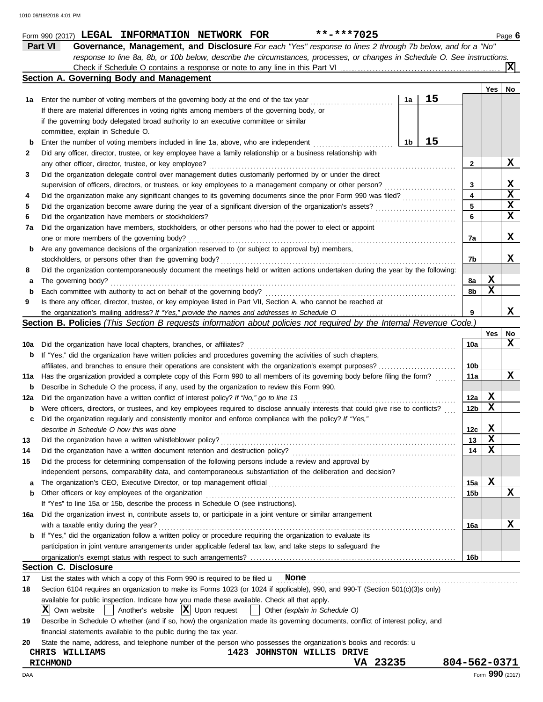|     | Part VI<br>Governance, Management, and Disclosure For each "Yes" response to lines 2 through 7b below, and for a "No"               |                 |                         |                 |
|-----|-------------------------------------------------------------------------------------------------------------------------------------|-----------------|-------------------------|-----------------|
|     | response to line 8a, 8b, or 10b below, describe the circumstances, processes, or changes in Schedule O. See instructions.           |                 |                         |                 |
|     |                                                                                                                                     |                 |                         | X               |
|     | Section A. Governing Body and Management                                                                                            |                 |                         |                 |
|     | 15                                                                                                                                  |                 | Yes                     | No              |
| 1а  | Enter the number of voting members of the governing body at the end of the tax year<br>1a                                           |                 |                         |                 |
|     | If there are material differences in voting rights among members of the governing body, or                                          |                 |                         |                 |
|     | if the governing body delegated broad authority to an executive committee or similar                                                |                 |                         |                 |
|     | committee, explain in Schedule O.<br>15                                                                                             |                 |                         |                 |
| b   | 1b<br>Enter the number of voting members included in line 1a, above, who are independent                                            |                 |                         |                 |
| 2   | Did any officer, director, trustee, or key employee have a family relationship or a business relationship with                      |                 |                         |                 |
|     | any other officer, director, trustee, or key employee?                                                                              | 2               |                         | X               |
| 3   | Did the organization delegate control over management duties customarily performed by or under the direct                           |                 |                         |                 |
|     | supervision of officers, directors, or trustees, or key employees to a management company or other person?                          | 3               |                         | X               |
| 4   | Did the organization make any significant changes to its governing documents since the prior Form 990 was filed?                    | 4               |                         | $\mathbf x$     |
| 5   | Did the organization become aware during the year of a significant diversion of the organization's assets?                          | 5               |                         | X               |
| 6   | Did the organization have members or stockholders?                                                                                  | 6               |                         | X               |
| 7a  | Did the organization have members, stockholders, or other persons who had the power to elect or appoint                             |                 |                         |                 |
|     | one or more members of the governing body?                                                                                          | 7a              |                         | X               |
| b   | Are any governance decisions of the organization reserved to (or subject to approval by) members,                                   |                 |                         |                 |
|     | stockholders, or persons other than the governing body?                                                                             | 7b              |                         | x               |
| 8   | Did the organization contemporaneously document the meetings held or written actions undertaken during the year by the following:   |                 |                         |                 |
| а   | The governing body?                                                                                                                 | 8a              | X                       |                 |
| b   | Each committee with authority to act on behalf of the governing body?                                                               | 8b              | X                       |                 |
| 9   | Is there any officer, director, trustee, or key employee listed in Part VII, Section A, who cannot be reached at                    |                 |                         |                 |
|     |                                                                                                                                     | 9               |                         | x               |
|     | Section B. Policies (This Section B requests information about policies not required by the Internal Revenue Code.)                 |                 |                         |                 |
|     |                                                                                                                                     |                 | Yes                     | No              |
| 10a | Did the organization have local chapters, branches, or affiliates?                                                                  | 10a             |                         | x               |
| b   | If "Yes," did the organization have written policies and procedures governing the activities of such chapters,                      |                 |                         |                 |
|     |                                                                                                                                     | 10b             |                         |                 |
| 11a | Has the organization provided a complete copy of this Form 990 to all members of its governing body before filing the form?         | 11a             |                         | x               |
| b   | Describe in Schedule O the process, if any, used by the organization to review this Form 990.                                       |                 |                         |                 |
| 12a | Did the organization have a written conflict of interest policy? If "No," go to line 13                                             | 12a             | X                       |                 |
| b   | Were officers, directors, or trustees, and key employees required to disclose annually interests that could give rise to conflicts? | 12 <sub>b</sub> | X                       |                 |
| c   | Did the organization regularly and consistently monitor and enforce compliance with the policy? If "Yes,"                           |                 |                         |                 |
|     | describe in Schedule O how this was done                                                                                            | 12c             | x                       |                 |
| 13  | Did the organization have a written whistleblower policy?                                                                           | 13              | $\overline{\mathbf{x}}$ |                 |
| 14  | Did the organization have a written document retention and destruction policy?                                                      | 14              | X                       |                 |
| 15  | Did the process for determining compensation of the following persons include a review and approval by                              |                 |                         |                 |
|     | independent persons, comparability data, and contemporaneous substantiation of the deliberation and decision?                       |                 |                         |                 |
| а   |                                                                                                                                     | 15a             | X                       |                 |
| b   | Other officers or key employees of the organization                                                                                 | 15b             |                         | x               |
|     | If "Yes" to line 15a or 15b, describe the process in Schedule O (see instructions).                                                 |                 |                         |                 |
| 16a | Did the organization invest in, contribute assets to, or participate in a joint venture or similar arrangement                      |                 |                         |                 |
|     | with a taxable entity during the year?                                                                                              | 16a             |                         | x               |
| b   | If "Yes," did the organization follow a written policy or procedure requiring the organization to evaluate its                      |                 |                         |                 |
|     | participation in joint venture arrangements under applicable federal tax law, and take steps to safeguard the                       |                 |                         |                 |
|     |                                                                                                                                     | 16b             |                         |                 |
|     | <b>Section C. Disclosure</b>                                                                                                        |                 |                         |                 |
| 17  | List the states with which a copy of this Form 990 is required to be filed $\mathbf u$ None                                         |                 |                         |                 |
| 18  | Section 6104 requires an organization to make its Forms 1023 (or 1024 if applicable), 990, and 990-T (Section 501(c)(3)s only)      |                 |                         |                 |
|     | available for public inspection. Indicate how you made these available. Check all that apply.                                       |                 |                         |                 |
|     | ΙXΙ<br>Another's website $ X $ Upon request<br>Own website<br>Other (explain in Schedule O)<br>$\mathbf{1}$                         |                 |                         |                 |
| 19  | Describe in Schedule O whether (and if so, how) the organization made its governing documents, conflict of interest policy, and     |                 |                         |                 |
|     | financial statements available to the public during the tax year.                                                                   |                 |                         |                 |
| 20  | State the name, address, and telephone number of the person who possesses the organization's books and records: u                   |                 |                         |                 |
|     | 1423 JOHNSTON WILLIS DRIVE<br><b>CHRIS WILLIAMS</b>                                                                                 |                 |                         |                 |
|     | VA 23235<br><b>RICHMOND</b>                                                                                                         | 804-562-0371    |                         |                 |
| DAA |                                                                                                                                     |                 |                         | Form 990 (2017) |

**Form 990 (2017) LEGAL INFORMATION NETWORK FOR \*\*-\*\*\*7025** Page 6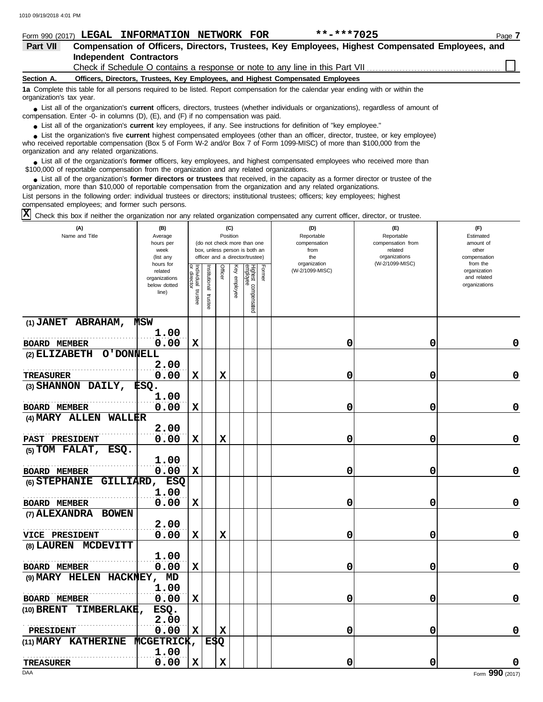|                                                                                                                                                                                                                                    |  | Form 990 (2017) LEGAL INFORMATION NETWORK FOR |  |  | **-***7025                                                                                                                        | Page 7 |  |  |
|------------------------------------------------------------------------------------------------------------------------------------------------------------------------------------------------------------------------------------|--|-----------------------------------------------|--|--|-----------------------------------------------------------------------------------------------------------------------------------|--------|--|--|
| Part VII                                                                                                                                                                                                                           |  |                                               |  |  | Compensation of Officers, Directors, Trustees, Key Employees, Highest Compensated Employees, and                                  |        |  |  |
|                                                                                                                                                                                                                                    |  | <b>Independent Contractors</b>                |  |  |                                                                                                                                   |        |  |  |
|                                                                                                                                                                                                                                    |  |                                               |  |  | Check if Schedule O contains a response or note to any line in this Part VII                                                      |        |  |  |
| Section A.                                                                                                                                                                                                                         |  |                                               |  |  | Officers, Directors, Trustees, Key Employees, and Highest Compensated Employees                                                   |        |  |  |
| organization's tax year.                                                                                                                                                                                                           |  |                                               |  |  | 1a Complete this table for all persons required to be listed. Report compensation for the calendar year ending with or within the |        |  |  |
| • List all of the organization's <b>current</b> officers, directors, trustees (whether individuals or organizations), regardless of amount of<br>compensation. Enter -0- in columns (D), (E), and (F) if no compensation was paid. |  |                                               |  |  |                                                                                                                                   |        |  |  |
|                                                                                                                                                                                                                                    |  |                                               |  |  | • List all of the organization's current key employees if any See instructions for definition of "key employee"                   |        |  |  |

● List all of the organization's **current** key employees, if any. See instructions for definition of "key employee."

who received reportable compensation (Box 5 of Form W-2 and/or Box 7 of Form 1099-MISC) of more than \$100,000 from the organization and any related organizations. ■ List the organization's five **current** highest compensated employees (other than an officer, director, trustee, or key employee)<br> **•** Preceived reportable compensation (Box 5 of Form W.2 and/or Box 7 of Form 1000 MISC)

■ List all of the organization's **former** officers, key employees, and highest compensated employees who received more than<br> **•** 00,000 of reportable compensation from the ergonization and any related ergonizations \$100,000 of reportable compensation from the organization and any related organizations.

■ List all of the organization's **former directors or trustees** that received, in the capacity as a former director or trustee of the<br>paization, more than \$10,000 of reportable compensation from the organization and any r organization, more than \$10,000 of reportable compensation from the organization and any related organizations. List persons in the following order: individual trustees or directors; institutional trustees; officers; key employees; highest

compensated employees; and former such persons.

 $\overline{X}$  Check this box if neither the organization nor any related organization compensated any current officer, director, or trustee.

| (A)<br>Name and Title                             | (B)<br>Average<br>hours per<br>week<br>(list any<br>hours for |                                      |                          | Position    | (C)             | (do not check more than one<br>box, unless person is both an<br>officer and a director/trustee) |        | (D)<br>Reportable<br>compensation<br>from<br>the<br>organization | (E)<br>Reportable<br>compensation from<br>related<br>organizations<br>(W-2/1099-MISC) | (F)<br>Estimated<br>amount of<br>other<br>compensation<br>from the |
|---------------------------------------------------|---------------------------------------------------------------|--------------------------------------|--------------------------|-------------|-----------------|-------------------------------------------------------------------------------------------------|--------|------------------------------------------------------------------|---------------------------------------------------------------------------------------|--------------------------------------------------------------------|
|                                                   | related<br>organizations<br>below dotted<br>line)             | Individual<br>or director<br>trustee | Institutional<br>trustee | Officer     | Key<br>enployee | Highest compensated<br>employee                                                                 | Former | (W-2/1099-MISC)                                                  |                                                                                       | organization<br>and related<br>organizations                       |
| (1) JANET ABRAHAM,                                | MISW<br>1.00                                                  |                                      |                          |             |                 |                                                                                                 |        |                                                                  |                                                                                       |                                                                    |
| <b>BOARD MEMBER</b>                               | 0.00                                                          | $\mathbf x$                          |                          |             |                 |                                                                                                 |        | 0                                                                | 0                                                                                     | 0                                                                  |
| (2) ELIZABETH O'DONNELL                           |                                                               |                                      |                          |             |                 |                                                                                                 |        |                                                                  |                                                                                       |                                                                    |
|                                                   | 2.00                                                          |                                      |                          |             |                 |                                                                                                 |        |                                                                  |                                                                                       |                                                                    |
| <b>TREASURER</b>                                  | 0.00                                                          | $\mathbf x$                          |                          | $\mathbf x$ |                 |                                                                                                 |        | 0                                                                | 0                                                                                     | 0                                                                  |
| (3) SHANNON DAILY,                                | <b>ESQ.</b>                                                   |                                      |                          |             |                 |                                                                                                 |        |                                                                  |                                                                                       |                                                                    |
|                                                   | 1.00                                                          |                                      |                          |             |                 |                                                                                                 |        |                                                                  |                                                                                       |                                                                    |
| <b>BOARD MEMBER</b>                               | 0.00                                                          | $\mathbf x$                          |                          |             |                 |                                                                                                 |        | 0                                                                | 0                                                                                     | 0                                                                  |
| (4) MARY ALLEN WALLER                             |                                                               |                                      |                          |             |                 |                                                                                                 |        |                                                                  |                                                                                       |                                                                    |
|                                                   | 2.00                                                          |                                      |                          |             |                 |                                                                                                 |        |                                                                  |                                                                                       |                                                                    |
| PAST PRESIDENT                                    | 0.00                                                          | $\mathbf x$                          |                          | $\mathbf x$ |                 |                                                                                                 |        | 0                                                                | 0                                                                                     | 0                                                                  |
| (5) TOM FALAT, ESQ.                               |                                                               |                                      |                          |             |                 |                                                                                                 |        |                                                                  |                                                                                       |                                                                    |
|                                                   | 1.00<br>0.00                                                  | $\mathbf x$                          |                          |             |                 |                                                                                                 |        | 0                                                                | 0                                                                                     | 0                                                                  |
| <b>BOARD MEMBER</b><br>GILLIARD,<br>(6) STEPHANIE | ESQ                                                           |                                      |                          |             |                 |                                                                                                 |        |                                                                  |                                                                                       |                                                                    |
|                                                   | 1.00                                                          |                                      |                          |             |                 |                                                                                                 |        |                                                                  |                                                                                       |                                                                    |
| <b>BOARD MEMBER</b>                               | 0.00                                                          | $\mathbf x$                          |                          |             |                 |                                                                                                 |        | 0                                                                | 0                                                                                     | 0                                                                  |
| (7) ALEXANDRA BOWEN                               |                                                               |                                      |                          |             |                 |                                                                                                 |        |                                                                  |                                                                                       |                                                                    |
|                                                   | 2.00                                                          |                                      |                          |             |                 |                                                                                                 |        |                                                                  |                                                                                       |                                                                    |
| <b>VICE PRESIDENT</b>                             | 0.00                                                          | $\mathbf x$                          |                          | $\mathbf x$ |                 |                                                                                                 |        | 0                                                                | 0                                                                                     | 0                                                                  |
| (8) LAUREN MCDEVITT                               |                                                               |                                      |                          |             |                 |                                                                                                 |        |                                                                  |                                                                                       |                                                                    |
|                                                   | 1.00                                                          |                                      |                          |             |                 |                                                                                                 |        |                                                                  |                                                                                       |                                                                    |
| <b>BOARD MEMBER</b>                               | 0.00                                                          | $\mathbf x$                          |                          |             |                 |                                                                                                 |        | 0                                                                | 0                                                                                     | 0                                                                  |
| (9) MARY HELEN HACKNEY,                           | MD                                                            |                                      |                          |             |                 |                                                                                                 |        |                                                                  |                                                                                       |                                                                    |
|                                                   | 1.00                                                          |                                      |                          |             |                 |                                                                                                 |        |                                                                  |                                                                                       |                                                                    |
| <b>BOARD MEMBER</b>                               | 0.00                                                          | X                                    |                          |             |                 |                                                                                                 |        | 0                                                                | 0                                                                                     | 0                                                                  |
| TIMBERLAKE,<br>(10) BRENT                         | ESQ.                                                          |                                      |                          |             |                 |                                                                                                 |        |                                                                  |                                                                                       |                                                                    |
|                                                   | 2.00                                                          |                                      |                          |             |                 |                                                                                                 |        |                                                                  |                                                                                       |                                                                    |
| <b>PRESIDENT</b><br>(11) MARY KATHERINE           | 0.00<br>MCGETRICK                                             | $\mathbf x$                          |                          | $\mathbf x$ |                 |                                                                                                 |        | 0                                                                | 0                                                                                     | 0                                                                  |
|                                                   | 1.00                                                          |                                      | ESQ                      |             |                 |                                                                                                 |        |                                                                  |                                                                                       |                                                                    |
| <b>TREASURER</b>                                  | 0.00                                                          | $\mathbf x$                          |                          | $\mathbf x$ |                 |                                                                                                 |        | 0                                                                | 0                                                                                     | 0                                                                  |
|                                                   |                                                               |                                      |                          |             |                 |                                                                                                 |        |                                                                  |                                                                                       |                                                                    |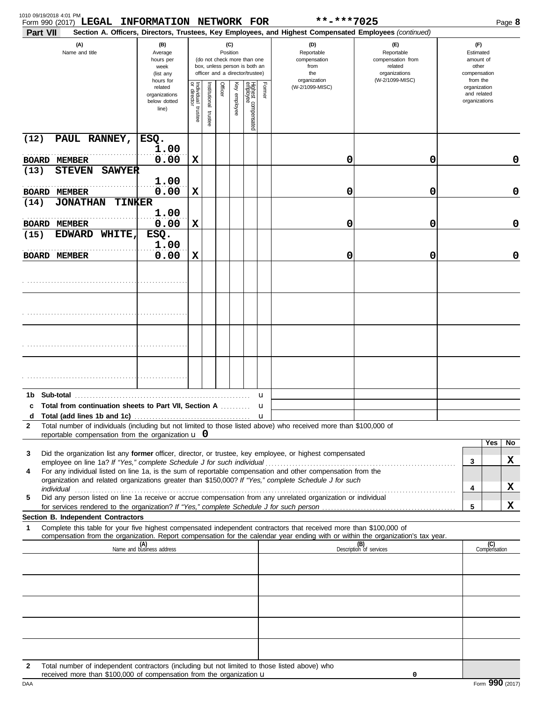| Form 990 (2017) LEGAL INFORMATION NETWORK FOR<br>Part VII                                                                                                                                                                                                                                                                                                 |                                                                |                                      |                      |                 |              |                                                                                                 |        | **-***7025<br>Section A. Officers, Directors, Trustees, Key Employees, and Highest Compensated Employees (continued) |                                                                    |                                                          | Page 8 |
|-----------------------------------------------------------------------------------------------------------------------------------------------------------------------------------------------------------------------------------------------------------------------------------------------------------------------------------------------------------|----------------------------------------------------------------|--------------------------------------|----------------------|-----------------|--------------|-------------------------------------------------------------------------------------------------|--------|----------------------------------------------------------------------------------------------------------------------|--------------------------------------------------------------------|----------------------------------------------------------|--------|
| (A)<br>Name and title                                                                                                                                                                                                                                                                                                                                     | (B)<br>Average<br>hours per<br>week<br>(list any               |                                      |                      | (C)<br>Position |              | (do not check more than one<br>box, unless person is both an<br>officer and a director/trustee) |        | (D)<br>Reportable<br>compensation<br>from<br>the                                                                     | (E)<br>Reportable<br>compensation from<br>related<br>organizations | (F)<br>Estimated<br>amount of<br>other<br>compensation   |        |
|                                                                                                                                                                                                                                                                                                                                                           | hours for<br>related<br>organizations<br>below dotted<br>line) | Individual<br>or director<br>trustee | nstitutional trustee | Officer         | Key employee | Highest compensated<br>employee                                                                 | Former | organization<br>(W-2/1099-MISC)                                                                                      | (W-2/1099-MISC)                                                    | from the<br>organization<br>and related<br>organizations |        |
| PAUL RANNEY,<br>(12)                                                                                                                                                                                                                                                                                                                                      | ESQ.<br>1.00                                                   |                                      |                      |                 |              |                                                                                                 |        |                                                                                                                      |                                                                    |                                                          |        |
| BOARD MEMBER<br><b>STEVEN</b><br><b>SAWYER</b><br>(13)                                                                                                                                                                                                                                                                                                    | 0.00                                                           | X                                    |                      |                 |              |                                                                                                 |        | 0                                                                                                                    | 0                                                                  |                                                          | 0      |
| <b>BOARD MEMBER</b><br><b>JONATHAN</b><br><b>TINKER</b><br>(14)                                                                                                                                                                                                                                                                                           | 1.00<br>0.00                                                   | X                                    |                      |                 |              |                                                                                                 |        | 0                                                                                                                    | 0                                                                  |                                                          | 0      |
| <b>BOARD MEMBER</b>                                                                                                                                                                                                                                                                                                                                       | 1.00<br>0.00                                                   | $\mathbf x$                          |                      |                 |              |                                                                                                 |        | 0                                                                                                                    | 0                                                                  |                                                          | 0      |
| EDWARD WHITE,<br>(15)                                                                                                                                                                                                                                                                                                                                     | ESQ.<br>1.00                                                   |                                      |                      |                 |              |                                                                                                 |        |                                                                                                                      |                                                                    |                                                          |        |
| <b>BOARD MEMBER</b>                                                                                                                                                                                                                                                                                                                                       | 0.00                                                           | X                                    |                      |                 |              |                                                                                                 |        | 0                                                                                                                    | 0                                                                  |                                                          | 0      |
|                                                                                                                                                                                                                                                                                                                                                           |                                                                |                                      |                      |                 |              |                                                                                                 |        |                                                                                                                      |                                                                    |                                                          |        |
|                                                                                                                                                                                                                                                                                                                                                           |                                                                |                                      |                      |                 |              |                                                                                                 |        |                                                                                                                      |                                                                    |                                                          |        |
|                                                                                                                                                                                                                                                                                                                                                           |                                                                |                                      |                      |                 |              |                                                                                                 |        |                                                                                                                      |                                                                    |                                                          |        |
|                                                                                                                                                                                                                                                                                                                                                           |                                                                |                                      |                      |                 |              |                                                                                                 |        |                                                                                                                      |                                                                    |                                                          |        |
| c Total from continuation sheets to Part VII, Section A                                                                                                                                                                                                                                                                                                   |                                                                |                                      |                      |                 |              |                                                                                                 | u      |                                                                                                                      |                                                                    |                                                          |        |
| d<br>Total number of individuals (including but not limited to those listed above) who received more than \$100,000 of<br>$\mathbf{2}$<br>reportable compensation from the organization $\mathbf u$ 0                                                                                                                                                     |                                                                |                                      |                      |                 |              |                                                                                                 | u      |                                                                                                                      |                                                                    |                                                          |        |
| Did the organization list any former officer, director, or trustee, key employee, or highest compensated<br>3                                                                                                                                                                                                                                             |                                                                |                                      |                      |                 |              |                                                                                                 |        |                                                                                                                      |                                                                    | Yes                                                      | No     |
| For any individual listed on line 1a, is the sum of reportable compensation and other compensation from the<br>4<br>organization and related organizations greater than \$150,000? If "Yes," complete Schedule J for such                                                                                                                                 |                                                                |                                      |                      |                 |              |                                                                                                 |        |                                                                                                                      |                                                                    | 3                                                        | X      |
| individual <b>construction in the construction of the construction</b> in the construction of the construction of the construction of the construction of the construction of the construction of the construction of the construct<br>Did any person listed on line 1a receive or accrue compensation from any unrelated organization or individual<br>5 |                                                                |                                      |                      |                 |              |                                                                                                 |        |                                                                                                                      |                                                                    | 4<br>5                                                   | X<br>x |
| Section B. Independent Contractors                                                                                                                                                                                                                                                                                                                        |                                                                |                                      |                      |                 |              |                                                                                                 |        |                                                                                                                      |                                                                    |                                                          |        |
| Complete this table for your five highest compensated independent contractors that received more than \$100,000 of<br>1<br>compensation from the organization. Report compensation for the calendar year ending with or within the organization's tax year.                                                                                               |                                                                |                                      |                      |                 |              |                                                                                                 |        |                                                                                                                      |                                                                    |                                                          |        |
|                                                                                                                                                                                                                                                                                                                                                           | (A)<br>Name and business address                               |                                      |                      |                 |              |                                                                                                 |        |                                                                                                                      | (B)<br>Description of services                                     | (C)<br>Compensation                                      |        |
|                                                                                                                                                                                                                                                                                                                                                           |                                                                |                                      |                      |                 |              |                                                                                                 |        |                                                                                                                      |                                                                    |                                                          |        |
|                                                                                                                                                                                                                                                                                                                                                           |                                                                |                                      |                      |                 |              |                                                                                                 |        |                                                                                                                      |                                                                    |                                                          |        |
|                                                                                                                                                                                                                                                                                                                                                           |                                                                |                                      |                      |                 |              |                                                                                                 |        |                                                                                                                      |                                                                    |                                                          |        |
| Total number of independent contractors (including but not limited to those listed above) who<br>2                                                                                                                                                                                                                                                        |                                                                |                                      |                      |                 |              |                                                                                                 |        |                                                                                                                      |                                                                    |                                                          |        |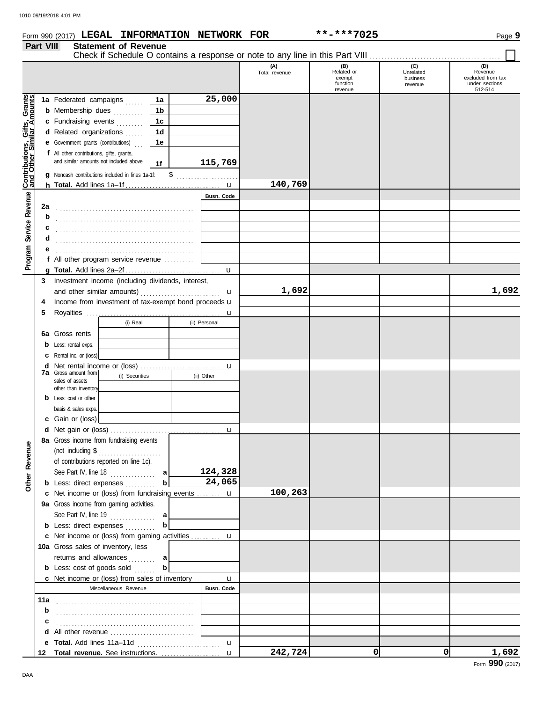### **Form 990 (2017) LEGAL INFORMATION NETWORK FOR \*\*-\*\*\*7025** Page 9

#### **Part VIII Statement of Revenue**

|                                                           |     | Check if Schedule O contains a response or note to any line in this Part VIII |               |                      |                                                    |                                         |                                                                  |
|-----------------------------------------------------------|-----|-------------------------------------------------------------------------------|---------------|----------------------|----------------------------------------------------|-----------------------------------------|------------------------------------------------------------------|
|                                                           |     |                                                                               |               | (A)<br>Total revenue | (B)<br>Related or<br>exempt<br>function<br>revenue | (C)<br>Unrelated<br>business<br>revenue | (D)<br>Revenue<br>excluded from tax<br>under sections<br>512-514 |
|                                                           |     | 1a Federated campaigns<br>1a                                                  | 25,000        |                      |                                                    |                                         |                                                                  |
| Contributions, Gifts, Grants<br>and Other Similar Amounts |     | <b>b</b> Membership dues<br>1b<br>.                                           |               |                      |                                                    |                                         |                                                                  |
|                                                           |     | c Fundraising events<br>1c<br>.                                               |               |                      |                                                    |                                         |                                                                  |
|                                                           |     | d Related organizations<br>1d                                                 |               |                      |                                                    |                                         |                                                                  |
|                                                           |     | .<br><b>e</b> Government grants (contributions)<br>1e                         |               |                      |                                                    |                                         |                                                                  |
|                                                           |     | f All other contributions, gifts, grants,                                     |               |                      |                                                    |                                         |                                                                  |
|                                                           |     | and similar amounts not included above<br>1f                                  | 115,769       |                      |                                                    |                                         |                                                                  |
|                                                           |     |                                                                               |               |                      |                                                    |                                         |                                                                  |
|                                                           | g   | \$<br>Noncash contributions included in lines 1a-1f:                          |               |                      |                                                    |                                         |                                                                  |
|                                                           |     |                                                                               |               | 140,769              |                                                    |                                         |                                                                  |
|                                                           |     |                                                                               | Busn. Code    |                      |                                                    |                                         |                                                                  |
|                                                           | 2a  |                                                                               |               |                      |                                                    |                                         |                                                                  |
|                                                           | b   |                                                                               |               |                      |                                                    |                                         |                                                                  |
|                                                           | с   |                                                                               |               |                      |                                                    |                                         |                                                                  |
|                                                           | d   |                                                                               |               |                      |                                                    |                                         |                                                                  |
|                                                           |     |                                                                               |               |                      |                                                    |                                         |                                                                  |
| Program Service Revenue                                   |     | f All other program service revenue                                           |               |                      |                                                    |                                         |                                                                  |
|                                                           |     |                                                                               |               |                      |                                                    |                                         |                                                                  |
|                                                           | 3   | Investment income (including dividends, interest,                             |               |                      |                                                    |                                         |                                                                  |
|                                                           |     |                                                                               | u             | 1,692                |                                                    |                                         | 1,692                                                            |
|                                                           | 4   | Income from investment of tax-exempt bond proceeds u                          |               |                      |                                                    |                                         |                                                                  |
|                                                           | 5   |                                                                               |               |                      |                                                    |                                         |                                                                  |
|                                                           |     | (i) Real                                                                      | (ii) Personal |                      |                                                    |                                         |                                                                  |
|                                                           |     | 6a Gross rents                                                                |               |                      |                                                    |                                         |                                                                  |
|                                                           | b   | Less: rental exps.                                                            |               |                      |                                                    |                                         |                                                                  |
|                                                           | с   | Rental inc. or (loss)                                                         |               |                      |                                                    |                                         |                                                                  |
|                                                           | d   |                                                                               |               |                      |                                                    |                                         |                                                                  |
|                                                           |     | 7a Gross amount from<br>(i) Securities                                        | (ii) Other    |                      |                                                    |                                         |                                                                  |
|                                                           |     | sales of assets                                                               |               |                      |                                                    |                                         |                                                                  |
|                                                           |     | other than inventory                                                          |               |                      |                                                    |                                         |                                                                  |
|                                                           |     | <b>b</b> Less: cost or other                                                  |               |                      |                                                    |                                         |                                                                  |
|                                                           |     | basis & sales exps                                                            |               |                      |                                                    |                                         |                                                                  |
|                                                           |     | c Gain or (loss)                                                              |               |                      |                                                    |                                         |                                                                  |
|                                                           |     |                                                                               |               |                      |                                                    |                                         |                                                                  |
| $\pmb{\omega}$                                            |     | 8a Gross income from fundraising events                                       |               |                      |                                                    |                                         |                                                                  |
| Other Revenu                                              |     | (not including \$                                                             |               |                      |                                                    |                                         |                                                                  |
|                                                           |     | of contributions reported on line 1c).                                        |               |                      |                                                    |                                         |                                                                  |
|                                                           |     | See Part IV, line 18 $\ldots$<br>a                                            | 124,328       |                      |                                                    |                                         |                                                                  |
|                                                           |     | b<br><b>b</b> Less: direct expenses                                           | 24,065        |                      |                                                    |                                         |                                                                  |
|                                                           |     | c Net income or (loss) from fundraising events  u                             |               | 100,263              |                                                    |                                         |                                                                  |
|                                                           |     | 9a Gross income from gaming activities.                                       |               |                      |                                                    |                                         |                                                                  |
|                                                           |     | See Part IV, line 19 $\ldots$<br>a                                            |               |                      |                                                    |                                         |                                                                  |
|                                                           |     | b<br><b>b</b> Less: direct expenses                                           |               |                      |                                                    |                                         |                                                                  |
|                                                           |     | c Net income or (loss) from gaming activities  u                              |               |                      |                                                    |                                         |                                                                  |
|                                                           |     | 10a Gross sales of inventory, less                                            |               |                      |                                                    |                                         |                                                                  |
|                                                           |     | returns and allowances<br>а                                                   |               |                      |                                                    |                                         |                                                                  |
|                                                           |     | <b>b</b> Less: cost of goods sold<br>b                                        |               |                      |                                                    |                                         |                                                                  |
|                                                           |     | <b>c</b> Net income or (loss) from sales of inventory <b>u</b>                |               |                      |                                                    |                                         |                                                                  |
|                                                           |     | Miscellaneous Revenue                                                         | Busn. Code    |                      |                                                    |                                         |                                                                  |
|                                                           | 11a |                                                                               |               |                      |                                                    |                                         |                                                                  |
|                                                           | b   |                                                                               |               |                      |                                                    |                                         |                                                                  |
|                                                           | c   |                                                                               |               |                      |                                                    |                                         |                                                                  |
|                                                           | d   | All other revenue                                                             |               |                      |                                                    |                                         |                                                                  |
|                                                           |     |                                                                               | u             |                      |                                                    |                                         |                                                                  |
|                                                           | 12  |                                                                               |               | 242,724              | 0                                                  | 0                                       | 1,692                                                            |
|                                                           |     |                                                                               |               |                      |                                                    |                                         |                                                                  |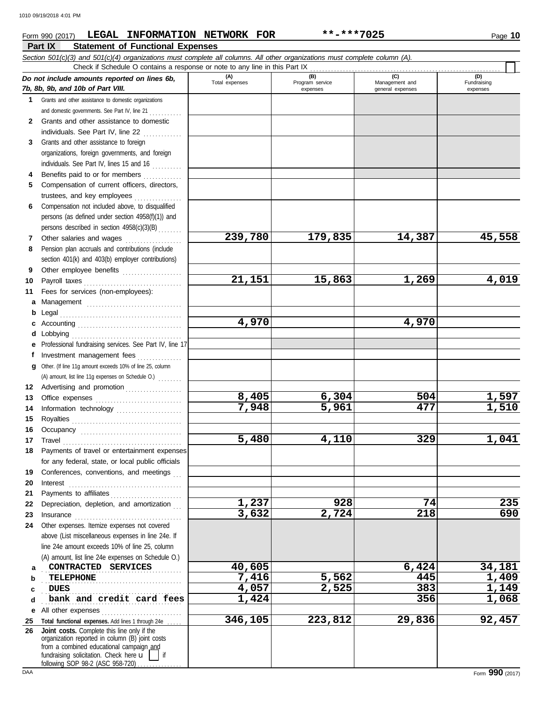#### **Part IX Statement of Functional Expenses Form 990 (2017) LEGAL INFORMATION NETWORK FOR \*\*-\*\*\*7025** Page 10 *Section 501(c)(3) and 501(c)(4) organizations must complete all columns. All other organizations must complete column (A). Do not include amounts reported on lines 6b, 7b, 8b, 9b, and 10b of Part VIII.* **1 2 3** Grants and other assistance to foreign **4 5 6 7** Other salaries and wages . . . . . . . . . . . . . . . . . . . **8 9 10 11** Fees for services (non-employees): **a** Management ................................. **b** Legal . . . . . . . . . . . . . . . . . . . . . . . . . . . . . . . . . . . . . . . . . **c** Accounting . . . . . . . . . . . . . . . . . . . . . . . . . . . . . . . . . . . **d** Lobbying . . . . . . . . . . . . . . . . . . . . . . . . . . . . . . . . . . . . . **e** Professional fundraising services. See Part IV, line 17 **f g** Other. (If line 11g amount exceeds 10% of line 25, column **12** Advertising and promotion . . . . . . . . . . . . . . . . . Grants and other assistance to domestic organizations and domestic governments. See Part IV, line 21 . . . . . . . . . . Grants and other assistance to domestic individuals. See Part IV, line 22 organizations, foreign governments, and foreign individuals. See Part IV, lines 15 and 16 Benefits paid to or for members ............. Compensation of current officers, directors, trustees, and key employees ................ Compensation not included above, to disqualified persons (as defined under section 4958(f)(1)) and persons described in section 4958(c)(3)(B) . . . . . . . . Pension plan accruals and contributions (include section 401(k) and 403(b) employer contributions) Other employee benefits .................... Payroll taxes . . . . . . . . . . . . . . . . . . . . . . . . . . . . . . . . . Investment management fees ............... **(A) (B) (C) (D)** Total expenses Program service<br>
expenses Program service<br>  $\frac{1}{2}$  Management and<br>
general expenses expenses general expenses (D)<br>Fundraising expenses Check if Schedule O contains a response or note to any line in this Part IX (A) amount, list line 11g expenses on Schedule O.) ....... **239,780 179,835 14,387 45,558 21,151 15,863 1,269 4,019 4,970 4,970** 1010 09/19/2018 4:01 PM

| 13 |                                                                                             | 8,405   | 6,304   | 504    | 1,597  |
|----|---------------------------------------------------------------------------------------------|---------|---------|--------|--------|
| 14 |                                                                                             | 7,948   | 5,961   | 477    | 1,510  |
| 15 |                                                                                             |         |         |        |        |
| 16 |                                                                                             |         |         |        |        |
| 17 | Travel                                                                                      | 5,480   | 4,110   | 329    | 1,041  |
| 18 | Payments of travel or entertainment expenses                                                |         |         |        |        |
|    | for any federal, state, or local public officials                                           |         |         |        |        |
| 19 | Conferences, conventions, and meetings                                                      |         |         |        |        |
| 20 | Interest                                                                                    |         |         |        |        |
| 21 |                                                                                             |         |         |        |        |
| 22 | Depreciation, depletion, and amortization                                                   | 1,237   | 928     | 74     | 235    |
| 23 | Insurance                                                                                   | 3,632   | 2,724   | 218    | 690    |
| 24 | Other expenses. Itemize expenses not covered                                                |         |         |        |        |
|    | above (List miscellaneous expenses in line 24e. If                                          |         |         |        |        |
|    | line 24e amount exceeds 10% of line 25, column                                              |         |         |        |        |
|    | (A) amount, list line 24e expenses on Schedule O.)                                          |         |         |        |        |
| a  | CONTRACTED SERVICES                                                                         | 40,605  |         | 6,424  | 34,181 |
| b  | TELEPHONE                                                                                   | 7,416   | 5,562   | 445    | 1,409  |
|    | <b>DUES</b>                                                                                 | 4,057   | 2,525   | 383    | 1,149  |
|    | bank and credit card fees                                                                   | 1,424   |         | 356    | 1,068  |
| е  |                                                                                             |         |         |        |        |
| 25 | Total functional expenses. Add lines 1 through 24e                                          | 346,105 | 223,812 | 29,836 | 92,457 |
| 26 | Joint costs. Complete this line only if the                                                 |         |         |        |        |
|    | organization reported in column (B) joint costs<br>from a combined educational campaign and |         |         |        |        |
|    | fundraising solicitation. Check here $\mathbf{u}$  <br>l if                                 |         |         |        |        |

following SOP 98-2 (ASC 958-720)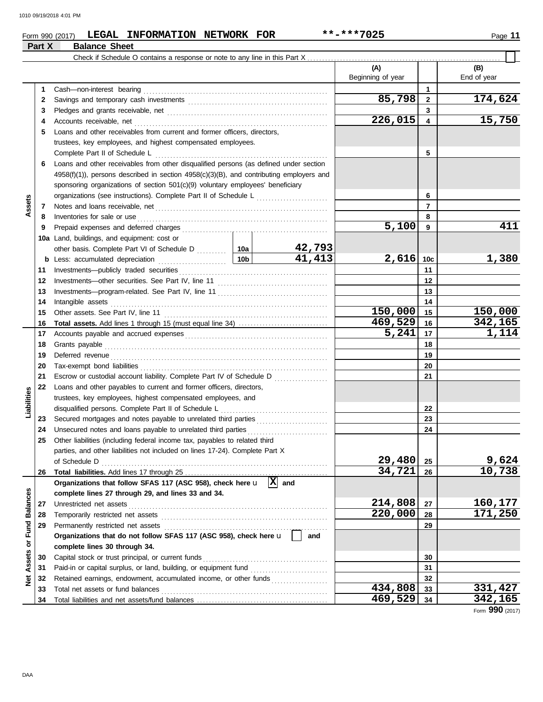**Part X Balance Sheet**

#### **Form 990 (2017) LEGAL INFORMATION NETWORK FOR** \*\*-\*\*\*7025 Page 11

|                 |    |                                                                                                                                     |         |                     | (A)<br>Beginning of year |                 | (B)<br>End of year |
|-----------------|----|-------------------------------------------------------------------------------------------------------------------------------------|---------|---------------------|--------------------------|-----------------|--------------------|
|                 | 1  | Cash-non-interest bearing                                                                                                           |         |                     |                          | $\mathbf{1}$    |                    |
|                 | 2  |                                                                                                                                     |         |                     | 85,798                   | $\overline{2}$  | 174,624            |
|                 | 3  |                                                                                                                                     |         |                     | 3                        |                 |                    |
|                 | 4  | Accounts receivable, net                                                                                                            | 226,015 | 4                   | 15,750                   |                 |                    |
|                 | 5  | Loans and other receivables from current and former officers, directors,                                                            |         |                     |                          |                 |                    |
|                 |    | trustees, key employees, and highest compensated employees.                                                                         |         |                     |                          |                 |                    |
|                 |    | Complete Part II of Schedule L                                                                                                      |         | 5                   |                          |                 |                    |
|                 | 6  | Loans and other receivables from other disqualified persons (as defined under section                                               |         |                     |                          |                 |                    |
|                 |    | $4958(f)(1)$ , persons described in section $4958(c)(3)(B)$ , and contributing employers and                                        |         |                     |                          |                 |                    |
|                 |    | sponsoring organizations of section 501(c)(9) voluntary employees' beneficiary                                                      |         |                     |                          |                 |                    |
|                 |    |                                                                                                                                     |         |                     |                          | 6               |                    |
| Assets          | 7  |                                                                                                                                     |         |                     |                          | $\overline{7}$  |                    |
|                 | 8  | Inventories for sale or use                                                                                                         |         |                     |                          | 8               |                    |
|                 | 9  |                                                                                                                                     |         |                     | 5,100                    | 9               | 411                |
|                 |    | 10a Land, buildings, and equipment: cost or                                                                                         |         |                     |                          |                 |                    |
|                 |    |                                                                                                                                     |         | 42,793              |                          |                 |                    |
|                 |    |                                                                                                                                     | 10b     | 41,413              | 2,616                    | 10 <sub>c</sub> | 1,380              |
|                 | 11 | Investments-publicly traded securities                                                                                              |         |                     |                          | 11              |                    |
|                 | 12 |                                                                                                                                     |         |                     |                          | 12              |                    |
|                 | 13 |                                                                                                                                     |         |                     |                          | 13              |                    |
|                 | 14 | Intangible assets                                                                                                                   |         |                     |                          | 14              |                    |
|                 | 15 | Other assets. See Part IV, line 11                                                                                                  |         |                     | 150,000                  | 15              | 150,000            |
|                 | 16 |                                                                                                                                     |         |                     | 469,529                  | 16              | 342,165            |
|                 | 17 |                                                                                                                                     |         | 5,241               | 17                       | 1,114           |                    |
|                 | 18 |                                                                                                                                     |         | 18                  |                          |                 |                    |
|                 | 19 | Deferred revenue                                                                                                                    |         |                     | 19                       |                 |                    |
|                 | 20 |                                                                                                                                     |         |                     | 20                       |                 |                    |
|                 | 21 | Escrow or custodial account liability. Complete Part IV of Schedule D                                                               |         |                     |                          | 21              |                    |
|                 | 22 | Loans and other payables to current and former officers, directors,                                                                 |         |                     |                          |                 |                    |
| Liabilities     |    | trustees, key employees, highest compensated employees, and                                                                         |         |                     |                          |                 |                    |
|                 |    | disqualified persons. Complete Part II of Schedule L                                                                                |         |                     |                          | 22              |                    |
|                 | 23 | Secured mortgages and notes payable to unrelated third parties [111] Secured mortgages and notes payable to unrelated third parties |         |                     |                          | 23              |                    |
|                 | 24 | Unsecured notes and loans payable to unrelated third parties                                                                        |         |                     |                          | 24              |                    |
|                 | 25 | Other liabilities (including federal income tax, payables to related third                                                          |         |                     |                          |                 |                    |
|                 |    | parties, and other liabilities not included on lines 17-24). Complete Part X                                                        |         |                     |                          |                 |                    |
|                 |    | of Schedule D                                                                                                                       |         |                     | 29,480                   | 25              | 9,624              |
|                 | 26 |                                                                                                                                     |         |                     | 34,721                   | 26              | 10,738             |
|                 |    | Organizations that follow SFAS 117 (ASC 958), check here u                                                                          |         | $\mathbf{x}$<br>and |                          |                 |                    |
|                 |    | complete lines 27 through 29, and lines 33 and 34.                                                                                  |         |                     |                          |                 |                    |
|                 | 27 | Unrestricted net assets                                                                                                             |         |                     | 214,808                  | 27              | 160,177            |
| <b>Balances</b> | 28 | Temporarily restricted net assets                                                                                                   |         |                     | 220,000                  | 28              | 171,250            |
|                 | 29 |                                                                                                                                     |         |                     |                          | 29              |                    |
|                 |    | Permanently restricted net assets<br>Organizations that do not follow SFAS 117 (ASC 958), check here u                              |         | and                 |                          |                 |                    |
|                 |    |                                                                                                                                     |         |                     |                          |                 |                    |
| Assets or Fund  |    | complete lines 30 through 34.<br>Capital stock or trust principal, or current funds                                                 |         |                     |                          |                 |                    |
|                 | 30 |                                                                                                                                     |         |                     |                          | 30              |                    |
|                 | 31 | Paid-in or capital surplus, or land, building, or equipment fund                                                                    |         |                     |                          | 31              |                    |
| <b>Net</b>      | 32 | Retained earnings, endowment, accumulated income, or other funds                                                                    |         |                     | 434,808                  | 32              | 331,427            |
|                 | 33 | Total net assets or fund balances                                                                                                   |         |                     | 469,529                  | 33              | 342,165            |
|                 | 34 |                                                                                                                                     |         |                     |                          | 34              |                    |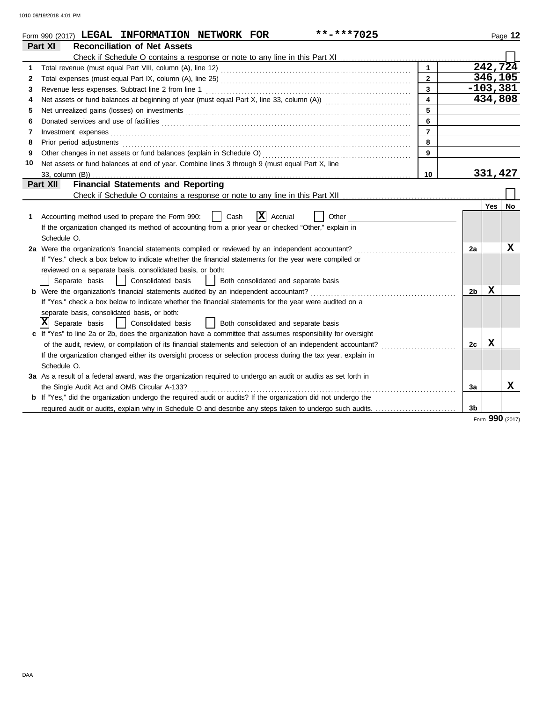1010 09/19/2018 4:01 PM

| <b>Reconciliation of Net Assets</b><br>Part XI<br>$\mathbf{1}$<br>Total revenue (must equal Part VIII, column (A), line 12) [2010] [2010] [2010] [2010] [2010] [2010] [2010] [20<br>1<br>$\overline{2}$<br>2<br>$-103,381$<br>3<br>3<br>$\overline{\mathbf{4}}$<br>4<br>5<br>5<br>6<br>6<br>$\overline{7}$<br>7<br>8<br>Prior period adjustments entertainments and adjustments and account of the contract of the contract of the contract of the contract of the contract of the contract of the contract of the contract of the contract of the con<br>8<br>9<br>9<br>Net assets or fund balances at end of year. Combine lines 3 through 9 (must equal Part X, line<br>10<br>33. column (B))<br>10<br><b>Financial Statements and Reporting</b><br>Part XII<br><b>Yes</b><br>$ \mathbf{X} $ Accrual<br>Cash<br>Other<br>Accounting method used to prepare the Form 990:<br>1.<br>If the organization changed its method of accounting from a prior year or checked "Other," explain in<br>Schedule O.<br>2a Were the organization's financial statements compiled or reviewed by an independent accountant?<br>2a<br>If "Yes," check a box below to indicate whether the financial statements for the year were compiled or<br>reviewed on a separate basis, consolidated basis, or both:<br>Consolidated basis<br>Both consolidated and separate basis<br>Separate basis<br>$\Box$ | $\overline{242,724}$<br>346,105<br>434,808<br>331,427 |
|-----------------------------------------------------------------------------------------------------------------------------------------------------------------------------------------------------------------------------------------------------------------------------------------------------------------------------------------------------------------------------------------------------------------------------------------------------------------------------------------------------------------------------------------------------------------------------------------------------------------------------------------------------------------------------------------------------------------------------------------------------------------------------------------------------------------------------------------------------------------------------------------------------------------------------------------------------------------------------------------------------------------------------------------------------------------------------------------------------------------------------------------------------------------------------------------------------------------------------------------------------------------------------------------------------------------------------------------------------------------------------------------|-------------------------------------------------------|
|                                                                                                                                                                                                                                                                                                                                                                                                                                                                                                                                                                                                                                                                                                                                                                                                                                                                                                                                                                                                                                                                                                                                                                                                                                                                                                                                                                                         |                                                       |
|                                                                                                                                                                                                                                                                                                                                                                                                                                                                                                                                                                                                                                                                                                                                                                                                                                                                                                                                                                                                                                                                                                                                                                                                                                                                                                                                                                                         |                                                       |
|                                                                                                                                                                                                                                                                                                                                                                                                                                                                                                                                                                                                                                                                                                                                                                                                                                                                                                                                                                                                                                                                                                                                                                                                                                                                                                                                                                                         |                                                       |
|                                                                                                                                                                                                                                                                                                                                                                                                                                                                                                                                                                                                                                                                                                                                                                                                                                                                                                                                                                                                                                                                                                                                                                                                                                                                                                                                                                                         |                                                       |
|                                                                                                                                                                                                                                                                                                                                                                                                                                                                                                                                                                                                                                                                                                                                                                                                                                                                                                                                                                                                                                                                                                                                                                                                                                                                                                                                                                                         |                                                       |
|                                                                                                                                                                                                                                                                                                                                                                                                                                                                                                                                                                                                                                                                                                                                                                                                                                                                                                                                                                                                                                                                                                                                                                                                                                                                                                                                                                                         |                                                       |
|                                                                                                                                                                                                                                                                                                                                                                                                                                                                                                                                                                                                                                                                                                                                                                                                                                                                                                                                                                                                                                                                                                                                                                                                                                                                                                                                                                                         |                                                       |
|                                                                                                                                                                                                                                                                                                                                                                                                                                                                                                                                                                                                                                                                                                                                                                                                                                                                                                                                                                                                                                                                                                                                                                                                                                                                                                                                                                                         |                                                       |
|                                                                                                                                                                                                                                                                                                                                                                                                                                                                                                                                                                                                                                                                                                                                                                                                                                                                                                                                                                                                                                                                                                                                                                                                                                                                                                                                                                                         |                                                       |
|                                                                                                                                                                                                                                                                                                                                                                                                                                                                                                                                                                                                                                                                                                                                                                                                                                                                                                                                                                                                                                                                                                                                                                                                                                                                                                                                                                                         |                                                       |
|                                                                                                                                                                                                                                                                                                                                                                                                                                                                                                                                                                                                                                                                                                                                                                                                                                                                                                                                                                                                                                                                                                                                                                                                                                                                                                                                                                                         |                                                       |
|                                                                                                                                                                                                                                                                                                                                                                                                                                                                                                                                                                                                                                                                                                                                                                                                                                                                                                                                                                                                                                                                                                                                                                                                                                                                                                                                                                                         |                                                       |
|                                                                                                                                                                                                                                                                                                                                                                                                                                                                                                                                                                                                                                                                                                                                                                                                                                                                                                                                                                                                                                                                                                                                                                                                                                                                                                                                                                                         |                                                       |
|                                                                                                                                                                                                                                                                                                                                                                                                                                                                                                                                                                                                                                                                                                                                                                                                                                                                                                                                                                                                                                                                                                                                                                                                                                                                                                                                                                                         |                                                       |
|                                                                                                                                                                                                                                                                                                                                                                                                                                                                                                                                                                                                                                                                                                                                                                                                                                                                                                                                                                                                                                                                                                                                                                                                                                                                                                                                                                                         |                                                       |
|                                                                                                                                                                                                                                                                                                                                                                                                                                                                                                                                                                                                                                                                                                                                                                                                                                                                                                                                                                                                                                                                                                                                                                                                                                                                                                                                                                                         | No                                                    |
|                                                                                                                                                                                                                                                                                                                                                                                                                                                                                                                                                                                                                                                                                                                                                                                                                                                                                                                                                                                                                                                                                                                                                                                                                                                                                                                                                                                         |                                                       |
|                                                                                                                                                                                                                                                                                                                                                                                                                                                                                                                                                                                                                                                                                                                                                                                                                                                                                                                                                                                                                                                                                                                                                                                                                                                                                                                                                                                         |                                                       |
|                                                                                                                                                                                                                                                                                                                                                                                                                                                                                                                                                                                                                                                                                                                                                                                                                                                                                                                                                                                                                                                                                                                                                                                                                                                                                                                                                                                         |                                                       |
|                                                                                                                                                                                                                                                                                                                                                                                                                                                                                                                                                                                                                                                                                                                                                                                                                                                                                                                                                                                                                                                                                                                                                                                                                                                                                                                                                                                         | x                                                     |
|                                                                                                                                                                                                                                                                                                                                                                                                                                                                                                                                                                                                                                                                                                                                                                                                                                                                                                                                                                                                                                                                                                                                                                                                                                                                                                                                                                                         |                                                       |
|                                                                                                                                                                                                                                                                                                                                                                                                                                                                                                                                                                                                                                                                                                                                                                                                                                                                                                                                                                                                                                                                                                                                                                                                                                                                                                                                                                                         |                                                       |
|                                                                                                                                                                                                                                                                                                                                                                                                                                                                                                                                                                                                                                                                                                                                                                                                                                                                                                                                                                                                                                                                                                                                                                                                                                                                                                                                                                                         |                                                       |
| X<br><b>b</b> Were the organization's financial statements audited by an independent accountant?<br>2b                                                                                                                                                                                                                                                                                                                                                                                                                                                                                                                                                                                                                                                                                                                                                                                                                                                                                                                                                                                                                                                                                                                                                                                                                                                                                  |                                                       |
| If "Yes," check a box below to indicate whether the financial statements for the year were audited on a                                                                                                                                                                                                                                                                                                                                                                                                                                                                                                                                                                                                                                                                                                                                                                                                                                                                                                                                                                                                                                                                                                                                                                                                                                                                                 |                                                       |
| separate basis, consolidated basis, or both:                                                                                                                                                                                                                                                                                                                                                                                                                                                                                                                                                                                                                                                                                                                                                                                                                                                                                                                                                                                                                                                                                                                                                                                                                                                                                                                                            |                                                       |
| X <br>Separate basis<br>Consolidated basis<br>  Both consolidated and separate basis                                                                                                                                                                                                                                                                                                                                                                                                                                                                                                                                                                                                                                                                                                                                                                                                                                                                                                                                                                                                                                                                                                                                                                                                                                                                                                    |                                                       |
| c If "Yes" to line 2a or 2b, does the organization have a committee that assumes responsibility for oversight                                                                                                                                                                                                                                                                                                                                                                                                                                                                                                                                                                                                                                                                                                                                                                                                                                                                                                                                                                                                                                                                                                                                                                                                                                                                           |                                                       |
| X<br>of the audit, review, or compilation of its financial statements and selection of an independent accountant?<br>2c                                                                                                                                                                                                                                                                                                                                                                                                                                                                                                                                                                                                                                                                                                                                                                                                                                                                                                                                                                                                                                                                                                                                                                                                                                                                 |                                                       |
| If the organization changed either its oversight process or selection process during the tax year, explain in                                                                                                                                                                                                                                                                                                                                                                                                                                                                                                                                                                                                                                                                                                                                                                                                                                                                                                                                                                                                                                                                                                                                                                                                                                                                           |                                                       |
| Schedule O.                                                                                                                                                                                                                                                                                                                                                                                                                                                                                                                                                                                                                                                                                                                                                                                                                                                                                                                                                                                                                                                                                                                                                                                                                                                                                                                                                                             |                                                       |
| 3a As a result of a federal award, was the organization required to undergo an audit or audits as set forth in                                                                                                                                                                                                                                                                                                                                                                                                                                                                                                                                                                                                                                                                                                                                                                                                                                                                                                                                                                                                                                                                                                                                                                                                                                                                          |                                                       |
| the Single Audit Act and OMB Circular A-133?<br>За                                                                                                                                                                                                                                                                                                                                                                                                                                                                                                                                                                                                                                                                                                                                                                                                                                                                                                                                                                                                                                                                                                                                                                                                                                                                                                                                      | x                                                     |
| <b>b</b> If "Yes," did the organization undergo the required audit or audits? If the organization did not undergo the                                                                                                                                                                                                                                                                                                                                                                                                                                                                                                                                                                                                                                                                                                                                                                                                                                                                                                                                                                                                                                                                                                                                                                                                                                                                   |                                                       |
| 3b                                                                                                                                                                                                                                                                                                                                                                                                                                                                                                                                                                                                                                                                                                                                                                                                                                                                                                                                                                                                                                                                                                                                                                                                                                                                                                                                                                                      |                                                       |

Form **990** (2017)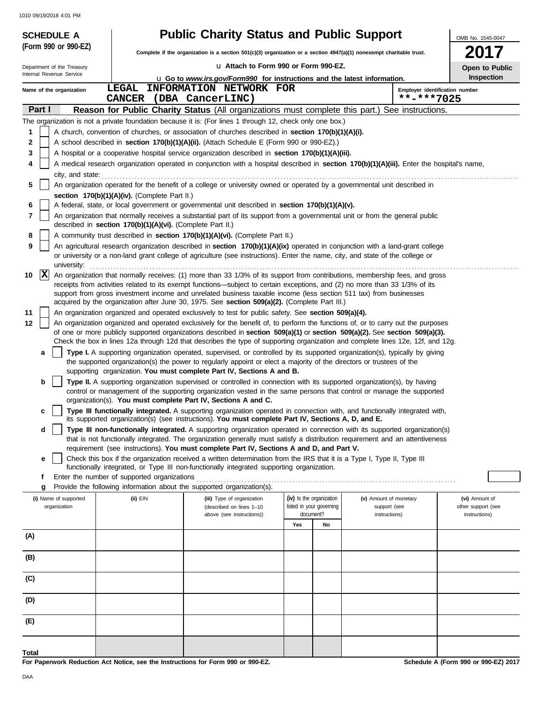1010 09/19/2018 4:01 PM

| <b>SCHEDULE A</b>          |                                                            | <b>Public Charity Status and Public Support</b>                                                                                                                                                                                                                |                                       |                                                         |                        | OMB No. 1545-0047                   |  |  |  |
|----------------------------|------------------------------------------------------------|----------------------------------------------------------------------------------------------------------------------------------------------------------------------------------------------------------------------------------------------------------------|---------------------------------------|---------------------------------------------------------|------------------------|-------------------------------------|--|--|--|
| (Form 990 or 990-EZ)       |                                                            | 2017<br>Complete if the organization is a section 501(c)(3) organization or a section 4947(a)(1) nonexempt charitable trust.                                                                                                                                   |                                       |                                                         |                        |                                     |  |  |  |
| Department of the Treasury |                                                            |                                                                                                                                                                                                                                                                |                                       | La Attach to Form 990 or Form 990-EZ.<br>Open to Public |                        |                                     |  |  |  |
| Internal Revenue Service   |                                                            | <b>u</b> Go to www.irs.gov/Form990 for instructions and the latest information.                                                                                                                                                                                |                                       |                                                         |                        | <b>Inspection</b>                   |  |  |  |
| Name of the organization   | LEGAL                                                      | INFORMATION NETWORK FOR                                                                                                                                                                                                                                        |                                       |                                                         |                        | Employer identification number      |  |  |  |
|                            | CANCER                                                     | (DBA CancerLINC)                                                                                                                                                                                                                                               |                                       |                                                         | **-***7025             |                                     |  |  |  |
| Part I                     |                                                            | Reason for Public Charity Status (All organizations must complete this part.) See instructions.                                                                                                                                                                |                                       |                                                         |                        |                                     |  |  |  |
|                            |                                                            | The organization is not a private foundation because it is: (For lines 1 through 12, check only one box.)                                                                                                                                                      |                                       |                                                         |                        |                                     |  |  |  |
| 1                          |                                                            | A church, convention of churches, or association of churches described in section 170(b)(1)(A)(i).                                                                                                                                                             |                                       |                                                         |                        |                                     |  |  |  |
| 2                          |                                                            | A school described in section 170(b)(1)(A)(ii). (Attach Schedule E (Form 990 or 990-EZ).)                                                                                                                                                                      |                                       |                                                         |                        |                                     |  |  |  |
| 3<br>4                     |                                                            | A hospital or a cooperative hospital service organization described in section 170(b)(1)(A)(iii).<br>A medical research organization operated in conjunction with a hospital described in section 170(b)(1)(A)(iii). Enter the hospital's name,                |                                       |                                                         |                        |                                     |  |  |  |
| city, and state:           |                                                            |                                                                                                                                                                                                                                                                |                                       |                                                         |                        |                                     |  |  |  |
| 5                          |                                                            | An organization operated for the benefit of a college or university owned or operated by a governmental unit described in                                                                                                                                      |                                       |                                                         |                        |                                     |  |  |  |
|                            | section 170(b)(1)(A)(iv). (Complete Part II.)              |                                                                                                                                                                                                                                                                |                                       |                                                         |                        |                                     |  |  |  |
| 6                          |                                                            | A federal, state, or local government or governmental unit described in section 170(b)(1)(A)(v).                                                                                                                                                               |                                       |                                                         |                        |                                     |  |  |  |
| 7                          |                                                            | An organization that normally receives a substantial part of its support from a governmental unit or from the general public                                                                                                                                   |                                       |                                                         |                        |                                     |  |  |  |
| 8                          | described in section 170(b)(1)(A)(vi). (Complete Part II.) | A community trust described in section 170(b)(1)(A)(vi). (Complete Part II.)                                                                                                                                                                                   |                                       |                                                         |                        |                                     |  |  |  |
| 9                          |                                                            | An agricultural research organization described in section 170(b)(1)(A)(ix) operated in conjunction with a land-grant college                                                                                                                                  |                                       |                                                         |                        |                                     |  |  |  |
| university:                |                                                            | or university or a non-land grant college of agriculture (see instructions). Enter the name, city, and state of the college or                                                                                                                                 |                                       |                                                         |                        |                                     |  |  |  |
| $\mathbf{ x }$<br>10       |                                                            | An organization that normally receives: (1) more than 33 1/3% of its support from contributions, membership fees, and gross                                                                                                                                    |                                       |                                                         |                        |                                     |  |  |  |
|                            |                                                            | receipts from activities related to its exempt functions—subject to certain exceptions, and (2) no more than 33 1/3% of its                                                                                                                                    |                                       |                                                         |                        |                                     |  |  |  |
|                            |                                                            | support from gross investment income and unrelated business taxable income (less section 511 tax) from businesses<br>acquired by the organization after June 30, 1975. See section 509(a)(2). (Complete Part III.)                                             |                                       |                                                         |                        |                                     |  |  |  |
| 11                         |                                                            | An organization organized and operated exclusively to test for public safety. See section 509(a)(4).                                                                                                                                                           |                                       |                                                         |                        |                                     |  |  |  |
| 12                         |                                                            | An organization organized and operated exclusively for the benefit of, to perform the functions of, or to carry out the purposes                                                                                                                               |                                       |                                                         |                        |                                     |  |  |  |
|                            |                                                            | of one or more publicly supported organizations described in section 509(a)(1) or section 509(a)(2). See section 509(a)(3).<br>Check the box in lines 12a through 12d that describes the type of supporting organization and complete lines 12e, 12f, and 12g. |                                       |                                                         |                        |                                     |  |  |  |
| a                          |                                                            | Type I. A supporting organization operated, supervised, or controlled by its supported organization(s), typically by giving                                                                                                                                    |                                       |                                                         |                        |                                     |  |  |  |
|                            |                                                            | the supported organization(s) the power to regularly appoint or elect a majority of the directors or trustees of the                                                                                                                                           |                                       |                                                         |                        |                                     |  |  |  |
|                            |                                                            | supporting organization. You must complete Part IV, Sections A and B.                                                                                                                                                                                          |                                       |                                                         |                        |                                     |  |  |  |
| b                          |                                                            | Type II. A supporting organization supervised or controlled in connection with its supported organization(s), by having                                                                                                                                        |                                       |                                                         |                        |                                     |  |  |  |
|                            |                                                            | control or management of the supporting organization vested in the same persons that control or manage the supported<br>organization(s). You must complete Part IV, Sections A and C.                                                                          |                                       |                                                         |                        |                                     |  |  |  |
| c                          |                                                            | Type III functionally integrated. A supporting organization operated in connection with, and functionally integrated with,                                                                                                                                     |                                       |                                                         |                        |                                     |  |  |  |
|                            |                                                            | its supported organization(s) (see instructions). You must complete Part IV, Sections A, D, and E.                                                                                                                                                             |                                       |                                                         |                        |                                     |  |  |  |
| d                          |                                                            | Type III non-functionally integrated. A supporting organization operated in connection with its supported organization(s)<br>that is not functionally integrated. The organization generally must satisfy a distribution requirement and an attentiveness      |                                       |                                                         |                        |                                     |  |  |  |
|                            |                                                            | requirement (see instructions). You must complete Part IV, Sections A and D, and Part V.                                                                                                                                                                       |                                       |                                                         |                        |                                     |  |  |  |
| е                          |                                                            | Check this box if the organization received a written determination from the IRS that it is a Type I, Type II, Type III                                                                                                                                        |                                       |                                                         |                        |                                     |  |  |  |
| f                          | Enter the number of supported organizations                | functionally integrated, or Type III non-functionally integrated supporting organization.                                                                                                                                                                      |                                       |                                                         |                        |                                     |  |  |  |
| g                          |                                                            | Provide the following information about the supported organization(s).                                                                                                                                                                                         |                                       |                                                         |                        |                                     |  |  |  |
| (i) Name of supported      | (ii) EIN                                                   | (iii) Type of organization                                                                                                                                                                                                                                     | (iv) Is the organization              |                                                         | (v) Amount of monetary | (vi) Amount of                      |  |  |  |
| organization               |                                                            | (described on lines 1-10                                                                                                                                                                                                                                       | listed in your governing<br>document? |                                                         | support (see           | other support (see<br>instructions) |  |  |  |
|                            |                                                            | above (see instructions))                                                                                                                                                                                                                                      | Yes                                   | No                                                      | instructions)          |                                     |  |  |  |
| (A)                        |                                                            |                                                                                                                                                                                                                                                                |                                       |                                                         |                        |                                     |  |  |  |
|                            |                                                            |                                                                                                                                                                                                                                                                |                                       |                                                         |                        |                                     |  |  |  |
| (B)                        |                                                            |                                                                                                                                                                                                                                                                |                                       |                                                         |                        |                                     |  |  |  |
| (C)                        |                                                            |                                                                                                                                                                                                                                                                |                                       |                                                         |                        |                                     |  |  |  |
| (D)                        |                                                            |                                                                                                                                                                                                                                                                |                                       |                                                         |                        |                                     |  |  |  |
| (E)                        |                                                            |                                                                                                                                                                                                                                                                |                                       |                                                         |                        |                                     |  |  |  |
|                            |                                                            |                                                                                                                                                                                                                                                                |                                       |                                                         |                        |                                     |  |  |  |
| Total                      |                                                            |                                                                                                                                                                                                                                                                |                                       |                                                         |                        |                                     |  |  |  |

**For Paperwork Reduction Act Notice, see the Instructions for Form 990 or 990-EZ.**

**Schedule A (Form 990 or 990-EZ) 2017**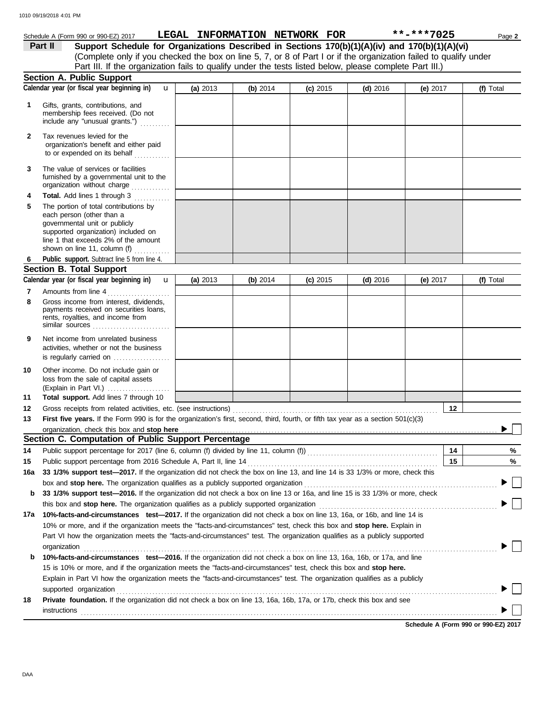|              | Schedule A (Form 990 or 990-EZ) 2017                                                                                                                                                                                           |          | LEGAL INFORMATION NETWORK FOR |            |            | **-***7025 | Page 2    |
|--------------|--------------------------------------------------------------------------------------------------------------------------------------------------------------------------------------------------------------------------------|----------|-------------------------------|------------|------------|------------|-----------|
|              | Part II<br>Support Schedule for Organizations Described in Sections 170(b)(1)(A)(iv) and 170(b)(1)(A)(vi)                                                                                                                      |          |                               |            |            |            |           |
|              | (Complete only if you checked the box on line 5, 7, or 8 of Part I or if the organization failed to qualify under                                                                                                              |          |                               |            |            |            |           |
|              | Part III. If the organization fails to qualify under the tests listed below, please complete Part III.)                                                                                                                        |          |                               |            |            |            |           |
|              | <b>Section A. Public Support</b>                                                                                                                                                                                               |          |                               |            |            |            |           |
|              | Calendar year (or fiscal year beginning in)<br>$\mathbf{u}$                                                                                                                                                                    | (a) 2013 | (b) 2014                      | $(c)$ 2015 | $(d)$ 2016 | (e) $2017$ | (f) Total |
| 1            | Gifts, grants, contributions, and<br>membership fees received. (Do not<br>include any "unusual grants.")                                                                                                                       |          |                               |            |            |            |           |
| $\mathbf{2}$ | Tax revenues levied for the<br>organization's benefit and either paid<br>to or expended on its behalf                                                                                                                          |          |                               |            |            |            |           |
| 3            | The value of services or facilities<br>furnished by a governmental unit to the<br>organization without charge                                                                                                                  |          |                               |            |            |            |           |
| 4            | Total. Add lines 1 through 3<br>.                                                                                                                                                                                              |          |                               |            |            |            |           |
| 5            | The portion of total contributions by<br>each person (other than a<br>governmental unit or publicly<br>supported organization) included on<br>line 1 that exceeds 2% of the amount<br>shown on line 11, column (f)<br>.        |          |                               |            |            |            |           |
|              | Public support. Subtract line 5 from line 4.                                                                                                                                                                                   |          |                               |            |            |            |           |
|              | <b>Section B. Total Support</b>                                                                                                                                                                                                |          |                               |            |            |            |           |
|              | Calendar year (or fiscal year beginning in)<br>$\mathbf{u}$                                                                                                                                                                    | (a) 2013 | (b) 2014                      | $(c)$ 2015 | $(d)$ 2016 | (e) $2017$ | (f) Total |
| 7            | Amounts from line 4                                                                                                                                                                                                            |          |                               |            |            |            |           |
| 8            | Gross income from interest, dividends,<br>payments received on securities loans,<br>rents, royalties, and income from<br>similar sources                                                                                       |          |                               |            |            |            |           |
| 9            | Net income from unrelated business<br>activities, whether or not the business<br>is regularly carried on                                                                                                                       |          |                               |            |            |            |           |
| 10           | Other income. Do not include gain or<br>loss from the sale of capital assets<br>(Explain in Part VI.)                                                                                                                          |          |                               |            |            |            |           |
| 11           | Total support. Add lines 7 through 10                                                                                                                                                                                          |          |                               |            |            |            |           |
| 12           | Gross receipts from related activities, etc. (see instructions)                                                                                                                                                                |          |                               |            |            | 12         |           |
| 13           | First five years. If the Form 990 is for the organization's first, second, third, fourth, or fifth tax year as a section 501(c)(3)                                                                                             |          |                               |            |            |            |           |
|              | organization, check this box and stop here                                                                                                                                                                                     |          |                               |            |            |            |           |
|              | Section C. Computation of Public Support Percentage                                                                                                                                                                            |          |                               |            |            |            |           |
| 14           | Public support percentage for 2017 (line 6, column (f) divided by line 11, column (f)) [[[[[[[[[[[[[[[[[[[[[[                                                                                                                  |          |                               |            |            | 14         | %         |
| 15           |                                                                                                                                                                                                                                |          |                               |            |            | 15         | %         |
| 16a          | 33 1/3% support test-2017. If the organization did not check the box on line 13, and line 14 is 33 1/3% or more, check this                                                                                                    |          |                               |            |            |            |           |
|              | box and stop here. The organization qualifies as a publicly supported organization [11] content content content content of the content of the state of the state of the state of the state of the state of the state of the st |          |                               |            |            |            |           |
| b            | 33 1/3% support test-2016. If the organization did not check a box on line 13 or 16a, and line 15 is 33 1/3% or more, check                                                                                                    |          |                               |            |            |            |           |
|              | this box and <b>stop here.</b> The organization qualifies as a publicly supported organization                                                                                                                                 |          |                               |            |            |            |           |
| 17a          | 10%-facts-and-circumstances test-2017. If the organization did not check a box on line 13, 16a, or 16b, and line 14 is                                                                                                         |          |                               |            |            |            |           |
|              | 10% or more, and if the organization meets the "facts-and-circumstances" test, check this box and stop here. Explain in                                                                                                        |          |                               |            |            |            |           |
|              | Part VI how the organization meets the "facts-and-circumstances" test. The organization qualifies as a publicly supported                                                                                                      |          |                               |            |            |            |           |
| b            | organization<br>10%-facts-and-circumstances test-2016. If the organization did not check a box on line 13, 16a, 16b, or 17a, and line                                                                                          |          |                               |            |            |            |           |
|              | 15 is 10% or more, and if the organization meets the "facts-and-circumstances" test, check this box and stop here.                                                                                                             |          |                               |            |            |            |           |
|              | Explain in Part VI how the organization meets the "facts-and-circumstances" test. The organization qualifies as a publicly                                                                                                     |          |                               |            |            |            |           |
|              | supported organization                                                                                                                                                                                                         |          |                               |            |            |            |           |
| 18           | Private foundation. If the organization did not check a box on line 13, 16a, 16b, 17a, or 17b, check this box and see                                                                                                          |          |                               |            |            |            |           |
|              | instructions                                                                                                                                                                                                                   |          |                               |            |            |            |           |

**Schedule A (Form 990 or 990-EZ) 2017**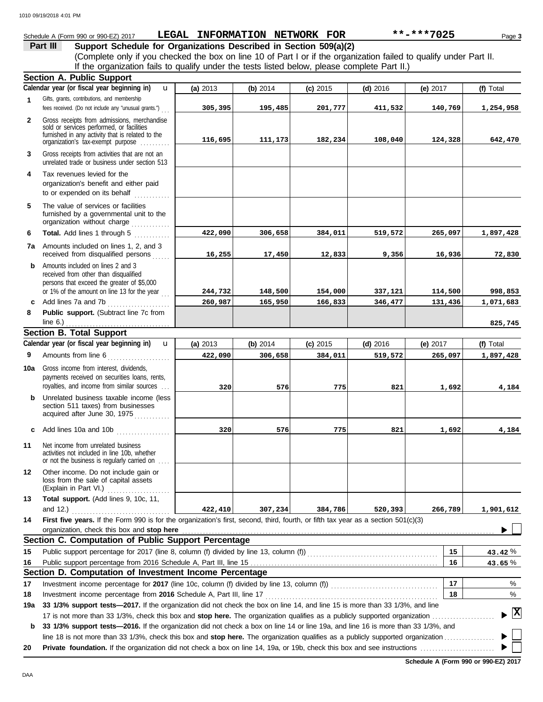#### Schedule A (Form 990 or 990-EZ) 2017 **LEGAL INFORMATION NETWORK FOR** \*\*-\*\*\*7025 Page 3

**Part III** Support Schedule for Organizations Described in Section 509(a)(2) (Complete only if you checked the box on line 10 of Part I or if the organization failed to qualify under Part II. If the organization fails to qualify under the tests listed below, please complete Part II.)

|              | <b>Section A. Public Support</b>                                                                                                                                                                                                                            |          |          |            |            |          |              |
|--------------|-------------------------------------------------------------------------------------------------------------------------------------------------------------------------------------------------------------------------------------------------------------|----------|----------|------------|------------|----------|--------------|
|              | Calendar year (or fiscal year beginning in)<br>u                                                                                                                                                                                                            | (a) 2013 | (b) 2014 | $(c)$ 2015 | $(d)$ 2016 | (e) 2017 | (f) Total    |
| 1            | Gifts, grants, contributions, and membership<br>fees received. (Do not include any "unusual grants.")                                                                                                                                                       | 305,395  | 195,485  | 201,777    | 411,532    | 140,769  | 1,254,958    |
| $\mathbf{2}$ | Gross receipts from admissions, merchandise<br>sold or services performed, or facilities<br>furnished in any activity that is related to the<br>organization's tax-exempt purpose                                                                           | 116,695  | 111,173  | 182,234    | 108,040    | 124,328  | 642,470      |
| 3            | Gross receipts from activities that are not an<br>unrelated trade or business under section 513                                                                                                                                                             |          |          |            |            |          |              |
| 4            | Tax revenues levied for the<br>organization's benefit and either paid<br>to or expended on its behalf                                                                                                                                                       |          |          |            |            |          |              |
| 5            | The value of services or facilities<br>furnished by a governmental unit to the<br>organization without charge                                                                                                                                               |          |          |            |            |          |              |
| 6            | Total. Add lines 1 through 5                                                                                                                                                                                                                                | 422,090  | 306,658  | 384,011    | 519,572    | 265,097  | 1,897,428    |
| 7a           | Amounts included on lines 1, 2, and 3<br>received from disqualified persons                                                                                                                                                                                 | 16,255   | 17,450   | 12,833     | 9,356      | 16,936   | 72,830       |
| b            | Amounts included on lines 2 and 3<br>received from other than disqualified<br>persons that exceed the greater of \$5,000<br>or 1% of the amount on line 13 for the year                                                                                     | 244,732  | 148,500  | 154,000    | 337,121    | 114,500  | 998,853      |
| C            | Add lines 7a and 7b                                                                                                                                                                                                                                         | 260,987  | 165,950  | 166,833    | 346,477    | 131,436  | 1,071,683    |
| 8            | Public support. (Subtract line 7c from                                                                                                                                                                                                                      |          |          |            |            |          |              |
|              | line $6.$ )<br><b>Section B. Total Support</b>                                                                                                                                                                                                              |          |          |            |            |          | 825,745      |
|              | Calendar year (or fiscal year beginning in)<br>$\mathbf{u}$                                                                                                                                                                                                 | (a) 2013 | (b) 2014 |            |            |          | (f) Total    |
| 9            |                                                                                                                                                                                                                                                             | 422,090  |          | $(c)$ 2015 | $(d)$ 2016 | (e) 2017 |              |
|              | Amounts from line 6<br>and the company of the company of                                                                                                                                                                                                    |          | 306,658  | 384,011    | 519,572    | 265,097  | 1,897,428    |
| 10a          | Gross income from interest, dividends,<br>payments received on securities loans, rents,<br>royalties, and income from similar sources                                                                                                                       | 320      | 576      | 775        | 821        | 1,692    | 4,184        |
| b            | Unrelated business taxable income (less<br>section 511 taxes) from businesses<br>acquired after June 30, 1975                                                                                                                                               |          |          |            |            |          |              |
| c            | Add lines 10a and 10b                                                                                                                                                                                                                                       | 320      | 576      | 775        | 821        | 1,692    | 4,184        |
| 11           | Net income from unrelated business<br>activities not included in line 10b, whether<br>or not the business is regularly carried on                                                                                                                           |          |          |            |            |          |              |
| 12           | Other income. Do not include gain or<br>loss from the sale of capital assets<br>(Explain in Part VI.)                                                                                                                                                       |          |          |            |            |          |              |
| 13           | Total support. (Add lines 9, 10c, 11,<br>and $12.$ )                                                                                                                                                                                                        | 422,410  | 307,234  | 384,786    | 520,393    | 266,789  | 1,901,612    |
| 14           | First five years. If the Form 990 is for the organization's first, second, third, fourth, or fifth tax year as a section 501(c)(3)                                                                                                                          |          |          |            |            |          |              |
|              | organization, check this box and stop here                                                                                                                                                                                                                  |          |          |            |            |          |              |
|              | Section C. Computation of Public Support Percentage                                                                                                                                                                                                         |          |          |            |            |          |              |
| 15           | Public support percentage for 2017 (line 8, column (f) divided by line 13, column (f) [[[[[[[[[[[[[[[[[[[[[[[                                                                                                                                               |          |          |            |            | 15       | 43.42%       |
| 16           |                                                                                                                                                                                                                                                             |          |          |            |            | 16       | 43.65%       |
|              | Section D. Computation of Investment Income Percentage                                                                                                                                                                                                      |          |          |            |            |          |              |
| 17           |                                                                                                                                                                                                                                                             |          |          |            |            | 17       | %            |
| 18           | Investment income percentage from 2016 Schedule A, Part III, line 17                                                                                                                                                                                        |          |          |            |            | 18       | %            |
| 19a          | 33 1/3% support tests-2017. If the organization did not check the box on line 14, and line 15 is more than 33 1/3%, and line<br>17 is not more than 33 1/3%, check this box and stop here. The organization qualifies as a publicly supported organization. |          |          |            |            |          | $\mathbf{x}$ |
| b            | 33 1/3% support tests-2016. If the organization did not check a box on line 14 or line 19a, and line 16 is more than 33 1/3%, and                                                                                                                           |          |          |            |            |          |              |
|              | line 18 is not more than 33 1/3%, check this box and stop here. The organization qualifies as a publicly supported organization                                                                                                                             |          |          |            |            |          |              |
| 20           |                                                                                                                                                                                                                                                             |          |          |            |            |          |              |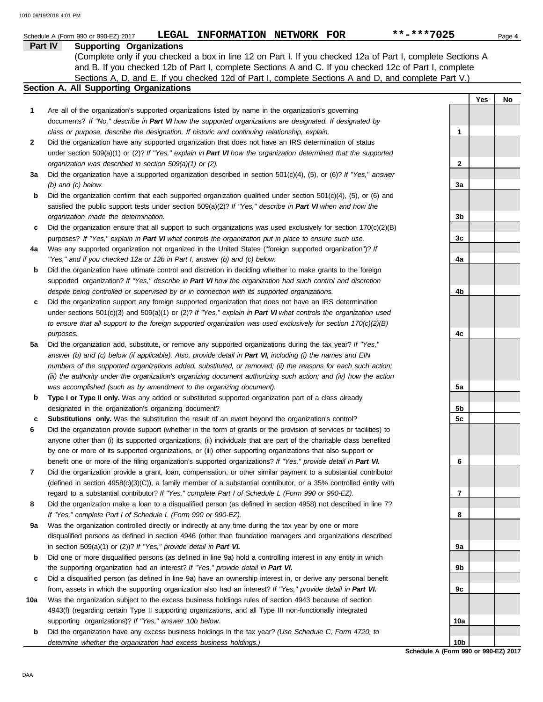|     | LEGAL INFORMATION NETWORK FOR<br>Schedule A (Form 990 or 990-EZ) 2017                                                                                                                                      | **-***7025      |     | Page 4 |
|-----|------------------------------------------------------------------------------------------------------------------------------------------------------------------------------------------------------------|-----------------|-----|--------|
|     | Part IV<br><b>Supporting Organizations</b>                                                                                                                                                                 |                 |     |        |
|     | (Complete only if you checked a box in line 12 on Part I. If you checked 12a of Part I, complete Sections A                                                                                                |                 |     |        |
|     | and B. If you checked 12b of Part I, complete Sections A and C. If you checked 12c of Part I, complete                                                                                                     |                 |     |        |
|     | Sections A, D, and E. If you checked 12d of Part I, complete Sections A and D, and complete Part V.)                                                                                                       |                 |     |        |
|     | Section A. All Supporting Organizations                                                                                                                                                                    |                 |     |        |
|     |                                                                                                                                                                                                            |                 | Yes | No     |
| 1   | Are all of the organization's supported organizations listed by name in the organization's governing                                                                                                       |                 |     |        |
|     | documents? If "No," describe in Part VI how the supported organizations are designated. If designated by                                                                                                   |                 |     |        |
|     | class or purpose, describe the designation. If historic and continuing relationship, explain.                                                                                                              | 1               |     |        |
| 2   | Did the organization have any supported organization that does not have an IRS determination of status                                                                                                     |                 |     |        |
|     | under section 509(a)(1) or (2)? If "Yes," explain in Part VI how the organization determined that the supported                                                                                            |                 |     |        |
|     | organization was described in section 509(a)(1) or (2).                                                                                                                                                    | $\mathbf{2}$    |     |        |
| За  | Did the organization have a supported organization described in section $501(c)(4)$ , (5), or (6)? If "Yes," answer                                                                                        |                 |     |        |
|     | $(b)$ and $(c)$ below.                                                                                                                                                                                     | 3a              |     |        |
| b   | Did the organization confirm that each supported organization qualified under section $501(c)(4)$ , $(5)$ , or $(6)$ and                                                                                   |                 |     |        |
|     | satisfied the public support tests under section 509(a)(2)? If "Yes," describe in Part VI when and how the                                                                                                 |                 |     |        |
|     | organization made the determination.                                                                                                                                                                       | 3b              |     |        |
| c   | Did the organization ensure that all support to such organizations was used exclusively for section $170(c)(2)(B)$                                                                                         |                 |     |        |
|     | purposes? If "Yes," explain in Part VI what controls the organization put in place to ensure such use.                                                                                                     | 3c              |     |        |
| 4a  | Was any supported organization not organized in the United States ("foreign supported organization")? If                                                                                                   |                 |     |        |
|     | "Yes," and if you checked 12a or 12b in Part I, answer (b) and (c) below.                                                                                                                                  | 4a              |     |        |
| b   | Did the organization have ultimate control and discretion in deciding whether to make grants to the foreign                                                                                                |                 |     |        |
|     | supported organization? If "Yes," describe in Part VI how the organization had such control and discretion<br>despite being controlled or supervised by or in connection with its supported organizations. | 4b              |     |        |
| c   | Did the organization support any foreign supported organization that does not have an IRS determination                                                                                                    |                 |     |        |
|     | under sections $501(c)(3)$ and $509(a)(1)$ or (2)? If "Yes," explain in Part VI what controls the organization used                                                                                        |                 |     |        |
|     | to ensure that all support to the foreign supported organization was used exclusively for section $170(c)(2)(B)$                                                                                           |                 |     |        |
|     | purposes.                                                                                                                                                                                                  | 4c              |     |        |
| 5a  | Did the organization add, substitute, or remove any supported organizations during the tax year? If "Yes,"                                                                                                 |                 |     |        |
|     | answer (b) and (c) below (if applicable). Also, provide detail in Part VI, including (i) the names and EIN                                                                                                 |                 |     |        |
|     | numbers of the supported organizations added, substituted, or removed; (ii) the reasons for each such action;                                                                                              |                 |     |        |
|     | (iii) the authority under the organization's organizing document authorizing such action; and (iv) how the action                                                                                          |                 |     |        |
|     | was accomplished (such as by amendment to the organizing document).                                                                                                                                        | 5a              |     |        |
| b   | Type I or Type II only. Was any added or substituted supported organization part of a class already                                                                                                        |                 |     |        |
|     | designated in the organization's organizing document?                                                                                                                                                      | 5b              |     |        |
|     | Substitutions only. Was the substitution the result of an event beyond the organization's control?                                                                                                         | 5c              |     |        |
| 6   | Did the organization provide support (whether in the form of grants or the provision of services or facilities) to                                                                                         |                 |     |        |
|     | anyone other than (i) its supported organizations, (ii) individuals that are part of the charitable class benefited                                                                                        |                 |     |        |
|     | by one or more of its supported organizations, or (iii) other supporting organizations that also support or                                                                                                |                 |     |        |
|     | benefit one or more of the filing organization's supported organizations? If "Yes," provide detail in Part VI.                                                                                             | 6               |     |        |
| 7   | Did the organization provide a grant, loan, compensation, or other similar payment to a substantial contributor                                                                                            |                 |     |        |
|     | (defined in section $4958(c)(3)(C)$ ), a family member of a substantial contributor, or a 35% controlled entity with                                                                                       |                 |     |        |
|     | regard to a substantial contributor? If "Yes," complete Part I of Schedule L (Form 990 or 990-EZ).                                                                                                         | 7               |     |        |
| 8   | Did the organization make a loan to a disqualified person (as defined in section 4958) not described in line 7?<br>If "Yes," complete Part I of Schedule L (Form 990 or 990-EZ).                           | 8               |     |        |
| 9а  | Was the organization controlled directly or indirectly at any time during the tax year by one or more                                                                                                      |                 |     |        |
|     | disqualified persons as defined in section 4946 (other than foundation managers and organizations described                                                                                                |                 |     |        |
|     | in section $509(a)(1)$ or (2))? If "Yes," provide detail in Part VI.                                                                                                                                       | 9a              |     |        |
| b   | Did one or more disqualified persons (as defined in line 9a) hold a controlling interest in any entity in which                                                                                            |                 |     |        |
|     | the supporting organization had an interest? If "Yes," provide detail in Part VI.                                                                                                                          | 9b              |     |        |
| c   | Did a disqualified person (as defined in line 9a) have an ownership interest in, or derive any personal benefit                                                                                            |                 |     |        |
|     | from, assets in which the supporting organization also had an interest? If "Yes," provide detail in Part VI.                                                                                               | 9c              |     |        |
| 10a | Was the organization subject to the excess business holdings rules of section 4943 because of section                                                                                                      |                 |     |        |
|     | 4943(f) (regarding certain Type II supporting organizations, and all Type III non-functionally integrated                                                                                                  |                 |     |        |
|     | supporting organizations)? If "Yes," answer 10b below.                                                                                                                                                     | 10a             |     |        |
| b   | Did the organization have any excess business holdings in the tax year? (Use Schedule C, Form 4720, to                                                                                                     |                 |     |        |
|     | determine whether the organization had excess business holdings.)                                                                                                                                          | 10 <sub>b</sub> |     |        |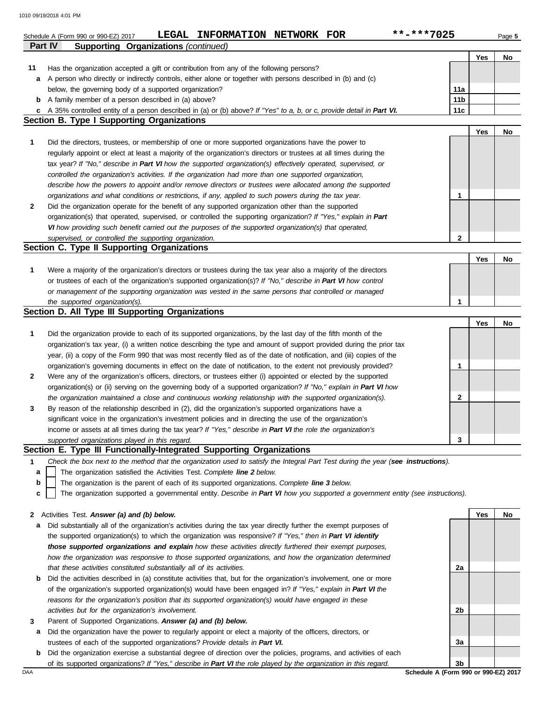1010 09/19/2018 4:01 PM

|                | **-***7025<br>LEGAL INFORMATION NETWORK FOR<br>Schedule A (Form 990 or 990-EZ) 2017                                                                                        |                 |     | Page 5    |
|----------------|----------------------------------------------------------------------------------------------------------------------------------------------------------------------------|-----------------|-----|-----------|
| <b>Part IV</b> | <b>Supporting Organizations (continued)</b>                                                                                                                                |                 |     |           |
|                |                                                                                                                                                                            |                 | Yes | No        |
| 11             | Has the organization accepted a gift or contribution from any of the following persons?                                                                                    |                 |     |           |
| a              | A person who directly or indirectly controls, either alone or together with persons described in (b) and (c)                                                               |                 |     |           |
|                | below, the governing body of a supported organization?                                                                                                                     | 11a             |     |           |
| b              | A family member of a person described in (a) above?                                                                                                                        | 11 <sub>b</sub> |     |           |
| c              | A 35% controlled entity of a person described in (a) or (b) above? If "Yes" to a, b, or c, provide detail in Part VI.<br><b>Section B. Type I Supporting Organizations</b> | 11c             |     |           |
|                |                                                                                                                                                                            |                 | Yes | <b>No</b> |
| 1              | Did the directors, trustees, or membership of one or more supported organizations have the power to                                                                        |                 |     |           |
|                | regularly appoint or elect at least a majority of the organization's directors or trustees at all times during the                                                         |                 |     |           |
|                | tax year? If "No," describe in Part VI how the supported organization(s) effectively operated, supervised, or                                                              |                 |     |           |
|                | controlled the organization's activities. If the organization had more than one supported organization,                                                                    |                 |     |           |
|                | describe how the powers to appoint and/or remove directors or trustees were allocated among the supported                                                                  |                 |     |           |
|                | organizations and what conditions or restrictions, if any, applied to such powers during the tax year.                                                                     | 1               |     |           |
| 2              | Did the organization operate for the benefit of any supported organization other than the supported                                                                        |                 |     |           |
|                | organization(s) that operated, supervised, or controlled the supporting organization? If "Yes," explain in Part                                                            |                 |     |           |
|                | VI how providing such benefit carried out the purposes of the supported organization(s) that operated,                                                                     |                 |     |           |
|                | supervised, or controlled the supporting organization.                                                                                                                     | $\mathbf{2}$    |     |           |
|                | Section C. Type II Supporting Organizations                                                                                                                                |                 |     |           |
|                |                                                                                                                                                                            |                 | Yes | No        |
| 1              | Were a majority of the organization's directors or trustees during the tax year also a majority of the directors                                                           |                 |     |           |
|                | or trustees of each of the organization's supported organization(s)? If "No," describe in Part VI how control                                                              |                 |     |           |
|                | or management of the supporting organization was vested in the same persons that controlled or managed                                                                     |                 |     |           |
|                | the supported organization(s).                                                                                                                                             | 1               |     |           |
|                | Section D. All Type III Supporting Organizations                                                                                                                           |                 |     |           |
|                |                                                                                                                                                                            |                 | Yes | No        |
| 1              | Did the organization provide to each of its supported organizations, by the last day of the fifth month of the                                                             |                 |     |           |
|                | organization's tax year, (i) a written notice describing the type and amount of support provided during the prior tax                                                      |                 |     |           |
|                | year, (ii) a copy of the Form 990 that was most recently filed as of the date of notification, and (iii) copies of the                                                     |                 |     |           |
|                | organization's governing documents in effect on the date of notification, to the extent not previously provided?                                                           | 1               |     |           |
| 2              | Were any of the organization's officers, directors, or trustees either (i) appointed or elected by the supported                                                           |                 |     |           |
|                | organization(s) or (ii) serving on the governing body of a supported organization? If "No," explain in Part VI how                                                         |                 |     |           |
|                | the organization maintained a close and continuous working relationship with the supported organization(s).                                                                | 2               |     |           |
| 3              | By reason of the relationship described in (2), did the organization's supported organizations have a                                                                      |                 |     |           |
|                | significant voice in the organization's investment policies and in directing the use of the organization's                                                                 |                 |     |           |
|                | income or assets at all times during the tax year? If "Yes," describe in Part VI the role the organization's                                                               |                 |     |           |
|                | supported organizations played in this regard.                                                                                                                             | 3               |     |           |
|                | Section E. Type III Functionally-Integrated Supporting Organizations                                                                                                       |                 |     |           |
| 1              | Check the box next to the method that the organization used to satisfy the Integral Part Test during the year (see instructions).                                          |                 |     |           |
| a              | The organization satisfied the Activities Test. Complete line 2 below.                                                                                                     |                 |     |           |
| b              | The organization is the parent of each of its supported organizations. Complete line 3 below.                                                                              |                 |     |           |
| c              | The organization supported a governmental entity. Describe in Part VI how you supported a government entity (see instructions).                                            |                 |     |           |
|                |                                                                                                                                                                            |                 |     |           |
| 2              | Activities Test. Answer (a) and (b) below.                                                                                                                                 |                 | Yes | No        |
| а              | Did substantially all of the organization's activities during the tax year directly further the exempt purposes of                                                         |                 |     |           |
|                | the supported organization(s) to which the organization was responsive? If "Yes," then in Part VI identify                                                                 |                 |     |           |
|                | those supported organizations and explain how these activities directly furthered their exempt purposes,                                                                   |                 |     |           |
|                | how the organization was responsive to those supported organizations, and how the organization determined                                                                  |                 |     |           |
|                | that these activities constituted substantially all of its activities.                                                                                                     | 2a              |     |           |
| b              | Did the activities described in (a) constitute activities that, but for the organization's involvement, one or more                                                        |                 |     |           |
|                | of the organization's supported organization(s) would have been engaged in? If "Yes," explain in Part VI the                                                               |                 |     |           |
|                | reasons for the organization's position that its supported organization(s) would have engaged in these                                                                     |                 |     |           |
|                | activities but for the organization's involvement.                                                                                                                         | 2b              |     |           |
| 3              | Parent of Supported Organizations. Answer (a) and (b) below.                                                                                                               |                 |     |           |
| а              | Did the organization have the power to regularly appoint or elect a majority of the officers, directors, or                                                                |                 |     |           |
|                | trustees of each of the supported organizations? Provide details in Part VI.                                                                                               | 3a              |     |           |

DAA **Schedule A (Form 990 or 990-EZ) 2017 3b**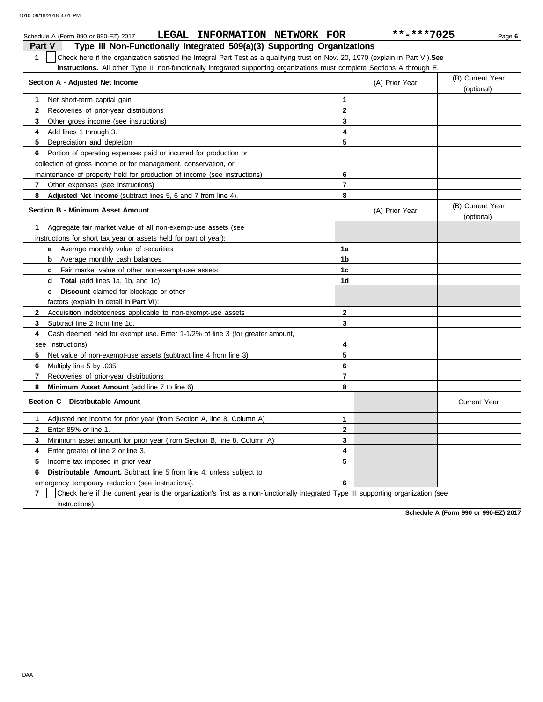|                                 | LEGAL INFORMATION NETWORK FOR<br>Schedule A (Form 990 or 990-EZ) 2017                                                            |                         | **-***7025     | Page 6                         |  |  |  |
|---------------------------------|----------------------------------------------------------------------------------------------------------------------------------|-------------------------|----------------|--------------------------------|--|--|--|
| Part V                          | Type III Non-Functionally Integrated 509(a)(3) Supporting Organizations                                                          |                         |                |                                |  |  |  |
| $\mathbf{1}$                    | Check here if the organization satisfied the Integral Part Test as a qualifying trust on Nov. 20, 1970 (explain in Part VI). See |                         |                |                                |  |  |  |
|                                 | instructions. All other Type III non-functionally integrated supporting organizations must complete Sections A through E.        |                         |                |                                |  |  |  |
| Section A - Adjusted Net Income |                                                                                                                                  |                         |                |                                |  |  |  |
|                                 |                                                                                                                                  |                         | (A) Prior Year | (optional)                     |  |  |  |
| 1                               | Net short-term capital gain                                                                                                      | 1                       |                |                                |  |  |  |
| $\mathbf{2}$                    | Recoveries of prior-year distributions                                                                                           | $\mathbf{2}$            |                |                                |  |  |  |
| 3                               | Other gross income (see instructions)                                                                                            | 3                       |                |                                |  |  |  |
| 4                               | Add lines 1 through 3.                                                                                                           | 4                       |                |                                |  |  |  |
| 5                               | Depreciation and depletion                                                                                                       | 5                       |                |                                |  |  |  |
| 6                               | Portion of operating expenses paid or incurred for production or                                                                 |                         |                |                                |  |  |  |
|                                 | collection of gross income or for management, conservation, or                                                                   |                         |                |                                |  |  |  |
|                                 | maintenance of property held for production of income (see instructions)                                                         | 6                       |                |                                |  |  |  |
| $\mathbf{7}$                    | Other expenses (see instructions)                                                                                                | $\overline{7}$          |                |                                |  |  |  |
| 8                               | Adjusted Net Income (subtract lines 5, 6 and 7 from line 4).                                                                     | 8                       |                |                                |  |  |  |
|                                 | <b>Section B - Minimum Asset Amount</b>                                                                                          |                         | (A) Prior Year | (B) Current Year<br>(optional) |  |  |  |
| 1                               | Aggregate fair market value of all non-exempt-use assets (see                                                                    |                         |                |                                |  |  |  |
|                                 | instructions for short tax year or assets held for part of year):                                                                |                         |                |                                |  |  |  |
| a                               | Average monthly value of securities                                                                                              | 1a                      |                |                                |  |  |  |
| b                               | Average monthly cash balances                                                                                                    | 1 <sub>b</sub>          |                |                                |  |  |  |
|                                 | c Fair market value of other non-exempt-use assets                                                                               | 1 <sub>c</sub>          |                |                                |  |  |  |
|                                 | <b>d</b> Total (add lines 1a, 1b, and 1c)                                                                                        | 1 <sub>d</sub>          |                |                                |  |  |  |
| e                               | <b>Discount</b> claimed for blockage or other                                                                                    |                         |                |                                |  |  |  |
|                                 | factors (explain in detail in Part VI):                                                                                          |                         |                |                                |  |  |  |
| $\mathbf{2}$                    | Acquisition indebtedness applicable to non-exempt-use assets                                                                     | $\mathbf{2}$            |                |                                |  |  |  |
| 3                               | Subtract line 2 from line 1d.                                                                                                    | $\mathbf{3}$            |                |                                |  |  |  |
| 4                               | Cash deemed held for exempt use. Enter 1-1/2% of line 3 (for greater amount,                                                     |                         |                |                                |  |  |  |
|                                 | see instructions).                                                                                                               | 4                       |                |                                |  |  |  |
| 5.                              | Net value of non-exempt-use assets (subtract line 4 from line 3)                                                                 | 5                       |                |                                |  |  |  |
| 6                               | Multiply line 5 by .035.                                                                                                         | 6                       |                |                                |  |  |  |
| 7                               | Recoveries of prior-year distributions                                                                                           | $\overline{7}$          |                |                                |  |  |  |
| 8                               | Minimum Asset Amount (add line 7 to line 6)                                                                                      | 8                       |                |                                |  |  |  |
|                                 | Section C - Distributable Amount                                                                                                 |                         |                | <b>Current Year</b>            |  |  |  |
| 1                               | Adjusted net income for prior year (from Section A, line 8, Column A)                                                            | $\mathbf{1}$            |                |                                |  |  |  |
| $\mathbf{2}$                    | Enter 85% of line 1.                                                                                                             | $\overline{2}$          |                |                                |  |  |  |
| 3                               | Minimum asset amount for prior year (from Section B, line 8, Column A)                                                           | $\mathbf{3}$            |                |                                |  |  |  |
| 4                               | Enter greater of line 2 or line 3.                                                                                               | $\overline{\mathbf{4}}$ |                |                                |  |  |  |
| 5                               | Income tax imposed in prior year                                                                                                 | 5                       |                |                                |  |  |  |
| 6                               | <b>Distributable Amount.</b> Subtract line 5 from line 4, unless subject to                                                      |                         |                |                                |  |  |  |
|                                 | emergency temporary reduction (see instructions)                                                                                 | 6                       |                |                                |  |  |  |

**7** | Check here if the current year is the organization's first as a non-functionally integrated Type III supporting organization (see instructions).

**Schedule A (Form 990 or 990-EZ) 2017**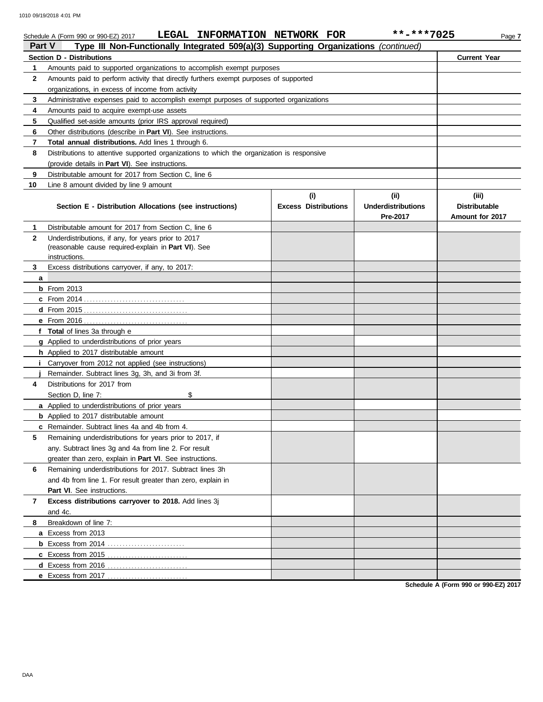1010 09/19/2018 4:01 PM

| <b>Part V</b> | LEGAL INFORMATION NETWORK FOR<br>Schedule A (Form 990 or 990-EZ) 2017<br>Type III Non-Functionally Integrated 509(a)(3) Supporting Organizations (continued) |                                    | **-***7025                                     | Page 7                                           |
|---------------|--------------------------------------------------------------------------------------------------------------------------------------------------------------|------------------------------------|------------------------------------------------|--------------------------------------------------|
|               | <b>Section D - Distributions</b>                                                                                                                             |                                    |                                                | <b>Current Year</b>                              |
| 1             | Amounts paid to supported organizations to accomplish exempt purposes                                                                                        |                                    |                                                |                                                  |
| 2             | Amounts paid to perform activity that directly furthers exempt purposes of supported                                                                         |                                    |                                                |                                                  |
|               | organizations, in excess of income from activity                                                                                                             |                                    |                                                |                                                  |
| 3             | Administrative expenses paid to accomplish exempt purposes of supported organizations                                                                        |                                    |                                                |                                                  |
| 4             | Amounts paid to acquire exempt-use assets                                                                                                                    |                                    |                                                |                                                  |
| 5             | Qualified set-aside amounts (prior IRS approval required)                                                                                                    |                                    |                                                |                                                  |
| 6             | Other distributions (describe in Part VI). See instructions.                                                                                                 |                                    |                                                |                                                  |
| 7             | <b>Total annual distributions.</b> Add lines 1 through 6.                                                                                                    |                                    |                                                |                                                  |
| 8             | Distributions to attentive supported organizations to which the organization is responsive                                                                   |                                    |                                                |                                                  |
|               | (provide details in Part VI). See instructions.                                                                                                              |                                    |                                                |                                                  |
| 9             | Distributable amount for 2017 from Section C, line 6                                                                                                         |                                    |                                                |                                                  |
| 10            | Line 8 amount divided by line 9 amount                                                                                                                       |                                    |                                                |                                                  |
|               | Section E - Distribution Allocations (see instructions)                                                                                                      | (i)<br><b>Excess Distributions</b> | (iii)<br><b>Underdistributions</b><br>Pre-2017 | (iii)<br><b>Distributable</b><br>Amount for 2017 |
| 1             | Distributable amount for 2017 from Section C, line 6                                                                                                         |                                    |                                                |                                                  |
| $\mathbf{2}$  | Underdistributions, if any, for years prior to 2017                                                                                                          |                                    |                                                |                                                  |
|               | (reasonable cause required-explain in Part VI). See                                                                                                          |                                    |                                                |                                                  |
|               | instructions.                                                                                                                                                |                                    |                                                |                                                  |
| 3             | Excess distributions carryover, if any, to 2017:                                                                                                             |                                    |                                                |                                                  |
| a             |                                                                                                                                                              |                                    |                                                |                                                  |
|               | $b$ From 2013                                                                                                                                                |                                    |                                                |                                                  |
|               |                                                                                                                                                              |                                    |                                                |                                                  |
|               |                                                                                                                                                              |                                    |                                                |                                                  |
|               |                                                                                                                                                              |                                    |                                                |                                                  |
|               | Total of lines 3a through e                                                                                                                                  |                                    |                                                |                                                  |
|               | g Applied to underdistributions of prior years                                                                                                               |                                    |                                                |                                                  |
|               | <b>h</b> Applied to 2017 distributable amount                                                                                                                |                                    |                                                |                                                  |
|               | Carryover from 2012 not applied (see instructions)                                                                                                           |                                    |                                                |                                                  |
|               | Remainder. Subtract lines 3g, 3h, and 3i from 3f.                                                                                                            |                                    |                                                |                                                  |
| 4             | Distributions for 2017 from                                                                                                                                  |                                    |                                                |                                                  |
|               | \$<br>Section D, line 7:                                                                                                                                     |                                    |                                                |                                                  |
|               | <b>a</b> Applied to underdistributions of prior years                                                                                                        |                                    |                                                |                                                  |
|               | <b>b</b> Applied to 2017 distributable amount                                                                                                                |                                    |                                                |                                                  |
|               | c Remainder. Subtract lines 4a and 4b from 4.                                                                                                                |                                    |                                                |                                                  |
| 5             | Remaining underdistributions for years prior to 2017, if                                                                                                     |                                    |                                                |                                                  |
|               | any. Subtract lines 3q and 4a from line 2. For result                                                                                                        |                                    |                                                |                                                  |
|               | greater than zero, explain in Part VI. See instructions.                                                                                                     |                                    |                                                |                                                  |
| 6             | Remaining underdistributions for 2017. Subtract lines 3h                                                                                                     |                                    |                                                |                                                  |
|               | and 4b from line 1. For result greater than zero, explain in                                                                                                 |                                    |                                                |                                                  |
|               | Part VI. See instructions.                                                                                                                                   |                                    |                                                |                                                  |
| 7             | Excess distributions carryover to 2018. Add lines 3j<br>and 4c.                                                                                              |                                    |                                                |                                                  |
| 8             | Breakdown of line 7:                                                                                                                                         |                                    |                                                |                                                  |
|               | a Excess from 2013                                                                                                                                           |                                    |                                                |                                                  |
|               |                                                                                                                                                              |                                    |                                                |                                                  |
|               | c Excess from 2015                                                                                                                                           |                                    |                                                |                                                  |
|               | d Excess from 2016                                                                                                                                           |                                    |                                                |                                                  |
|               | e Excess from 2017                                                                                                                                           |                                    |                                                |                                                  |
|               |                                                                                                                                                              |                                    |                                                |                                                  |

**Schedule A (Form 990 or 990-EZ) 2017**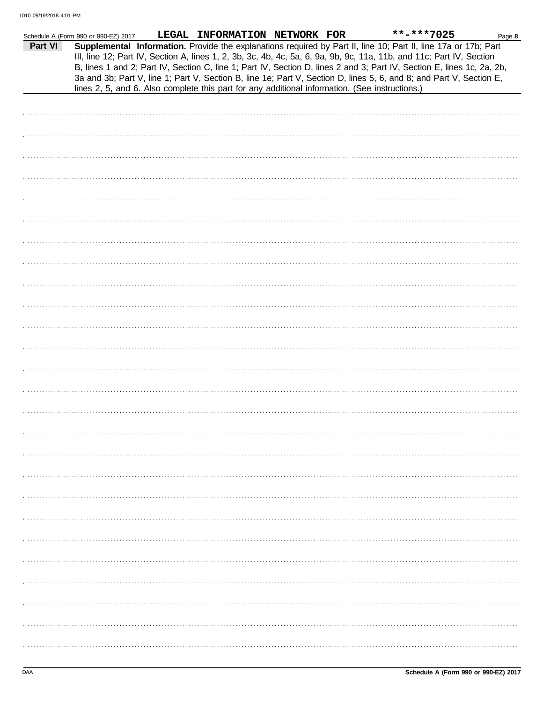|         | Schedule A (Form 990 or 990-EZ) 2017 | LEGAL INFORMATION NETWORK FOR                                                                  |  | **-***7025                                                                                                                                                                                                                                                                                                                                                                                                                                                                               | Page 8 |
|---------|--------------------------------------|------------------------------------------------------------------------------------------------|--|------------------------------------------------------------------------------------------------------------------------------------------------------------------------------------------------------------------------------------------------------------------------------------------------------------------------------------------------------------------------------------------------------------------------------------------------------------------------------------------|--------|
| Part VI |                                      | lines 2, 5, and 6. Also complete this part for any additional information. (See instructions.) |  | Supplemental Information. Provide the explanations required by Part II, line 10; Part II, line 17a or 17b; Part<br>III, line 12; Part IV, Section A, lines 1, 2, 3b, 3c, 4b, 4c, 5a, 6, 9a, 9b, 9c, 11a, 11b, and 11c; Part IV, Section<br>B, lines 1 and 2; Part IV, Section C, line 1; Part IV, Section D, lines 2 and 3; Part IV, Section E, lines 1c, 2a, 2b,<br>3a and 3b; Part V, line 1; Part V, Section B, line 1e; Part V, Section D, lines 5, 6, and 8; and Part V, Section E, |        |
|         |                                      |                                                                                                |  |                                                                                                                                                                                                                                                                                                                                                                                                                                                                                          |        |
|         |                                      |                                                                                                |  |                                                                                                                                                                                                                                                                                                                                                                                                                                                                                          |        |
|         |                                      |                                                                                                |  |                                                                                                                                                                                                                                                                                                                                                                                                                                                                                          |        |
|         |                                      |                                                                                                |  |                                                                                                                                                                                                                                                                                                                                                                                                                                                                                          |        |
|         |                                      |                                                                                                |  |                                                                                                                                                                                                                                                                                                                                                                                                                                                                                          |        |
|         |                                      |                                                                                                |  |                                                                                                                                                                                                                                                                                                                                                                                                                                                                                          |        |
|         |                                      |                                                                                                |  |                                                                                                                                                                                                                                                                                                                                                                                                                                                                                          |        |
|         |                                      |                                                                                                |  |                                                                                                                                                                                                                                                                                                                                                                                                                                                                                          |        |
|         |                                      |                                                                                                |  |                                                                                                                                                                                                                                                                                                                                                                                                                                                                                          |        |
|         |                                      |                                                                                                |  |                                                                                                                                                                                                                                                                                                                                                                                                                                                                                          |        |
|         |                                      |                                                                                                |  |                                                                                                                                                                                                                                                                                                                                                                                                                                                                                          |        |
|         |                                      |                                                                                                |  |                                                                                                                                                                                                                                                                                                                                                                                                                                                                                          |        |
|         |                                      |                                                                                                |  |                                                                                                                                                                                                                                                                                                                                                                                                                                                                                          |        |
|         |                                      |                                                                                                |  |                                                                                                                                                                                                                                                                                                                                                                                                                                                                                          |        |
|         |                                      |                                                                                                |  |                                                                                                                                                                                                                                                                                                                                                                                                                                                                                          |        |
|         |                                      |                                                                                                |  |                                                                                                                                                                                                                                                                                                                                                                                                                                                                                          |        |
|         |                                      |                                                                                                |  |                                                                                                                                                                                                                                                                                                                                                                                                                                                                                          |        |
|         |                                      |                                                                                                |  |                                                                                                                                                                                                                                                                                                                                                                                                                                                                                          |        |
|         |                                      |                                                                                                |  |                                                                                                                                                                                                                                                                                                                                                                                                                                                                                          |        |
|         |                                      |                                                                                                |  |                                                                                                                                                                                                                                                                                                                                                                                                                                                                                          |        |
|         |                                      |                                                                                                |  |                                                                                                                                                                                                                                                                                                                                                                                                                                                                                          |        |
|         |                                      |                                                                                                |  |                                                                                                                                                                                                                                                                                                                                                                                                                                                                                          |        |
|         |                                      |                                                                                                |  |                                                                                                                                                                                                                                                                                                                                                                                                                                                                                          |        |
|         |                                      |                                                                                                |  |                                                                                                                                                                                                                                                                                                                                                                                                                                                                                          |        |
|         |                                      |                                                                                                |  |                                                                                                                                                                                                                                                                                                                                                                                                                                                                                          |        |
|         |                                      |                                                                                                |  |                                                                                                                                                                                                                                                                                                                                                                                                                                                                                          |        |
|         |                                      |                                                                                                |  |                                                                                                                                                                                                                                                                                                                                                                                                                                                                                          |        |
|         |                                      |                                                                                                |  |                                                                                                                                                                                                                                                                                                                                                                                                                                                                                          |        |
|         |                                      |                                                                                                |  |                                                                                                                                                                                                                                                                                                                                                                                                                                                                                          |        |
|         |                                      |                                                                                                |  |                                                                                                                                                                                                                                                                                                                                                                                                                                                                                          |        |
|         |                                      |                                                                                                |  |                                                                                                                                                                                                                                                                                                                                                                                                                                                                                          |        |
|         |                                      |                                                                                                |  |                                                                                                                                                                                                                                                                                                                                                                                                                                                                                          |        |
|         |                                      |                                                                                                |  |                                                                                                                                                                                                                                                                                                                                                                                                                                                                                          |        |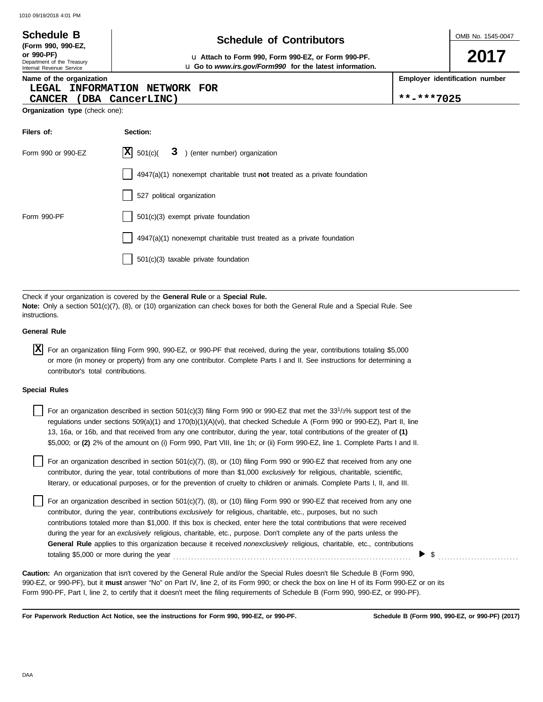| <b>Schedule B</b><br>(Form 990, 990-EZ,                              | <b>Schedule of Contributors</b>                                                                               | OMB No. 1545-0047                            |
|----------------------------------------------------------------------|---------------------------------------------------------------------------------------------------------------|----------------------------------------------|
| or 990-PF)<br>Department of the Treasury<br>Internal Revenue Service | u Attach to Form 990, Form 990-EZ, or Form 990-PF.<br>u Go to www.irs.gov/Form990 for the latest information. | 2017                                         |
| Name of the organization<br><b>LEGAL</b><br><b>CANCER</b>            | INFORMATION NETWORK FOR<br>(DBA CancerLINC)                                                                   | Employer identification number<br>**-***7025 |
| <b>Organization type (check one):</b>                                |                                                                                                               |                                              |
| Filers of:                                                           | Section:                                                                                                      |                                              |
| Form 990 or 990-EZ                                                   | $ \mathbf{X} $ 501(c)(<br>3 ) (enter number) organization                                                     |                                              |
|                                                                      | 4947(a)(1) nonexempt charitable trust not treated as a private foundation                                     |                                              |
|                                                                      | 527 political organization                                                                                    |                                              |
| Form 990-PF                                                          | 501(c)(3) exempt private foundation                                                                           |                                              |
|                                                                      | 4947(a)(1) nonexempt charitable trust treated as a private foundation                                         |                                              |
|                                                                      | 501(c)(3) taxable private foundation                                                                          |                                              |
|                                                                      |                                                                                                               |                                              |

Check if your organization is covered by the **General Rule** or a **Special Rule. Note:** Only a section 501(c)(7), (8), or (10) organization can check boxes for both the General Rule and a Special Rule. See instructions.

#### **General Rule**

For an organization filing Form 990, 990-EZ, or 990-PF that received, during the year, contributions totaling \$5,000 **X** or more (in money or property) from any one contributor. Complete Parts I and II. See instructions for determining a contributor's total contributions.

#### **Special Rules**

| For an organization described in section 501(c)(3) filing Form 990 or 990-EZ that met the 33 <sup>1</sup> /3% support test of the |
|-----------------------------------------------------------------------------------------------------------------------------------|
| regulations under sections $509(a)(1)$ and $170(b)(1)(A)(vi)$ , that checked Schedule A (Form 990 or 990-EZ), Part II, line       |
| 13, 16a, or 16b, and that received from any one contributor, during the year, total contributions of the greater of (1)           |
| \$5,000; or (2) 2% of the amount on (i) Form 990, Part VIII, line 1h; or (ii) Form 990-EZ, line 1. Complete Parts I and II.       |
|                                                                                                                                   |

literary, or educational purposes, or for the prevention of cruelty to children or animals. Complete Parts I, II, and III. For an organization described in section 501(c)(7), (8), or (10) filing Form 990 or 990-EZ that received from any one contributor, during the year, total contributions of more than \$1,000 *exclusively* for religious, charitable, scientific,

For an organization described in section 501(c)(7), (8), or (10) filing Form 990 or 990-EZ that received from any one contributor, during the year, contributions *exclusively* for religious, charitable, etc., purposes, but no such contributions totaled more than \$1,000. If this box is checked, enter here the total contributions that were received during the year for an *exclusively* religious, charitable, etc., purpose. Don't complete any of the parts unless the **General Rule** applies to this organization because it received *nonexclusively* religious, charitable, etc., contributions totaling \$5,000 or more during the year . . . . . . . . . . . . . . . . . . . . . . . . . . . . . . . . . . . . . . . . . . . . . . . . . . . . . . . . . . . . . . . . . . . . . . . . . . . . . . . .

990-EZ, or 990-PF), but it **must** answer "No" on Part IV, line 2, of its Form 990; or check the box on line H of its Form 990-EZ or on its Form 990-PF, Part I, line 2, to certify that it doesn't meet the filing requirements of Schedule B (Form 990, 990-EZ, or 990-PF). **Caution:** An organization that isn't covered by the General Rule and/or the Special Rules doesn't file Schedule B (Form 990,

**For Paperwork Reduction Act Notice, see the instructions for Form 990, 990-EZ, or 990-PF.**

\$ . . . . . . . . . . . . . . . . . . . . . . . . . . .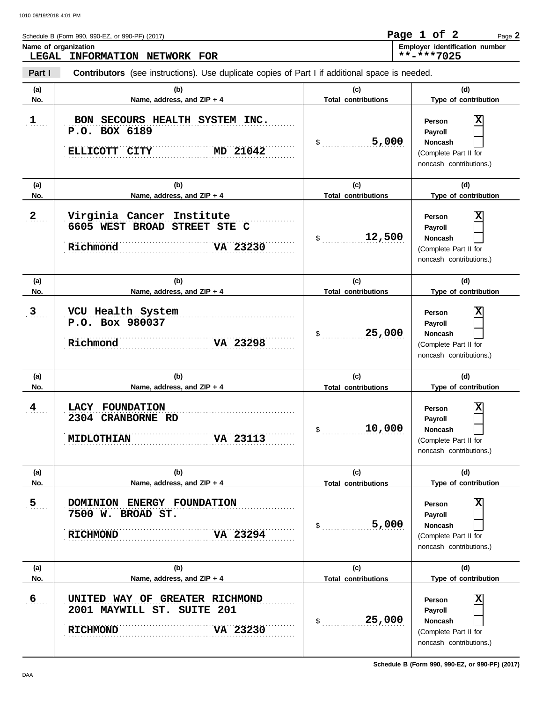**Part I Type of contribution Person Payroll Noncash (a) (b) (c) (d) No. Name, address, and ZIP + 4 Type of contribution Person Payroll Noncash** Schedule B (Form 990, 990-EZ, or 990-PF) (2017)  $\mathsf{\$}$ (Complete Part II for noncash contributions.) \$ . . . . . . . . . . . . . . . . . . . . . . . . . . . . (Complete Part II for noncash contributions.)  $\mathsf{\$}$ (Complete Part II for noncash contributions.) \$ . . . . . . . . . . . . . . . . . . . . . . . . . . . . **10,000 Contributors** (see instructions). Use duplicate copies of Part I if additional space is needed. **(a) (b) (c) (d) No. Name, address, and ZIP + 4 Total contributions Type of contribution Person Payroll Noncash (a) (b) (c) (d) No. Name, address, and ZIP + 4 Type of contribution Person Payroll Noncash (a) (b) (c) (d) No. Name, address, and ZIP + 4 Name of organization Employer identification number Employer identification number**  $1$ ...  $2 \quad \ldots$  $3$  $4$ ... . . . . . . . . . . . . . . . . . . . . . . . . . . . . . . . . . . . . . . . . . . . . . . . . . . . . . . . . . . . . . . . . . . . . . . . . . . . . . . . . . . . . . . . . . . . . . . . . . . . . . . . . . . . . . . . . . . . . . . . . . . . . . . . . . . . . . . . . . . . . . . . . . . . . . . . . . . **4 LACY FOUNDATION** . . . . . . . . . . . . . . . . . . . . . . . . . . . . . . . . . . . . . . . . . . . . . . . . . . . . . . . . . . . . . . . . . . . . . . . . . . . . . **3 VCU Health System** . . . . . . . . . . . . . . . . . . . . . . . . . . . . . . . . . . . . . . . . . . . . . . . . . . . . . . . . . . . . . . . . . . . . . . . . . . . . . . . . . . . . . . . . . . . . . . . . . . . . . . . . . . . . . . . . . . . . . . . . . . . . . . . . . . . . . . . . . . . . . . . . . . . . . . . . . . . . . . . . . . . . . . . . . . . . . . . . . . . . . . . . . . . . . . . . . . . . . . . . . . . . . . . . . . . . . . . . . . . . . . . . . . . . . . . **Richmond VA 23230** . . . . . . . . . . . . . . . . . . . . . . . . . . . . . . . . . . . . . . . . . . . . . . . . . . . . . . . . . . . . . . . . . . . . . . . . . . . . . . . . . . . . . . . . . . . . . . . . . . . . . . . . . . . . . . . . . . . . . . . . . . . . . . . . . . . . . . . . . . . . . . . . . . . . . . . . . . **2 Virginia Cancer Institute**  $\begin{array}{|c|c|c|c|c|}\n1 & \text{BON} & \text{SECOURS} & \text{HEALTH} & \text{ SYSTEM} & \text{INC.} & \text{IMC.} & \text{NUC.} & \text{NUC.} & \text{NUC.} & \text{NUC.} & \text{NUC.} & \text{NUC.} & \text{NUC.} & \text{NUC.} & \text{NUC.} & \text{NUC.} & \text{NUC.} & \text{NUC.} & \text{NUC.} & \text{NUC.} & \text{NUC.} & \text{NUC.} & \text{NUC.} & \text{NUC.} & \text{NUC.} & \text{NUC$ . . . . . . . . . . . . . . . . . . . . . . . . . . . . . . . . . . . . . . . . . . . . . . . . . . . . . . . . . . . . . . . . . . . . . . . . . . . . . . . . . . . . . . . . . . . . . . . . . . . . . . . . . . . . . . . . . . . . . . . . . . . . . . . . . . . . . . . . . . . . . . . . . . . . . . . . . . **ELLICOTT CITY MD 21042 Total contributions Total contributions Total contributions** Page **2 LEGAL INFORMATION NETWORK FOR Page 1 of 2 \*\*-\*\*\*7025 P.O. BOX 6189 5,000 X 6605 WEST BROAD STREET STE C 12,500 X P.O. Box 980037 Richmond VA 23298 25,000 X 2304 CRANBORNE RD X** 1010 09/19/2018 4:01 PM

|                  | VA 23113<br><b>MIDLOTHIAN</b>                                                               |                                   | (Complete Part II for<br>noncash contributions.)                                                                   |
|------------------|---------------------------------------------------------------------------------------------|-----------------------------------|--------------------------------------------------------------------------------------------------------------------|
| (a)<br>No.       | (b)<br>Name, address, and ZIP + 4                                                           | (c)<br><b>Total contributions</b> | (d)<br>Type of contribution                                                                                        |
| 5                | DOMINION ENERGY FOUNDATION<br>7500 W. BROAD ST.<br>RICHMOND VA 23294                        | 5,000<br>\$                       | $\overline{\mathbf{x}}$<br>Person<br>Payroll<br><b>Noncash</b><br>(Complete Part II for<br>noncash contributions.) |
| (a)              | (b)                                                                                         | (c)                               | (d)                                                                                                                |
| No.              | Name, address, and ZIP + 4                                                                  | <b>Total contributions</b>        | Type of contribution                                                                                               |
| $6 \overline{6}$ | UNITED WAY OF GREATER RICHMOND<br>2001 MAYWILL ST. SUITE 201<br>VA 23230<br><b>RICHMOND</b> | 25,000                            | X<br>Person<br>Payroll<br><b>Noncash</b><br>(Complete Part II for<br>noncash contributions.)                       |

**Schedule B (Form 990, 990-EZ, or 990-PF) (2017)**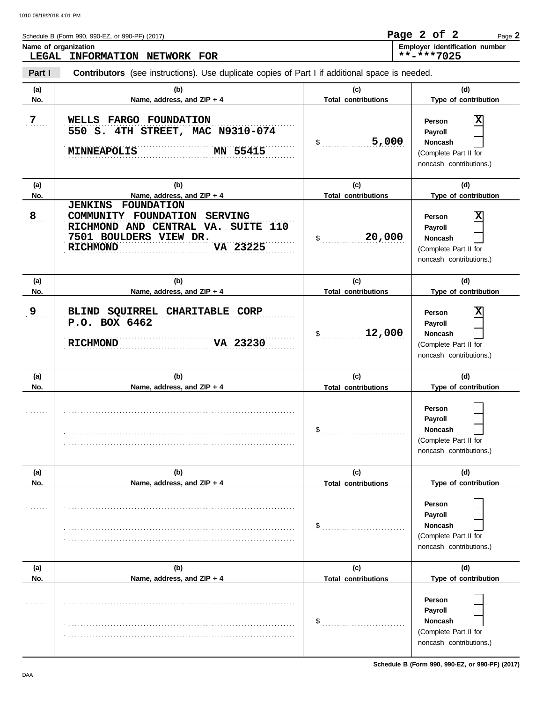|                  | Schedule B (Form 990, 990-EZ, or 990-PF) (2017)                                                                                                                                    |                                   | Page 2 of 2<br>Page 2                                                                        |
|------------------|------------------------------------------------------------------------------------------------------------------------------------------------------------------------------------|-----------------------------------|----------------------------------------------------------------------------------------------|
|                  | Name of organization<br>LEGAL INFORMATION NETWORK FOR                                                                                                                              |                                   | Employer identification number<br>$***$ -***7025                                             |
| Part I           | Contributors (see instructions). Use duplicate copies of Part I if additional space is needed.                                                                                     |                                   |                                                                                              |
| (a)<br>No.       | (b)<br>Name, address, and ZIP + 4                                                                                                                                                  | (c)<br><b>Total contributions</b> | (d)<br>Type of contribution                                                                  |
| $\boldsymbol{7}$ | WELLS FARGO FOUNDATION<br>550 S. 4TH STREET, MAC N9310-074<br><b>MINNEAPOLIS</b><br><b>MN 55415</b>                                                                                | 5,000<br>\$                       | X<br>Person<br>Payroll<br><b>Noncash</b><br>(Complete Part II for<br>noncash contributions.) |
| (a)              | (b)                                                                                                                                                                                | (c)                               | (d)                                                                                          |
| No.              | Name, address, and ZIP + 4                                                                                                                                                         | <b>Total contributions</b>        | Type of contribution                                                                         |
| 8                | <b>JENKINS</b><br><b>FOUNDATION</b><br>COMMUNITY FOUNDATION SERVING<br>RICHMOND AND CENTRAL VA. SUITE 110<br>20,000<br>7501 BOULDERS VIEW DR.<br>\$<br>VA 23225<br><b>RICHMOND</b> |                                   | X<br>Person<br>Payroll<br><b>Noncash</b><br>(Complete Part II for<br>noncash contributions.) |
| (a)              | (b)                                                                                                                                                                                | (c)                               | (d)                                                                                          |
| No.              | Name, address, and ZIP + 4                                                                                                                                                         | <b>Total contributions</b>        | Type of contribution                                                                         |
| $\boldsymbol{9}$ | BLIND SQUIRREL CHARITABLE CORP<br>P.O. BOX 6462<br>RICHMOND<br>VA 23230                                                                                                            | 12,000<br>\$                      | Χ<br>Person<br>Payroll<br>Noncash<br>(Complete Part II for<br>noncash contributions.)        |
| (a)              | (b)                                                                                                                                                                                | (c)                               | (d)                                                                                          |
| No.              | Name, address, and ZIP + 4                                                                                                                                                         | <b>Total contributions</b>        | Type of contribution                                                                         |
|                  |                                                                                                                                                                                    |                                   | Person<br>Payroll<br>Noncash<br>(Complete Part II for<br>noncash contributions.)             |
| (a)              | (b)                                                                                                                                                                                | (c)                               | (d)                                                                                          |
| No.              | Name, address, and ZIP + 4                                                                                                                                                         | <b>Total contributions</b>        | Type of contribution                                                                         |
|                  |                                                                                                                                                                                    | \$                                | Person<br>Payroll<br><b>Noncash</b><br>(Complete Part II for<br>noncash contributions.)      |
| (a)              | (b)                                                                                                                                                                                | (c)                               | (d)                                                                                          |
| No.              | Name, address, and ZIP + 4                                                                                                                                                         | <b>Total contributions</b>        | Type of contribution                                                                         |
|                  |                                                                                                                                                                                    | \$                                | Person<br>Payroll<br><b>Noncash</b><br>(Complete Part II for<br>noncash contributions.)      |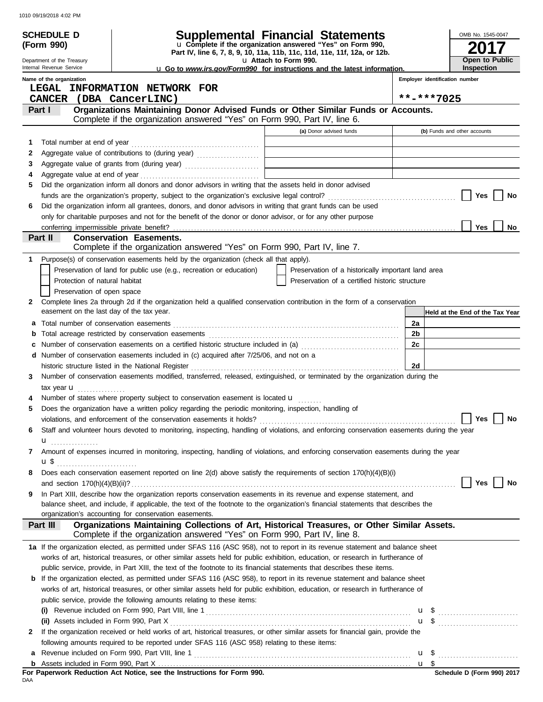1010 09/19/2018 4:02 PM

|              | <b>SCHEDULE D</b>                                                        |                                                                                                                                                                           |  | <b>Supplemental Financial Statements</b>                                                          |  |                      |                                 | OMB No. 1545-0047    |    |
|--------------|--------------------------------------------------------------------------|---------------------------------------------------------------------------------------------------------------------------------------------------------------------------|--|---------------------------------------------------------------------------------------------------|--|----------------------|---------------------------------|----------------------|----|
|              | u Complete if the organization answered "Yes" on Form 990,<br>(Form 990) |                                                                                                                                                                           |  |                                                                                                   |  |                      |                                 |                      |    |
|              | Department of the Treasury                                               |                                                                                                                                                                           |  | Part IV, line 6, 7, 8, 9, 10, 11a, 11b, 11c, 11d, 11e, 11f, 12a, or 12b.<br>u Attach to Form 990. |  |                      |                                 | Open to Public       |    |
|              | Internal Revenue Service                                                 |                                                                                                                                                                           |  | <b>u</b> Go to www.irs.gov/Form990 for instructions and the latest information.                   |  |                      |                                 | <b>Inspection</b>    |    |
|              | Name of the organization                                                 |                                                                                                                                                                           |  |                                                                                                   |  |                      | Employer identification number  |                      |    |
|              |                                                                          | LEGAL INFORMATION NETWORK FOR                                                                                                                                             |  |                                                                                                   |  |                      |                                 |                      |    |
|              | CANCER (DBA CancerLINC)                                                  |                                                                                                                                                                           |  |                                                                                                   |  |                      | **-***7025                      |                      |    |
|              | Part I                                                                   | Organizations Maintaining Donor Advised Funds or Other Similar Funds or Accounts.<br>Complete if the organization answered "Yes" on Form 990, Part IV, line 6.            |  |                                                                                                   |  |                      |                                 |                      |    |
|              |                                                                          |                                                                                                                                                                           |  | (a) Donor advised funds                                                                           |  |                      | (b) Funds and other accounts    |                      |    |
| 1            | Total number at end of year                                              |                                                                                                                                                                           |  |                                                                                                   |  |                      |                                 |                      |    |
| 2            |                                                                          |                                                                                                                                                                           |  |                                                                                                   |  |                      |                                 |                      |    |
| 3            |                                                                          |                                                                                                                                                                           |  |                                                                                                   |  |                      |                                 |                      |    |
| 4            |                                                                          |                                                                                                                                                                           |  |                                                                                                   |  |                      |                                 |                      |    |
| 5            |                                                                          | Did the organization inform all donors and donor advisors in writing that the assets held in donor advised                                                                |  |                                                                                                   |  |                      |                                 |                      |    |
|              |                                                                          |                                                                                                                                                                           |  |                                                                                                   |  |                      |                                 | <b>Yes</b>           | No |
| 6            |                                                                          | Did the organization inform all grantees, donors, and donor advisors in writing that grant funds can be used                                                              |  |                                                                                                   |  |                      |                                 |                      |    |
|              |                                                                          | only for charitable purposes and not for the benefit of the donor or donor advisor, or for any other purpose                                                              |  |                                                                                                   |  |                      |                                 |                      |    |
|              | conferring impermissible private benefit?                                | <b>Conservation Easements.</b>                                                                                                                                            |  |                                                                                                   |  |                      |                                 | <b>Yes</b>           | No |
|              | Part II                                                                  | Complete if the organization answered "Yes" on Form 990, Part IV, line 7.                                                                                                 |  |                                                                                                   |  |                      |                                 |                      |    |
|              |                                                                          | Purpose(s) of conservation easements held by the organization (check all that apply).                                                                                     |  |                                                                                                   |  |                      |                                 |                      |    |
|              |                                                                          | Preservation of land for public use (e.g., recreation or education)                                                                                                       |  | Preservation of a historically important land area                                                |  |                      |                                 |                      |    |
|              | Protection of natural habitat                                            |                                                                                                                                                                           |  | Preservation of a certified historic structure                                                    |  |                      |                                 |                      |    |
|              | Preservation of open space                                               |                                                                                                                                                                           |  |                                                                                                   |  |                      |                                 |                      |    |
| $\mathbf{2}$ |                                                                          | Complete lines 2a through 2d if the organization held a qualified conservation contribution in the form of a conservation                                                 |  |                                                                                                   |  |                      |                                 |                      |    |
|              | easement on the last day of the tax year.                                |                                                                                                                                                                           |  |                                                                                                   |  |                      | Held at the End of the Tax Year |                      |    |
| а            |                                                                          |                                                                                                                                                                           |  |                                                                                                   |  | 2a                   |                                 |                      |    |
|              |                                                                          | Number of conservation easements on a certified historic structure included in (a)                                                                                        |  |                                                                                                   |  | 2 <sub>b</sub><br>2c |                                 |                      |    |
|              |                                                                          | d Number of conservation easements included in (c) acquired after 7/25/06, and not on a                                                                                   |  |                                                                                                   |  |                      |                                 |                      |    |
|              |                                                                          | historic structure listed in the National Register                                                                                                                        |  |                                                                                                   |  | 2d                   |                                 |                      |    |
| 3            |                                                                          | Number of conservation easements modified, transferred, released, extinguished, or terminated by the organization during the                                              |  |                                                                                                   |  |                      |                                 |                      |    |
|              | tax year <b>u</b>                                                        |                                                                                                                                                                           |  |                                                                                                   |  |                      |                                 |                      |    |
|              |                                                                          | Number of states where property subject to conservation easement is located u                                                                                             |  |                                                                                                   |  |                      |                                 |                      |    |
|              |                                                                          | Does the organization have a written policy regarding the periodic monitoring, inspection, handling of                                                                    |  |                                                                                                   |  |                      |                                 |                      |    |
|              |                                                                          |                                                                                                                                                                           |  |                                                                                                   |  |                      |                                 | $\Box$ Yes $\Box$ No |    |
| 6            |                                                                          | Staff and volunteer hours devoted to monitoring, inspecting, handling of violations, and enforcing conservation easements during the year                                 |  |                                                                                                   |  |                      |                                 |                      |    |
|              | $\mathbf{u}$                                                             |                                                                                                                                                                           |  |                                                                                                   |  |                      |                                 |                      |    |
| 7            |                                                                          | Amount of expenses incurred in monitoring, inspecting, handling of violations, and enforcing conservation easements during the year                                       |  |                                                                                                   |  |                      |                                 |                      |    |
|              | <b>u</b> \$                                                              |                                                                                                                                                                           |  |                                                                                                   |  |                      |                                 |                      |    |
| 8            |                                                                          | Does each conservation easement reported on line 2(d) above satisfy the requirements of section 170(h)(4)(B)(i)                                                           |  |                                                                                                   |  |                      |                                 | Yes                  | No |
| 9            |                                                                          | In Part XIII, describe how the organization reports conservation easements in its revenue and expense statement, and                                                      |  |                                                                                                   |  |                      |                                 |                      |    |
|              |                                                                          | balance sheet, and include, if applicable, the text of the footnote to the organization's financial statements that describes the                                         |  |                                                                                                   |  |                      |                                 |                      |    |
|              |                                                                          | organization's accounting for conservation easements.                                                                                                                     |  |                                                                                                   |  |                      |                                 |                      |    |
|              | Part III                                                                 | Organizations Maintaining Collections of Art, Historical Treasures, or Other Similar Assets.<br>Complete if the organization answered "Yes" on Form 990, Part IV, line 8. |  |                                                                                                   |  |                      |                                 |                      |    |
|              |                                                                          | 1a If the organization elected, as permitted under SFAS 116 (ASC 958), not to report in its revenue statement and balance sheet                                           |  |                                                                                                   |  |                      |                                 |                      |    |
|              |                                                                          | works of art, historical treasures, or other similar assets held for public exhibition, education, or research in furtherance of                                          |  |                                                                                                   |  |                      |                                 |                      |    |
|              |                                                                          | public service, provide, in Part XIII, the text of the footnote to its financial statements that describes these items.                                                   |  |                                                                                                   |  |                      |                                 |                      |    |
|              |                                                                          | <b>b</b> If the organization elected, as permitted under SFAS 116 (ASC 958), to report in its revenue statement and balance sheet                                         |  |                                                                                                   |  |                      |                                 |                      |    |
|              |                                                                          | works of art, historical treasures, or other similar assets held for public exhibition, education, or research in furtherance of                                          |  |                                                                                                   |  |                      |                                 |                      |    |
|              |                                                                          | public service, provide the following amounts relating to these items:                                                                                                    |  |                                                                                                   |  |                      |                                 |                      |    |
|              |                                                                          |                                                                                                                                                                           |  |                                                                                                   |  |                      |                                 |                      |    |
|              | (ii) Assets included in Form 990, Part X                                 |                                                                                                                                                                           |  |                                                                                                   |  |                      | <b>u</b> \$                     |                      |    |
| 2            |                                                                          | If the organization received or held works of art, historical treasures, or other similar assets for financial gain, provide the                                          |  |                                                                                                   |  |                      |                                 |                      |    |
|              |                                                                          | following amounts required to be reported under SFAS 116 (ASC 958) relating to these items:                                                                               |  |                                                                                                   |  |                      |                                 |                      |    |
| a            |                                                                          |                                                                                                                                                                           |  |                                                                                                   |  |                      |                                 |                      |    |
|              |                                                                          |                                                                                                                                                                           |  |                                                                                                   |  |                      |                                 |                      |    |

| For Paperwork Reduction Act Notice, see the Instructions for Form 990. |  |  |  |
|------------------------------------------------------------------------|--|--|--|
| DAA                                                                    |  |  |  |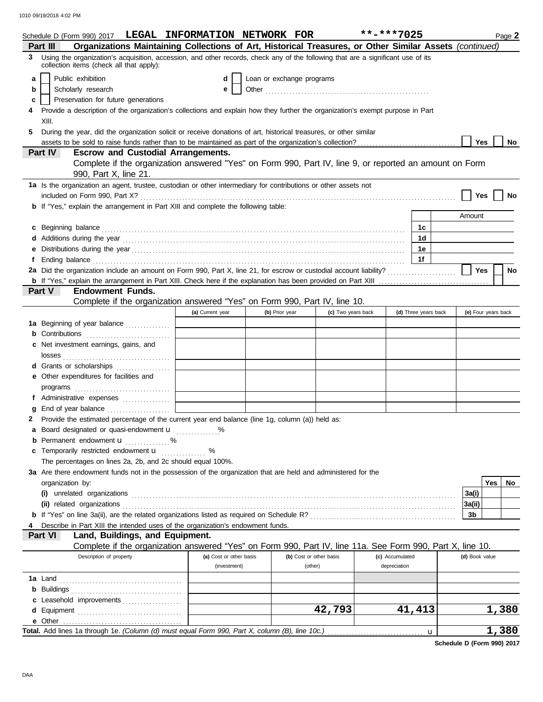1010 09/19/2018 4:02 PM

|    | Schedule D (Form 990) 2017 LEGAL INFORMATION NETWORK FOR                                                                                                                                                                             |                         |                           |                         | **-***7025      |                      | Page 2              |
|----|--------------------------------------------------------------------------------------------------------------------------------------------------------------------------------------------------------------------------------------|-------------------------|---------------------------|-------------------------|-----------------|----------------------|---------------------|
|    | Organizations Maintaining Collections of Art, Historical Treasures, or Other Similar Assets (continued)<br>Part III                                                                                                                  |                         |                           |                         |                 |                      |                     |
| 3. | Using the organization's acquisition, accession, and other records, check any of the following that are a significant use of its<br>collection items (check all that apply):                                                         |                         |                           |                         |                 |                      |                     |
| a  | Public exhibition                                                                                                                                                                                                                    | d                       | Loan or exchange programs |                         |                 |                      |                     |
| b  | Scholarly research                                                                                                                                                                                                                   | е                       |                           |                         |                 |                      |                     |
| c  | Preservation for future generations                                                                                                                                                                                                  |                         |                           |                         |                 |                      |                     |
|    | Provide a description of the organization's collections and explain how they further the organization's exempt purpose in Part                                                                                                       |                         |                           |                         |                 |                      |                     |
|    | XIII.                                                                                                                                                                                                                                |                         |                           |                         |                 |                      |                     |
| 5. | During the year, did the organization solicit or receive donations of art, historical treasures, or other similar                                                                                                                    |                         |                           |                         |                 |                      |                     |
|    |                                                                                                                                                                                                                                      |                         |                           |                         |                 |                      | Yes<br>No           |
|    | <b>Part IV</b><br><b>Escrow and Custodial Arrangements.</b>                                                                                                                                                                          |                         |                           |                         |                 |                      |                     |
|    | Complete if the organization answered "Yes" on Form 990, Part IV, line 9, or reported an amount on Form<br>990, Part X, line 21.                                                                                                     |                         |                           |                         |                 |                      |                     |
|    | 1a Is the organization an agent, trustee, custodian or other intermediary for contributions or other assets not                                                                                                                      |                         |                           |                         |                 |                      |                     |
|    |                                                                                                                                                                                                                                      |                         |                           |                         |                 |                      | Yes<br>No           |
|    | <b>b</b> If "Yes," explain the arrangement in Part XIII and complete the following table:                                                                                                                                            |                         |                           |                         |                 |                      |                     |
|    |                                                                                                                                                                                                                                      |                         |                           |                         |                 |                      | Amount              |
|    | c Beginning balance <b>contract the contract of the contract of the contract of the contract of the contract of the contract of the contract of the contract of the contract of the contract of the contract of the contract of </b> |                         |                           |                         |                 | 1с                   |                     |
|    |                                                                                                                                                                                                                                      |                         |                           |                         |                 | 1 <sub>d</sub>       |                     |
| е  |                                                                                                                                                                                                                                      |                         |                           |                         |                 | 1e                   |                     |
|    | Ending balance <b>constructs</b> and constructs and constructs and constructs and constructs and constructs and constructs and constructs and constructs and constructs and constructs and constructs and constructs and constructs  |                         |                           |                         |                 | 1f                   |                     |
|    | 2a Did the organization include an amount on Form 990, Part X, line 21, for escrow or custodial account liability?                                                                                                                   |                         |                           |                         |                 |                      | <b>Yes</b><br>No    |
|    |                                                                                                                                                                                                                                      |                         |                           |                         |                 |                      |                     |
|    | <b>Endowment Funds.</b><br><b>Part V</b>                                                                                                                                                                                             |                         |                           |                         |                 |                      |                     |
|    | Complete if the organization answered "Yes" on Form 990, Part IV, line 10.                                                                                                                                                           |                         |                           |                         |                 |                      |                     |
|    |                                                                                                                                                                                                                                      | (a) Current year        | (b) Prior year            | (c) Two years back      |                 | (d) Three years back | (e) Four years back |
|    | 1a Beginning of year balance                                                                                                                                                                                                         |                         |                           |                         |                 |                      |                     |
|    | <b>b</b> Contributions <b>contributions</b>                                                                                                                                                                                          |                         |                           |                         |                 |                      |                     |
|    | c Net investment earnings, gains, and                                                                                                                                                                                                |                         |                           |                         |                 |                      |                     |
|    |                                                                                                                                                                                                                                      |                         |                           |                         |                 |                      |                     |
|    | d Grants or scholarships                                                                                                                                                                                                             |                         |                           |                         |                 |                      |                     |
|    | e Other expenditures for facilities and                                                                                                                                                                                              |                         |                           |                         |                 |                      |                     |
|    |                                                                                                                                                                                                                                      |                         |                           |                         |                 |                      |                     |
|    | f Administrative expenses                                                                                                                                                                                                            |                         |                           |                         |                 |                      |                     |
|    |                                                                                                                                                                                                                                      |                         |                           |                         |                 |                      |                     |
|    | Provide the estimated percentage of the current year end balance (line 1g, column (a)) held as:                                                                                                                                      |                         |                           |                         |                 |                      |                     |
|    | a Board designated or quasi-endowment u                                                                                                                                                                                              |                         |                           |                         |                 |                      |                     |
|    | b Permanent endowment <b>u</b> %                                                                                                                                                                                                     |                         |                           |                         |                 |                      |                     |
|    | c Temporarily restricted endowment <b>u</b>                                                                                                                                                                                          | %                       |                           |                         |                 |                      |                     |
|    | The percentages on lines 2a, 2b, and 2c should equal 100%.                                                                                                                                                                           |                         |                           |                         |                 |                      |                     |
|    | 3a Are there endowment funds not in the possession of the organization that are held and administered for the                                                                                                                        |                         |                           |                         |                 |                      | Yes<br>No.          |
|    | organization by:                                                                                                                                                                                                                     |                         |                           |                         |                 |                      |                     |
|    |                                                                                                                                                                                                                                      |                         |                           |                         |                 |                      | 3a(i)<br>3a(ii)     |
|    |                                                                                                                                                                                                                                      |                         |                           |                         |                 |                      | 3b                  |
|    |                                                                                                                                                                                                                                      |                         |                           |                         |                 |                      |                     |
|    | Describe in Part XIII the intended uses of the organization's endowment funds.<br>Land, Buildings, and Equipment.<br><b>Part VI</b>                                                                                                  |                         |                           |                         |                 |                      |                     |
|    | Complete if the organization answered "Yes" on Form 990, Part IV, line 11a. See Form 990, Part X, line 10.                                                                                                                           |                         |                           |                         |                 |                      |                     |
|    | Description of property                                                                                                                                                                                                              | (a) Cost or other basis |                           | (b) Cost or other basis | (c) Accumulated |                      | (d) Book value      |
|    |                                                                                                                                                                                                                                      | (investment)            |                           | (other)                 | depreciation    |                      |                     |
|    |                                                                                                                                                                                                                                      |                         |                           |                         |                 |                      |                     |
|    |                                                                                                                                                                                                                                      |                         |                           |                         |                 |                      |                     |
|    | c Leasehold improvements                                                                                                                                                                                                             |                         |                           |                         |                 |                      |                     |
|    |                                                                                                                                                                                                                                      |                         |                           | 42,793                  |                 | 41,413               | 1,380               |
|    |                                                                                                                                                                                                                                      |                         |                           |                         |                 |                      |                     |
|    | Total. Add lines 1a through 1e. (Column (d) must equal Form 990, Part X, column (B), line 10c.)                                                                                                                                      |                         |                           |                         |                 | $\mathbf{u}$         | 1,380               |
|    |                                                                                                                                                                                                                                      |                         |                           |                         |                 |                      |                     |

**Schedule D (Form 990) 2017**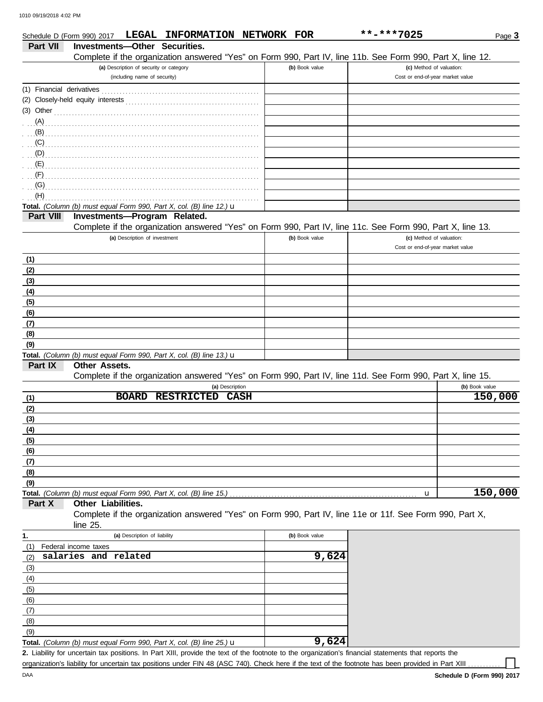|                           | Schedule D (Form 990) 2017 LEGAL INFORMATION NETWORK FOR                                                   |                | **-***7025                       | Page 3         |
|---------------------------|------------------------------------------------------------------------------------------------------------|----------------|----------------------------------|----------------|
| Part VII                  | Investments-Other Securities.                                                                              |                |                                  |                |
|                           | Complete if the organization answered "Yes" on Form 990, Part IV, line 11b. See Form 990, Part X, line 12. |                |                                  |                |
|                           | (a) Description of security or category                                                                    | (b) Book value | (c) Method of valuation:         |                |
|                           | (including name of security)                                                                               |                | Cost or end-of-year market value |                |
| (1) Financial derivatives |                                                                                                            |                |                                  |                |
|                           |                                                                                                            |                |                                  |                |
| $(3)$ Other               |                                                                                                            |                |                                  |                |
| $(A)$ .                   |                                                                                                            |                |                                  |                |
| (B)                       |                                                                                                            |                |                                  |                |
| (C)                       |                                                                                                            |                |                                  |                |
| (D)                       |                                                                                                            |                |                                  |                |
| (E)                       |                                                                                                            |                |                                  |                |
| (F)                       |                                                                                                            |                |                                  |                |
| (G)                       |                                                                                                            |                |                                  |                |
| (H)                       |                                                                                                            |                |                                  |                |
|                           | Total. (Column (b) must equal Form 990, Part X, col. (B) line 12.) $\mathbf u$                             |                |                                  |                |
| Part VIII                 | Investments-Program Related.                                                                               |                |                                  |                |
|                           | Complete if the organization answered "Yes" on Form 990, Part IV, line 11c. See Form 990, Part X, line 13. |                |                                  |                |
|                           | (a) Description of investment                                                                              | (b) Book value | (c) Method of valuation:         |                |
|                           |                                                                                                            |                | Cost or end-of-year market value |                |
|                           |                                                                                                            |                |                                  |                |
| (1)                       |                                                                                                            |                |                                  |                |
| (2)                       |                                                                                                            |                |                                  |                |
| (3)                       |                                                                                                            |                |                                  |                |
| (4)                       |                                                                                                            |                |                                  |                |
| (5)                       |                                                                                                            |                |                                  |                |
| (6)                       |                                                                                                            |                |                                  |                |
| (7)                       |                                                                                                            |                |                                  |                |
| (8)                       |                                                                                                            |                |                                  |                |
| (9)                       |                                                                                                            |                |                                  |                |
|                           | Total. (Column (b) must equal Form 990, Part X, col. (B) line 13.) u                                       |                |                                  |                |
| Part IX                   | <b>Other Assets.</b>                                                                                       |                |                                  |                |
|                           | Complete if the organization answered "Yes" on Form 990, Part IV, line 11d. See Form 990, Part X, line 15. |                |                                  |                |
|                           | (a) Description                                                                                            |                |                                  | (b) Book value |
| (1)                       | <b>RESTRICTED</b><br><b>BOARD</b><br><b>CASH</b>                                                           |                |                                  | 150,000        |
| (2)                       |                                                                                                            |                |                                  |                |
| (3)                       |                                                                                                            |                |                                  |                |
| (4)                       |                                                                                                            |                |                                  |                |
| (5)                       |                                                                                                            |                |                                  |                |
| (6)                       |                                                                                                            |                |                                  |                |
| (7)                       |                                                                                                            |                |                                  |                |
| (8)                       |                                                                                                            |                |                                  |                |
| (9)                       |                                                                                                            |                |                                  |                |
|                           | Total. (Column (b) must equal Form 990, Part X, col. (B) line 15.)                                         |                | u                                | 150,000        |
| Part X                    | Other Liabilities.                                                                                         |                |                                  |                |
|                           | Complete if the organization answered "Yes" on Form 990, Part IV, line 11e or 11f. See Form 990, Part X,   |                |                                  |                |
|                           | line $25$ .                                                                                                |                |                                  |                |
| 1.                        | (a) Description of liability                                                                               | (b) Book value |                                  |                |
| (1)                       | Federal income taxes                                                                                       |                |                                  |                |
| (2)                       | salaries and related                                                                                       |                | 9,624                            |                |
| (3)                       |                                                                                                            |                |                                  |                |
| (4)                       |                                                                                                            |                |                                  |                |
| (5)                       |                                                                                                            |                |                                  |                |
| (6)                       |                                                                                                            |                |                                  |                |
| (7)                       |                                                                                                            |                |                                  |                |
| (8)                       |                                                                                                            |                |                                  |                |
| (9)                       |                                                                                                            |                |                                  |                |
|                           | <b>Total.</b> (Column (b) must equal Form 990, Part X, col. (B) line 25.) $\mathbf{u}$                     |                | 9,624                            |                |
|                           |                                                                                                            |                |                                  |                |

Liability for uncertain tax positions. In Part XIII, provide the text of the footnote to the organization's financial statements that reports the **2.** organization's liability for uncertain tax positions under FIN 48 (ASC 740). Check here if the text of the footnote has been provided in Part XIII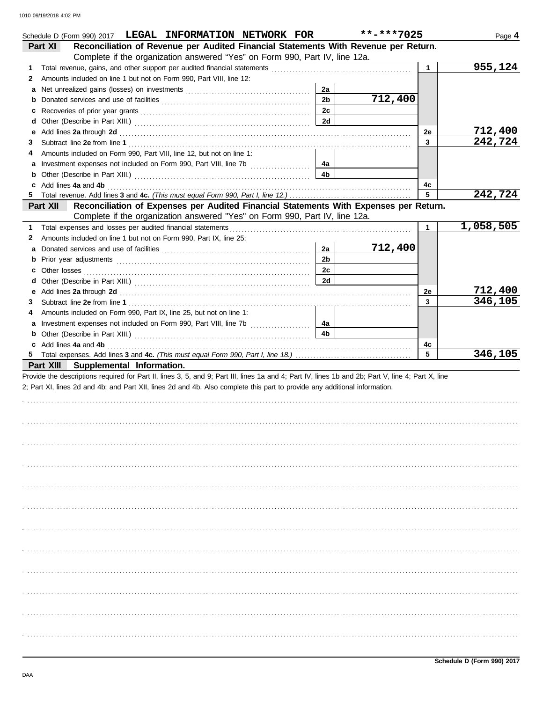|    | Schedule D (Form 990) 2017 LEGAL INFORMATION NETWORK FOR                                                                                                                                                                       |                | **-***7025 |              | Page 4    |
|----|--------------------------------------------------------------------------------------------------------------------------------------------------------------------------------------------------------------------------------|----------------|------------|--------------|-----------|
|    | Reconciliation of Revenue per Audited Financial Statements With Revenue per Return.<br>Part XI                                                                                                                                 |                |            |              |           |
|    | Complete if the organization answered "Yes" on Form 990, Part IV, line 12a.                                                                                                                                                    |                |            |              |           |
| 1  | Total revenue, gains, and other support per audited financial statements                                                                                                                                                       |                |            | $\mathbf{1}$ | 955,124   |
| 2  | Amounts included on line 1 but not on Form 990, Part VIII, line 12:                                                                                                                                                            |                |            |              |           |
| а  |                                                                                                                                                                                                                                | 2a             |            |              |           |
| b  |                                                                                                                                                                                                                                | 2 <sub>b</sub> | 712,400    |              |           |
| c  |                                                                                                                                                                                                                                | 2c             |            |              |           |
| d  |                                                                                                                                                                                                                                | 2d             |            |              |           |
| е  | Add lines 2a through 2d [11] Add [12] Add [12] Add lines 2a through 2d [12] Add lines 2a through 2d                                                                                                                            |                |            | 2e           | 712,400   |
| 3  |                                                                                                                                                                                                                                |                |            | 3            | 242,724   |
|    | Amounts included on Form 990, Part VIII, line 12, but not on line 1:                                                                                                                                                           |                |            |              |           |
| а  | Investment expenses not included on Form 990, Part VIII, line 7b [100] [100] [100] [100] [100] [100] [100] [100] [100] [100] [100] [100] [100] [100] [100] [100] [100] [100] [100] [100] [100] [100] [100] [100] [100] [100] [ | 4a             |            |              |           |
| b  |                                                                                                                                                                                                                                | 4b             |            |              |           |
|    | Add lines 4a and 4b                                                                                                                                                                                                            |                |            | 4с           |           |
| 5  |                                                                                                                                                                                                                                |                |            | 5            | 242,724   |
|    | Reconciliation of Expenses per Audited Financial Statements With Expenses per Return.<br>Part XII                                                                                                                              |                |            |              |           |
|    | Complete if the organization answered "Yes" on Form 990, Part IV, line 12a.                                                                                                                                                    |                |            |              |           |
| 1. | Total expenses and losses per audited financial statements<br><u> 1986 - Jan Berlin Berlin, mars eta inperioar eta inperioar eta inperioar eta inperioar eta inperioar eta inpe</u>                                            |                |            | $\mathbf{1}$ | 1,058,505 |
| 2  | Amounts included on line 1 but not on Form 990, Part IX, line 25:                                                                                                                                                              |                |            |              |           |
| а  |                                                                                                                                                                                                                                | 2a             | 712,400    |              |           |
|    |                                                                                                                                                                                                                                | 2 <sub>b</sub> |            |              |           |
| с  |                                                                                                                                                                                                                                | 2c             |            |              |           |
| d  |                                                                                                                                                                                                                                | 2d             |            |              |           |
| е  | Add lines 2a through 2d [11] March 20 [11] March 20 [11] March 20 [11] March 20 [11] March 20 [11] March 20 [11] March 20 [11] March 20 [11] March 20 [11] March 20 [11] March 20 [11] March 20 [11] March 20 [11] March 20 [1 |                |            | 2е           | 712,400   |
| 3  |                                                                                                                                                                                                                                |                |            | 3            | 346,105   |
| 4  | Amounts included on Form 990, Part IX, line 25, but not on line 1:                                                                                                                                                             |                |            |              |           |
| а  | Investment expenses not included on Form 990, Part VIII, line 7b [                                                                                                                                                             | 4a             |            |              |           |
| b  |                                                                                                                                                                                                                                | 4 <sub>b</sub> |            |              |           |
|    | Add lines 4a and 4b                                                                                                                                                                                                            |                |            | 4с           |           |
| 5  |                                                                                                                                                                                                                                |                |            | 5            | 346,105   |
|    | Part XIII Supplemental Information.                                                                                                                                                                                            |                |            |              |           |
|    | Provide the descriptions required for Part II, lines 3, 5, and 9; Part III, lines 1a and 4; Part IV, lines 1b and 2b; Part V, line 4; Part X, line                                                                             |                |            |              |           |
|    | 2; Part XI, lines 2d and 4b; and Part XII, lines 2d and 4b. Also complete this part to provide any additional information.                                                                                                     |                |            |              |           |
|    |                                                                                                                                                                                                                                |                |            |              |           |
|    |                                                                                                                                                                                                                                |                |            |              |           |
|    |                                                                                                                                                                                                                                |                |            |              |           |
|    |                                                                                                                                                                                                                                |                |            |              |           |
|    |                                                                                                                                                                                                                                |                |            |              |           |
|    |                                                                                                                                                                                                                                |                |            |              |           |
|    |                                                                                                                                                                                                                                |                |            |              |           |
|    |                                                                                                                                                                                                                                |                |            |              |           |
|    |                                                                                                                                                                                                                                |                |            |              |           |
|    |                                                                                                                                                                                                                                |                |            |              |           |
|    |                                                                                                                                                                                                                                |                |            |              |           |
|    |                                                                                                                                                                                                                                |                |            |              |           |
|    |                                                                                                                                                                                                                                |                |            |              |           |
|    |                                                                                                                                                                                                                                |                |            |              |           |
|    |                                                                                                                                                                                                                                |                |            |              |           |
|    |                                                                                                                                                                                                                                |                |            |              |           |
|    |                                                                                                                                                                                                                                |                |            |              |           |
|    |                                                                                                                                                                                                                                |                |            |              |           |
|    |                                                                                                                                                                                                                                |                |            |              |           |
|    |                                                                                                                                                                                                                                |                |            |              |           |
|    |                                                                                                                                                                                                                                |                |            |              |           |
|    |                                                                                                                                                                                                                                |                |            |              |           |
|    |                                                                                                                                                                                                                                |                |            |              |           |
|    |                                                                                                                                                                                                                                |                |            |              |           |
|    |                                                                                                                                                                                                                                |                |            |              |           |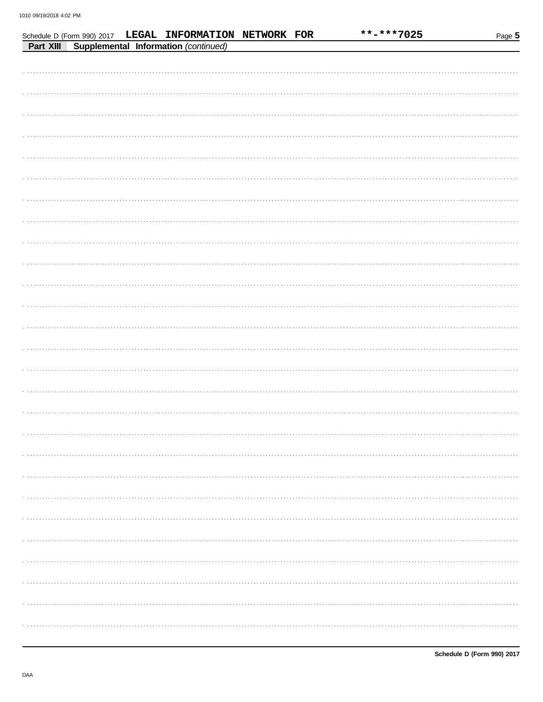|           |  | Schedule D (Form 990) 2017 LEGAL INFORMATION NETWORK FOR |  | **-***7025 | Page 5 |
|-----------|--|----------------------------------------------------------|--|------------|--------|
| Part XIII |  | Supplemental Information (continued)                     |  |            |        |
|           |  |                                                          |  |            |        |
|           |  |                                                          |  |            |        |
|           |  |                                                          |  |            |        |
|           |  |                                                          |  |            |        |
|           |  |                                                          |  |            |        |
|           |  |                                                          |  |            |        |
|           |  |                                                          |  |            |        |
|           |  |                                                          |  |            |        |
|           |  |                                                          |  |            |        |
|           |  |                                                          |  |            |        |
|           |  |                                                          |  |            |        |
|           |  |                                                          |  |            |        |
|           |  |                                                          |  |            |        |
|           |  |                                                          |  |            |        |
|           |  |                                                          |  |            |        |
|           |  |                                                          |  |            |        |
|           |  |                                                          |  |            |        |
|           |  |                                                          |  |            |        |
|           |  |                                                          |  |            |        |
|           |  |                                                          |  |            |        |
|           |  |                                                          |  |            |        |
|           |  |                                                          |  |            |        |
|           |  |                                                          |  |            |        |
|           |  |                                                          |  |            |        |
|           |  |                                                          |  |            |        |
|           |  |                                                          |  |            |        |
|           |  |                                                          |  |            |        |
|           |  |                                                          |  |            |        |
|           |  |                                                          |  |            |        |
|           |  |                                                          |  |            |        |
|           |  |                                                          |  |            |        |
|           |  |                                                          |  |            |        |
|           |  |                                                          |  |            |        |
|           |  |                                                          |  |            |        |
|           |  |                                                          |  |            |        |
|           |  |                                                          |  |            |        |
|           |  |                                                          |  |            |        |
|           |  |                                                          |  |            |        |
|           |  |                                                          |  |            |        |
|           |  |                                                          |  |            |        |
|           |  |                                                          |  |            |        |
|           |  |                                                          |  |            |        |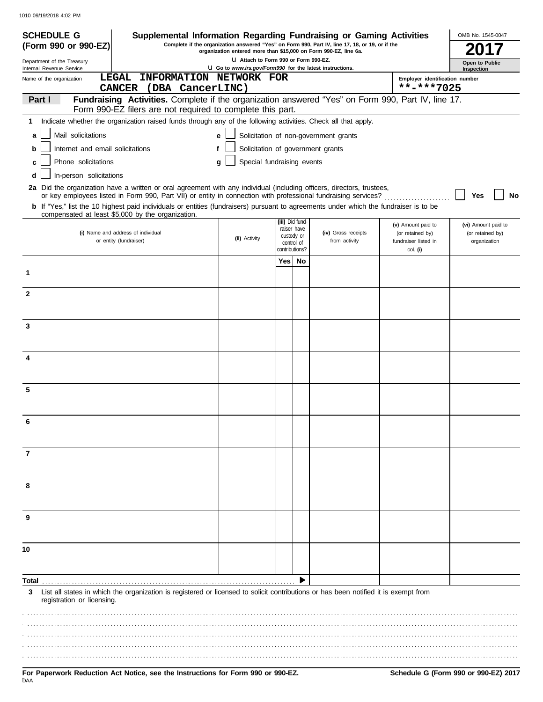1010 09/19/2018 4:02 PM

| <b>SCHEDULE G</b>                                                                                                                                            | Supplemental Information Regarding Fundraising or Gaming Activities                                                                                                                                                                      |                                                                  |  |                              |                                                                                                 |                                          | OMB No. 1545-0047                |
|--------------------------------------------------------------------------------------------------------------------------------------------------------------|------------------------------------------------------------------------------------------------------------------------------------------------------------------------------------------------------------------------------------------|------------------------------------------------------------------|--|------------------------------|-------------------------------------------------------------------------------------------------|------------------------------------------|----------------------------------|
| (Form 990 or 990-EZ)                                                                                                                                         |                                                                                                                                                                                                                                          | organization entered more than \$15,000 on Form 990-EZ, line 6a. |  |                              | Complete if the organization answered "Yes" on Form 990, Part IV, line 17, 18, or 19, or if the |                                          |                                  |
| LI Attach to Form 990 or Form 990-EZ.<br>Department of the Treasury<br>LI Go to www.irs.gov/Form990 for the latest instructions.<br>Internal Revenue Service |                                                                                                                                                                                                                                          |                                                                  |  |                              |                                                                                                 |                                          |                                  |
| Name of the organization                                                                                                                                     | LEGAL<br>INFORMATION NETWORK FOR                                                                                                                                                                                                         |                                                                  |  |                              |                                                                                                 | Employer identification number           |                                  |
| Part I                                                                                                                                                       | <b>CANCER</b><br>(DBA CancerLINC)<br>Fundraising Activities. Complete if the organization answered "Yes" on Form 990, Part IV, line 17.                                                                                                  |                                                                  |  |                              |                                                                                                 | **-***7025                               |                                  |
|                                                                                                                                                              | Form 990-EZ filers are not required to complete this part.                                                                                                                                                                               |                                                                  |  |                              |                                                                                                 |                                          |                                  |
| 1                                                                                                                                                            | Indicate whether the organization raised funds through any of the following activities. Check all that apply.                                                                                                                            |                                                                  |  |                              |                                                                                                 |                                          |                                  |
| Mail solicitations<br>a                                                                                                                                      |                                                                                                                                                                                                                                          | е                                                                |  |                              | Solicitation of non-government grants                                                           |                                          |                                  |
| Internet and email solicitations<br>b                                                                                                                        |                                                                                                                                                                                                                                          | f                                                                |  |                              | Solicitation of government grants                                                               |                                          |                                  |
| Phone solicitations<br>C                                                                                                                                     |                                                                                                                                                                                                                                          | Special fundraising events<br>a                                  |  |                              |                                                                                                 |                                          |                                  |
| In-person solicitations<br>d                                                                                                                                 |                                                                                                                                                                                                                                          |                                                                  |  |                              |                                                                                                 |                                          |                                  |
|                                                                                                                                                              | 2a Did the organization have a written or oral agreement with any individual (including officers, directors, trustees,<br>or key employees listed in Form 990, Part VII) or entity in connection with professional fundraising services? |                                                                  |  |                              |                                                                                                 |                                          | No<br>Yes                        |
|                                                                                                                                                              | b If "Yes," list the 10 highest paid individuals or entities (fundraisers) pursuant to agreements under which the fundraiser is to be                                                                                                    |                                                                  |  |                              |                                                                                                 |                                          |                                  |
|                                                                                                                                                              | compensated at least \$5,000 by the organization.                                                                                                                                                                                        |                                                                  |  | (iii) Did fund-              |                                                                                                 | (v) Amount paid to                       | (vi) Amount paid to              |
|                                                                                                                                                              | (i) Name and address of individual<br>or entity (fundraiser)                                                                                                                                                                             | (ii) Activity                                                    |  | raiser have<br>custody or    | (iv) Gross receipts<br>from activity                                                            | (or retained by)<br>fundraiser listed in | (or retained by)<br>organization |
|                                                                                                                                                              |                                                                                                                                                                                                                                          |                                                                  |  | control of<br>contributions? |                                                                                                 | col. (i)                                 |                                  |
|                                                                                                                                                              |                                                                                                                                                                                                                                          |                                                                  |  | Yes   No                     |                                                                                                 |                                          |                                  |
| 1                                                                                                                                                            |                                                                                                                                                                                                                                          |                                                                  |  |                              |                                                                                                 |                                          |                                  |
| $\mathbf{2}$                                                                                                                                                 |                                                                                                                                                                                                                                          |                                                                  |  |                              |                                                                                                 |                                          |                                  |
|                                                                                                                                                              |                                                                                                                                                                                                                                          |                                                                  |  |                              |                                                                                                 |                                          |                                  |
|                                                                                                                                                              |                                                                                                                                                                                                                                          |                                                                  |  |                              |                                                                                                 |                                          |                                  |
| 3                                                                                                                                                            |                                                                                                                                                                                                                                          |                                                                  |  |                              |                                                                                                 |                                          |                                  |
|                                                                                                                                                              |                                                                                                                                                                                                                                          |                                                                  |  |                              |                                                                                                 |                                          |                                  |
| 4                                                                                                                                                            |                                                                                                                                                                                                                                          |                                                                  |  |                              |                                                                                                 |                                          |                                  |
|                                                                                                                                                              |                                                                                                                                                                                                                                          |                                                                  |  |                              |                                                                                                 |                                          |                                  |
| 5                                                                                                                                                            |                                                                                                                                                                                                                                          |                                                                  |  |                              |                                                                                                 |                                          |                                  |
|                                                                                                                                                              |                                                                                                                                                                                                                                          |                                                                  |  |                              |                                                                                                 |                                          |                                  |
|                                                                                                                                                              |                                                                                                                                                                                                                                          |                                                                  |  |                              |                                                                                                 |                                          |                                  |
|                                                                                                                                                              |                                                                                                                                                                                                                                          |                                                                  |  |                              |                                                                                                 |                                          |                                  |
|                                                                                                                                                              |                                                                                                                                                                                                                                          |                                                                  |  |                              |                                                                                                 |                                          |                                  |
| 7                                                                                                                                                            |                                                                                                                                                                                                                                          |                                                                  |  |                              |                                                                                                 |                                          |                                  |
|                                                                                                                                                              |                                                                                                                                                                                                                                          |                                                                  |  |                              |                                                                                                 |                                          |                                  |
| 8                                                                                                                                                            |                                                                                                                                                                                                                                          |                                                                  |  |                              |                                                                                                 |                                          |                                  |
|                                                                                                                                                              |                                                                                                                                                                                                                                          |                                                                  |  |                              |                                                                                                 |                                          |                                  |
| 9                                                                                                                                                            |                                                                                                                                                                                                                                          |                                                                  |  |                              |                                                                                                 |                                          |                                  |
|                                                                                                                                                              |                                                                                                                                                                                                                                          |                                                                  |  |                              |                                                                                                 |                                          |                                  |
|                                                                                                                                                              |                                                                                                                                                                                                                                          |                                                                  |  |                              |                                                                                                 |                                          |                                  |
| 10                                                                                                                                                           |                                                                                                                                                                                                                                          |                                                                  |  |                              |                                                                                                 |                                          |                                  |
|                                                                                                                                                              |                                                                                                                                                                                                                                          |                                                                  |  |                              |                                                                                                 |                                          |                                  |
| Total                                                                                                                                                        |                                                                                                                                                                                                                                          |                                                                  |  |                              |                                                                                                 |                                          |                                  |
| 3<br>registration or licensing.                                                                                                                              | List all states in which the organization is registered or licensed to solicit contributions or has been notified it is exempt from                                                                                                      |                                                                  |  |                              |                                                                                                 |                                          |                                  |
|                                                                                                                                                              |                                                                                                                                                                                                                                          |                                                                  |  |                              |                                                                                                 |                                          |                                  |
|                                                                                                                                                              |                                                                                                                                                                                                                                          |                                                                  |  |                              |                                                                                                 |                                          |                                  |
|                                                                                                                                                              |                                                                                                                                                                                                                                          |                                                                  |  |                              |                                                                                                 |                                          |                                  |
|                                                                                                                                                              |                                                                                                                                                                                                                                          |                                                                  |  |                              |                                                                                                 |                                          |                                  |
|                                                                                                                                                              |                                                                                                                                                                                                                                          |                                                                  |  |                              |                                                                                                 |                                          |                                  |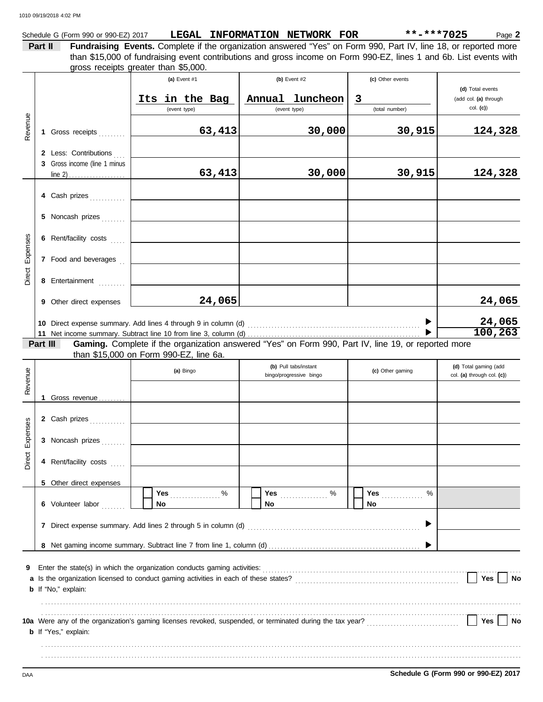| Schedule G (Form 990 or 990-EZ) 2017 LEGAL INFORMATION NETWORK FOR **-***7025<br>Fundraising Events. Complete if the organization answered "Yes" on Form 990, Part IV, line 18, or reported more<br>Part II<br>than \$15,000 of fundraising event contributions and gross income on Form 990-EZ, lines 1 and 6b. List events with<br>gross receipts greater than \$5,000.<br>(b) Event #2<br>(a) Event $#1$<br>(c) Other events<br>(d) Total events<br>Annual luncheon<br>3<br>Its in the Bag<br>(add col. (a) through<br>$col.$ (c))<br>(event type)<br>(total number)<br>(event type)<br>Revenue<br>30,915<br>63,413<br>30,000<br>1 Gross receipts<br>2 Less: Contributions<br>3 Gross income (line 1 minus<br>30,915<br>63,413<br>30,000<br>4 Cash prizes<br>5 Noncash prizes<br>Expenses<br>6 Rent/facility costs<br>7 Food and beverages<br>Direct<br>8 Entertainment<br>24,065<br>9 Other direct expenses<br>24,065<br>100,263<br>Gaming. Complete if the organization answered "Yes" on Form 990, Part IV, line 19, or reported more<br>Part III<br>than \$15,000 on Form 990-EZ, line 6a.<br>(b) Pull tabs/instant<br>(d) Total gaming (add<br>Revenue<br>(c) Other gaming<br>(a) Bingo<br>bingo/progressive bingo<br>col. (a) through col. (c))<br>1 Gross revenue<br>2 Cash prizes<br>Expenses<br>3 Noncash prizes<br>Direct<br>4 Rent/facility costs | 1010 09/19/2018 4:02 PM |  |         |
|-----------------------------------------------------------------------------------------------------------------------------------------------------------------------------------------------------------------------------------------------------------------------------------------------------------------------------------------------------------------------------------------------------------------------------------------------------------------------------------------------------------------------------------------------------------------------------------------------------------------------------------------------------------------------------------------------------------------------------------------------------------------------------------------------------------------------------------------------------------------------------------------------------------------------------------------------------------------------------------------------------------------------------------------------------------------------------------------------------------------------------------------------------------------------------------------------------------------------------------------------------------------------------------------------------------------------------------------------------------------|-------------------------|--|---------|
|                                                                                                                                                                                                                                                                                                                                                                                                                                                                                                                                                                                                                                                                                                                                                                                                                                                                                                                                                                                                                                                                                                                                                                                                                                                                                                                                                                 |                         |  | Page 2  |
|                                                                                                                                                                                                                                                                                                                                                                                                                                                                                                                                                                                                                                                                                                                                                                                                                                                                                                                                                                                                                                                                                                                                                                                                                                                                                                                                                                 |                         |  |         |
|                                                                                                                                                                                                                                                                                                                                                                                                                                                                                                                                                                                                                                                                                                                                                                                                                                                                                                                                                                                                                                                                                                                                                                                                                                                                                                                                                                 |                         |  |         |
|                                                                                                                                                                                                                                                                                                                                                                                                                                                                                                                                                                                                                                                                                                                                                                                                                                                                                                                                                                                                                                                                                                                                                                                                                                                                                                                                                                 |                         |  | 124,328 |
|                                                                                                                                                                                                                                                                                                                                                                                                                                                                                                                                                                                                                                                                                                                                                                                                                                                                                                                                                                                                                                                                                                                                                                                                                                                                                                                                                                 |                         |  | 124,328 |
|                                                                                                                                                                                                                                                                                                                                                                                                                                                                                                                                                                                                                                                                                                                                                                                                                                                                                                                                                                                                                                                                                                                                                                                                                                                                                                                                                                 |                         |  |         |
|                                                                                                                                                                                                                                                                                                                                                                                                                                                                                                                                                                                                                                                                                                                                                                                                                                                                                                                                                                                                                                                                                                                                                                                                                                                                                                                                                                 |                         |  |         |
|                                                                                                                                                                                                                                                                                                                                                                                                                                                                                                                                                                                                                                                                                                                                                                                                                                                                                                                                                                                                                                                                                                                                                                                                                                                                                                                                                                 |                         |  |         |
|                                                                                                                                                                                                                                                                                                                                                                                                                                                                                                                                                                                                                                                                                                                                                                                                                                                                                                                                                                                                                                                                                                                                                                                                                                                                                                                                                                 |                         |  |         |
|                                                                                                                                                                                                                                                                                                                                                                                                                                                                                                                                                                                                                                                                                                                                                                                                                                                                                                                                                                                                                                                                                                                                                                                                                                                                                                                                                                 |                         |  |         |
|                                                                                                                                                                                                                                                                                                                                                                                                                                                                                                                                                                                                                                                                                                                                                                                                                                                                                                                                                                                                                                                                                                                                                                                                                                                                                                                                                                 |                         |  | 24,065  |
|                                                                                                                                                                                                                                                                                                                                                                                                                                                                                                                                                                                                                                                                                                                                                                                                                                                                                                                                                                                                                                                                                                                                                                                                                                                                                                                                                                 |                         |  |         |
|                                                                                                                                                                                                                                                                                                                                                                                                                                                                                                                                                                                                                                                                                                                                                                                                                                                                                                                                                                                                                                                                                                                                                                                                                                                                                                                                                                 |                         |  |         |
|                                                                                                                                                                                                                                                                                                                                                                                                                                                                                                                                                                                                                                                                                                                                                                                                                                                                                                                                                                                                                                                                                                                                                                                                                                                                                                                                                                 |                         |  |         |
|                                                                                                                                                                                                                                                                                                                                                                                                                                                                                                                                                                                                                                                                                                                                                                                                                                                                                                                                                                                                                                                                                                                                                                                                                                                                                                                                                                 |                         |  |         |
|                                                                                                                                                                                                                                                                                                                                                                                                                                                                                                                                                                                                                                                                                                                                                                                                                                                                                                                                                                                                                                                                                                                                                                                                                                                                                                                                                                 |                         |  |         |
|                                                                                                                                                                                                                                                                                                                                                                                                                                                                                                                                                                                                                                                                                                                                                                                                                                                                                                                                                                                                                                                                                                                                                                                                                                                                                                                                                                 |                         |  |         |
|                                                                                                                                                                                                                                                                                                                                                                                                                                                                                                                                                                                                                                                                                                                                                                                                                                                                                                                                                                                                                                                                                                                                                                                                                                                                                                                                                                 |                         |  |         |
| $\%$<br>Yes<br><b>Yes</b><br>%<br><b>Yes</b><br>%                                                                                                                                                                                                                                                                                                                                                                                                                                                                                                                                                                                                                                                                                                                                                                                                                                                                                                                                                                                                                                                                                                                                                                                                                                                                                                               | 5 Other direct expenses |  |         |

| 8 Net gaming income summary. Subtract line 7 from line 1, column (d)                                      |     |  |
|-----------------------------------------------------------------------------------------------------------|-----|--|
| 9 Enter the state(s) in which the organization conducts gaming activities:                                |     |  |
| a Is the organization licensed to conduct gaming activities in each of these states?                      | Yes |  |
| <b>b</b> If "No," explain:                                                                                |     |  |
|                                                                                                           |     |  |
| 10a Were any of the organization's gaming licenses revoked, suspended, or terminated during the tax year? | Yes |  |
| <b>b</b> If "Yes," explain:                                                                               |     |  |
|                                                                                                           |     |  |
|                                                                                                           |     |  |

**No**

**No**

**7** Direct expense summary. Add lines 2 through 5 in column (d) . . . . . . . . . . . . . . . . . . . . . . . . . . . . . . . . . . . . . . . . . . . . . . . . . . . . . . . . . .

**No**

 $\blacktriangleright$ 

**6** Volunteer labor . . . . . . .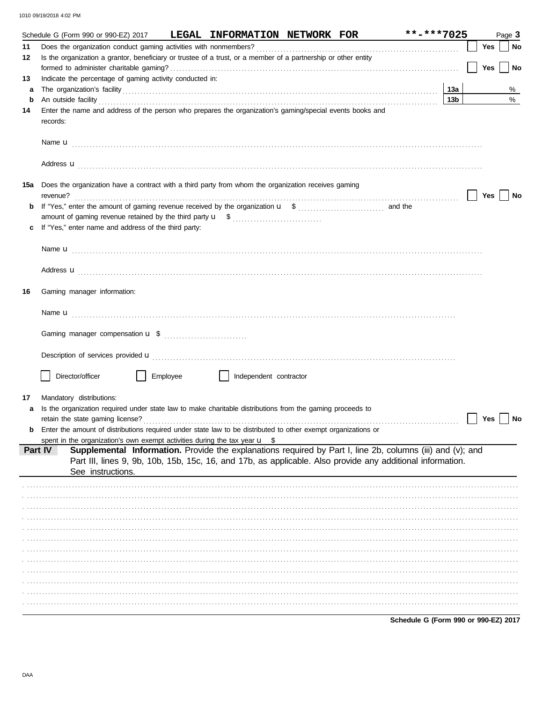|         | Schedule G (Form 990 or 990-EZ) 2017 LEGAL INFORMATION NETWORK FOR                                                                                                                                                                  |          |                        |  | **-***7025      |            | Page 3 |      |
|---------|-------------------------------------------------------------------------------------------------------------------------------------------------------------------------------------------------------------------------------------|----------|------------------------|--|-----------------|------------|--------|------|
| 11      |                                                                                                                                                                                                                                     |          |                        |  |                 | Yes        |        | No   |
| 12      | Is the organization a grantor, beneficiary or trustee of a trust, or a member of a partnership or other entity                                                                                                                      |          |                        |  |                 |            |        |      |
|         |                                                                                                                                                                                                                                     |          |                        |  |                 | Yes        |        | │ No |
| 13      | Indicate the percentage of gaming activity conducted in:                                                                                                                                                                            |          |                        |  |                 |            |        |      |
| а       |                                                                                                                                                                                                                                     |          |                        |  | 13a             |            |        | %    |
| b       | An outside facility <i>contained a contained a contained a contained a contained a contained a contained a contained a</i>                                                                                                          |          |                        |  | 13 <sub>b</sub> |            |        | $\%$ |
| 14      | Enter the name and address of the person who prepares the organization's gaming/special events books and                                                                                                                            |          |                        |  |                 |            |        |      |
|         | records:                                                                                                                                                                                                                            |          |                        |  |                 |            |        |      |
|         |                                                                                                                                                                                                                                     |          |                        |  |                 |            |        |      |
|         |                                                                                                                                                                                                                                     |          |                        |  |                 |            |        |      |
|         |                                                                                                                                                                                                                                     |          |                        |  |                 |            |        |      |
|         |                                                                                                                                                                                                                                     |          |                        |  |                 |            |        |      |
|         | Address <b>u</b>                                                                                                                                                                                                                    |          |                        |  |                 |            |        |      |
| 15а     | Does the organization have a contract with a third party from whom the organization receives gaming                                                                                                                                 |          |                        |  |                 |            |        |      |
|         | revenue?                                                                                                                                                                                                                            |          |                        |  |                 | Yes        |        | No   |
| b       |                                                                                                                                                                                                                                     |          |                        |  |                 |            |        |      |
|         |                                                                                                                                                                                                                                     |          |                        |  |                 |            |        |      |
| c       | If "Yes," enter name and address of the third party:                                                                                                                                                                                |          |                        |  |                 |            |        |      |
|         |                                                                                                                                                                                                                                     |          |                        |  |                 |            |        |      |
|         |                                                                                                                                                                                                                                     |          |                        |  |                 |            |        |      |
|         |                                                                                                                                                                                                                                     |          |                        |  |                 |            |        |      |
|         |                                                                                                                                                                                                                                     |          |                        |  |                 |            |        |      |
|         | Address <b>u</b>                                                                                                                                                                                                                    |          |                        |  |                 |            |        |      |
| 16      | Gaming manager information:                                                                                                                                                                                                         |          |                        |  |                 |            |        |      |
|         |                                                                                                                                                                                                                                     |          |                        |  |                 |            |        |      |
|         |                                                                                                                                                                                                                                     |          |                        |  |                 |            |        |      |
|         |                                                                                                                                                                                                                                     |          |                        |  |                 |            |        |      |
|         |                                                                                                                                                                                                                                     |          |                        |  |                 |            |        |      |
|         |                                                                                                                                                                                                                                     |          |                        |  |                 |            |        |      |
|         |                                                                                                                                                                                                                                     |          |                        |  |                 |            |        |      |
|         | Description of services provided <b>u</b> electron contract the contract of the contract of the contract of the contract of the contract of the contract of the contract of the contract of the contract of the contract of the con |          |                        |  |                 |            |        |      |
|         | Director/officer                                                                                                                                                                                                                    |          |                        |  |                 |            |        |      |
|         |                                                                                                                                                                                                                                     | Employee | Independent contractor |  |                 |            |        |      |
|         |                                                                                                                                                                                                                                     |          |                        |  |                 |            |        |      |
| 17      | Mandatory distributions:                                                                                                                                                                                                            |          |                        |  |                 |            |        |      |
| a       | Is the organization required under state law to make charitable distributions from the gaming proceeds to                                                                                                                           |          |                        |  |                 | Yes     No |        |      |
|         |                                                                                                                                                                                                                                     |          |                        |  |                 |            |        |      |
| b       | Enter the amount of distributions required under state law to be distributed to other exempt organizations or                                                                                                                       |          |                        |  |                 |            |        |      |
|         | spent in the organization's own exempt activities during the tax year $\mathbf{u}$ \$                                                                                                                                               |          |                        |  |                 |            |        |      |
| Part IV | Supplemental Information. Provide the explanations required by Part I, line 2b, columns (iii) and (v); and                                                                                                                          |          |                        |  |                 |            |        |      |
|         | Part III, lines 9, 9b, 10b, 15b, 15c, 16, and 17b, as applicable. Also provide any additional information.                                                                                                                          |          |                        |  |                 |            |        |      |
|         | See instructions.                                                                                                                                                                                                                   |          |                        |  |                 |            |        |      |
|         |                                                                                                                                                                                                                                     |          |                        |  |                 |            |        |      |
|         |                                                                                                                                                                                                                                     |          |                        |  |                 |            |        |      |
|         |                                                                                                                                                                                                                                     |          |                        |  |                 |            |        |      |
|         |                                                                                                                                                                                                                                     |          |                        |  |                 |            |        |      |
|         |                                                                                                                                                                                                                                     |          |                        |  |                 |            |        |      |
|         |                                                                                                                                                                                                                                     |          |                        |  |                 |            |        |      |
|         |                                                                                                                                                                                                                                     |          |                        |  |                 |            |        |      |
|         |                                                                                                                                                                                                                                     |          |                        |  |                 |            |        |      |
|         |                                                                                                                                                                                                                                     |          |                        |  |                 |            |        |      |
|         |                                                                                                                                                                                                                                     |          |                        |  |                 |            |        |      |
|         |                                                                                                                                                                                                                                     |          |                        |  |                 |            |        |      |
|         |                                                                                                                                                                                                                                     |          |                        |  |                 |            |        |      |
|         |                                                                                                                                                                                                                                     |          |                        |  |                 |            |        |      |

Schedule G (Form 990 or 990-EZ) 2017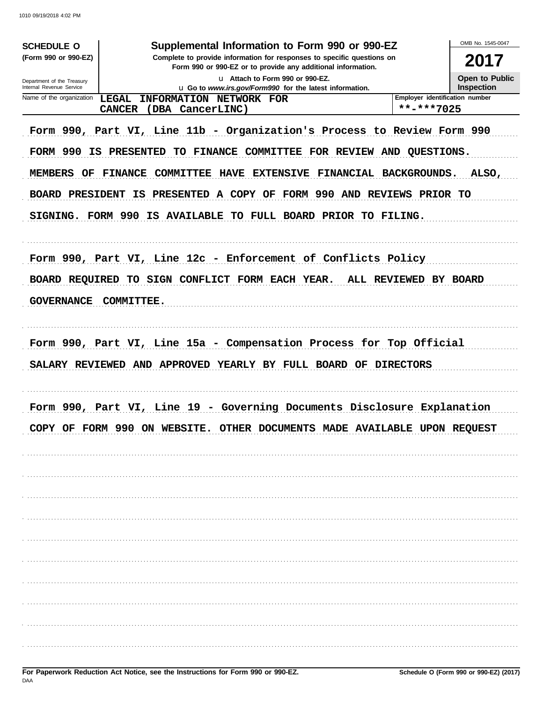1010 09/19/2018 4:02 PM

| Supplemental Information to Form 990 or 990-EZ<br><b>SCHEDULE O</b><br>(Form 990 or 990-EZ)<br>Complete to provide information for responses to specific questions on<br>Form 990 or 990-EZ or to provide any additional information.<br>u Attach to Form 990 or 990-EZ.<br>Department of the Treasury<br>Internal Revenue Service |                                                                                                                                                                                                                                                                                                                                                                |                                |                   |  |  |  |  |  |  |
|------------------------------------------------------------------------------------------------------------------------------------------------------------------------------------------------------------------------------------------------------------------------------------------------------------------------------------|----------------------------------------------------------------------------------------------------------------------------------------------------------------------------------------------------------------------------------------------------------------------------------------------------------------------------------------------------------------|--------------------------------|-------------------|--|--|--|--|--|--|
| Name of the organization                                                                                                                                                                                                                                                                                                           | u Go to www.irs.gov/Form990 for the latest information.<br><b>LEGAL</b><br>INFORMATION NETWORK FOR                                                                                                                                                                                                                                                             | Employer identification number | <b>Inspection</b> |  |  |  |  |  |  |
|                                                                                                                                                                                                                                                                                                                                    | <b>CANCER</b><br>(DBA CancerLINC)                                                                                                                                                                                                                                                                                                                              | **-***7025                     |                   |  |  |  |  |  |  |
|                                                                                                                                                                                                                                                                                                                                    | Form 990, Part VI, Line 11b - Organization's Process to Review Form 990<br>FORM 990 IS PRESENTED TO FINANCE COMMITTEE FOR REVIEW AND QUESTIONS.<br>MEMBERS OF FINANCE COMMITTEE HAVE EXTENSIVE FINANCIAL BACKGROUNDS.<br>BOARD PRESIDENT IS PRESENTED A COPY OF FORM 990 AND REVIEWS PRIOR TO<br>SIGNING. FORM 990 IS AVAILABLE TO FULL BOARD PRIOR TO FILING. |                                | ALSO,             |  |  |  |  |  |  |
| <b>GOVERNANCE</b>                                                                                                                                                                                                                                                                                                                  | Form 990, Part VI, Line 12c - Enforcement of Conflicts Policy<br>BOARD REQUIRED TO SIGN CONFLICT FORM EACH YEAR. ALL REVIEWED BY BOARD<br><b>COMMITTEE.</b>                                                                                                                                                                                                    |                                |                   |  |  |  |  |  |  |
|                                                                                                                                                                                                                                                                                                                                    | Form 990, Part VI, Line 15a - Compensation Process for Top Official<br>SALARY REVIEWED AND APPROVED YEARLY BY FULL BOARD OF DIRECTORS                                                                                                                                                                                                                          |                                |                   |  |  |  |  |  |  |
|                                                                                                                                                                                                                                                                                                                                    | Form 990, Part VI, Line 19 - Governing Documents Disclosure Explanation<br>COPY OF FORM 990 ON WEBSITE. OTHER DOCUMENTS MADE AVAILABLE UPON REOUEST                                                                                                                                                                                                            |                                |                   |  |  |  |  |  |  |
|                                                                                                                                                                                                                                                                                                                                    |                                                                                                                                                                                                                                                                                                                                                                |                                |                   |  |  |  |  |  |  |
|                                                                                                                                                                                                                                                                                                                                    |                                                                                                                                                                                                                                                                                                                                                                |                                |                   |  |  |  |  |  |  |
|                                                                                                                                                                                                                                                                                                                                    |                                                                                                                                                                                                                                                                                                                                                                |                                |                   |  |  |  |  |  |  |
|                                                                                                                                                                                                                                                                                                                                    |                                                                                                                                                                                                                                                                                                                                                                |                                |                   |  |  |  |  |  |  |
|                                                                                                                                                                                                                                                                                                                                    |                                                                                                                                                                                                                                                                                                                                                                |                                |                   |  |  |  |  |  |  |
|                                                                                                                                                                                                                                                                                                                                    |                                                                                                                                                                                                                                                                                                                                                                |                                |                   |  |  |  |  |  |  |
|                                                                                                                                                                                                                                                                                                                                    |                                                                                                                                                                                                                                                                                                                                                                |                                |                   |  |  |  |  |  |  |
|                                                                                                                                                                                                                                                                                                                                    |                                                                                                                                                                                                                                                                                                                                                                |                                |                   |  |  |  |  |  |  |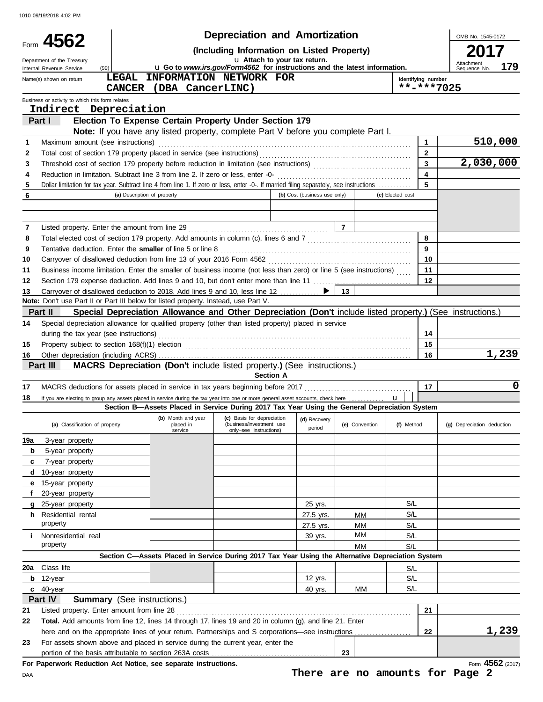1010 09/19/2018 4:02 PM

|            | Form 4562                                                                                                                               |                             |                                            | <b>Depreciation and Amortization</b>                                                                       |                              |                                 |                  |                         | OMB No. 1545-0172                 |
|------------|-----------------------------------------------------------------------------------------------------------------------------------------|-----------------------------|--------------------------------------------|------------------------------------------------------------------------------------------------------------|------------------------------|---------------------------------|------------------|-------------------------|-----------------------------------|
|            |                                                                                                                                         |                             |                                            | (Including Information on Listed Property)                                                                 |                              |                                 |                  |                         |                                   |
|            | Department of the Treasury<br>(99)<br>Internal Revenue Service                                                                          |                             |                                            | u Go to www.irs.gov/Form4562 for instructions and the latest information.                                  | u Attach to your tax return. |                                 |                  |                         | Attachment<br>179<br>Sequence No. |
|            | Name(s) shown on return                                                                                                                 |                             |                                            | LEGAL INFORMATION NETWORK FOR                                                                              |                              |                                 |                  | Identifying number      |                                   |
|            |                                                                                                                                         |                             | CANCER (DBA CancerLINC)                    |                                                                                                            |                              |                                 |                  | **-***7025              |                                   |
|            | Business or activity to which this form relates                                                                                         |                             |                                            |                                                                                                            |                              |                                 |                  |                         |                                   |
|            | Indirect Depreciation<br>Part I                                                                                                         |                             |                                            | Election To Expense Certain Property Under Section 179                                                     |                              |                                 |                  |                         |                                   |
|            |                                                                                                                                         |                             |                                            | <b>Note:</b> If you have any listed property, complete Part V before you complete Part I.                  |                              |                                 |                  |                         |                                   |
| 1          | Maximum amount (see instructions)                                                                                                       |                             |                                            |                                                                                                            |                              |                                 |                  | 1                       | 510,000                           |
| 2          | Total cost of section 179 property placed in service (see instructions)                                                                 |                             |                                            |                                                                                                            |                              |                                 |                  | $\mathbf{2}$            |                                   |
| 3          |                                                                                                                                         |                             |                                            |                                                                                                            |                              |                                 |                  | 3                       | 2,030,000                         |
| 4          | Reduction in limitation. Subtract line 3 from line 2. If zero or less, enter -0-                                                        |                             |                                            |                                                                                                            |                              |                                 |                  | $\overline{\mathbf{4}}$ |                                   |
| 5          | Dollar limitation for tax year. Subtract line 4 from line 1. If zero or less, enter -0-. If married filing separately, see instructions |                             |                                            |                                                                                                            |                              |                                 |                  | 5                       |                                   |
| 6          |                                                                                                                                         | (a) Description of property |                                            |                                                                                                            | (b) Cost (business use only) |                                 | (c) Elected cost |                         |                                   |
|            |                                                                                                                                         |                             |                                            |                                                                                                            |                              |                                 |                  |                         |                                   |
| 7          | Listed property. Enter the amount from line 29                                                                                          |                             |                                            |                                                                                                            |                              | $\overline{7}$                  |                  |                         |                                   |
| 8          |                                                                                                                                         |                             |                                            |                                                                                                            |                              |                                 |                  | 8                       |                                   |
| 9          | Tentative deduction. Enter the smaller of line 5 or line 8                                                                              |                             |                                            |                                                                                                            |                              |                                 |                  | 9                       |                                   |
| 10         | Carryover of disallowed deduction from line 13 of your 2016 Form 4562                                                                   |                             |                                            |                                                                                                            |                              |                                 |                  | 10                      |                                   |
| 11         | Business income limitation. Enter the smaller of business income (not less than zero) or line 5 (see instructions)                      |                             |                                            |                                                                                                            |                              |                                 |                  | 11                      |                                   |
| 12         | Section 179 expense deduction. Add lines 9 and 10, but don't enter more than line 11                                                    |                             |                                            |                                                                                                            |                              |                                 |                  | 12                      |                                   |
| 13         | Carryover of disallowed deduction to 2018. Add lines 9 and 10, less line 12                                                             |                             |                                            |                                                                                                            |                              | 13                              |                  |                         |                                   |
|            | Note: Don't use Part II or Part III below for listed property. Instead, use Part V.                                                     |                             |                                            |                                                                                                            |                              |                                 |                  |                         |                                   |
|            | Part II                                                                                                                                 |                             |                                            | Special Depreciation Allowance and Other Depreciation (Don't include listed property.) (See instructions.) |                              |                                 |                  |                         |                                   |
| 14         | Special depreciation allowance for qualified property (other than listed property) placed in service                                    |                             |                                            |                                                                                                            |                              |                                 |                  |                         |                                   |
|            | during the tax year (see instructions)                                                                                                  |                             |                                            |                                                                                                            |                              |                                 |                  | 14                      |                                   |
| 15         |                                                                                                                                         |                             |                                            |                                                                                                            |                              |                                 |                  | 15                      |                                   |
| 16         |                                                                                                                                         |                             |                                            |                                                                                                            |                              |                                 |                  | 16                      | 1,239                             |
|            | Part III                                                                                                                                |                             |                                            | MACRS Depreciation (Don't include listed property.) (See instructions.)<br><b>Section A</b>                |                              |                                 |                  |                         |                                   |
|            |                                                                                                                                         |                             |                                            |                                                                                                            |                              |                                 |                  |                         | 0                                 |
| 17         |                                                                                                                                         |                             |                                            |                                                                                                            |                              |                                 |                  | 17                      |                                   |
| 18         | If you are electing to group any assets placed in service during the tax year into one or more general asset accounts, check here       |                             |                                            | Section B-Assets Placed in Service During 2017 Tax Year Using the General Depreciation System              |                              |                                 | $\mathbf{u}$     |                         |                                   |
|            | (a) Classification of property                                                                                                          |                             | (b) Month and year<br>placed in<br>service | (c) Basis for depreciation<br>(business/investment use<br>only-see instructions)                           | (d) Recovery<br>period       | (e) Convention                  | (f) Method       |                         | (g) Depreciation deduction        |
| 19a        | 3-year property                                                                                                                         |                             |                                            |                                                                                                            |                              |                                 |                  |                         |                                   |
| b          | 5-year property                                                                                                                         |                             |                                            |                                                                                                            |                              |                                 |                  |                         |                                   |
| c          | 7-year property                                                                                                                         |                             |                                            |                                                                                                            |                              |                                 |                  |                         |                                   |
| d          | 10-year property                                                                                                                        |                             |                                            |                                                                                                            |                              |                                 |                  |                         |                                   |
|            | 15-year property                                                                                                                        |                             |                                            |                                                                                                            |                              |                                 |                  |                         |                                   |
|            | 20-year property                                                                                                                        |                             |                                            |                                                                                                            |                              |                                 |                  |                         |                                   |
|            | 25-year property                                                                                                                        |                             |                                            |                                                                                                            | 25 yrs.                      |                                 | S/L              |                         |                                   |
| h.         | Residential rental                                                                                                                      |                             |                                            |                                                                                                            | 27.5 yrs.                    | МM                              | S/L              |                         |                                   |
|            | property                                                                                                                                |                             |                                            |                                                                                                            | 27.5 yrs.                    | МM                              | S/L              |                         |                                   |
|            | Nonresidential real                                                                                                                     |                             |                                            |                                                                                                            | 39 yrs.                      | МM                              | S/L              |                         |                                   |
|            | property                                                                                                                                |                             |                                            |                                                                                                            |                              | <b>MM</b>                       | S/L              |                         |                                   |
|            |                                                                                                                                         |                             |                                            | Section C-Assets Placed in Service During 2017 Tax Year Using the Alternative Depreciation System          |                              |                                 |                  |                         |                                   |
| 20a        | Class life                                                                                                                              |                             |                                            |                                                                                                            |                              |                                 | S/L              |                         |                                   |
|            | $b$ 12-year                                                                                                                             |                             |                                            |                                                                                                            | 12 yrs.                      |                                 | S/L              |                         |                                   |
|            | c 40-year                                                                                                                               |                             |                                            |                                                                                                            | 40 yrs.                      | MМ                              | S/L              |                         |                                   |
|            | Part IV<br><b>Summary</b> (See instructions.)                                                                                           |                             |                                            |                                                                                                            |                              |                                 |                  |                         |                                   |
| 21         | Listed property. Enter amount from line 28                                                                                              |                             |                                            |                                                                                                            |                              |                                 |                  | 21                      |                                   |
| 22         | Total. Add amounts from line 12, lines 14 through 17, lines 19 and 20 in column (g), and line 21. Enter                                 |                             |                                            |                                                                                                            |                              |                                 |                  |                         |                                   |
|            | here and on the appropriate lines of your return. Partnerships and S corporations—see instructions                                      |                             |                                            |                                                                                                            |                              |                                 |                  | 22                      | 1,239                             |
| 23         | For assets shown above and placed in service during the current year, enter the                                                         |                             |                                            |                                                                                                            |                              |                                 |                  |                         |                                   |
|            | portion of the basis attributable to section 263A costs<br>For Paperwork Reduction Act Notice, see separate instructions.               |                             |                                            |                                                                                                            |                              | 23                              |                  |                         | Form 4562 (2017)                  |
| <b>DAA</b> |                                                                                                                                         |                             |                                            |                                                                                                            |                              | There are no amounts for Page 2 |                  |                         |                                   |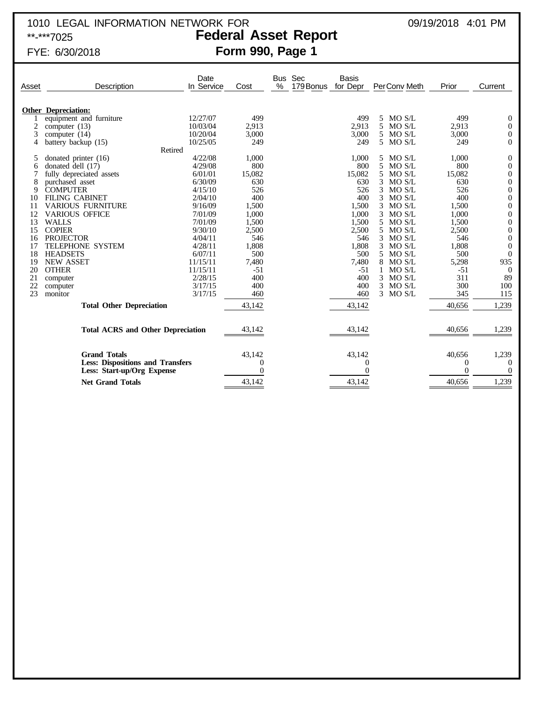# 1010 LEGAL INFORMATION NETWORK FOR  $09/19/2018$  4:01 PM

# \*\*-\*\*\*7025 **Federal Asset Report**

| <b>Other Depreciation:</b><br>12/27/07<br>499<br>5 MO S/L<br>499<br>equipment and furniture<br>499<br>2,913<br>MO S/L<br>10/03/04<br>2,913<br>5.<br>2,913<br>2<br>computer $(13)$<br>3<br>10/20/04<br>3,000<br>5 MO S/L<br>computer $(14)$<br>3,000<br>3,000<br>249<br>5 MO S/L<br>battery backup (15)<br>10/25/05<br>249<br>249<br>4<br>Retired<br>4/22/08<br>1,000<br>1,000<br>5 MO S/L<br>1,000<br>donated printer (16)<br>5<br>4/29/08<br>800<br>800<br>5<br>MO S/L<br>800<br>donated dell (17)<br>6<br>15,082<br>15,082<br>5<br>MO S/L<br>15,082<br>fully depreciated assets<br>6/01/01<br>MO S/L<br>6/30/09<br>630<br>630<br>3<br>630<br>8<br>purchased asset<br>MO S/L<br><b>COMPUTER</b><br>4/15/10<br>526<br>526<br>526<br>9<br>3<br><b>FILING CABINET</b><br>2/04/10<br>400<br>400<br>MO S/L<br>400<br>3<br>10<br><b>VARIOUS FURNITURE</b><br>9/16/09<br>1,500<br>3 MO S/L<br>1,500<br>1,500<br>1,000<br>1,000<br>1,000<br>12<br><b>VARIOUS OFFICE</b><br>7/01/09<br>MO S/L<br>3<br>7/01/09<br>1,500<br>1,500<br>MO S/L<br>1,500<br>13<br><b>WALLS</b><br>5<br><b>COPIER</b><br>9/30/10<br>2,500<br>15<br>2,500<br>5<br>MO S/L<br>2,500<br>4/04/11<br>546<br>546<br>3<br>MO S/L<br><b>PROJECTOR</b><br>546<br>16<br>1,808<br>MO S/L<br><b>TELEPHONE SYSTEM</b><br>4/28/11<br>1,808<br>1,808<br>3<br>17<br>MO S/L<br><b>HEADSETS</b><br>6/07/11<br>500<br>500<br>5<br>500<br>18<br>7,480<br>8 MO S/L<br><b>NEW ASSET</b><br>11/15/11<br>7,480<br>5,298<br>19<br>20<br><b>OTHER</b><br>11/15/11<br>$-51$<br>MO S/L<br>$-51$<br>$-51$<br>400<br>400<br>311<br>21<br>2/28/15<br>MO S/L<br>3<br>computer<br>22<br>300<br>3/17/15<br>400<br>400<br>3<br>MO S/L<br>computer<br>23<br>3/17/15<br>3<br>345<br>monitor<br>460<br>460<br>MO S/L<br>43,142<br>43,142<br>40.656<br><b>Total Other Depreciation</b><br><b>Total ACRS and Other Depreciation</b><br>43,142<br>40,656<br>43,142 | Current          | Prior | PerConv Meth | <b>Basis</b><br>for Depr | Sec<br>Bus<br>179 Bonus<br>℅ | Cost | Date<br>In Service | Description | Asset |
|-------------------------------------------------------------------------------------------------------------------------------------------------------------------------------------------------------------------------------------------------------------------------------------------------------------------------------------------------------------------------------------------------------------------------------------------------------------------------------------------------------------------------------------------------------------------------------------------------------------------------------------------------------------------------------------------------------------------------------------------------------------------------------------------------------------------------------------------------------------------------------------------------------------------------------------------------------------------------------------------------------------------------------------------------------------------------------------------------------------------------------------------------------------------------------------------------------------------------------------------------------------------------------------------------------------------------------------------------------------------------------------------------------------------------------------------------------------------------------------------------------------------------------------------------------------------------------------------------------------------------------------------------------------------------------------------------------------------------------------------------------------------------------------------------------------------------------------------------------------------------------------------|------------------|-------|--------------|--------------------------|------------------------------|------|--------------------|-------------|-------|
|                                                                                                                                                                                                                                                                                                                                                                                                                                                                                                                                                                                                                                                                                                                                                                                                                                                                                                                                                                                                                                                                                                                                                                                                                                                                                                                                                                                                                                                                                                                                                                                                                                                                                                                                                                                                                                                                                           |                  |       |              |                          |                              |      |                    |             |       |
|                                                                                                                                                                                                                                                                                                                                                                                                                                                                                                                                                                                                                                                                                                                                                                                                                                                                                                                                                                                                                                                                                                                                                                                                                                                                                                                                                                                                                                                                                                                                                                                                                                                                                                                                                                                                                                                                                           | $\theta$         |       |              |                          |                              |      |                    |             |       |
|                                                                                                                                                                                                                                                                                                                                                                                                                                                                                                                                                                                                                                                                                                                                                                                                                                                                                                                                                                                                                                                                                                                                                                                                                                                                                                                                                                                                                                                                                                                                                                                                                                                                                                                                                                                                                                                                                           | $\theta$         |       |              |                          |                              |      |                    |             |       |
|                                                                                                                                                                                                                                                                                                                                                                                                                                                                                                                                                                                                                                                                                                                                                                                                                                                                                                                                                                                                                                                                                                                                                                                                                                                                                                                                                                                                                                                                                                                                                                                                                                                                                                                                                                                                                                                                                           | $\mathbf{0}$     |       |              |                          |                              |      |                    |             |       |
|                                                                                                                                                                                                                                                                                                                                                                                                                                                                                                                                                                                                                                                                                                                                                                                                                                                                                                                                                                                                                                                                                                                                                                                                                                                                                                                                                                                                                                                                                                                                                                                                                                                                                                                                                                                                                                                                                           | $\theta$         |       |              |                          |                              |      |                    |             |       |
|                                                                                                                                                                                                                                                                                                                                                                                                                                                                                                                                                                                                                                                                                                                                                                                                                                                                                                                                                                                                                                                                                                                                                                                                                                                                                                                                                                                                                                                                                                                                                                                                                                                                                                                                                                                                                                                                                           |                  |       |              |                          |                              |      |                    |             |       |
|                                                                                                                                                                                                                                                                                                                                                                                                                                                                                                                                                                                                                                                                                                                                                                                                                                                                                                                                                                                                                                                                                                                                                                                                                                                                                                                                                                                                                                                                                                                                                                                                                                                                                                                                                                                                                                                                                           | $\mathbf{0}$     |       |              |                          |                              |      |                    |             |       |
|                                                                                                                                                                                                                                                                                                                                                                                                                                                                                                                                                                                                                                                                                                                                                                                                                                                                                                                                                                                                                                                                                                                                                                                                                                                                                                                                                                                                                                                                                                                                                                                                                                                                                                                                                                                                                                                                                           | $\boldsymbol{0}$ |       |              |                          |                              |      |                    |             |       |
|                                                                                                                                                                                                                                                                                                                                                                                                                                                                                                                                                                                                                                                                                                                                                                                                                                                                                                                                                                                                                                                                                                                                                                                                                                                                                                                                                                                                                                                                                                                                                                                                                                                                                                                                                                                                                                                                                           | $\boldsymbol{0}$ |       |              |                          |                              |      |                    |             |       |
|                                                                                                                                                                                                                                                                                                                                                                                                                                                                                                                                                                                                                                                                                                                                                                                                                                                                                                                                                                                                                                                                                                                                                                                                                                                                                                                                                                                                                                                                                                                                                                                                                                                                                                                                                                                                                                                                                           | $\boldsymbol{0}$ |       |              |                          |                              |      |                    |             |       |
|                                                                                                                                                                                                                                                                                                                                                                                                                                                                                                                                                                                                                                                                                                                                                                                                                                                                                                                                                                                                                                                                                                                                                                                                                                                                                                                                                                                                                                                                                                                                                                                                                                                                                                                                                                                                                                                                                           | $\boldsymbol{0}$ |       |              |                          |                              |      |                    |             |       |
|                                                                                                                                                                                                                                                                                                                                                                                                                                                                                                                                                                                                                                                                                                                                                                                                                                                                                                                                                                                                                                                                                                                                                                                                                                                                                                                                                                                                                                                                                                                                                                                                                                                                                                                                                                                                                                                                                           | $\boldsymbol{0}$ |       |              |                          |                              |      |                    |             |       |
|                                                                                                                                                                                                                                                                                                                                                                                                                                                                                                                                                                                                                                                                                                                                                                                                                                                                                                                                                                                                                                                                                                                                                                                                                                                                                                                                                                                                                                                                                                                                                                                                                                                                                                                                                                                                                                                                                           | $\boldsymbol{0}$ |       |              |                          |                              |      |                    |             |       |
|                                                                                                                                                                                                                                                                                                                                                                                                                                                                                                                                                                                                                                                                                                                                                                                                                                                                                                                                                                                                                                                                                                                                                                                                                                                                                                                                                                                                                                                                                                                                                                                                                                                                                                                                                                                                                                                                                           | $\boldsymbol{0}$ |       |              |                          |                              |      |                    |             |       |
|                                                                                                                                                                                                                                                                                                                                                                                                                                                                                                                                                                                                                                                                                                                                                                                                                                                                                                                                                                                                                                                                                                                                                                                                                                                                                                                                                                                                                                                                                                                                                                                                                                                                                                                                                                                                                                                                                           | $\theta$         |       |              |                          |                              |      |                    |             |       |
|                                                                                                                                                                                                                                                                                                                                                                                                                                                                                                                                                                                                                                                                                                                                                                                                                                                                                                                                                                                                                                                                                                                                                                                                                                                                                                                                                                                                                                                                                                                                                                                                                                                                                                                                                                                                                                                                                           | $\boldsymbol{0}$ |       |              |                          |                              |      |                    |             |       |
|                                                                                                                                                                                                                                                                                                                                                                                                                                                                                                                                                                                                                                                                                                                                                                                                                                                                                                                                                                                                                                                                                                                                                                                                                                                                                                                                                                                                                                                                                                                                                                                                                                                                                                                                                                                                                                                                                           | $\boldsymbol{0}$ |       |              |                          |                              |      |                    |             |       |
|                                                                                                                                                                                                                                                                                                                                                                                                                                                                                                                                                                                                                                                                                                                                                                                                                                                                                                                                                                                                                                                                                                                                                                                                                                                                                                                                                                                                                                                                                                                                                                                                                                                                                                                                                                                                                                                                                           | $\mathbf{0}$     |       |              |                          |                              |      |                    |             |       |
|                                                                                                                                                                                                                                                                                                                                                                                                                                                                                                                                                                                                                                                                                                                                                                                                                                                                                                                                                                                                                                                                                                                                                                                                                                                                                                                                                                                                                                                                                                                                                                                                                                                                                                                                                                                                                                                                                           | $\boldsymbol{0}$ |       |              |                          |                              |      |                    |             |       |
|                                                                                                                                                                                                                                                                                                                                                                                                                                                                                                                                                                                                                                                                                                                                                                                                                                                                                                                                                                                                                                                                                                                                                                                                                                                                                                                                                                                                                                                                                                                                                                                                                                                                                                                                                                                                                                                                                           | 935              |       |              |                          |                              |      |                    |             |       |
|                                                                                                                                                                                                                                                                                                                                                                                                                                                                                                                                                                                                                                                                                                                                                                                                                                                                                                                                                                                                                                                                                                                                                                                                                                                                                                                                                                                                                                                                                                                                                                                                                                                                                                                                                                                                                                                                                           | $\overline{0}$   |       |              |                          |                              |      |                    |             |       |
|                                                                                                                                                                                                                                                                                                                                                                                                                                                                                                                                                                                                                                                                                                                                                                                                                                                                                                                                                                                                                                                                                                                                                                                                                                                                                                                                                                                                                                                                                                                                                                                                                                                                                                                                                                                                                                                                                           | 89               |       |              |                          |                              |      |                    |             |       |
|                                                                                                                                                                                                                                                                                                                                                                                                                                                                                                                                                                                                                                                                                                                                                                                                                                                                                                                                                                                                                                                                                                                                                                                                                                                                                                                                                                                                                                                                                                                                                                                                                                                                                                                                                                                                                                                                                           | 100              |       |              |                          |                              |      |                    |             |       |
|                                                                                                                                                                                                                                                                                                                                                                                                                                                                                                                                                                                                                                                                                                                                                                                                                                                                                                                                                                                                                                                                                                                                                                                                                                                                                                                                                                                                                                                                                                                                                                                                                                                                                                                                                                                                                                                                                           | 115              |       |              |                          |                              |      |                    |             |       |
|                                                                                                                                                                                                                                                                                                                                                                                                                                                                                                                                                                                                                                                                                                                                                                                                                                                                                                                                                                                                                                                                                                                                                                                                                                                                                                                                                                                                                                                                                                                                                                                                                                                                                                                                                                                                                                                                                           | 1,239            |       |              |                          |                              |      |                    |             |       |
|                                                                                                                                                                                                                                                                                                                                                                                                                                                                                                                                                                                                                                                                                                                                                                                                                                                                                                                                                                                                                                                                                                                                                                                                                                                                                                                                                                                                                                                                                                                                                                                                                                                                                                                                                                                                                                                                                           |                  |       |              |                          |                              |      |                    |             |       |
|                                                                                                                                                                                                                                                                                                                                                                                                                                                                                                                                                                                                                                                                                                                                                                                                                                                                                                                                                                                                                                                                                                                                                                                                                                                                                                                                                                                                                                                                                                                                                                                                                                                                                                                                                                                                                                                                                           | 1,239            |       |              |                          |                              |      |                    |             |       |
|                                                                                                                                                                                                                                                                                                                                                                                                                                                                                                                                                                                                                                                                                                                                                                                                                                                                                                                                                                                                                                                                                                                                                                                                                                                                                                                                                                                                                                                                                                                                                                                                                                                                                                                                                                                                                                                                                           |                  |       |              |                          |                              |      |                    |             |       |
| <b>Grand Totals</b><br>40,656<br>43,142<br>43,142                                                                                                                                                                                                                                                                                                                                                                                                                                                                                                                                                                                                                                                                                                                                                                                                                                                                                                                                                                                                                                                                                                                                                                                                                                                                                                                                                                                                                                                                                                                                                                                                                                                                                                                                                                                                                                         | 1,239            |       |              |                          |                              |      |                    |             |       |
| <b>Less: Dispositions and Transfers</b><br>$\theta$<br>$\Omega$<br>$\theta$                                                                                                                                                                                                                                                                                                                                                                                                                                                                                                                                                                                                                                                                                                                                                                                                                                                                                                                                                                                                                                                                                                                                                                                                                                                                                                                                                                                                                                                                                                                                                                                                                                                                                                                                                                                                               | $\theta$         |       |              |                          |                              |      |                    |             |       |
| Less: Start-up/Org Expense<br>$\overline{0}$<br>$\theta$<br>$\Omega$                                                                                                                                                                                                                                                                                                                                                                                                                                                                                                                                                                                                                                                                                                                                                                                                                                                                                                                                                                                                                                                                                                                                                                                                                                                                                                                                                                                                                                                                                                                                                                                                                                                                                                                                                                                                                      | $\theta$         |       |              |                          |                              |      |                    |             |       |
| <b>Net Grand Totals</b><br>43,142<br>43,142<br>40,656                                                                                                                                                                                                                                                                                                                                                                                                                                                                                                                                                                                                                                                                                                                                                                                                                                                                                                                                                                                                                                                                                                                                                                                                                                                                                                                                                                                                                                                                                                                                                                                                                                                                                                                                                                                                                                     | 1,239            |       |              |                          |                              |      |                    |             |       |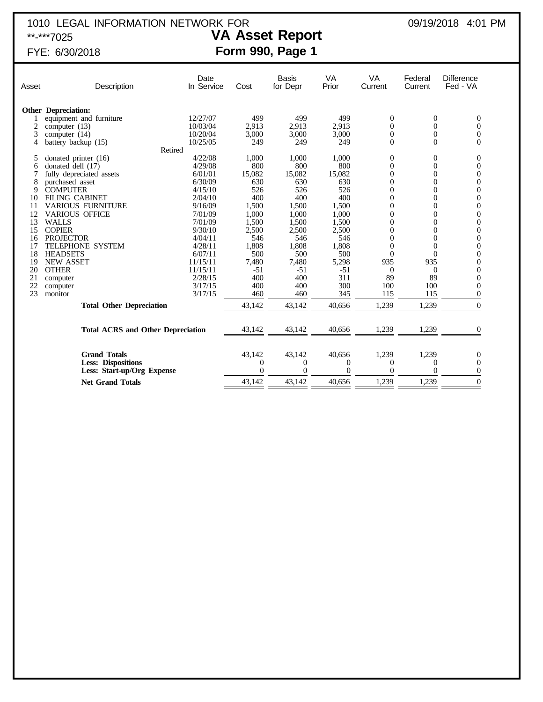# 1010 LEGAL INFORMATION NETWORK FOR 09/19/2018 4:01 PM<br>\*\*-\*\*\*7025 **VA Asset Report**

| Asset | Description                              | Date<br>In Service | Cost     | <b>Basis</b><br>for Depr | VA<br>Prior | VA<br>Current  | Federal<br>Current | <b>Difference</b><br>Fed - VA |
|-------|------------------------------------------|--------------------|----------|--------------------------|-------------|----------------|--------------------|-------------------------------|
|       | <b>Other Depreciation:</b>               |                    |          |                          |             |                |                    |                               |
|       | equipment and furniture                  | 12/27/07           | 499      | 499                      | 499         | $\overline{0}$ | $\mathbf{0}$       | $\theta$                      |
| 2     | computer $(13)$                          | 10/03/04           | 2,913    | 2,913                    | 2,913       | $\overline{0}$ | $\mathbf{0}$       | $\boldsymbol{0}$              |
| 3     | computer (14)                            | 10/20/04           | 3,000    | 3,000                    | 3,000       | $\overline{0}$ | $\mathbf{0}$       | $\mathbf{0}$                  |
| 4     | battery backup (15)                      | 10/25/05           | 249      | 249                      | 249         | $\Omega$       | $\mathbf{0}$       | $\Omega$                      |
|       | Retired                                  |                    |          |                          |             |                |                    |                               |
| 5     | donated printer (16)                     | 4/22/08            | 1,000    | 1,000                    | 1,000       | $\Omega$       | $\overline{0}$     | $\mathbf{0}$                  |
| 6     | donated dell (17)                        | 4/29/08            | 800      | 800                      | 800         | $\Omega$       | $\theta$           | $\mathbf{0}$                  |
|       | fully depreciated assets                 | 6/01/01            | 15,082   | 15,082                   | 15,082      | $\Omega$       | $\theta$           | $\Omega$                      |
| 8     | purchased asset                          | 6/30/09            | 630      | 630                      | 630         | $\Omega$       | $\Omega$           | $\Omega$                      |
| 9     | <b>COMPUTER</b>                          | 4/15/10            | 526      | 526                      | 526         | $\Omega$       | $\theta$           | $\mathbf{0}$                  |
| 10    | <b>FILING CABINET</b>                    | 2/04/10            | 400      | 400                      | 400         | $\overline{0}$ | $\overline{0}$     | $\boldsymbol{0}$              |
| 11    | <b>VARIOUS FURNITURE</b>                 | 9/16/09            | 1,500    | 1,500                    | 1,500       | $\overline{0}$ | $\overline{0}$     | $\boldsymbol{0}$              |
| 12    | <b>VARIOUS OFFICE</b>                    | 7/01/09            | 1,000    | 1,000                    | 1,000       | 0              | $\overline{0}$     | $\overline{0}$                |
| 13    | <b>WALLS</b>                             | 7/01/09            | 1,500    | 1,500                    | 1.500       | 0              | 0                  | 0                             |
| 15    | <b>COPIER</b>                            | 9/30/10            | 2,500    | 2,500                    | 2,500       | $\Omega$       | 0                  | 0                             |
| 16    | <b>PROJECTOR</b>                         | 4/04/11            | 546      | 546                      | 546         | $\Omega$       | 0                  | $\Omega$                      |
| 17    | TELEPHONE SYSTEM                         | 4/28/11            | 1,808    | 1,808                    | 1,808       | $\Omega$       | $\theta$           | $\Omega$                      |
| 18    | <b>HEADSETS</b>                          | 6/07/11            | 500      | 500                      | 500         | $\Omega$       | $\theta$           | $\Omega$                      |
| 19    | <b>NEW ASSET</b>                         | 11/15/11           | 7,480    | 7,480                    | 5,298       | 935            | 935                | $\mathbf{0}$                  |
| 20    | <b>OTHER</b>                             | 11/15/11           | $-51$    | $-51$                    | $-51$       | $\theta$       | $\Omega$           | $\boldsymbol{0}$              |
| 21    | computer                                 | 2/28/15            | 400      | 400                      | 311         | 89             | 89                 | $\overline{0}$                |
| 22    | computer                                 | 3/17/15            | 400      | 400                      | 300         | 100            | 100                | $\boldsymbol{0}$              |
| 23    | monitor                                  | 3/17/15            | 460      | 460                      | 345         | 115            | 115                | $\boldsymbol{0}$              |
|       | <b>Total Other Depreciation</b>          |                    | 43,142   | 43,142                   | 40,656      | 1,239          | 1,239              | $\Omega$                      |
|       |                                          |                    |          |                          |             |                |                    |                               |
|       | <b>Total ACRS and Other Depreciation</b> |                    | 43,142   | 43,142                   | 40,656      | 1,239          | 1,239              | $\overline{0}$                |
|       |                                          |                    |          |                          |             |                |                    |                               |
|       | <b>Grand Totals</b>                      |                    | 43,142   | 43,142                   | 40,656      | 1,239          | 1,239              | $\boldsymbol{0}$              |
|       | <b>Less: Dispositions</b>                |                    | $\Omega$ | 0                        | $\theta$    | $\overline{0}$ | 0                  | $\boldsymbol{0}$              |
|       | Less: Start-up/Org Expense               |                    | $\Omega$ | $\Omega$                 | $\Omega$    | $\Omega$       | $\Omega$           | $\mathbf{0}$                  |
|       | <b>Net Grand Totals</b>                  |                    | 43,142   | 43,142                   | 40.656      | 1,239          | 1,239              | $\mathbf{0}$                  |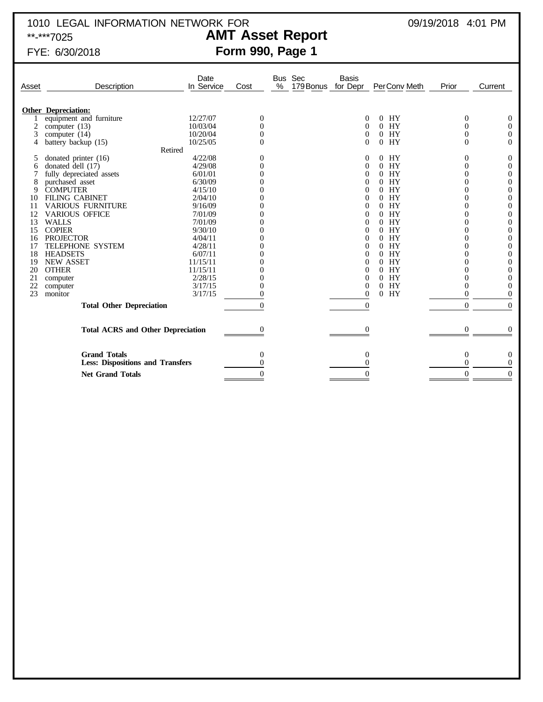# 1010 LEGAL INFORMATION NETWORK FOR **ANT Asset Report** 09/19/2018 4:01 PM

# **AMT Asset Report**

| Asset | Description                                                    | Date<br>In Service | Cost           | <b>Bus</b><br>% | Sec<br>179 Bonus for Depr | <b>Basis</b>   | PerConv Meth          | Prior    | Current                          |
|-------|----------------------------------------------------------------|--------------------|----------------|-----------------|---------------------------|----------------|-----------------------|----------|----------------------------------|
|       | <b>Other Depreciation:</b>                                     |                    |                |                 |                           |                |                       |          |                                  |
|       | equipment and furniture                                        | 12/27/07           | $\overline{0}$ |                 |                           | 0              | HY<br>0               | $\Omega$ | $\boldsymbol{0}$                 |
| 2     | computer $(13)$                                                | 10/03/04           | $\overline{0}$ |                 |                           | $\theta$       | HY                    | 0        | $\overline{0}$                   |
| 3     | computer $(14)$                                                | 10/20/04           | $\Omega$       |                 |                           | 0              | HY<br>0               | 0        | $\mathbf{0}$                     |
|       | battery backup (15)                                            | 10/25/05           | $\Omega$       |                 |                           | $\Omega$       | HY<br>$\Omega$        | $\Omega$ | $\overline{0}$                   |
|       | Retired                                                        |                    |                |                 |                           |                |                       |          |                                  |
| 5     | donated printer (16)                                           | 4/22/08            | 0              |                 |                           | 0              | <b>HY</b><br>$^{(1)}$ | 0        | $\boldsymbol{0}$                 |
|       | donated dell (17)                                              | 4/29/08            |                |                 |                           |                | HY<br>$\Omega$        |          | $\boldsymbol{0}$                 |
|       | fully depreciated assets                                       | 6/01/01            |                |                 |                           | $\Omega$       | HY                    |          | $\boldsymbol{0}$                 |
|       | purchased asset                                                | 6/30/09            |                |                 |                           | 0              | <b>HY</b>             |          | $\boldsymbol{0}$                 |
| 9     | <b>COMPUTER</b>                                                | 4/15/10            |                |                 |                           | 0              | <b>HY</b>             |          | $\boldsymbol{0}$                 |
|       | <b>FILING CABINET</b>                                          | 2/04/10            |                |                 |                           | 0              | <b>HY</b>             |          | $\boldsymbol{0}$                 |
|       | <b>VARIOUS FURNITURE</b>                                       | 9/16/09            |                |                 |                           | 0              | HY                    |          | $\boldsymbol{0}$                 |
|       | <b>VARIOUS OFFICE</b>                                          | 7/01/09            |                |                 |                           | 0              | HY                    |          | $\boldsymbol{0}$                 |
| 13    | <b>WALLS</b>                                                   | 7/01/09            |                |                 |                           | 0              | HY                    |          | $\boldsymbol{0}$                 |
| 15    | <b>COPIER</b>                                                  | 9/30/10            |                |                 |                           | 0              | HY                    | $\theta$ | $\mathbf{0}$                     |
| 16    | <b>PROJECTOR</b>                                               | 4/04/11            |                |                 |                           | 0              | <b>HY</b>             | 0        | $\boldsymbol{0}$                 |
|       | TELEPHONE SYSTEM                                               | 4/28/11            |                |                 |                           | 0              | HY                    |          | $\boldsymbol{0}$                 |
| 18    | <b>HEADSETS</b>                                                | 6/07/11            |                |                 |                           | 0              | HY                    |          | $\boldsymbol{0}$                 |
| 19    | <b>NEW ASSET</b>                                               | 11/15/11           |                |                 |                           | $\Omega$       | <b>HY</b>             |          | $\boldsymbol{0}$                 |
| 20    | <b>OTHER</b>                                                   | 11/15/11           |                |                 |                           | $\Omega$       | HY<br>0               |          | $\boldsymbol{0}$                 |
| 21    | computer                                                       | 2/28/15            |                |                 |                           | $\Omega$       | HY<br>$^{\circ}$      |          | $\mathbf{0}$                     |
| 22    | computer                                                       | 3/17/15            |                |                 |                           | 0              | HY<br>0               |          | $\boldsymbol{0}$                 |
| 23    | monitor                                                        | 3/17/15            |                |                 |                           | 0              | $0$ HY                |          | $\overline{0}$                   |
|       | <b>Total Other Depreciation</b>                                |                    | $\Omega$       |                 |                           | $\mathbf{0}$   |                       | $\Omega$ | $\Omega$                         |
|       | <b>Total ACRS and Other Depreciation</b>                       |                    |                |                 |                           | $\overline{0}$ |                       | $\Omega$ | $\overline{0}$                   |
|       | <b>Grand Totals</b><br><b>Less: Dispositions and Transfers</b> |                    |                |                 |                           | 0              |                       | $\theta$ | $\boldsymbol{0}$<br>$\mathbf{0}$ |
|       | <b>Net Grand Totals</b>                                        |                    |                |                 |                           |                |                       | $\theta$ | $\theta$                         |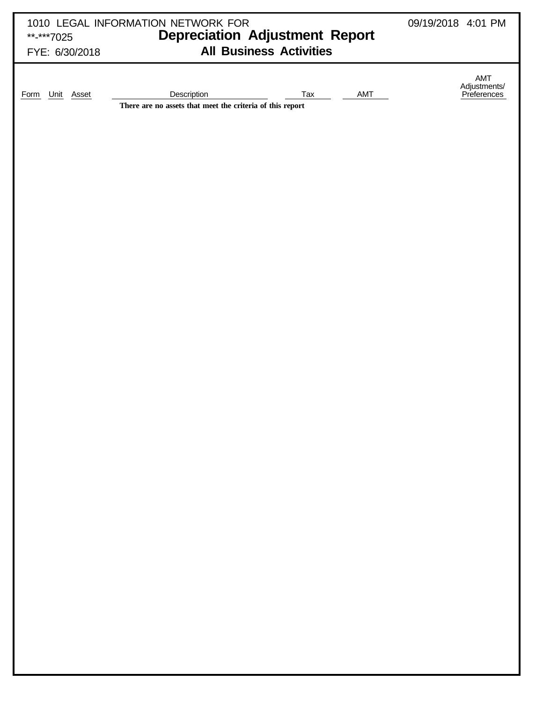| 1010 LEGAL INFORMATION NETWORK FOR<br>**-***7025<br>FYE: 6/30/2018 | <b>Depreciation Adjustment Report</b>                                    | 09/19/2018 4:01 PM |     |                                    |
|--------------------------------------------------------------------|--------------------------------------------------------------------------|--------------------|-----|------------------------------------|
| Form Unit Asset                                                    | Description<br>There are no assets that meet the criteria of this report | Tax                | AMT | AMT<br>Adjustments/<br>Preferences |
|                                                                    |                                                                          |                    |     |                                    |
|                                                                    |                                                                          |                    |     |                                    |
|                                                                    |                                                                          |                    |     |                                    |
|                                                                    |                                                                          |                    |     |                                    |
|                                                                    |                                                                          |                    |     |                                    |
|                                                                    |                                                                          |                    |     |                                    |
|                                                                    |                                                                          |                    |     |                                    |
|                                                                    |                                                                          |                    |     |                                    |
|                                                                    |                                                                          |                    |     |                                    |
|                                                                    |                                                                          |                    |     |                                    |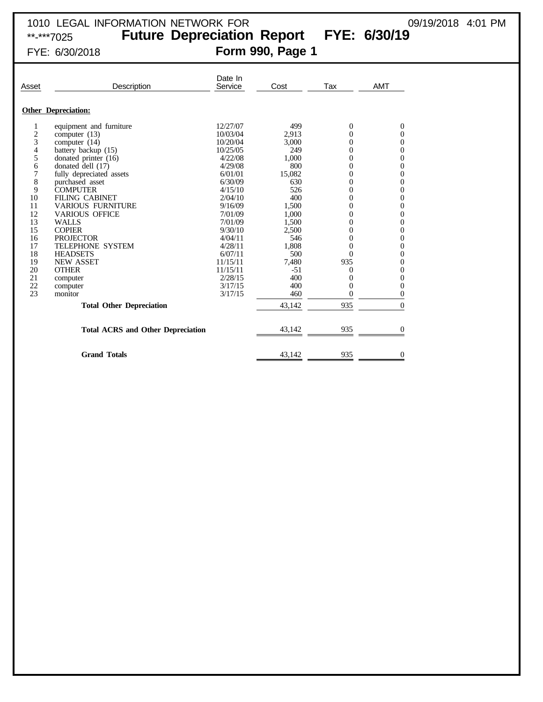### FYE: 6/30/2018 **Form 990, Page 1**

1010 LEGAL INFORMATION NETWORK FOR **1010 LEGAL INFORMATION NETWORK FOR Report FYE: 6/30/19** <sup>09/19/2018</sup> 4:01 PM

**Future Depreciation Report** 

| Asset          | Description                              | Date In<br>Service | Cost   | Tax            | <b>AMT</b>       |
|----------------|------------------------------------------|--------------------|--------|----------------|------------------|
|                | <b>Other Depreciation:</b>               |                    |        |                |                  |
| 1              | equipment and furniture                  | 12/27/07           | 499    | $\overline{0}$ | $\overline{0}$   |
| $\overline{c}$ | computer $(13)$                          | 10/03/04           | 2,913  | 0              | 0                |
| 3              | computer $(14)$                          | 10/20/04           | 3,000  | 0              | 0                |
| 4              | battery backup (15)                      | 10/25/05           | 249    | $\Omega$       | 0                |
| 5              | donated printer (16)                     | 4/22/08            | 1,000  | 0              | $\overline{0}$   |
| 6              | donated dell (17)                        | 4/29/08            | 800    | $\overline{0}$ | $\overline{0}$   |
| 7              | fully depreciated assets                 | 6/01/01            | 15,082 | $\overline{0}$ | $\overline{0}$   |
| 8              | purchased asset                          | 6/30/09            | 630    | $\overline{0}$ | $\overline{0}$   |
| 9              | <b>COMPUTER</b>                          | 4/15/10            | 526    | 0              | $\overline{0}$   |
| 10             | <b>FILING CABINET</b>                    | 2/04/10            | 400    | 0              | $\overline{0}$   |
| 11             | <b>VARIOUS FURNITURE</b>                 | 9/16/09            | 1,500  | 0              | $\overline{0}$   |
| 12             | <b>VARIOUS OFFICE</b>                    | 7/01/09            | 1,000  | $\Omega$       | $\boldsymbol{0}$ |
| 13             | <b>WALLS</b>                             | 7/01/09            | 1,500  | $\Omega$       | $\overline{0}$   |
| 15             | <b>COPIER</b>                            | 9/30/10            | 2,500  | $\Omega$       | $\overline{0}$   |
| 16             | <b>PROJECTOR</b>                         | 4/04/11            | 546    | $\Omega$       | $\overline{0}$   |
| 17             | <b>TELEPHONE SYSTEM</b>                  | 4/28/11            | 1,808  | $\overline{0}$ | $\overline{0}$   |
| 18             | <b>HEADSETS</b>                          | 6/07/11            | 500    | $\Omega$       | $\overline{0}$   |
| 19             | <b>NEW ASSET</b>                         | 11/15/11           | 7,480  | 935            | 0                |
| 20             | <b>OTHER</b>                             | 11/15/11           | $-51$  | 0              | $\overline{0}$   |
| 21             | computer                                 | 2/28/15            | 400    | $\overline{0}$ | $\overline{0}$   |
| 22             | computer                                 | 3/17/15            | 400    | $\overline{0}$ | 0                |
| 23             | monitor                                  | 3/17/15            | 460    | $\Omega$       | $\Omega$         |
|                | <b>Total Other Depreciation</b>          |                    | 43,142 | 935            | $\Omega$         |
|                | <b>Total ACRS and Other Depreciation</b> |                    | 43,142 | 935            | $\Omega$         |
|                |                                          |                    |        |                |                  |
|                | <b>Grand Totals</b>                      |                    | 43,142 | 935            | $\theta$         |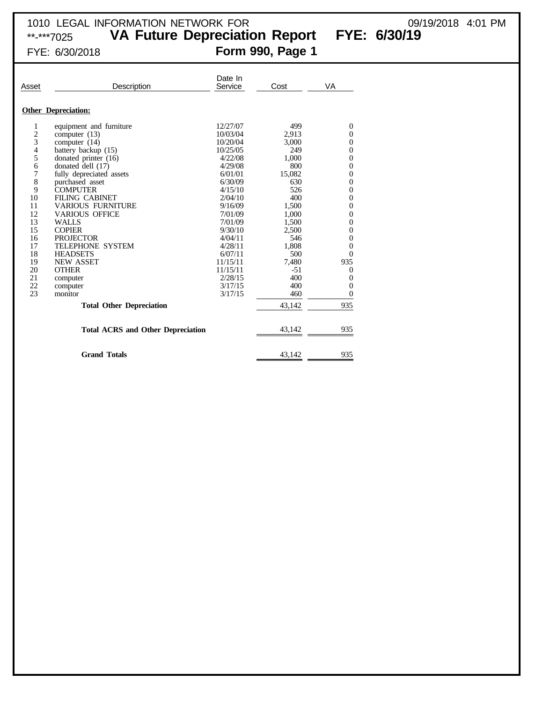VA Future Depreciation Report FYE: 6/30/19

| Asset                   | Description                              | Date In<br>Service | Cost   | VA               |
|-------------------------|------------------------------------------|--------------------|--------|------------------|
|                         | <b>Other Depreciation:</b>               |                    |        |                  |
| 1                       | equipment and furniture                  | 12/27/07           | 499    | $\theta$         |
| $\overline{\mathbf{c}}$ | computer $(13)$                          | 10/03/04           | 2,913  | $\boldsymbol{0}$ |
| 3                       | computer $(14)$                          | 10/20/04           | 3,000  | $\boldsymbol{0}$ |
| 4                       | battery backup (15)                      | 10/25/05           | 249    | $\boldsymbol{0}$ |
| 5                       | donated printer (16)                     | 4/22/08            | 1,000  | $\boldsymbol{0}$ |
| 6                       | donated dell (17)                        | 4/29/08            | 800    | $\boldsymbol{0}$ |
| 7                       | fully depreciated assets                 | 6/01/01            | 15,082 | $\boldsymbol{0}$ |
| 8                       | purchased asset                          | 6/30/09            | 630    | $\mathbf{0}$     |
| 9                       | <b>COMPUTER</b>                          | 4/15/10            | 526    | $\boldsymbol{0}$ |
| 10                      | <b>FILING CABINET</b>                    | 2/04/10            | 400    | $\boldsymbol{0}$ |
| 11                      | <b>VARIOUS FURNITURE</b>                 | 9/16/09            | 1,500  | $\boldsymbol{0}$ |
| 12                      | <b>VARIOUS OFFICE</b>                    | 7/01/09            | 1,000  | $\boldsymbol{0}$ |
| 13                      | WALLS                                    | 7/01/09            | 1,500  | $\boldsymbol{0}$ |
| 15                      | <b>COPIER</b>                            | 9/30/10            | 2,500  | $\boldsymbol{0}$ |
| 16                      | <b>PROJECTOR</b>                         | 4/04/11            | 546    | $\boldsymbol{0}$ |
| 17                      | <b>TELEPHONE SYSTEM</b>                  | 4/28/11            | 1,808  | $\boldsymbol{0}$ |
| 18                      | <b>HEADSETS</b>                          | 6/07/11            | 500    | $\mathbf{0}$     |
| 19                      | <b>NEW ASSET</b>                         | 11/15/11           | 7,480  | 935              |
| 20                      | <b>OTHER</b>                             | 11/15/11           | $-51$  | $\boldsymbol{0}$ |
| 21                      | computer                                 | 2/28/15            | 400    | $\theta$         |
| 22                      | computer                                 | 3/17/15            | 400    | $\overline{0}$   |
| 23                      | monitor                                  | 3/17/15            | 460    | $\overline{0}$   |
|                         | <b>Total Other Depreciation</b>          |                    | 43,142 | 935              |
|                         | <b>Total ACRS and Other Depreciation</b> |                    | 43,142 | 935              |
|                         | <b>Grand Totals</b>                      |                    | 43,142 | 935              |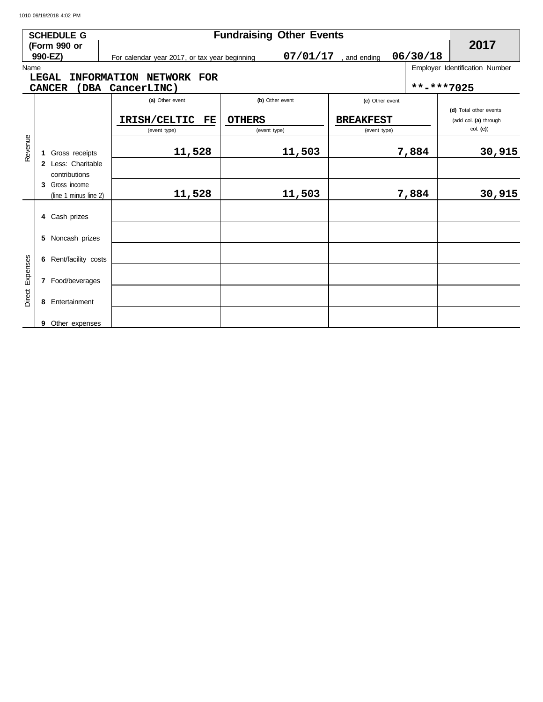|          | <b>SCHEDULE G</b>                          |  |                                                                                       | <b>Fundraising Other Events</b> |                 |                  |       |  |                                                 |  |  |  |
|----------|--------------------------------------------|--|---------------------------------------------------------------------------------------|---------------------------------|-----------------|------------------|-------|--|-------------------------------------------------|--|--|--|
|          | (Form 990 or<br>990-EZ)                    |  | 07/01/17<br>06/30/18<br>, and ending<br>For calendar year 2017, or tax year beginning |                                 |                 |                  |       |  | 2017                                            |  |  |  |
| Name     |                                            |  |                                                                                       |                                 |                 |                  |       |  | Employer Identification Number                  |  |  |  |
|          | LEGAL<br><b>CANCER</b>                     |  | INFORMATION NETWORK FOR<br>(DBA CancerLINC)                                           |                                 |                 |                  |       |  | **-***7025                                      |  |  |  |
|          |                                            |  | (a) Other event                                                                       |                                 | (b) Other event | (c) Other event  |       |  |                                                 |  |  |  |
|          |                                            |  | IRISH/CELTIC FE                                                                       | <b>OTHERS</b>                   |                 | <b>BREAKFEST</b> |       |  | (d) Total other events<br>(add col. (a) through |  |  |  |
|          |                                            |  | (event type)                                                                          | (event type)                    |                 | (event type)     |       |  | $col.$ (c))                                     |  |  |  |
| Revenue  | Gross receipts<br>$\mathbf 1$              |  | 11,528                                                                                |                                 | 11,503          |                  | 7,884 |  | 30,915                                          |  |  |  |
|          | 2 Less: Charitable<br>contributions        |  |                                                                                       |                                 |                 |                  |       |  |                                                 |  |  |  |
|          | Gross income<br>3<br>(line 1 minus line 2) |  | 11,528                                                                                |                                 | 11,503          |                  | 7,884 |  | 30,915                                          |  |  |  |
|          | 4 Cash prizes                              |  |                                                                                       |                                 |                 |                  |       |  |                                                 |  |  |  |
|          | Noncash prizes<br>5                        |  |                                                                                       |                                 |                 |                  |       |  |                                                 |  |  |  |
|          | Rent/facility costs<br>6                   |  |                                                                                       |                                 |                 |                  |       |  |                                                 |  |  |  |
| Expenses | Food/beverages<br>7                        |  |                                                                                       |                                 |                 |                  |       |  |                                                 |  |  |  |
| Direct   | Entertainment<br>8                         |  |                                                                                       |                                 |                 |                  |       |  |                                                 |  |  |  |
|          | 9 Other expenses                           |  |                                                                                       |                                 |                 |                  |       |  |                                                 |  |  |  |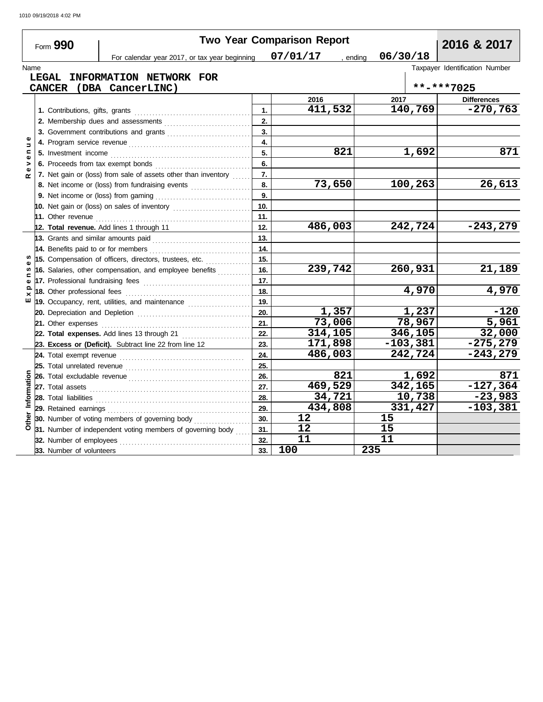|                   | Form 990                                                                                                                                                                                                                            |                  | <b>Two Year Comparison Report</b> |            | 2016 & 2017                    |
|-------------------|-------------------------------------------------------------------------------------------------------------------------------------------------------------------------------------------------------------------------------------|------------------|-----------------------------------|------------|--------------------------------|
|                   | For calendar year 2017, or tax year beginning                                                                                                                                                                                       |                  | 07/01/17<br>, ending              | 06/30/18   |                                |
| Name              |                                                                                                                                                                                                                                     |                  |                                   |            | Taxpayer Identification Number |
|                   | LEGAL INFORMATION NETWORK FOR<br>CANCER (DBA CancerLINC)                                                                                                                                                                            |                  |                                   |            | **-***7025                     |
|                   |                                                                                                                                                                                                                                     |                  | 2016                              | 2017       | <b>Differences</b>             |
|                   |                                                                                                                                                                                                                                     | 1.               | 411,532                           | 140,769    | $-270,763$                     |
|                   |                                                                                                                                                                                                                                     | 2.               |                                   |            |                                |
|                   | 3. Government contributions and grants                                                                                                                                                                                              | 3.               |                                   |            |                                |
| Ξ                 |                                                                                                                                                                                                                                     | $\overline{4}$ . |                                   |            |                                |
| $\mathbf{r}$<br>Φ | 5. Investment income                                                                                                                                                                                                                | 5.               | 821                               | 1,692      | 871                            |
| >                 | 6. Proceeds from tax exempt bonds                                                                                                                                                                                                   | 6.               |                                   |            |                                |
| Φ<br>œ            | 7. Net gain or (loss) from sale of assets other than inventory                                                                                                                                                                      | 7.               |                                   |            |                                |
|                   | 8. Net income or (loss) from fundraising events                                                                                                                                                                                     | 8.               | 73,650                            | 100,263    | 26,613                         |
|                   |                                                                                                                                                                                                                                     | 9.               |                                   |            |                                |
|                   |                                                                                                                                                                                                                                     | 10.              |                                   |            |                                |
|                   | 11. Other revenue <i>communication</i> and the revenue of the series of the series of the series of the series of the series of the series of the series of the series of the series of the series of the series of the series of t | 11.              |                                   |            |                                |
|                   | 12. Total revenue. Add lines 1 through 11                                                                                                                                                                                           | 12.              | 486,003                           | 242,724    | $-243,279$                     |
|                   |                                                                                                                                                                                                                                     | 13.              |                                   |            |                                |
|                   | 14. Benefits paid to or for members                                                                                                                                                                                                 | 14.              |                                   |            |                                |
|                   | 15. Compensation of officers, directors, trustees, etc.                                                                                                                                                                             | 15.              |                                   |            |                                |
|                   | 16. Salaries, other compensation, and employee benefits                                                                                                                                                                             | 16.              | 239,742                           | 260,931    | 21,189                         |
| Ф                 |                                                                                                                                                                                                                                     | 17.              |                                   |            |                                |
| ×                 | 18. Other professional fees                                                                                                                                                                                                         | 18.              |                                   | 4,970      | 4,970                          |
| ш                 | 19. Occupancy, rent, utilities, and maintenance <i>[[19. Occupancy, rent, utilities</i> , and maintenance                                                                                                                           | 19.              |                                   |            |                                |
|                   |                                                                                                                                                                                                                                     | 20.              | 1,357                             | 1,237      | $-120$                         |
|                   | 21. Other expenses                                                                                                                                                                                                                  | 21.              | 73,006                            | 78,967     | 5,961                          |
|                   | 22. Total expenses. Add lines 13 through 21                                                                                                                                                                                         | 22.              | 314,105                           | 346,105    | 32,000                         |
|                   | 23. Excess or (Deficit). Subtract line 22 from line 12                                                                                                                                                                              | 23.              | 171,898                           | $-103,381$ | $-275, 279$                    |
|                   |                                                                                                                                                                                                                                     | 24.              | 486,003                           | 242,724    | $-243, 279$                    |
|                   |                                                                                                                                                                                                                                     | 25.              |                                   |            |                                |
|                   |                                                                                                                                                                                                                                     | 26.              | 821                               | 1,692      | 871                            |
|                   |                                                                                                                                                                                                                                     | 27.              | 469,529                           | 342, 165   | $-127,364$                     |
| Information       | 28. Total liabilities                                                                                                                                                                                                               | 28.              | 34,721                            | 10,738     | $-23,983$                      |
|                   |                                                                                                                                                                                                                                     | 29.              | 434,808                           | 331,427    | $-103,381$                     |
| Other             | 30. Number of voting members of governing body                                                                                                                                                                                      | 30.              | 12                                | 15         |                                |
|                   | 31. Number of independent voting members of governing body                                                                                                                                                                          | 31.              | 12                                | 15         |                                |
|                   | 32. Number of employees                                                                                                                                                                                                             | 32.              | 11                                | 11         |                                |
|                   | 33. Number of volunteers                                                                                                                                                                                                            | 33.              | 100                               | 235        |                                |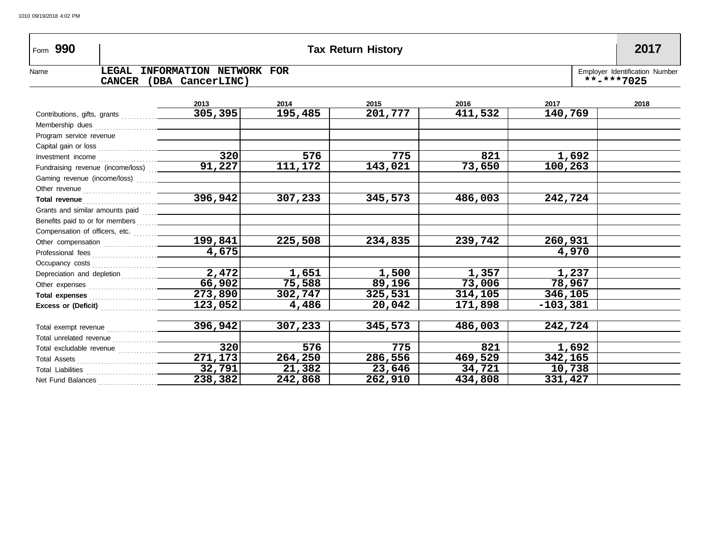| Form 990                                                                                                                                                                                                                             |                 |                                             |         | <b>Tax Return History</b> |         |            | 2017                                         |
|--------------------------------------------------------------------------------------------------------------------------------------------------------------------------------------------------------------------------------------|-----------------|---------------------------------------------|---------|---------------------------|---------|------------|----------------------------------------------|
| Name                                                                                                                                                                                                                                 | LEGAL<br>CANCER | INFORMATION NETWORK FOR<br>(DBA CancerLINC) |         |                           |         |            | Employer Identification Number<br>**-***7025 |
|                                                                                                                                                                                                                                      |                 | 2013                                        | 2014    | 2015                      | 2016    | 2017       | 2018                                         |
|                                                                                                                                                                                                                                      |                 | 305,395                                     | 195,485 | 201,777                   | 411,532 | 140,769    |                                              |
|                                                                                                                                                                                                                                      |                 |                                             |         |                           |         |            |                                              |
| Program service revenue                                                                                                                                                                                                              |                 |                                             |         |                           |         |            |                                              |
|                                                                                                                                                                                                                                      |                 |                                             |         |                           |         |            |                                              |
|                                                                                                                                                                                                                                      |                 | 320                                         | 576     | 775                       | 821     | 1,692      |                                              |
| Fundraising revenue (income/loss)                                                                                                                                                                                                    |                 | 91,227                                      | 111,172 | 143,021                   | 73,650  | 100,263    |                                              |
|                                                                                                                                                                                                                                      |                 |                                             |         |                           |         |            |                                              |
|                                                                                                                                                                                                                                      |                 |                                             |         |                           |         |            |                                              |
| Total revenue <b>contract and the contract of the contract of the contract of the contract of the contract of the contract of the contract of the contract of the contract of the contract of the contract of the contract of th</b> |                 | $\overline{396,942}$                        | 307,233 | 345,573                   | 486,003 | 242,724    |                                              |
|                                                                                                                                                                                                                                      |                 |                                             |         |                           |         |            |                                              |
| Benefits paid to or for members [11, 11, 11] [10] Denefits paid to or for members                                                                                                                                                    |                 |                                             |         |                           |         |            |                                              |
|                                                                                                                                                                                                                                      |                 |                                             |         |                           |         |            |                                              |
|                                                                                                                                                                                                                                      |                 | 199,841                                     | 225,508 | 234,835                   | 239,742 | 260,931    |                                              |
|                                                                                                                                                                                                                                      |                 | 4,675                                       |         |                           |         | 4,970      |                                              |
|                                                                                                                                                                                                                                      |                 |                                             |         |                           |         |            |                                              |
| Depreciation and depletion [11] [11] Depreciation and depletion                                                                                                                                                                      |                 | 2,472                                       | 1,651   | 1,500                     | 1,357   | 1,237      |                                              |
|                                                                                                                                                                                                                                      |                 | 66,902                                      | 75,588  | 89,196                    | 73,006  | 78,967     |                                              |
|                                                                                                                                                                                                                                      |                 | 273,890                                     | 302,747 | 325,531                   | 314,105 | 346,105    |                                              |
| Excess or (Deficit) <b>Excess</b> or (Deficit)                                                                                                                                                                                       |                 | 123,052                                     | 4,486   | 20,042                    | 171,898 | $-103,381$ |                                              |
|                                                                                                                                                                                                                                      |                 | 396,942                                     | 307,233 | 345,573                   | 486,003 | 242,724    |                                              |
|                                                                                                                                                                                                                                      |                 |                                             |         |                           |         |            |                                              |
|                                                                                                                                                                                                                                      |                 | 320                                         | 576     | 775                       | 821     | 1,692      |                                              |
|                                                                                                                                                                                                                                      |                 | 271,173                                     | 264,250 | 286,556                   | 469,529 | 342,165    |                                              |
|                                                                                                                                                                                                                                      |                 | 32,791                                      | 21,382  | 23,646                    | 34,721  | 10,738     |                                              |
| Net Fund Balances                                                                                                                                                                                                                    |                 | 238,382                                     | 242,868 | 262,910                   | 434,808 | 331,427    |                                              |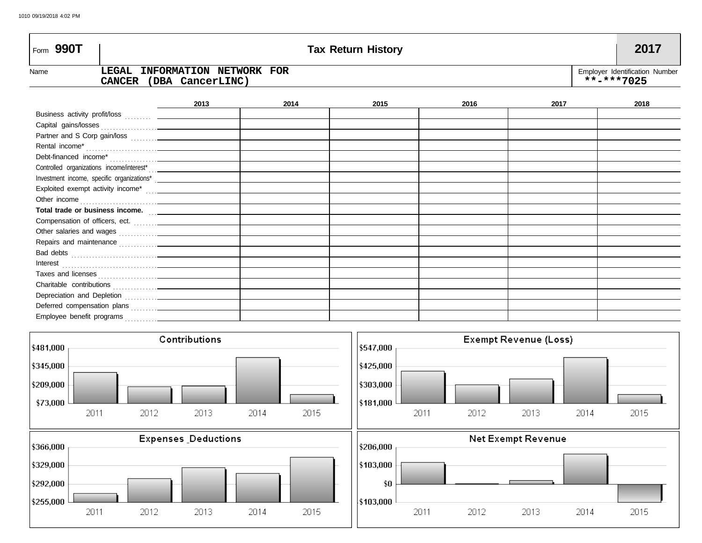| Form 990T                                     |                                             |      | <b>Tax Return History</b> |      |      | 2017                                         |
|-----------------------------------------------|---------------------------------------------|------|---------------------------|------|------|----------------------------------------------|
| LEGAL<br>Name<br><b>CANCER</b>                | INFORMATION NETWORK FOR<br>(DBA CancerLINC) |      |                           |      |      | Employer Identification Number<br>**-***7025 |
|                                               | 2013                                        | 2014 | 2015                      | 2016 | 2017 | 2018                                         |
| Business activity profit/loss  ______________ |                                             |      |                           |      |      |                                              |
|                                               |                                             |      |                           |      |      |                                              |
|                                               |                                             |      |                           |      |      |                                              |
|                                               |                                             |      |                           |      |      |                                              |
|                                               |                                             |      |                           |      |      |                                              |
|                                               |                                             |      |                           |      |      |                                              |
|                                               |                                             |      |                           |      |      |                                              |
|                                               |                                             |      |                           |      |      |                                              |
|                                               |                                             |      |                           |      |      |                                              |
| Total trade or business income.               |                                             |      |                           |      |      |                                              |
|                                               |                                             |      |                           |      |      |                                              |
|                                               |                                             |      |                           |      |      |                                              |
|                                               |                                             |      |                           |      |      |                                              |
|                                               |                                             |      |                           |      |      |                                              |
| Interest<br><br><u> </u>                      |                                             |      |                           |      |      |                                              |
|                                               |                                             |      |                           |      |      |                                              |
|                                               |                                             |      |                           |      |      |                                              |
|                                               |                                             |      |                           |      |      |                                              |
|                                               |                                             |      |                           |      |      |                                              |
|                                               |                                             |      |                           |      |      |                                              |

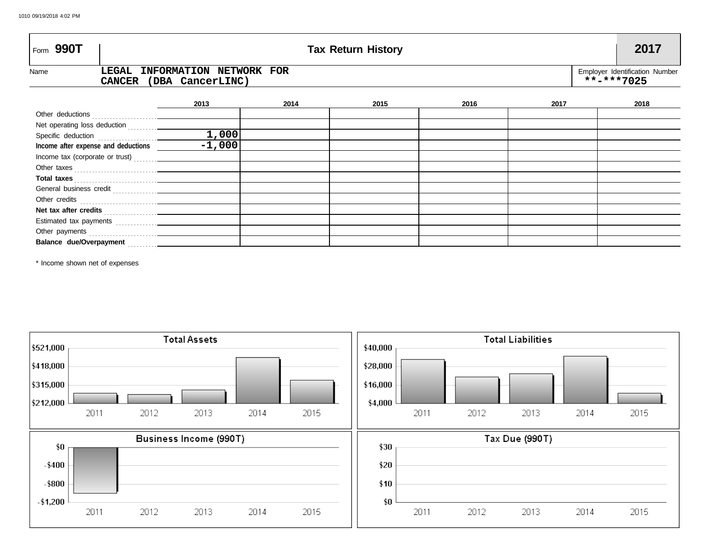| Form 990T                           |                                             |      | <b>Tax Return History</b> |      |      | 2017                                             |
|-------------------------------------|---------------------------------------------|------|---------------------------|------|------|--------------------------------------------------|
| LEGAL<br>Name<br><b>CANCER</b>      | INFORMATION NETWORK FOR<br>(DBA CancerLINC) |      |                           |      |      | Employer Identification Number<br>$***$ -***7025 |
|                                     | 2013                                        | 2014 | 2015                      | 2016 | 2017 | 2018                                             |
|                                     |                                             |      |                           |      |      |                                                  |
|                                     |                                             |      |                           |      |      |                                                  |
|                                     | 1,000                                       |      |                           |      |      |                                                  |
| Income after expense and deductions | $-1,000$                                    |      |                           |      |      |                                                  |
|                                     |                                             |      |                           |      |      |                                                  |
|                                     |                                             |      |                           |      |      |                                                  |
| Total taxes                         |                                             |      |                           |      |      |                                                  |
|                                     |                                             |      |                           |      |      |                                                  |
|                                     |                                             |      |                           |      |      |                                                  |
|                                     |                                             |      |                           |      |      |                                                  |
|                                     |                                             |      |                           |      |      |                                                  |
|                                     |                                             |      |                           |      |      |                                                  |
|                                     |                                             |      |                           |      |      |                                                  |

\* Income shown net of expenses

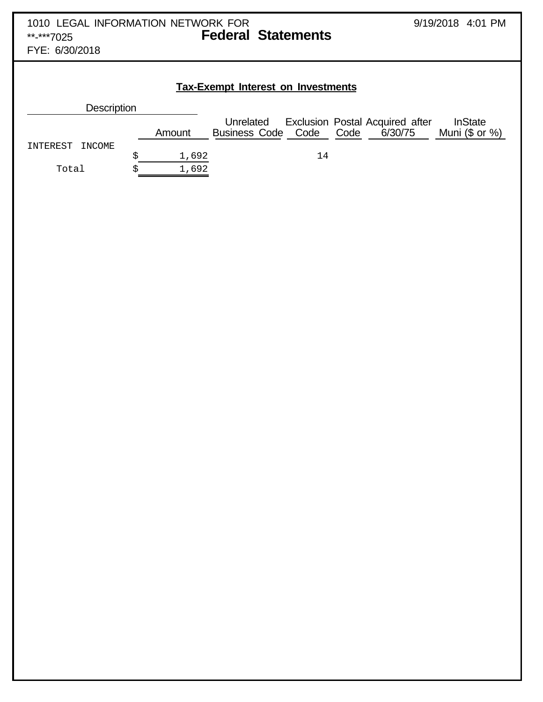**Tax-Exempt Interest on Investments Description** Unrelated Exclusion Postal Acquired after InState<br>usiness Code Code Code 6/30/75 Muni (\$ or %) Amount Business Code Code Code INTEREST INCOME  $$1,692$  14 Total  $\qquad \qquad$  \$ 1,692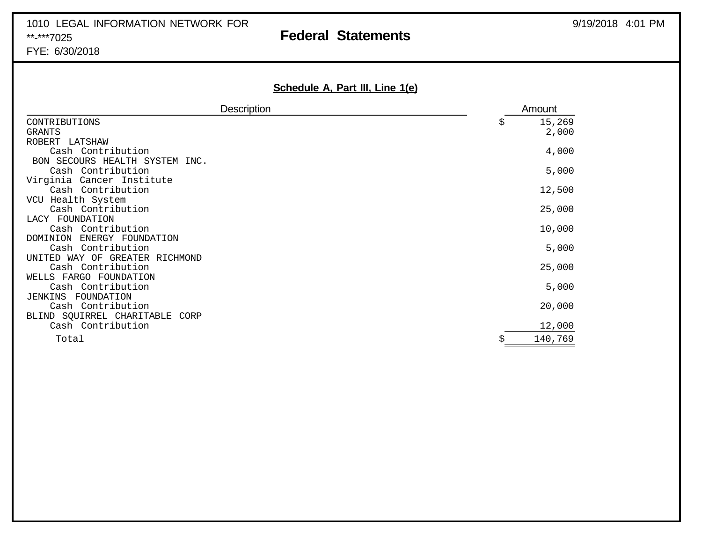## 1010 LEGAL INFORMATION NETWORK FOR **1010 PM** 9/19/2018 4:01 PM \*\*-\*\*\*7025 **Federal Statements**

FYE: 6/30/2018

### **Schedule A, Part III, Line 1(e)**

| <b>Description</b>             | Amount                |
|--------------------------------|-----------------------|
| CONTRIBUTIONS<br><b>GRANTS</b> | 15,269<br>\$<br>2,000 |
| ROBERT LATSHAW                 |                       |
| Cash Contribution              | 4,000                 |
| BON SECOURS HEALTH SYSTEM INC. |                       |
| Cash Contribution              | 5,000                 |
| Virginia Cancer Institute      |                       |
| Cash Contribution              | 12,500                |
| VCU Health System              |                       |
| Cash Contribution              | 25,000                |
| LACY FOUNDATION                |                       |
| Cash Contribution              | 10,000                |
| ENERGY FOUNDATION<br>DOMINION  |                       |
| Cash Contribution              | 5,000                 |
| UNITED WAY OF GREATER RICHMOND |                       |
| Cash Contribution              | 25,000                |
| WELLS FARGO FOUNDATION         |                       |
| Cash Contribution              | 5,000                 |
| JENKINS<br>FOUNDATION          |                       |
| Cash Contribution              | 20,000                |
| BLIND SQUIRREL CHARITABLE CORP |                       |
| Cash Contribution              | 12,000                |
| Total                          | 140,769<br>\$         |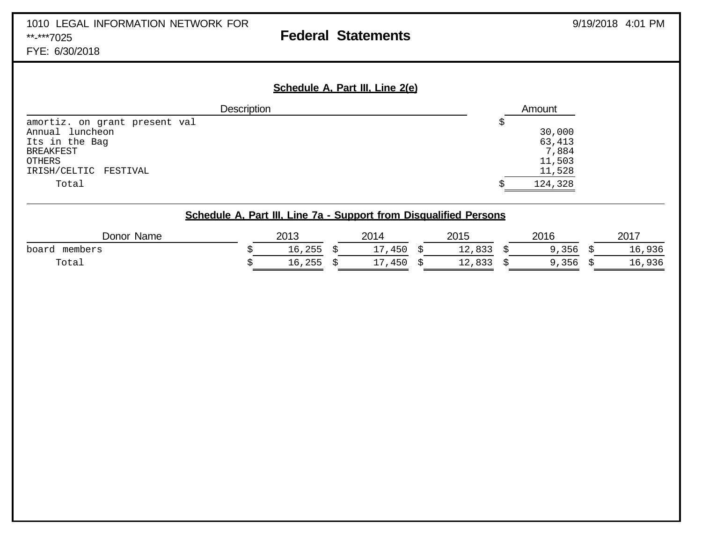### 1010 LEGAL INFORMATION NETWORK FOR **1010 PM** 9/19/2018 4:01 PM \*\*-\*\*\*7025 **Federal Statements**

FYE: 6/30/2018

### **Schedule A, Part III, Line 2(e)**

| <b>Description</b>                                                                                                        | Amount                                        |
|---------------------------------------------------------------------------------------------------------------------------|-----------------------------------------------|
| amortiz. on grant present val<br>Annual luncheon<br>Its in the Bag<br><b>BREAKFEST</b><br>OTHERS<br>IRISH/CELTIC FESTIVAL | 30,000<br>63,413<br>7,884<br>11,503<br>11,528 |
| Total                                                                                                                     | 124,328                                       |

| Schedule A, Part III, Line 7a - Support from Disqualified Persons |  |        |  |        |  |        |  |       |  |        |
|-------------------------------------------------------------------|--|--------|--|--------|--|--------|--|-------|--|--------|
| Donor Name                                                        |  | 2013   |  | 2014   |  | 2015   |  | 2016  |  | 2017   |
| members<br>board                                                  |  | 16,255 |  | 17,450 |  | 12,833 |  | 9,356 |  | 16,936 |
| Total                                                             |  | 16,255 |  | 17,450 |  | 12,833 |  | 9,356 |  | 16,936 |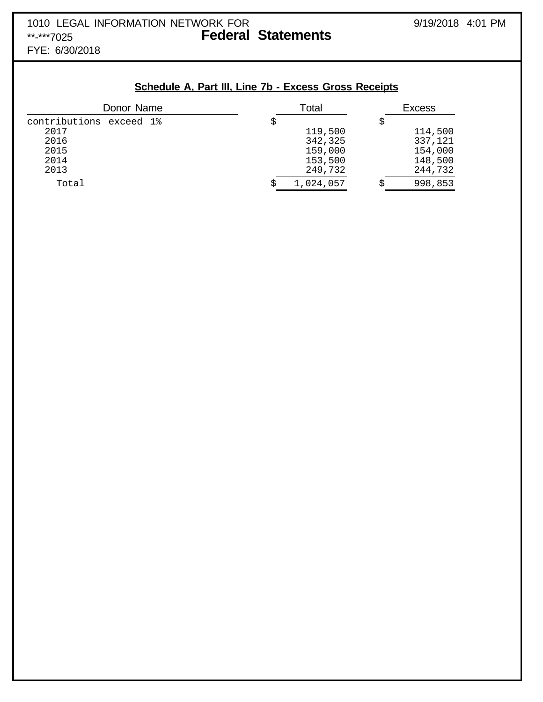### 1010 LEGAL INFORMATION NETWORK FOR<br>**Federal Statements** 9/19/2018 4:01 PM **Federal Statements**

FYE: 6/30/2018

#### **Schedule A, Part III, Line 7b - Excess Gross Receipts**

| Donor Name              | Total     | <b>Excess</b> |         |  |
|-------------------------|-----------|---------------|---------|--|
| contributions exceed 1% |           |               |         |  |
| 2017                    | 119,500   |               | 114,500 |  |
| 2016                    | 342,325   |               | 337,121 |  |
| 2015                    | 159,000   |               | 154,000 |  |
| 2014                    | 153,500   |               | 148,500 |  |
| 2013                    | 249,732   |               | 244,732 |  |
| Total                   | 1,024,057 |               | 998,853 |  |